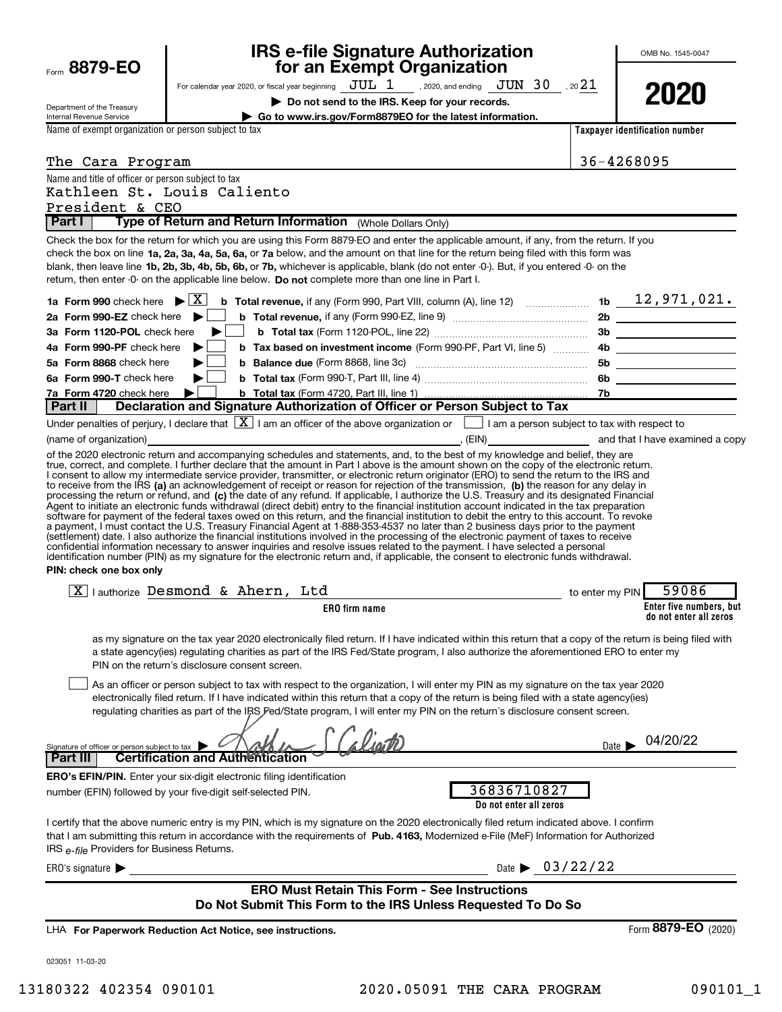| <b>Eorm 8879-EO</b>                                                     | <b>IRS e-file Signature Authorization</b><br>for an Exempt Organization                                                                                                                                                                                                                                                                                                                                                                                                                                                                                                                                                                                                                                                                                                                                                                           |        | OMB No. 1545-0047                                 |
|-------------------------------------------------------------------------|---------------------------------------------------------------------------------------------------------------------------------------------------------------------------------------------------------------------------------------------------------------------------------------------------------------------------------------------------------------------------------------------------------------------------------------------------------------------------------------------------------------------------------------------------------------------------------------------------------------------------------------------------------------------------------------------------------------------------------------------------------------------------------------------------------------------------------------------------|--------|---------------------------------------------------|
|                                                                         | For calendar year 2020, or fiscal year beginning $JUL$ $1$ , 2020, and ending $JUN$ $30$ , 20 $21$                                                                                                                                                                                                                                                                                                                                                                                                                                                                                                                                                                                                                                                                                                                                                |        |                                                   |
|                                                                         | Do not send to the IRS. Keep for your records.                                                                                                                                                                                                                                                                                                                                                                                                                                                                                                                                                                                                                                                                                                                                                                                                    |        | 2020                                              |
| Department of the Treasury<br>Internal Revenue Service                  | ▶ Go to www.irs.gov/Form8879EO for the latest information.                                                                                                                                                                                                                                                                                                                                                                                                                                                                                                                                                                                                                                                                                                                                                                                        |        |                                                   |
| Name of exempt organization or person subject to tax                    |                                                                                                                                                                                                                                                                                                                                                                                                                                                                                                                                                                                                                                                                                                                                                                                                                                                   |        | Taxpayer identification number                    |
|                                                                         |                                                                                                                                                                                                                                                                                                                                                                                                                                                                                                                                                                                                                                                                                                                                                                                                                                                   |        |                                                   |
| The Cara Program                                                        | <u> 1980 - Johann Barbara, martin amerikan basal dan berasal dalam basal dalam basal dan berasal dan berasal dan</u>                                                                                                                                                                                                                                                                                                                                                                                                                                                                                                                                                                                                                                                                                                                              |        | 36-4268095                                        |
| Name and title of officer or person subject to tax                      | Kathleen St. Louis Caliento                                                                                                                                                                                                                                                                                                                                                                                                                                                                                                                                                                                                                                                                                                                                                                                                                       |        |                                                   |
| President & CEO                                                         |                                                                                                                                                                                                                                                                                                                                                                                                                                                                                                                                                                                                                                                                                                                                                                                                                                                   |        |                                                   |
| Part I                                                                  | Type of Return and Return Information (Whole Dollars Only)                                                                                                                                                                                                                                                                                                                                                                                                                                                                                                                                                                                                                                                                                                                                                                                        |        |                                                   |
| 1a Form 990 check here $\blacktriangleright \lceil \overline{X} \rceil$ | Check the box for the return for which you are using this Form 8879-EO and enter the applicable amount, if any, from the return. If you<br>check the box on line 1a, 2a, 3a, 4a, 5a, 6a, or 7a below, and the amount on that line for the return being filed with this form was<br>blank, then leave line 1b, 2b, 3b, 4b, 5b, 6b, or 7b, whichever is applicable, blank (do not enter -0-). But, if you entered -0- on the<br>return, then enter -0- on the applicable line below. Do not complete more than one line in Part I.<br><b>b</b> Total revenue, if any (Form 990, Part VIII, column (A), line 12) $\ldots$ 15 $\ldots$ 16 $\ldots$ 12, 971, 021.                                                                                                                                                                                      |        |                                                   |
| 2a Form 990-EZ check here $\blacktriangleright$                         |                                                                                                                                                                                                                                                                                                                                                                                                                                                                                                                                                                                                                                                                                                                                                                                                                                                   |        |                                                   |
| 3a Form 1120-POL check here                                             |                                                                                                                                                                                                                                                                                                                                                                                                                                                                                                                                                                                                                                                                                                                                                                                                                                                   |        |                                                   |
| 4a Form 990-PF check here                                               | <b>b</b> Tax based on investment income (Form 990-PF, Part VI, line 5)                                                                                                                                                                                                                                                                                                                                                                                                                                                                                                                                                                                                                                                                                                                                                                            |        |                                                   |
| 5a Form 8868 check here                                                 |                                                                                                                                                                                                                                                                                                                                                                                                                                                                                                                                                                                                                                                                                                                                                                                                                                                   |        | 5b _____________________                          |
| 6a Form 990-T check here                                                |                                                                                                                                                                                                                                                                                                                                                                                                                                                                                                                                                                                                                                                                                                                                                                                                                                                   |        |                                                   |
| 7a Form 4720 check here                                                 |                                                                                                                                                                                                                                                                                                                                                                                                                                                                                                                                                                                                                                                                                                                                                                                                                                                   |        |                                                   |
| Part II                                                                 | Declaration and Signature Authorization of Officer or Person Subject to Tax                                                                                                                                                                                                                                                                                                                                                                                                                                                                                                                                                                                                                                                                                                                                                                       |        |                                                   |
|                                                                         | Under penalties of perjury, I declare that $\boxed{\mathbf{X}}$ I am an officer of the above organization or $\boxed{\phantom{\mathbf{X}}}$ I am a person subject to tax with respect to                                                                                                                                                                                                                                                                                                                                                                                                                                                                                                                                                                                                                                                          |        |                                                   |
|                                                                         | of the 2020 electronic return and accompanying schedules and statements, and, to the best of my knowledge and belief, they are                                                                                                                                                                                                                                                                                                                                                                                                                                                                                                                                                                                                                                                                                                                    |        |                                                   |
| PIN: check one box only                                                 | Agent to initiate an electronic funds withdrawal (direct debit) entry to the financial institution account indicated in the tax preparation<br>software for payment of the federal taxes owed on this return, and the financial institution to debit the entry to this account. To revoke<br>a payment, I must contact the U.S. Treasury Financial Agent at 1-888-353-4537 no later than 2 business days prior to the payment<br>(settlement) date. I also authorize the financial institutions involved in the processing of the electronic payment of taxes to receive<br>confidential information necessary to answer inquiries and resolve issues related to the payment. I have selected a personal<br>identification number (PIN) as my signature for the electronic return and, if applicable, the consent to electronic funds withdrawal. |        |                                                   |
|                                                                         | $\boxed{\text{X}}$ I authorize Desmond & Ahern, Ltd<br>to enter my PIN                                                                                                                                                                                                                                                                                                                                                                                                                                                                                                                                                                                                                                                                                                                                                                            |        | 59086                                             |
|                                                                         | <b>ERO</b> firm name                                                                                                                                                                                                                                                                                                                                                                                                                                                                                                                                                                                                                                                                                                                                                                                                                              |        | Enter five numbers, but<br>do not enter all zeros |
| Signature of officer or person subject to tax                           | as my signature on the tax year 2020 electronically filed return. If I have indicated within this return that a copy of the return is being filed with<br>a state agency(ies) regulating charities as part of the IRS Fed/State program, I also authorize the aforementioned ERO to enter my<br>PIN on the return's disclosure consent screen.<br>As an officer or person subject to tax with respect to the organization, I will enter my PIN as my signature on the tax year 2020<br>electronically filed return. If I have indicated within this return that a copy of the return is being filed with a state agency(ies)<br>regulating charities as part of the IRS Fed/State program, I will enter my PIN on the return's disclosure consent screen.                                                                                         | Date I | 04/20/22                                          |
| Part II                                                                 | <b>Certification and Authentication</b>                                                                                                                                                                                                                                                                                                                                                                                                                                                                                                                                                                                                                                                                                                                                                                                                           |        |                                                   |
|                                                                         | <b>ERO's EFIN/PIN.</b> Enter your six-digit electronic filing identification<br>36836710827<br>number (EFIN) followed by your five-digit self-selected PIN.<br>Do not enter all zeros                                                                                                                                                                                                                                                                                                                                                                                                                                                                                                                                                                                                                                                             |        |                                                   |
| IRS e-file Providers for Business Returns.                              | I certify that the above numeric entry is my PIN, which is my signature on the 2020 electronically filed return indicated above. I confirm<br>that I am submitting this return in accordance with the requirements of Pub. 4163, Modernized e-File (MeF) Information for Authorized                                                                                                                                                                                                                                                                                                                                                                                                                                                                                                                                                               |        |                                                   |
| ERO's signature $\blacktriangleright$                                   | Date $\triangleright$ 03/22/22                                                                                                                                                                                                                                                                                                                                                                                                                                                                                                                                                                                                                                                                                                                                                                                                                    |        |                                                   |
|                                                                         | <b>ERO Must Retain This Form - See Instructions</b><br>Do Not Submit This Form to the IRS Unless Requested To Do So                                                                                                                                                                                                                                                                                                                                                                                                                                                                                                                                                                                                                                                                                                                               |        |                                                   |
|                                                                         | LHA For Paperwork Reduction Act Notice, see instructions.                                                                                                                                                                                                                                                                                                                                                                                                                                                                                                                                                                                                                                                                                                                                                                                         |        | Form 8879-EO (2020)                               |
| 023051 11-03-20                                                         |                                                                                                                                                                                                                                                                                                                                                                                                                                                                                                                                                                                                                                                                                                                                                                                                                                                   |        |                                                   |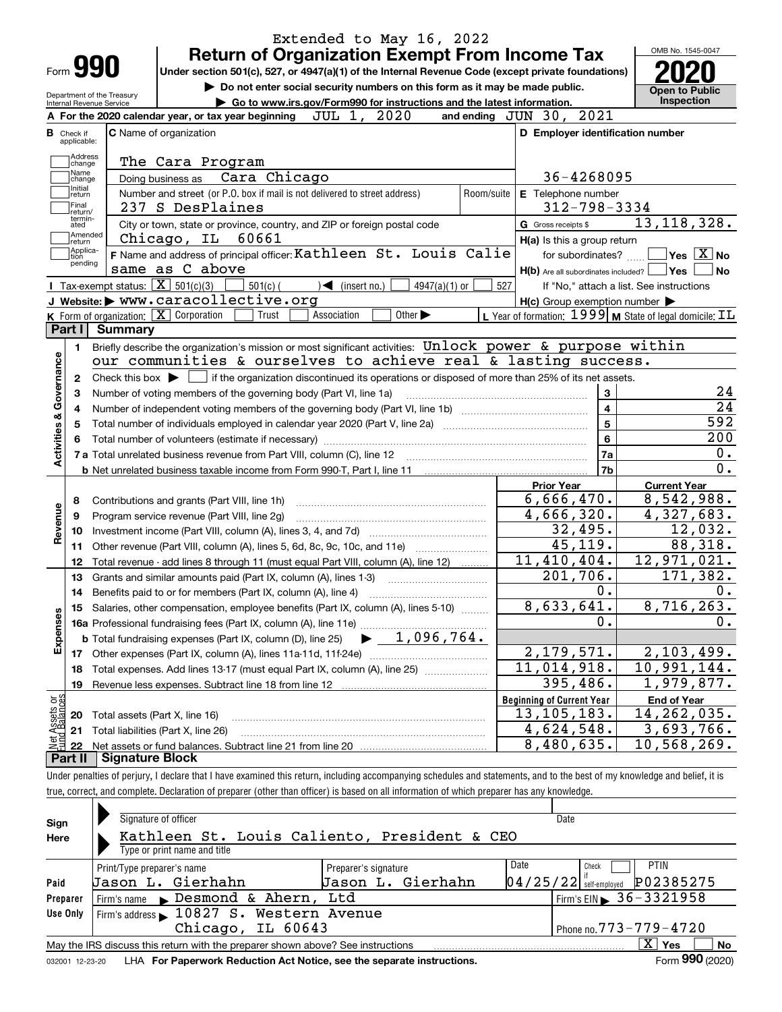| Form <b>990</b>                  |                                                                                                                                                          | <b>Return of Organization Exempt From Income Tax</b><br>Under section 501(c), 527, or 4947(a)(1) of the Internal Revenue Code (except private foundations)<br>Do not enter social security numbers on this form as it may be made public. |            |                                                                                     |                                          |  |  |  |
|----------------------------------|----------------------------------------------------------------------------------------------------------------------------------------------------------|-------------------------------------------------------------------------------------------------------------------------------------------------------------------------------------------------------------------------------------------|------------|-------------------------------------------------------------------------------------|------------------------------------------|--|--|--|
|                                  | Department of the Treasury<br>Internal Revenue Service                                                                                                   | Go to www.irs.gov/Form990 for instructions and the latest information.                                                                                                                                                                    |            |                                                                                     | Open to Public<br>Inspection             |  |  |  |
|                                  |                                                                                                                                                          | 2020<br>JUL 1,<br>A For the 2020 calendar year, or tax year beginning                                                                                                                                                                     |            | 2021<br>and ending $JUN$ 30,                                                        |                                          |  |  |  |
| <b>B</b> Check if<br>applicable: |                                                                                                                                                          | <b>C</b> Name of organization                                                                                                                                                                                                             |            | D Employer identification number                                                    |                                          |  |  |  |
| Address                          |                                                                                                                                                          |                                                                                                                                                                                                                                           |            |                                                                                     |                                          |  |  |  |
| change<br>Name                   |                                                                                                                                                          | The Cara Program                                                                                                                                                                                                                          |            |                                                                                     |                                          |  |  |  |
| change<br>  Initial              |                                                                                                                                                          | Cara Chicago<br>Doing business as                                                                                                                                                                                                         |            | 36-4268095                                                                          |                                          |  |  |  |
| return<br>Final                  |                                                                                                                                                          | Number and street (or P.O. box if mail is not delivered to street address)                                                                                                                                                                | Room/suite | E Telephone number                                                                  |                                          |  |  |  |
| return/<br>termin-               |                                                                                                                                                          | 237 S DesPlaines                                                                                                                                                                                                                          |            | $312 - 798 - 3334$                                                                  |                                          |  |  |  |
| ated<br>Amended                  |                                                                                                                                                          | City or town, state or province, country, and ZIP or foreign postal code<br>Chicago, IL 60661                                                                                                                                             |            | G Gross receipts \$                                                                 | 13, 118, 328.                            |  |  |  |
| return<br>Applica-               |                                                                                                                                                          | F Name and address of principal officer: Kathleen St. Louis Calie                                                                                                                                                                         |            | H(a) Is this a group return                                                         |                                          |  |  |  |
| tion<br>pending                  |                                                                                                                                                          | same as C above                                                                                                                                                                                                                           |            | for subordinates?                                                                   | $ Yes X $ No                             |  |  |  |
|                                  | Tax-exempt status: $\boxed{\mathbf{X}}$ 501(c)(3)                                                                                                        |                                                                                                                                                                                                                                           |            | $H(b)$ Are all subordinates included?                                               | <b>Yes</b><br><b>No</b>                  |  |  |  |
|                                  |                                                                                                                                                          | $501(c)$ (<br>$\sum$ (insert no.)<br>$4947(a)(1)$ or<br>J Website: > WWW.caracollective.org                                                                                                                                               | 527        |                                                                                     | If "No," attach a list. See instructions |  |  |  |
|                                  |                                                                                                                                                          | Other $\blacktriangleright$                                                                                                                                                                                                               |            | $H(c)$ Group exemption number $\blacktriangleright$                                 |                                          |  |  |  |
| Part I                           | <b>Summary</b>                                                                                                                                           | <b>K</b> Form of organization: $\boxed{\mathbf{X}}$ Corporation<br>Association<br>Trust                                                                                                                                                   |            | L Year of formation: $1999 \vert \mathbf{M}$ State of legal domicile: $\mathbf{IL}$ |                                          |  |  |  |
|                                  |                                                                                                                                                          |                                                                                                                                                                                                                                           |            |                                                                                     |                                          |  |  |  |
| 1.                               |                                                                                                                                                          | Briefly describe the organization's mission or most significant activities: Unlock power & purpose within                                                                                                                                 |            |                                                                                     |                                          |  |  |  |
| Governance                       |                                                                                                                                                          | our communities & ourselves to achieve real & lasting success.                                                                                                                                                                            |            |                                                                                     |                                          |  |  |  |
|                                  | Check this box $\blacktriangleright$ $\blacksquare$ if the organization discontinued its operations or disposed of more than 25% of its net assets.<br>2 |                                                                                                                                                                                                                                           |            |                                                                                     |                                          |  |  |  |
| з                                |                                                                                                                                                          | Number of voting members of the governing body (Part VI, line 1a)                                                                                                                                                                         |            | 3                                                                                   | 24                                       |  |  |  |
| 4                                |                                                                                                                                                          | $\overline{4}$                                                                                                                                                                                                                            | 24         |                                                                                     |                                          |  |  |  |
| <b>Activities &amp;</b><br>5     |                                                                                                                                                          | 5<br>Total number of individuals employed in calendar year 2020 (Part V, line 2a) manufacture of individuals employed in calendar year 2020 (Part V, line 2a)                                                                             | 592        |                                                                                     |                                          |  |  |  |
| 6                                |                                                                                                                                                          |                                                                                                                                                                                                                                           | 6          | 200                                                                                 |                                          |  |  |  |
|                                  |                                                                                                                                                          |                                                                                                                                                                                                                                           |            | 7a                                                                                  | 0.<br>0.                                 |  |  |  |
|                                  |                                                                                                                                                          |                                                                                                                                                                                                                                           |            | 7b                                                                                  |                                          |  |  |  |
|                                  |                                                                                                                                                          |                                                                                                                                                                                                                                           |            | <b>Prior Year</b>                                                                   | <b>Current Year</b>                      |  |  |  |
| 8                                |                                                                                                                                                          | Contributions and grants (Part VIII, line 1h)                                                                                                                                                                                             |            | 6,666,470.                                                                          | 8,542,988.                               |  |  |  |
| Revenue<br>9                     |                                                                                                                                                          | Program service revenue (Part VIII, line 2g)                                                                                                                                                                                              |            | 4,666,320.                                                                          | 4,327,683.                               |  |  |  |
| 10                               |                                                                                                                                                          |                                                                                                                                                                                                                                           |            | 32,495.                                                                             | 12,032.                                  |  |  |  |
| 11                               |                                                                                                                                                          | Other revenue (Part VIII, column (A), lines 5, 6d, 8c, 9c, 10c, and 11e)                                                                                                                                                                  |            | 45, 119.                                                                            | 88,318.                                  |  |  |  |
| 12                               |                                                                                                                                                          | Total revenue - add lines 8 through 11 (must equal Part VIII, column (A), line 12)                                                                                                                                                        |            | 11,410,404.                                                                         | 12,971,021.                              |  |  |  |
| 13                               |                                                                                                                                                          | Grants and similar amounts paid (Part IX, column (A), lines 1-3)                                                                                                                                                                          |            | 201,706.                                                                            | 171,382.                                 |  |  |  |
| 14                               |                                                                                                                                                          | Benefits paid to or for members (Part IX, column (A), line 4)                                                                                                                                                                             |            | 0.                                                                                  | 0.                                       |  |  |  |
| 15                               |                                                                                                                                                          | Salaries, other compensation, employee benefits (Part IX, column (A), lines 5-10)                                                                                                                                                         |            | 8,633,641.                                                                          | 8,716,263.                               |  |  |  |
|                                  |                                                                                                                                                          |                                                                                                                                                                                                                                           |            | 0.                                                                                  | 0.                                       |  |  |  |
| Expenses                         |                                                                                                                                                          |                                                                                                                                                                                                                                           |            |                                                                                     |                                          |  |  |  |
| 17                               |                                                                                                                                                          |                                                                                                                                                                                                                                           |            | 2, 179, 571.                                                                        | 2,103,499.                               |  |  |  |
| 18                               |                                                                                                                                                          | Total expenses. Add lines 13-17 (must equal Part IX, column (A), line 25)                                                                                                                                                                 |            | 11,014,918.                                                                         | $\overline{10}$ , 991, 144.              |  |  |  |
| 19                               |                                                                                                                                                          |                                                                                                                                                                                                                                           |            | 395,486.                                                                            | 1,979,877.                               |  |  |  |
| t Assets or<br>d Balances        |                                                                                                                                                          |                                                                                                                                                                                                                                           |            | <b>Beginning of Current Year</b>                                                    | <b>End of Year</b>                       |  |  |  |
| 20                               | Total assets (Part X, line 16)                                                                                                                           |                                                                                                                                                                                                                                           |            | 13,105,183.                                                                         | 14, 262, 035.                            |  |  |  |
| 21                               |                                                                                                                                                          | Total liabilities (Part X, line 26)                                                                                                                                                                                                       |            | 4,624,548.                                                                          | 3,693,766.                               |  |  |  |
| 22                               |                                                                                                                                                          |                                                                                                                                                                                                                                           |            | 8,480,635.                                                                          | 10,568,269.                              |  |  |  |
| Part II                          | <b>Signature Block</b>                                                                                                                                   |                                                                                                                                                                                                                                           |            |                                                                                     |                                          |  |  |  |

| Sign<br>Here     | Signature of officer<br>Kathleen St. Louis Caliento, President & CEO<br>Type or print name and title                                | Date                                                                                                                               |
|------------------|-------------------------------------------------------------------------------------------------------------------------------------|------------------------------------------------------------------------------------------------------------------------------------|
| Paid<br>Preparer | Print/Type preparer's name<br>Preparer's signature<br>Jason L. Gierhahn<br>Jason L. Gierhahn<br>Desmond & Ahern, Ltd<br>Firm's name | Date<br><b>PTIN</b><br>Check<br>P02385275<br>$\left 04/25/22\right $ self-employed<br>$1$ Firm's EIN $\triangleright$ 36 - 3321958 |
| Use Only         | Firm's address 10827 S. Western Avenue<br>Chicago, IL 60643                                                                         | Phone no. 773 - 779 - 4720                                                                                                         |
|                  | May the IRS discuss this return with the preparer shown above? See instructions                                                     | ΧI<br>Yes<br><b>No</b><br>000                                                                                                      |

032001 12-23-20 LHA **For Paperwork Reduction Act Notice, see the separate instructions.** Form 990 (2020)

**990**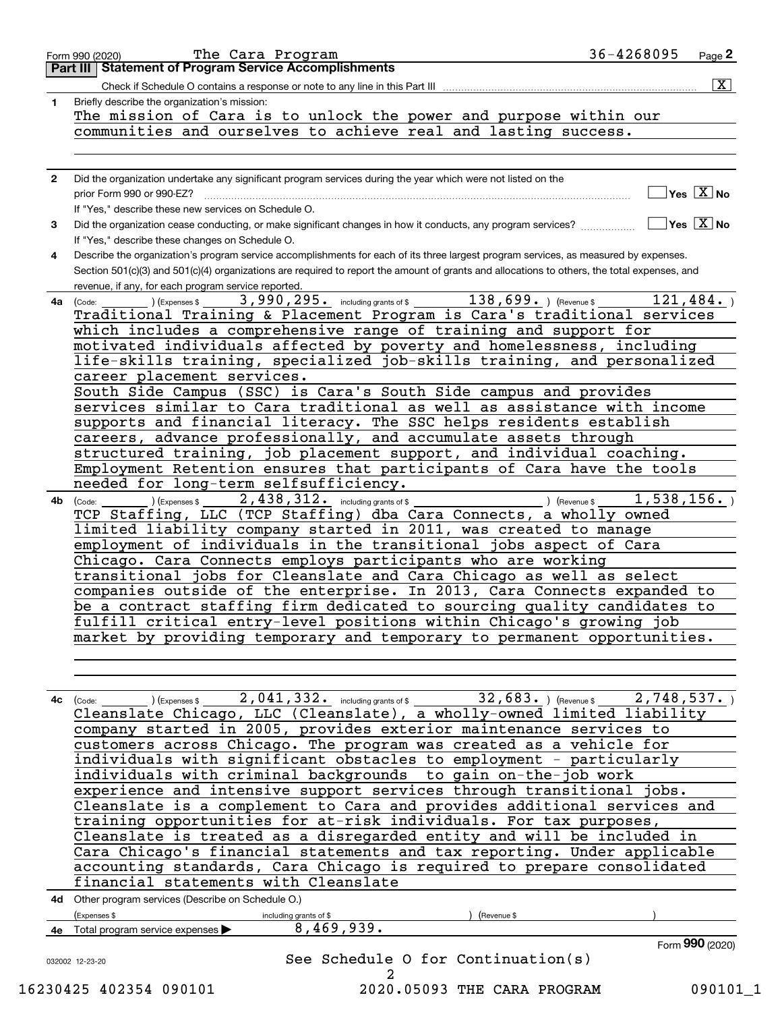| 1    | $\overline{\mathbf{x}}$<br>Check if Schedule O contains a response or note to any line in this Part III<br>Briefly describe the organization's mission:                     |
|------|-----------------------------------------------------------------------------------------------------------------------------------------------------------------------------|
|      | The mission of Cara is to unlock the power and purpose within our                                                                                                           |
|      | communities and ourselves to achieve real and lasting success.                                                                                                              |
|      |                                                                                                                                                                             |
|      |                                                                                                                                                                             |
| 2    | Did the organization undertake any significant program services during the year which were not listed on the                                                                |
|      | $]$ Yes $[\overline{\mathrm{X}}]$ No<br>If "Yes," describe these new services on Schedule O.                                                                                |
| 3    | $\Box$ Yes $\boxed{\mathrm{X}}$ No<br>Did the organization cease conducting, or make significant changes in how it conducts, any program services?                          |
|      | If "Yes," describe these changes on Schedule O.                                                                                                                             |
| 4    | Describe the organization's program service accomplishments for each of its three largest program services, as measured by expenses.                                        |
|      | Section 501(c)(3) and 501(c)(4) organizations are required to report the amount of grants and allocations to others, the total expenses, and                                |
|      | revenue, if any, for each program service reported.<br>121,484.                                                                                                             |
| 4a l | 3,990,295. including grants of \$ 138,699. (Revenue \$<br>(Expenses \$<br>(Code:<br>Traditional Training & Placement Program is Cara's traditional services                 |
|      | which includes a comprehensive range of training and support for                                                                                                            |
|      | motivated individuals affected by poverty and homelessness, including                                                                                                       |
|      | life-skills training, specialized job-skills training, and personalized                                                                                                     |
|      | career placement services.                                                                                                                                                  |
|      | South Side Campus (SSC) is Cara's South Side campus and provides                                                                                                            |
|      | services similar to Cara traditional as well as assistance with income<br>supports and financial literacy. The SSC helps residents establish                                |
|      | careers, advance professionally, and accumulate assets through                                                                                                              |
|      | structured training, job placement support, and individual coaching.                                                                                                        |
|      | Employment Retention ensures that participants of Cara have the tools                                                                                                       |
|      | needed for long-term selfsufficiency.                                                                                                                                       |
| 4b   | 2,438,312. including grants of \$<br>1,538,156.<br>) (Expenses \$<br>) (Revenue \$<br>(Code:                                                                                |
|      | TCP Staffing, LLC (TCP Staffing) dba Cara Connects, a wholly owned                                                                                                          |
|      | limited liability company started in 2011, was created to manage<br>employment of individuals in the transitional jobs aspect of Cara                                       |
|      | Chicago. Cara Connects employs participants who are working                                                                                                                 |
|      | transitional jobs for Cleanslate and Cara Chicago as well as select                                                                                                         |
|      | companies outside of the enterprise. In 2013, Cara Connects expanded to                                                                                                     |
|      | be a contract staffing firm dedicated to sourcing quality candidates to                                                                                                     |
|      | fulfill critical entry-level positions within Chicago's growing job                                                                                                         |
|      | market by providing temporary and temporary to permanent opportunities.                                                                                                     |
|      |                                                                                                                                                                             |
|      |                                                                                                                                                                             |
|      | 32,683. Revenues 2,748,537.<br>4c $(\text{Code:})$ (Expenses \$ 2,041,332. including grants of \$<br>Cleanslate Chicago, LLC (Cleanslate), a wholly-owned limited liability |
|      | company started in 2005, provides exterior maintenance services to                                                                                                          |
|      | customers across Chicago. The program was created as a vehicle for                                                                                                          |
|      | individuals with significant obstacles to employment - particularly                                                                                                         |
|      | individuals with criminal backgrounds to gain on-the-job work                                                                                                               |
|      | experience and intensive support services through transitional jobs.                                                                                                        |
|      | Cleanslate is a complement to Cara and provides additional services and                                                                                                     |
|      | training opportunities for at-risk individuals. For tax purposes,<br>Cleanslate is treated as a disregarded entity and will be included in                                  |
|      | Cara Chicago's financial statements and tax reporting. Under applicable                                                                                                     |
|      | accounting standards, Cara Chicago is required to prepare consolidated                                                                                                      |
|      | financial statements with Cleanslate                                                                                                                                        |
|      | 4d Other program services (Describe on Schedule O.)                                                                                                                         |
|      | (Expenses \$<br>(Revenue \$<br>including grants of \$                                                                                                                       |
|      | 8,469,939.<br>4e Total program service expenses >                                                                                                                           |
|      | Form 990 (2020)<br>See Schedule O for Continuation(s)                                                                                                                       |
|      | 032002 12-23-20                                                                                                                                                             |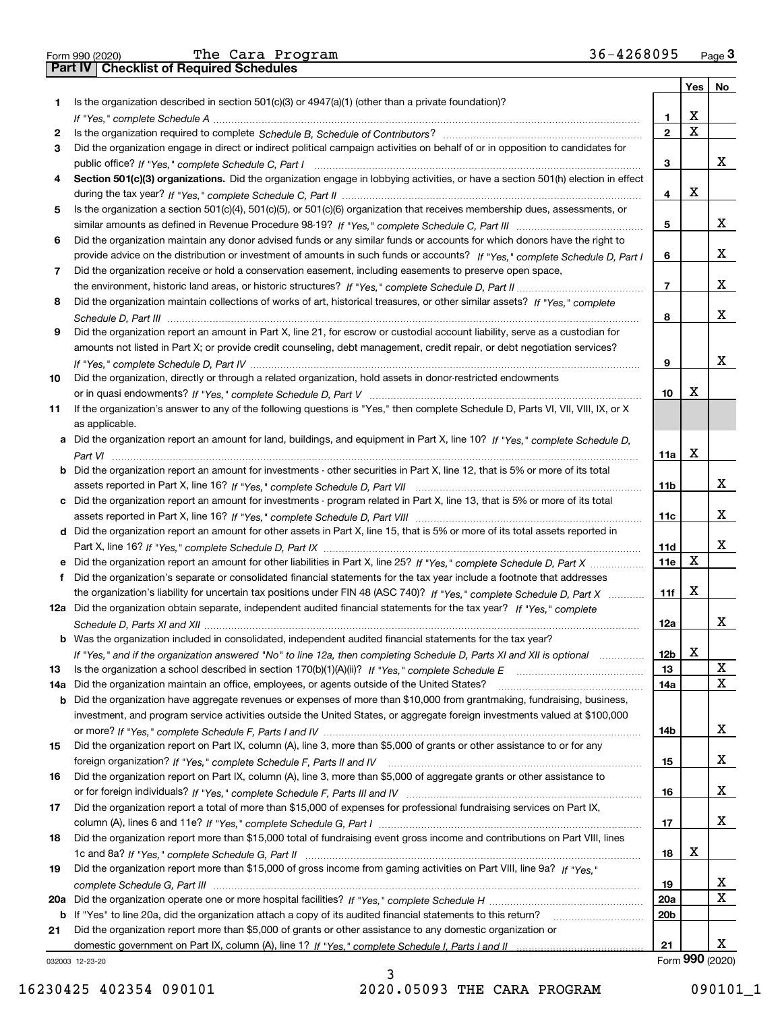|  | Form 990 (2020) |
|--|-----------------|

Form 990 (2020) The Cara Program 36-4268095 <sub>Page</sub> 3<br>**Part IV | Checklist of Required Schedules** 

|     |                                                                                                                                       |                 |   | Yes   No        |
|-----|---------------------------------------------------------------------------------------------------------------------------------------|-----------------|---|-----------------|
| 1   | Is the organization described in section $501(c)(3)$ or $4947(a)(1)$ (other than a private foundation)?                               |                 |   |                 |
|     |                                                                                                                                       | 1               | х |                 |
| 2   |                                                                                                                                       | $\overline{2}$  | X |                 |
| 3   | Did the organization engage in direct or indirect political campaign activities on behalf of or in opposition to candidates for       |                 |   |                 |
|     |                                                                                                                                       | 3               |   | x               |
| 4   | Section 501(c)(3) organizations. Did the organization engage in lobbying activities, or have a section 501(h) election in effect      |                 |   |                 |
|     |                                                                                                                                       | 4               | х |                 |
| 5   | Is the organization a section 501(c)(4), 501(c)(5), or 501(c)(6) organization that receives membership dues, assessments, or          |                 |   |                 |
|     |                                                                                                                                       | 5               |   | x               |
| 6   | Did the organization maintain any donor advised funds or any similar funds or accounts for which donors have the right to             |                 |   |                 |
|     | provide advice on the distribution or investment of amounts in such funds or accounts? If "Yes," complete Schedule D, Part I          | 6               |   | x               |
| 7   | Did the organization receive or hold a conservation easement, including easements to preserve open space,                             |                 |   |                 |
|     |                                                                                                                                       | $\overline{7}$  |   | x               |
| 8   | Did the organization maintain collections of works of art, historical treasures, or other similar assets? If "Yes," complete          |                 |   |                 |
|     |                                                                                                                                       | 8               |   | x               |
| 9   | Did the organization report an amount in Part X, line 21, for escrow or custodial account liability, serve as a custodian for         |                 |   |                 |
|     | amounts not listed in Part X; or provide credit counseling, debt management, credit repair, or debt negotiation services?             |                 |   |                 |
|     |                                                                                                                                       | 9               |   | x               |
| 10  | Did the organization, directly or through a related organization, hold assets in donor-restricted endowments                          |                 | х |                 |
|     |                                                                                                                                       | 10              |   |                 |
| 11  | If the organization's answer to any of the following questions is "Yes," then complete Schedule D, Parts VI, VII, VIII, IX, or X      |                 |   |                 |
|     | as applicable.                                                                                                                        |                 |   |                 |
|     | a Did the organization report an amount for land, buildings, and equipment in Part X, line 10? If "Yes." complete Schedule D.         | 11a             | x |                 |
|     | <b>b</b> Did the organization report an amount for investments - other securities in Part X, line 12, that is 5% or more of its total |                 |   |                 |
|     |                                                                                                                                       | 11 <sub>b</sub> |   | x               |
|     | c Did the organization report an amount for investments - program related in Part X, line 13, that is 5% or more of its total         |                 |   |                 |
|     |                                                                                                                                       | 11c             |   | X               |
|     | d Did the organization report an amount for other assets in Part X, line 15, that is 5% or more of its total assets reported in       |                 |   |                 |
|     |                                                                                                                                       | 11d             |   | x               |
|     |                                                                                                                                       | 11e             | х |                 |
| f   | Did the organization's separate or consolidated financial statements for the tax year include a footnote that addresses               |                 |   |                 |
|     | the organization's liability for uncertain tax positions under FIN 48 (ASC 740)? If "Yes," complete Schedule D, Part X                | 11f             | x |                 |
|     | 12a Did the organization obtain separate, independent audited financial statements for the tax year? If "Yes," complete               |                 |   |                 |
|     |                                                                                                                                       | 12a             |   | x               |
|     | <b>b</b> Was the organization included in consolidated, independent audited financial statements for the tax year?                    |                 |   |                 |
|     | If "Yes," and if the organization answered "No" to line 12a, then completing Schedule D, Parts XI and XII is optional                 | 12 <sub>b</sub> | X |                 |
| 13  | Is the organization a school described in section 170(b)(1)(A)(ii)? If "Yes," complete Schedule E                                     | 13              |   | X               |
| 14a | Did the organization maintain an office, employees, or agents outside of the United States?                                           | 14a             |   | X               |
| b   | Did the organization have aggregate revenues or expenses of more than \$10,000 from grantmaking, fundraising, business,               |                 |   |                 |
|     | investment, and program service activities outside the United States, or aggregate foreign investments valued at \$100,000            |                 |   |                 |
|     |                                                                                                                                       | 14b             |   | x               |
| 15  | Did the organization report on Part IX, column (A), line 3, more than \$5,000 of grants or other assistance to or for any             |                 |   |                 |
|     |                                                                                                                                       | 15              |   | X               |
| 16  | Did the organization report on Part IX, column (A), line 3, more than \$5,000 of aggregate grants or other assistance to              |                 |   |                 |
|     |                                                                                                                                       | 16              |   | x               |
| 17  | Did the organization report a total of more than \$15,000 of expenses for professional fundraising services on Part IX,               |                 |   |                 |
|     |                                                                                                                                       | 17              |   | x               |
| 18  | Did the organization report more than \$15,000 total of fundraising event gross income and contributions on Part VIII, lines          |                 |   |                 |
|     |                                                                                                                                       | 18              | х |                 |
| 19  | Did the organization report more than \$15,000 of gross income from gaming activities on Part VIII, line 9a? If "Yes."                |                 |   |                 |
|     |                                                                                                                                       | 19              |   | x               |
| 20a |                                                                                                                                       | 20a             |   | x               |
|     | b If "Yes" to line 20a, did the organization attach a copy of its audited financial statements to this return?                        | 20 <sub>b</sub> |   |                 |
| 21  | Did the organization report more than \$5,000 of grants or other assistance to any domestic organization or                           |                 |   |                 |
|     |                                                                                                                                       | 21              |   | х               |
|     | 032003 12-23-20                                                                                                                       |                 |   | Form 990 (2020) |

032003 12-23-20

16230425 402354 090101 2020.05093 THE CARA PROGRAM 090101\_1

3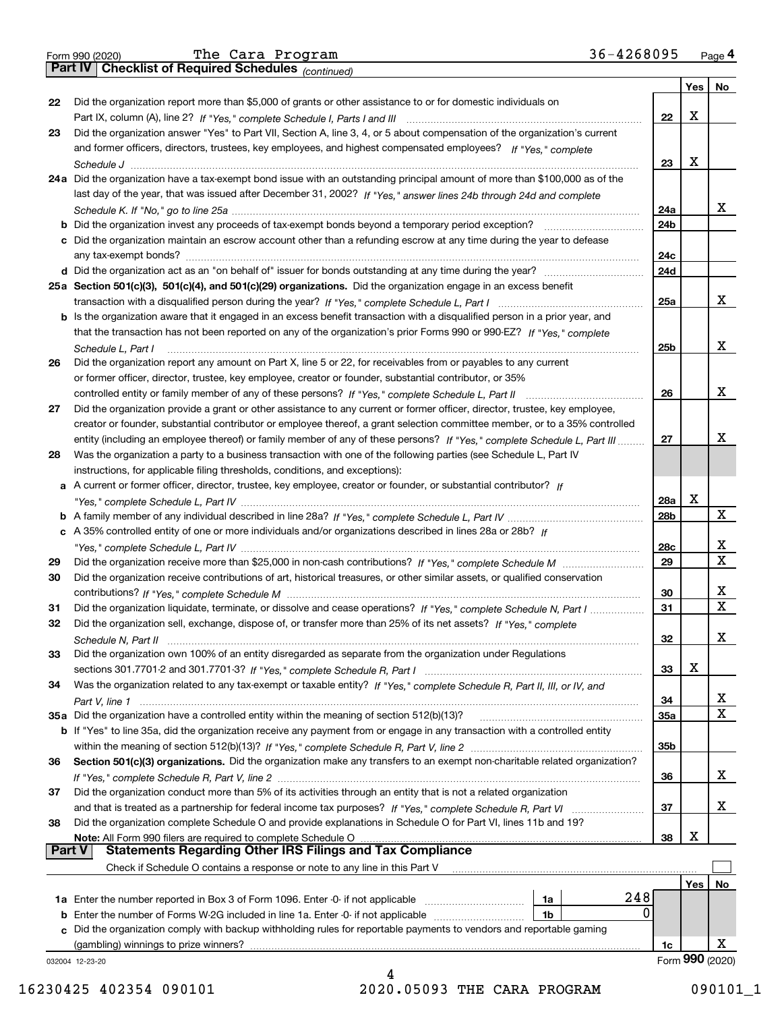|  | Form 990 (2020) |
|--|-----------------|
|  |                 |

*(continued)*

|        |                                                                                                                                                                                     |                 | Yes | No              |
|--------|-------------------------------------------------------------------------------------------------------------------------------------------------------------------------------------|-----------------|-----|-----------------|
| 22     | Did the organization report more than \$5,000 of grants or other assistance to or for domestic individuals on                                                                       |                 |     |                 |
|        |                                                                                                                                                                                     | 22              | x   |                 |
| 23     | Did the organization answer "Yes" to Part VII, Section A, line 3, 4, or 5 about compensation of the organization's current                                                          |                 |     |                 |
|        | and former officers, directors, trustees, key employees, and highest compensated employees? If "Yes," complete                                                                      |                 |     |                 |
|        |                                                                                                                                                                                     | 23              | х   |                 |
|        | 24a Did the organization have a tax-exempt bond issue with an outstanding principal amount of more than \$100,000 as of the                                                         |                 |     |                 |
|        | last day of the year, that was issued after December 31, 2002? If "Yes," answer lines 24b through 24d and complete                                                                  |                 |     |                 |
|        |                                                                                                                                                                                     | 24a             |     | х               |
|        |                                                                                                                                                                                     | 24b             |     |                 |
|        | c Did the organization maintain an escrow account other than a refunding escrow at any time during the year to defease                                                              |                 |     |                 |
|        |                                                                                                                                                                                     | 24c             |     |                 |
|        |                                                                                                                                                                                     | 24d             |     |                 |
|        | 25a Section 501(c)(3), 501(c)(4), and 501(c)(29) organizations. Did the organization engage in an excess benefit                                                                    |                 |     |                 |
|        |                                                                                                                                                                                     | 25a             |     | х               |
|        | b Is the organization aware that it engaged in an excess benefit transaction with a disqualified person in a prior year, and                                                        |                 |     |                 |
|        | that the transaction has not been reported on any of the organization's prior Forms 990 or 990-EZ? If "Yes," complete                                                               |                 |     |                 |
|        |                                                                                                                                                                                     | 25b             |     | x               |
| 26     | Schedule L. Part I<br>Did the organization report any amount on Part X, line 5 or 22, for receivables from or payables to any current                                               |                 |     |                 |
|        | or former officer, director, trustee, key employee, creator or founder, substantial contributor, or 35%                                                                             |                 |     |                 |
|        |                                                                                                                                                                                     | 26              |     | х               |
|        | controlled entity or family member of any of these persons? If "Yes," complete Schedule L, Part II                                                                                  |                 |     |                 |
| 27     | Did the organization provide a grant or other assistance to any current or former officer, director, trustee, key employee,                                                         |                 |     |                 |
|        | creator or founder, substantial contributor or employee thereof, a grant selection committee member, or to a 35% controlled                                                         |                 |     | х               |
|        | entity (including an employee thereof) or family member of any of these persons? If "Yes," complete Schedule L, Part III                                                            | 27              |     |                 |
| 28     | Was the organization a party to a business transaction with one of the following parties (see Schedule L, Part IV                                                                   |                 |     |                 |
|        | instructions, for applicable filing thresholds, conditions, and exceptions):                                                                                                        |                 |     |                 |
|        | a A current or former officer, director, trustee, key employee, creator or founder, or substantial contributor? If                                                                  |                 |     |                 |
|        |                                                                                                                                                                                     | 28a             | x   |                 |
|        |                                                                                                                                                                                     | 28b             |     | x               |
|        | c A 35% controlled entity of one or more individuals and/or organizations described in lines 28a or 28b? If                                                                         |                 |     |                 |
|        |                                                                                                                                                                                     | 28c             |     | х               |
| 29     |                                                                                                                                                                                     | 29              |     | x               |
| 30     | Did the organization receive contributions of art, historical treasures, or other similar assets, or qualified conservation                                                         |                 |     |                 |
|        |                                                                                                                                                                                     | 30              |     | х               |
| 31     | Did the organization liquidate, terminate, or dissolve and cease operations? If "Yes," complete Schedule N, Part I                                                                  | 31              |     | X               |
| 32     | Did the organization sell, exchange, dispose of, or transfer more than 25% of its net assets? If "Yes," complete                                                                    |                 |     |                 |
|        |                                                                                                                                                                                     | 32              |     | х               |
| 33     | Did the organization own 100% of an entity disregarded as separate from the organization under Regulations                                                                          |                 |     |                 |
|        |                                                                                                                                                                                     | 33              | Χ   |                 |
| 34     | Was the organization related to any tax-exempt or taxable entity? If "Yes," complete Schedule R, Part II, III, or IV, and                                                           |                 |     |                 |
|        |                                                                                                                                                                                     | 34              |     | X               |
|        | 35a Did the organization have a controlled entity within the meaning of section 512(b)(13)?                                                                                         | 35a             |     | x               |
|        | b If "Yes" to line 35a, did the organization receive any payment from or engage in any transaction with a controlled entity                                                         |                 |     |                 |
|        |                                                                                                                                                                                     | 35 <sub>b</sub> |     |                 |
| 36     | Section 501(c)(3) organizations. Did the organization make any transfers to an exempt non-charitable related organization?                                                          |                 |     |                 |
|        |                                                                                                                                                                                     | 36              |     | X.              |
| 37     | Did the organization conduct more than 5% of its activities through an entity that is not a related organization                                                                    |                 |     |                 |
|        | and that is treated as a partnership for federal income tax purposes? If "Yes," complete Schedule R, Part VI                                                                        | 37              |     | x               |
| 38     | Did the organization complete Schedule O and provide explanations in Schedule O for Part VI, lines 11b and 19?                                                                      |                 |     |                 |
|        | Note: All Form 990 filers are required to complete Schedule O                                                                                                                       | 38              | х   |                 |
| Part V | <b>Statements Regarding Other IRS Filings and Tax Compliance</b>                                                                                                                    |                 |     |                 |
|        | Check if Schedule O contains a response or note to any line in this Part V                                                                                                          |                 |     |                 |
|        |                                                                                                                                                                                     |                 | Yes | No              |
|        | 248                                                                                                                                                                                 |                 |     |                 |
|        | 1a Enter the number reported in Box 3 of Form 1096. Enter -0- if not applicable<br>1a<br>0<br>Enter the number of Forms W-2G included in line 1a. Enter -0- if not applicable<br>1b |                 |     |                 |
| b      |                                                                                                                                                                                     |                 |     |                 |
| c      | Did the organization comply with backup withholding rules for reportable payments to vendors and reportable gaming                                                                  |                 |     | х               |
|        | (gambling) winnings to prize winners?                                                                                                                                               | 1c              |     | Form 990 (2020) |
|        | 032004 12-23-20                                                                                                                                                                     |                 |     |                 |

4 16230425 402354 090101 2020.05093 THE CARA PROGRAM 090101\_1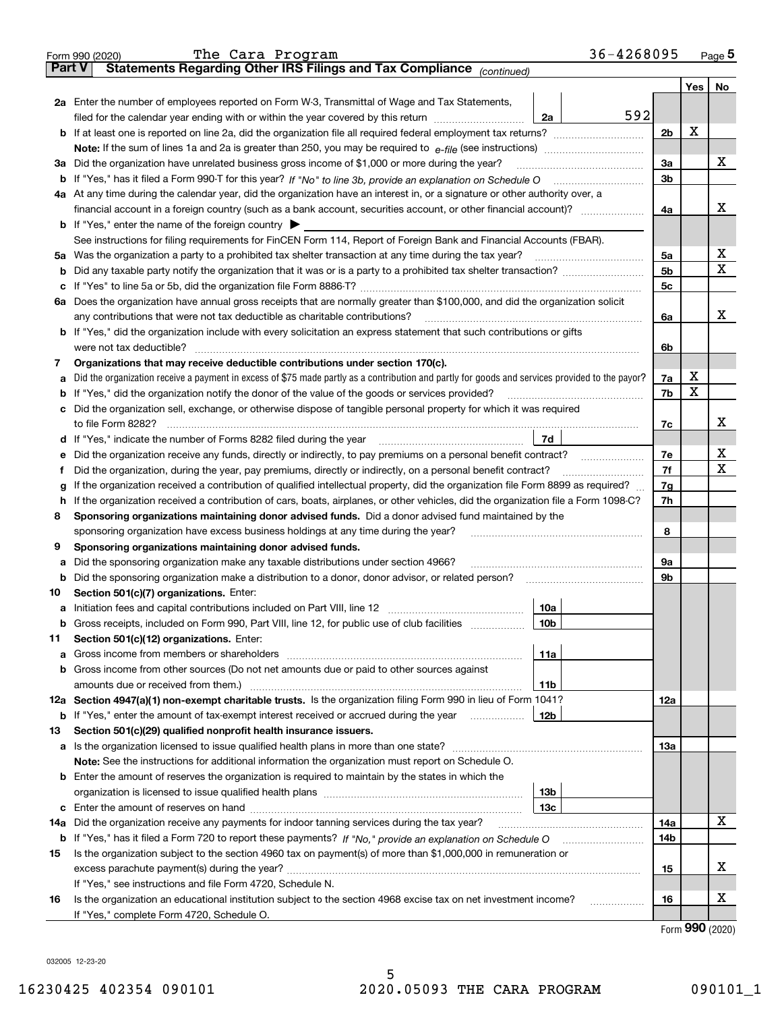|               | 36-4268095<br>The Cara Program<br>Form 990 (2020)                                                                                                                                           |                |         | <u>Page</u> 5        |
|---------------|---------------------------------------------------------------------------------------------------------------------------------------------------------------------------------------------|----------------|---------|----------------------|
| <b>Part V</b> | Statements Regarding Other IRS Filings and Tax Compliance (continued)                                                                                                                       |                |         |                      |
|               |                                                                                                                                                                                             |                | Yes $ $ | No                   |
|               | 2a Enter the number of employees reported on Form W-3, Transmittal of Wage and Tax Statements,                                                                                              |                |         |                      |
|               | 592<br>filed for the calendar year ending with or within the year covered by this return [111] [11] filed for the calendar year ending with or within the year covered by this return<br>2a |                |         |                      |
|               |                                                                                                                                                                                             | 2 <sub>b</sub> | х       |                      |
|               |                                                                                                                                                                                             |                |         |                      |
|               | 3a Did the organization have unrelated business gross income of \$1,000 or more during the year?                                                                                            | 3a             |         | х                    |
|               |                                                                                                                                                                                             | 3b             |         |                      |
|               | 4a At any time during the calendar year, did the organization have an interest in, or a signature or other authority over, a                                                                |                |         |                      |
|               |                                                                                                                                                                                             | 4a             |         | х                    |
|               | <b>b</b> If "Yes," enter the name of the foreign country $\blacktriangleright$                                                                                                              |                |         |                      |
|               |                                                                                                                                                                                             |                |         |                      |
|               | See instructions for filing requirements for FinCEN Form 114, Report of Foreign Bank and Financial Accounts (FBAR).                                                                         |                |         |                      |
|               | 5a Was the organization a party to a prohibited tax shelter transaction at any time during the tax year?                                                                                    | 5a             |         | X<br>х               |
| b             |                                                                                                                                                                                             | 5 <sub>b</sub> |         |                      |
|               |                                                                                                                                                                                             | 5c             |         |                      |
|               | 6a Does the organization have annual gross receipts that are normally greater than \$100,000, and did the organization solicit                                                              |                |         |                      |
|               |                                                                                                                                                                                             | 6a             |         | х                    |
|               | <b>b</b> If "Yes," did the organization include with every solicitation an express statement that such contributions or gifts                                                               |                |         |                      |
|               | were not tax deductible?                                                                                                                                                                    | 6b             |         |                      |
| 7             | Organizations that may receive deductible contributions under section 170(c).                                                                                                               |                |         |                      |
| а             | Did the organization receive a payment in excess of \$75 made partly as a contribution and partly for goods and services provided to the payor?                                             | 7a             | х       |                      |
|               | <b>b</b> If "Yes," did the organization notify the donor of the value of the goods or services provided?                                                                                    | 7b             | х       |                      |
|               | c Did the organization sell, exchange, or otherwise dispose of tangible personal property for which it was required                                                                         |                |         |                      |
|               |                                                                                                                                                                                             | 7с             |         | х                    |
|               | 7d                                                                                                                                                                                          |                |         |                      |
| е             | Did the organization receive any funds, directly or indirectly, to pay premiums on a personal benefit contract?                                                                             | 7e             |         | х                    |
| f             | Did the organization, during the year, pay premiums, directly or indirectly, on a personal benefit contract?                                                                                | 7f             |         | x                    |
| g             | If the organization received a contribution of qualified intellectual property, did the organization file Form 8899 as required?                                                            | 7g             |         |                      |
| h.            | If the organization received a contribution of cars, boats, airplanes, or other vehicles, did the organization file a Form 1098-C?                                                          | 7h             |         |                      |
| 8             | Sponsoring organizations maintaining donor advised funds. Did a donor advised fund maintained by the                                                                                        |                |         |                      |
|               | sponsoring organization have excess business holdings at any time during the year?                                                                                                          | 8              |         |                      |
| 9             | Sponsoring organizations maintaining donor advised funds.                                                                                                                                   |                |         |                      |
|               |                                                                                                                                                                                             | 9а             |         |                      |
| а             | Did the sponsoring organization make any taxable distributions under section 4966?                                                                                                          |                |         |                      |
|               | <b>b</b> Did the sponsoring organization make a distribution to a donor, donor advisor, or related person?                                                                                  | 9b             |         |                      |
| 10            | Section 501(c)(7) organizations. Enter:                                                                                                                                                     |                |         |                      |
|               | 10a                                                                                                                                                                                         |                |         |                      |
|               | 10b <br>Gross receipts, included on Form 990, Part VIII, line 12, for public use of club facilities                                                                                         |                |         |                      |
| 11            | Section 501(c)(12) organizations. Enter:                                                                                                                                                    |                |         |                      |
|               | 11a                                                                                                                                                                                         |                |         |                      |
|               | b Gross income from other sources (Do not net amounts due or paid to other sources against                                                                                                  |                |         |                      |
|               | 11b                                                                                                                                                                                         |                |         |                      |
|               | 12a Section 4947(a)(1) non-exempt charitable trusts. Is the organization filing Form 990 in lieu of Form 1041?                                                                              | 12a            |         |                      |
|               | 12b<br><b>b</b> If "Yes," enter the amount of tax-exempt interest received or accrued during the year <i>manument</i>                                                                       |                |         |                      |
| 13            | Section 501(c)(29) qualified nonprofit health insurance issuers.                                                                                                                            |                |         |                      |
|               | a Is the organization licensed to issue qualified health plans in more than one state?                                                                                                      | 13а            |         |                      |
|               | Note: See the instructions for additional information the organization must report on Schedule O.                                                                                           |                |         |                      |
|               | <b>b</b> Enter the amount of reserves the organization is required to maintain by the states in which the                                                                                   |                |         |                      |
|               | 13b                                                                                                                                                                                         |                |         |                      |
|               | 13с                                                                                                                                                                                         |                |         |                      |
| 14a           | Did the organization receive any payments for indoor tanning services during the tax year?                                                                                                  | 14a            |         | x                    |
|               | b If "Yes," has it filed a Form 720 to report these payments? If "No," provide an explanation on Schedule O                                                                                 | 14b            |         |                      |
| 15            | Is the organization subject to the section 4960 tax on payment(s) of more than \$1,000,000 in remuneration or                                                                               |                |         |                      |
|               |                                                                                                                                                                                             |                |         | x                    |
|               |                                                                                                                                                                                             | 15             |         |                      |
|               | If "Yes," see instructions and file Form 4720, Schedule N.                                                                                                                                  |                |         | х                    |
| 16            | Is the organization an educational institution subject to the section 4968 excise tax on net investment income?                                                                             | 16             |         |                      |
|               | If "Yes," complete Form 4720, Schedule O.                                                                                                                                                   |                |         | $000 \; \text{mass}$ |

Form (2020) **990**

032005 12-23-20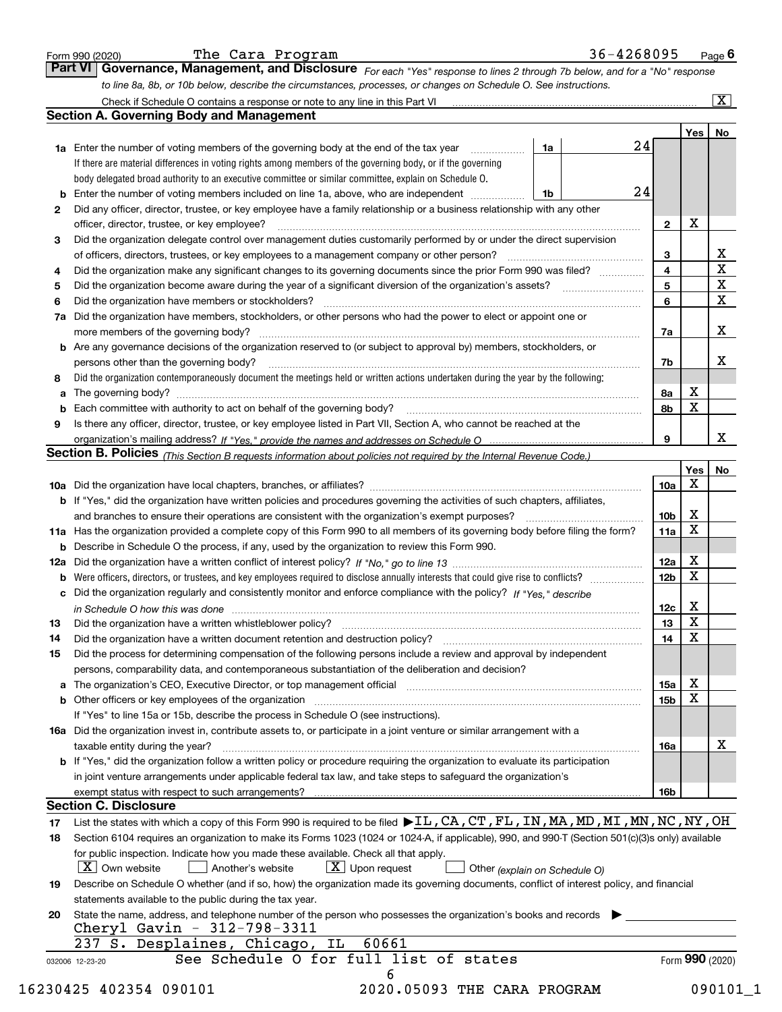|    |                                                                                                                                                  |                 |             | $\overline{\mathbf{x}}$ |
|----|--------------------------------------------------------------------------------------------------------------------------------------------------|-----------------|-------------|-------------------------|
|    | <b>Section A. Governing Body and Management</b>                                                                                                  |                 |             |                         |
|    | <b>1a</b> Enter the number of voting members of the governing body at the end of the tax year<br>1a                                              | 24              | Yes   No    |                         |
|    | If there are material differences in voting rights among members of the governing body, or if the governing                                      |                 |             |                         |
|    | body delegated broad authority to an executive committee or similar committee, explain on Schedule O.                                            |                 |             |                         |
|    | Enter the number of voting members included on line 1a, above, who are independent<br>1b                                                         | 24              |             |                         |
| 2  | Did any officer, director, trustee, or key employee have a family relationship or a business relationship with any other                         |                 |             |                         |
|    | officer, director, trustee, or key employee?                                                                                                     | $\mathbf{2}$    | х           |                         |
| 3  | Did the organization delegate control over management duties customarily performed by or under the direct supervision                            |                 |             |                         |
|    | of officers, directors, trustees, or key employees to a management company or other person?                                                      | 3               |             |                         |
| 4  | Did the organization make any significant changes to its governing documents since the prior Form 990 was filed?                                 | 4               |             | $\frac{X}{X}$           |
| 5  |                                                                                                                                                  | 5               |             | $\overline{\mathbf{x}}$ |
| 6  | Did the organization have members or stockholders?                                                                                               | 6               |             | $\overline{\mathbf{x}}$ |
| 7a | Did the organization have members, stockholders, or other persons who had the power to elect or appoint one or                                   |                 |             |                         |
|    |                                                                                                                                                  | 7a              |             | X                       |
|    | <b>b</b> Are any governance decisions of the organization reserved to (or subject to approval by) members, stockholders, or                      |                 |             |                         |
|    | persons other than the governing body?                                                                                                           | 7b              |             | х                       |
| 8  | Did the organization contemporaneously document the meetings held or written actions undertaken during the year by the following:                |                 |             |                         |
| а  |                                                                                                                                                  | 8а              | х           |                         |
| b  |                                                                                                                                                  | 8b              | X           |                         |
| 9  | Is there any officer, director, trustee, or key employee listed in Part VII, Section A, who cannot be reached at the                             |                 |             |                         |
|    |                                                                                                                                                  | 9               |             | x                       |
|    | Section B. Policies (This Section B requests information about policies not required by the Internal Revenue Code.)                              |                 |             |                         |
|    |                                                                                                                                                  |                 | Yes         | No                      |
|    |                                                                                                                                                  | 10a             | X           |                         |
|    | b If "Yes," did the organization have written policies and procedures governing the activities of such chapters, affiliates,                     |                 |             |                         |
|    |                                                                                                                                                  | 10b             | X           |                         |
|    | 11a Has the organization provided a complete copy of this Form 990 to all members of its governing body before filing the form?                  | 11a             | X           |                         |
|    | <b>b</b> Describe in Schedule O the process, if any, used by the organization to review this Form 990.                                           |                 |             |                         |
|    |                                                                                                                                                  | 12a             | x           |                         |
| b  |                                                                                                                                                  | 12 <sub>b</sub> | X           |                         |
|    | c Did the organization regularly and consistently monitor and enforce compliance with the policy? If "Yes," describe                             |                 |             |                         |
|    | in Schedule O how this was done measured and contain an according to the state of the state of the state of th                                   | 12c             | X           |                         |
| 13 |                                                                                                                                                  | 13              | $\mathbf X$ |                         |
| 14 | Did the organization have a written document retention and destruction policy? [11] manufaction policy?                                          | 14              | X           |                         |
| 15 | Did the process for determining compensation of the following persons include a review and approval by independent                               |                 |             |                         |
|    | persons, comparability data, and contemporaneous substantiation of the deliberation and decision?                                                |                 |             |                         |
|    | a The organization's CEO, Executive Director, or top management official [111] [11] manument material manument                                   | 15a             | x           |                         |
|    |                                                                                                                                                  | 15 <sub>b</sub> | X           |                         |
|    | If "Yes" to line 15a or 15b, describe the process in Schedule O (see instructions).                                                              |                 |             |                         |
|    | 16a Did the organization invest in, contribute assets to, or participate in a joint venture or similar arrangement with a                        |                 |             |                         |
|    | taxable entity during the year?                                                                                                                  | 16a             |             | х                       |
|    | b If "Yes," did the organization follow a written policy or procedure requiring the organization to evaluate its participation                   |                 |             |                         |
|    | in joint venture arrangements under applicable federal tax law, and take steps to safeguard the organization's                                   |                 |             |                         |
|    |                                                                                                                                                  | 16b             |             |                         |
|    | <b>Section C. Disclosure</b>                                                                                                                     |                 |             |                         |
| 17 | List the states with which a copy of this Form 990 is required to be filed $\blacktriangleright$ IL, CA, CT, FL, IN, MA, MD, MI, MN, NC, NY, OH  |                 |             |                         |
|    | Section 6104 requires an organization to make its Forms 1023 (1024 or 1024-A, if applicable), 990, and 990-T (Section 501(c)(3)s only) available |                 |             |                         |
| 18 | for public inspection. Indicate how you made these available. Check all that apply.                                                              |                 |             |                         |
|    | $\lfloor x \rfloor$ Own website<br>$\lfloor X \rfloor$ Upon request<br>Another's website<br>Other (explain on Schedule O)                        |                 |             |                         |
|    | Describe on Schedule O whether (and if so, how) the organization made its governing documents, conflict of interest policy, and financial        |                 |             |                         |
| 19 |                                                                                                                                                  |                 |             |                         |
|    | statements available to the public during the tax year.                                                                                          |                 |             |                         |
| 20 | State the name, address, and telephone number of the person who possesses the organization's books and records                                   |                 |             |                         |
|    | Cheryl Gavin - 312-798-3311<br>237 S. Desplaines, Chicago, IL<br>60661                                                                           |                 |             |                         |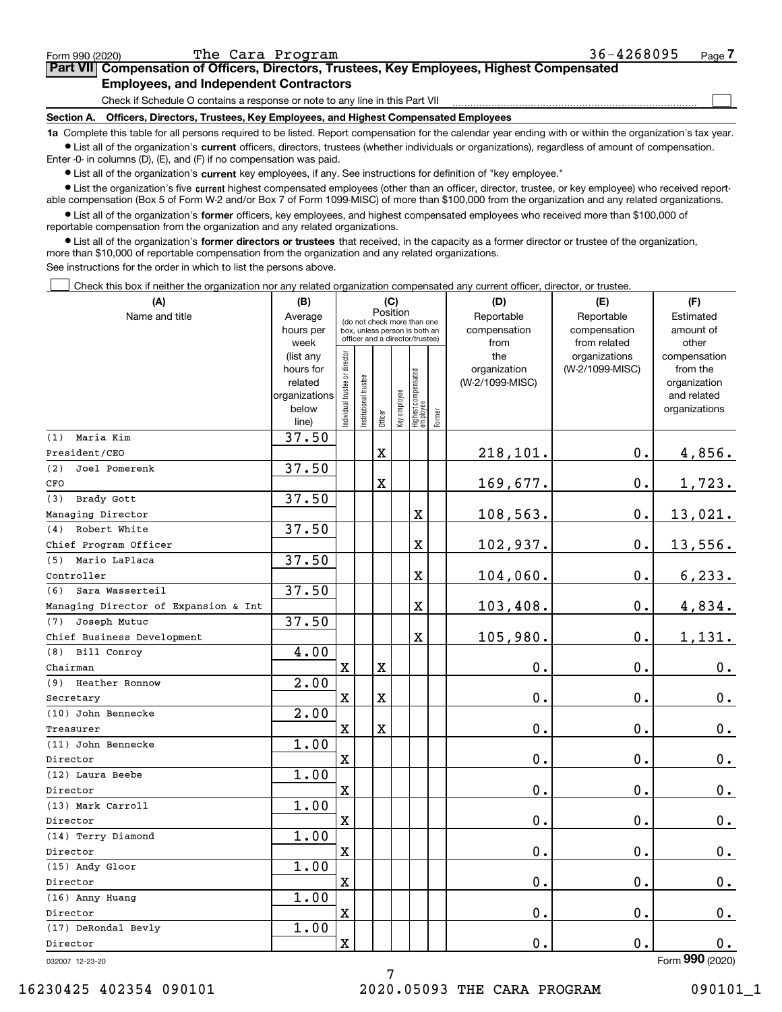| Form 990 (2020) | The Cara Program                                                                                                                                                  | $36 - 4268095$ | Page |
|-----------------|-------------------------------------------------------------------------------------------------------------------------------------------------------------------|----------------|------|
|                 | Part VII Compensation of Officers, Directors, Trustees, Key Employees, Highest Compensated                                                                        |                |      |
|                 | <b>Employees, and Independent Contractors</b>                                                                                                                     |                |      |
|                 | Check if Schedule O contains a response or note to any line in this Part VII                                                                                      |                |      |
| Section A.      | Officers, Directors, Trustees, Key Employees, and Highest Compensated Employees                                                                                   |                |      |
|                 | <b>1a</b> Complete this table for all persons required to be listed. Beport compensation for the calendar year ending with or within the organization's tax year. |                |      |

**1a •** List all of the organization's current officers, directors, trustees (whether individuals or organizations), regardless of amount of compensation. Complete this table for all persons required to be listed. Report compensation for the calendar year ending with or within the organization's tax year. Enter -0- in columns (D), (E), and (F) if no compensation was paid.

 $\bullet$  List all of the organization's  $\,$ current key employees, if any. See instructions for definition of "key employee."

**•** List the organization's five current highest compensated employees (other than an officer, director, trustee, or key employee) who received reportable compensation (Box 5 of Form W-2 and/or Box 7 of Form 1099-MISC) of more than \$100,000 from the organization and any related organizations.

**•** List all of the organization's former officers, key employees, and highest compensated employees who received more than \$100,000 of reportable compensation from the organization and any related organizations.

**former directors or trustees**  ¥ List all of the organization's that received, in the capacity as a former director or trustee of the organization, more than \$10,000 of reportable compensation from the organization and any related organizations.

See instructions for the order in which to list the persons above.

Check this box if neither the organization nor any related organization compensated any current officer, director, or trustee.  $\mathcal{L}^{\text{max}}$ 

| (A)                                  | (B)<br>(C)             |                                         |                      |         |                                                                  |                                  |        | (D)                 | (E)                              | (F)                      |
|--------------------------------------|------------------------|-----------------------------------------|----------------------|---------|------------------------------------------------------------------|----------------------------------|--------|---------------------|----------------------------------|--------------------------|
| Name and title                       | Average                | Position<br>(do not check more than one |                      |         |                                                                  |                                  |        | Reportable          | Reportable                       | Estimated                |
|                                      | hours per              |                                         |                      |         | box, unless person is both an<br>officer and a director/trustee) |                                  |        | compensation        | compensation                     | amount of                |
|                                      | week                   |                                         |                      |         |                                                                  |                                  |        | from                | from related                     | other                    |
|                                      | (list any<br>hours for |                                         |                      |         |                                                                  |                                  |        | the<br>organization | organizations<br>(W-2/1099-MISC) | compensation<br>from the |
|                                      | related                |                                         |                      |         |                                                                  |                                  |        | (W-2/1099-MISC)     |                                  | organization             |
|                                      | organizations          |                                         |                      |         |                                                                  |                                  |        |                     |                                  | and related              |
|                                      | below                  | ndividual trustee or director           | nstitutional trustee |         | key employee                                                     |                                  |        |                     |                                  | organizations            |
|                                      | line)                  |                                         |                      | Officer |                                                                  | Highest compensated<br> employee | Former |                     |                                  |                          |
| Maria Kim<br>(1)                     | 37.50                  |                                         |                      |         |                                                                  |                                  |        |                     |                                  |                          |
| President/CEO                        |                        |                                         |                      | X       |                                                                  |                                  |        | 218,101.            | $0$ .                            | 4,856.                   |
| Joel Pomerenk<br>(2)                 | 37.50                  |                                         |                      |         |                                                                  |                                  |        |                     |                                  |                          |
| CFO                                  |                        |                                         |                      | X       |                                                                  |                                  |        | 169,677.            | 0.                               | 1,723.                   |
| Brady Gott<br>(3)                    | 37.50                  |                                         |                      |         |                                                                  |                                  |        |                     |                                  |                          |
| Managing Director                    |                        |                                         |                      |         |                                                                  | X                                |        | 108,563.            | 0.                               | 13,021.                  |
| Robert White<br>(4)                  | 37.50                  |                                         |                      |         |                                                                  |                                  |        |                     |                                  |                          |
| Chief Program Officer                |                        |                                         |                      |         |                                                                  | X                                |        | 102,937.            | 0.                               | 13,556.                  |
| Mario LaPlaca<br>(5)                 | 37.50                  |                                         |                      |         |                                                                  |                                  |        |                     |                                  |                          |
| Controller                           |                        |                                         |                      |         |                                                                  | $\overline{\textbf{X}}$          |        | 104,060.            | 0.                               | 6, 233.                  |
| Sara Wasserteil<br>(6)               | 37.50                  |                                         |                      |         |                                                                  |                                  |        |                     |                                  |                          |
| Managing Director of Expansion & Int |                        |                                         |                      |         |                                                                  | $\overline{\textbf{X}}$          |        | 103,408.            | 0.                               | 4,834.                   |
| Joseph Mutuc<br>(7)                  | 37.50                  |                                         |                      |         |                                                                  |                                  |        |                     |                                  |                          |
| Chief Business Development           |                        |                                         |                      |         |                                                                  | $\overline{\textbf{X}}$          |        | 105,980.            | 0.                               | 1,131.                   |
| (8) Bill Conroy                      | 4.00                   |                                         |                      |         |                                                                  |                                  |        |                     |                                  |                          |
| Chairman                             |                        | $\mathbf X$                             |                      | X       |                                                                  |                                  |        | 0.                  | 0.                               | 0.                       |
| (9) Heather Ronnow                   | $\overline{2.00}$      |                                         |                      |         |                                                                  |                                  |        |                     |                                  |                          |
| Secretary                            |                        | $\mathbf X$                             |                      | X       |                                                                  |                                  |        | 0.                  | 0.                               | 0.                       |
| (10) John Bennecke                   | 2.00                   |                                         |                      |         |                                                                  |                                  |        |                     |                                  |                          |
| Treasurer                            |                        | $\mathbf X$                             |                      | X       |                                                                  |                                  |        | 0.                  | 0.                               | $\mathbf 0$ .            |
| (11) John Bennecke                   | 1.00                   |                                         |                      |         |                                                                  |                                  |        |                     |                                  |                          |
| Director                             |                        | $\mathbf X$                             |                      |         |                                                                  |                                  |        | 0.                  | 0.                               | 0.                       |
| (12) Laura Beebe                     | 1.00                   |                                         |                      |         |                                                                  |                                  |        |                     |                                  |                          |
| Director                             |                        | $\mathbf x$                             |                      |         |                                                                  |                                  |        | $0$ .               | 0.                               | $\mathbf 0$ .            |
| (13) Mark Carroll                    | 1.00                   |                                         |                      |         |                                                                  |                                  |        |                     |                                  |                          |
| Director                             |                        | $\mathbf X$                             |                      |         |                                                                  |                                  |        | 0.                  | 0.                               | 0.                       |
| (14) Terry Diamond                   | 1.00                   |                                         |                      |         |                                                                  |                                  |        |                     |                                  |                          |
| Director                             |                        | $\mathbf X$                             |                      |         |                                                                  |                                  |        | $\mathbf 0$ .       | 0.                               | $0_{.}$                  |
| (15) Andy Gloor                      | 1.00                   |                                         |                      |         |                                                                  |                                  |        |                     |                                  |                          |
| Director                             |                        | $\mathbf X$                             |                      |         |                                                                  |                                  |        | 0.                  | 0.                               | $0_{.}$                  |
| (16) Anny Huang                      | 1.00                   |                                         |                      |         |                                                                  |                                  |        |                     |                                  |                          |
| Director                             |                        | $\mathbf x$                             |                      |         |                                                                  |                                  |        | 0.                  | 0.                               | $0_{.}$                  |
| (17) DeRondal Bevly                  | 1.00                   |                                         |                      |         |                                                                  |                                  |        |                     |                                  |                          |
| Director                             |                        | $\mathbf x$                             |                      |         |                                                                  |                                  |        | $0$ .               | 0.                               | 0.                       |
|                                      |                        |                                         |                      |         |                                                                  |                                  |        |                     |                                  | $000 \text{ (0000)}$     |

7

032007 12-23-20

Form (2020) **990**

16230425 402354 090101 2020.05093 THE CARA PROGRAM 090101\_1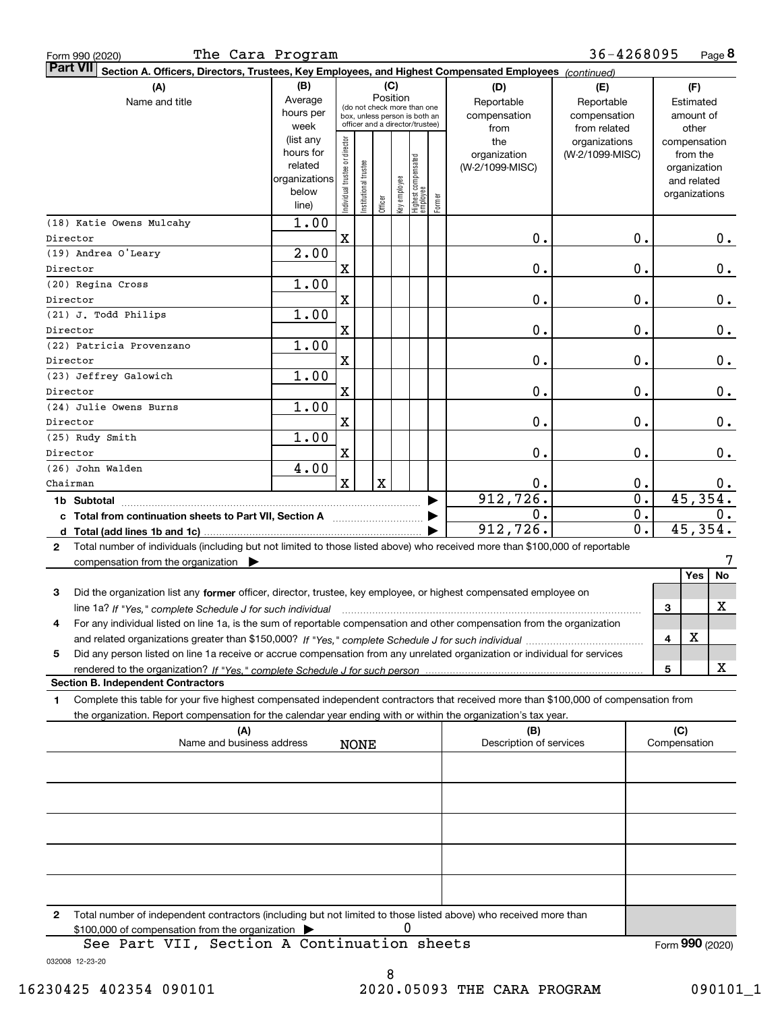| The Cara Program<br>Form 990 (2020)                                                                                                          |                        |                                |                 |                                                              |     |                                                 |        |                         | 36-4268095       |   |                 | Page 8 |
|----------------------------------------------------------------------------------------------------------------------------------------------|------------------------|--------------------------------|-----------------|--------------------------------------------------------------|-----|-------------------------------------------------|--------|-------------------------|------------------|---|-----------------|--------|
| <b>Part VII</b><br>Section A. Officers, Directors, Trustees, Key Employees, and Highest Compensated Employees (continued)                    |                        |                                |                 |                                                              |     |                                                 |        |                         |                  |   |                 |        |
| (A)                                                                                                                                          | (B)                    |                                |                 |                                                              | (C) |                                                 |        | (D)                     | (E)              |   | (F)             |        |
| Name and title                                                                                                                               | Average                |                                |                 | Position                                                     |     |                                                 |        | Reportable              | Reportable       |   | Estimated       |        |
|                                                                                                                                              | hours per              |                                |                 | (do not check more than one<br>box, unless person is both an |     |                                                 |        | compensation            | compensation     |   | amount of       |        |
|                                                                                                                                              | week                   |                                |                 | officer and a director/trustee)                              |     |                                                 |        | from                    | from related     |   | other           |        |
|                                                                                                                                              | (list any              |                                |                 |                                                              |     |                                                 |        | the                     | organizations    |   | compensation    |        |
|                                                                                                                                              | hours for              |                                |                 |                                                              |     |                                                 |        | organization            | (W-2/1099-MISC)  |   | from the        |        |
|                                                                                                                                              | related                |                                |                 |                                                              |     |                                                 |        | (W-2/1099-MISC)         |                  |   | organization    |        |
|                                                                                                                                              | organizations<br>below |                                |                 |                                                              |     |                                                 |        |                         |                  |   | and related     |        |
|                                                                                                                                              | line)                  | Individual trustee or director | Institutional t | Officer                                                      |     | key employee<br>Highest compensated<br>employee | Former |                         |                  |   | organizations   |        |
| (18) Katie Owens Mulcahy                                                                                                                     | 1.00                   |                                |                 |                                                              |     |                                                 |        |                         |                  |   |                 |        |
| Director                                                                                                                                     |                        | X                              |                 |                                                              |     |                                                 |        | 0.                      | 0.               |   |                 | $0$ .  |
| (19) Andrea O'Leary                                                                                                                          | $\overline{2}$ .00     |                                |                 |                                                              |     |                                                 |        |                         |                  |   |                 |        |
| Director                                                                                                                                     |                        | X                              |                 |                                                              |     |                                                 |        | 0.                      | 0.               |   |                 | $0$ .  |
| (20) Regina Cross                                                                                                                            | 1.00                   |                                |                 |                                                              |     |                                                 |        |                         |                  |   |                 |        |
| Director                                                                                                                                     |                        | X                              |                 |                                                              |     |                                                 |        | 0.                      | 0.               |   |                 | $0$ .  |
| (21) J. Todd Philips                                                                                                                         | 1.00                   |                                |                 |                                                              |     |                                                 |        |                         |                  |   |                 |        |
| Director                                                                                                                                     |                        | X                              |                 |                                                              |     |                                                 |        | 0.                      | 0.               |   |                 | $0$ .  |
| (22) Patricia Provenzano                                                                                                                     | 1.00                   |                                |                 |                                                              |     |                                                 |        |                         |                  |   |                 |        |
| Director                                                                                                                                     |                        | X                              |                 |                                                              |     |                                                 |        | 0.                      | 0.               |   |                 | $0$ .  |
| (23) Jeffrey Galowich                                                                                                                        | 1.00                   |                                |                 |                                                              |     |                                                 |        |                         |                  |   |                 |        |
| Director                                                                                                                                     |                        | X                              |                 |                                                              |     |                                                 |        | 0.                      | 0.               |   |                 | $0$ .  |
| (24) Julie Owens Burns                                                                                                                       | 1.00                   |                                |                 |                                                              |     |                                                 |        |                         |                  |   |                 |        |
| Director                                                                                                                                     |                        | X                              |                 |                                                              |     |                                                 |        | 0.                      | 0.               |   |                 | 0.     |
| (25) Rudy Smith                                                                                                                              | 1.00                   |                                |                 |                                                              |     |                                                 |        |                         |                  |   |                 |        |
| Director                                                                                                                                     |                        | X                              |                 |                                                              |     |                                                 |        | 0.                      | 0.               |   |                 | 0.     |
| (26) John Walden                                                                                                                             | 4.00                   |                                |                 |                                                              |     |                                                 |        |                         |                  |   |                 |        |
| Chairman                                                                                                                                     |                        | $\mathbf{x}$                   |                 | $\mathbf X$                                                  |     |                                                 |        | 0.                      | 0.               |   |                 | $0$ .  |
|                                                                                                                                              |                        |                                |                 |                                                              |     |                                                 |        | 912, 726.               | $\overline{0}$ . |   | 45,354.         |        |
| c Total from continuation sheets to Part VII, Section A                                                                                      |                        |                                |                 |                                                              |     |                                                 |        | 0.                      | 0.               |   |                 | $0$ .  |
|                                                                                                                                              |                        |                                |                 |                                                              |     |                                                 |        | 912, 726.               | 0.               |   | 45,354.         |        |
| Total number of individuals (including but not limited to those listed above) who received more than \$100,000 of reportable<br>$\mathbf{2}$ |                        |                                |                 |                                                              |     |                                                 |        |                         |                  |   |                 |        |
| compensation from the organization $\blacktriangleright$                                                                                     |                        |                                |                 |                                                              |     |                                                 |        |                         |                  |   |                 | 7      |
|                                                                                                                                              |                        |                                |                 |                                                              |     |                                                 |        |                         |                  |   | Yes             | No     |
| Did the organization list any former officer, director, trustee, key employee, or highest compensated employee on<br>3                       |                        |                                |                 |                                                              |     |                                                 |        |                         |                  |   |                 |        |
| line 1a? If "Yes," complete Schedule J for such individual manufactured contained and the Ves," complete Schedule J for such individual      |                        |                                |                 |                                                              |     |                                                 |        |                         |                  | 3 |                 | х      |
| For any individual listed on line 1a, is the sum of reportable compensation and other compensation from the organization                     |                        |                                |                 |                                                              |     |                                                 |        |                         |                  |   |                 |        |
|                                                                                                                                              |                        |                                |                 |                                                              |     |                                                 |        |                         |                  | 4 | х               |        |
| Did any person listed on line 1a receive or accrue compensation from any unrelated organization or individual for services<br>5              |                        |                                |                 |                                                              |     |                                                 |        |                         |                  |   |                 |        |
|                                                                                                                                              |                        |                                |                 |                                                              |     |                                                 |        |                         |                  | 5 |                 | x      |
| <b>Section B. Independent Contractors</b>                                                                                                    |                        |                                |                 |                                                              |     |                                                 |        |                         |                  |   |                 |        |
| Complete this table for your five highest compensated independent contractors that received more than \$100,000 of compensation from<br>1    |                        |                                |                 |                                                              |     |                                                 |        |                         |                  |   |                 |        |
| the organization. Report compensation for the calendar year ending with or within the organization's tax year.                               |                        |                                |                 |                                                              |     |                                                 |        |                         |                  |   |                 |        |
| (A)                                                                                                                                          |                        |                                |                 |                                                              |     |                                                 |        | (B)                     |                  |   | (C)             |        |
| Name and business address                                                                                                                    |                        |                                | <b>NONE</b>     |                                                              |     |                                                 |        | Description of services |                  |   | Compensation    |        |
|                                                                                                                                              |                        |                                |                 |                                                              |     |                                                 |        |                         |                  |   |                 |        |
|                                                                                                                                              |                        |                                |                 |                                                              |     |                                                 |        |                         |                  |   |                 |        |
|                                                                                                                                              |                        |                                |                 |                                                              |     |                                                 |        |                         |                  |   |                 |        |
|                                                                                                                                              |                        |                                |                 |                                                              |     |                                                 |        |                         |                  |   |                 |        |
|                                                                                                                                              |                        |                                |                 |                                                              |     |                                                 |        |                         |                  |   |                 |        |
|                                                                                                                                              |                        |                                |                 |                                                              |     |                                                 |        |                         |                  |   |                 |        |
|                                                                                                                                              |                        |                                |                 |                                                              |     |                                                 |        |                         |                  |   |                 |        |
|                                                                                                                                              |                        |                                |                 |                                                              |     |                                                 |        |                         |                  |   |                 |        |
|                                                                                                                                              |                        |                                |                 |                                                              |     |                                                 |        |                         |                  |   |                 |        |
|                                                                                                                                              |                        |                                |                 |                                                              |     |                                                 |        |                         |                  |   |                 |        |
| Total number of independent contractors (including but not limited to those listed above) who received more than<br>2                        |                        |                                |                 |                                                              |     |                                                 |        |                         |                  |   |                 |        |
| \$100,000 of compensation from the organization                                                                                              |                        |                                |                 |                                                              | 0   |                                                 |        |                         |                  |   |                 |        |
| See Part VII, Section A Continuation sheets                                                                                                  |                        |                                |                 |                                                              |     |                                                 |        |                         |                  |   | Form 990 (2020) |        |

032008 12-23-20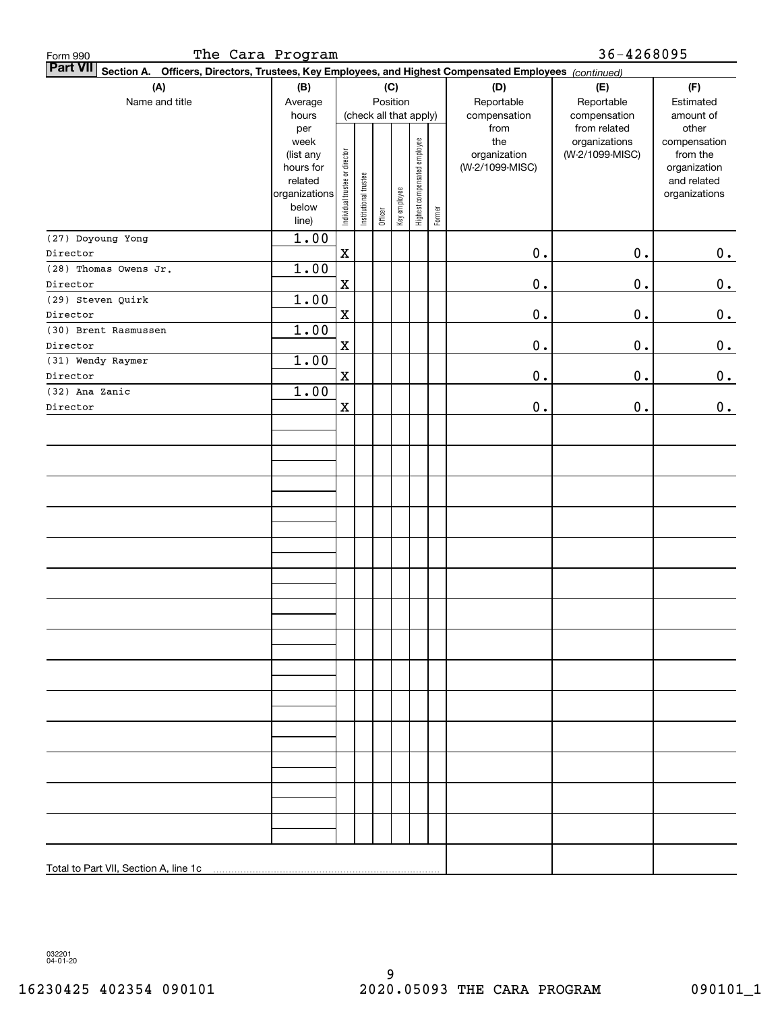| The Cara Program<br>Form 990                                                                                    |                                                                      |                                |                       |         |                        |                              |        |                                 | 36-4268095                                    |                                                          |
|-----------------------------------------------------------------------------------------------------------------|----------------------------------------------------------------------|--------------------------------|-----------------------|---------|------------------------|------------------------------|--------|---------------------------------|-----------------------------------------------|----------------------------------------------------------|
| Part VII Section A. Officers, Directors, Trustees, Key Employees, and Highest Compensated Employees (continued) |                                                                      |                                |                       |         |                        |                              |        |                                 |                                               |                                                          |
| (A)                                                                                                             | (B)                                                                  |                                |                       |         | (C)                    |                              |        | (D)                             | (E)                                           | (F)                                                      |
| Name and title                                                                                                  | Average                                                              |                                |                       |         | Position               |                              |        | Reportable                      | Reportable                                    | Estimated                                                |
|                                                                                                                 | hours<br>per<br>week                                                 |                                |                       |         | (check all that apply) |                              |        | compensation<br>from<br>the     | compensation<br>from related<br>organizations | amount of<br>other<br>compensation                       |
|                                                                                                                 | (list any<br>hours for<br>related<br>organizations<br>below<br>line) | Individual trustee or director | Institutional trustee | Officer | Key employee           | Highest compensated employee | Former | organization<br>(W-2/1099-MISC) | (W-2/1099-MISC)                               | from the<br>organization<br>and related<br>organizations |
| (27) Doyoung Yong                                                                                               | 1.00                                                                 |                                |                       |         |                        |                              |        |                                 |                                               |                                                          |
| Director                                                                                                        |                                                                      | $\mathbf X$                    |                       |         |                        |                              |        | $\mathbf 0$ .                   | $0$ .                                         | 0.                                                       |
| (28) Thomas Owens Jr.                                                                                           | 1.00                                                                 |                                |                       |         |                        |                              |        |                                 |                                               |                                                          |
| Director                                                                                                        |                                                                      | $\mathbf X$                    |                       |         |                        |                              |        | $\mathbf 0$ .                   | $0$ .                                         | 0.                                                       |
| (29) Steven Quirk                                                                                               | 1.00                                                                 |                                |                       |         |                        |                              |        |                                 |                                               |                                                          |
| Director                                                                                                        |                                                                      | $\mathbf X$                    |                       |         |                        |                              |        | $\mathbf 0$ .                   | $0$ .                                         | 0.                                                       |
| (30) Brent Rasmussen                                                                                            | 1.00                                                                 |                                |                       |         |                        |                              |        |                                 |                                               |                                                          |
| Director                                                                                                        |                                                                      | $\mathbf X$                    |                       |         |                        |                              |        | $\mathbf 0$ .                   | $0$ .                                         | 0.                                                       |
| (31) Wendy Raymer                                                                                               | 1.00                                                                 |                                |                       |         |                        |                              |        |                                 |                                               |                                                          |
| Director                                                                                                        |                                                                      | $\mathbf x$                    |                       |         |                        |                              |        | $\mathbf 0$ .                   | $0$ .                                         | 0.                                                       |
| (32) Ana Zanic                                                                                                  | 1.00                                                                 |                                |                       |         |                        |                              |        |                                 |                                               |                                                          |
| Director                                                                                                        |                                                                      | $\mathbf X$                    |                       |         |                        |                              |        | $\mathbf 0$ .                   | $0$ .                                         | 0.                                                       |
|                                                                                                                 |                                                                      |                                |                       |         |                        |                              |        |                                 |                                               |                                                          |
|                                                                                                                 |                                                                      |                                |                       |         |                        |                              |        |                                 |                                               |                                                          |
|                                                                                                                 |                                                                      |                                |                       |         |                        |                              |        |                                 |                                               |                                                          |
|                                                                                                                 |                                                                      |                                |                       |         |                        |                              |        |                                 |                                               |                                                          |
|                                                                                                                 |                                                                      |                                |                       |         |                        |                              |        |                                 |                                               |                                                          |
|                                                                                                                 |                                                                      |                                |                       |         |                        |                              |        |                                 |                                               |                                                          |
|                                                                                                                 |                                                                      |                                |                       |         |                        |                              |        |                                 |                                               |                                                          |
|                                                                                                                 |                                                                      |                                |                       |         |                        |                              |        |                                 |                                               |                                                          |
|                                                                                                                 |                                                                      |                                |                       |         |                        |                              |        |                                 |                                               |                                                          |
|                                                                                                                 |                                                                      |                                |                       |         |                        |                              |        |                                 |                                               |                                                          |
|                                                                                                                 |                                                                      |                                |                       |         |                        |                              |        |                                 |                                               |                                                          |
|                                                                                                                 |                                                                      |                                |                       |         |                        |                              |        |                                 |                                               |                                                          |
|                                                                                                                 |                                                                      |                                |                       |         |                        |                              |        |                                 |                                               |                                                          |
|                                                                                                                 |                                                                      |                                |                       |         |                        |                              |        |                                 |                                               |                                                          |
|                                                                                                                 |                                                                      |                                |                       |         |                        |                              |        |                                 |                                               |                                                          |
|                                                                                                                 |                                                                      |                                |                       |         |                        |                              |        |                                 |                                               |                                                          |
|                                                                                                                 |                                                                      |                                |                       |         |                        |                              |        |                                 |                                               |                                                          |
|                                                                                                                 |                                                                      |                                |                       |         |                        |                              |        |                                 |                                               |                                                          |
|                                                                                                                 |                                                                      |                                |                       |         |                        |                              |        |                                 |                                               |                                                          |
|                                                                                                                 |                                                                      |                                |                       |         |                        |                              |        |                                 |                                               |                                                          |
|                                                                                                                 |                                                                      |                                |                       |         |                        |                              |        |                                 |                                               |                                                          |
|                                                                                                                 |                                                                      |                                |                       |         |                        |                              |        |                                 |                                               |                                                          |
|                                                                                                                 |                                                                      |                                |                       |         |                        |                              |        |                                 |                                               |                                                          |
|                                                                                                                 |                                                                      |                                |                       |         |                        |                              |        |                                 |                                               |                                                          |
|                                                                                                                 |                                                                      |                                |                       |         |                        |                              |        |                                 |                                               |                                                          |
|                                                                                                                 |                                                                      |                                |                       |         |                        |                              |        |                                 |                                               |                                                          |
| Total to Part VII, Section A, line 1c                                                                           |                                                                      |                                |                       |         |                        |                              |        |                                 |                                               |                                                          |

032201 04-01-20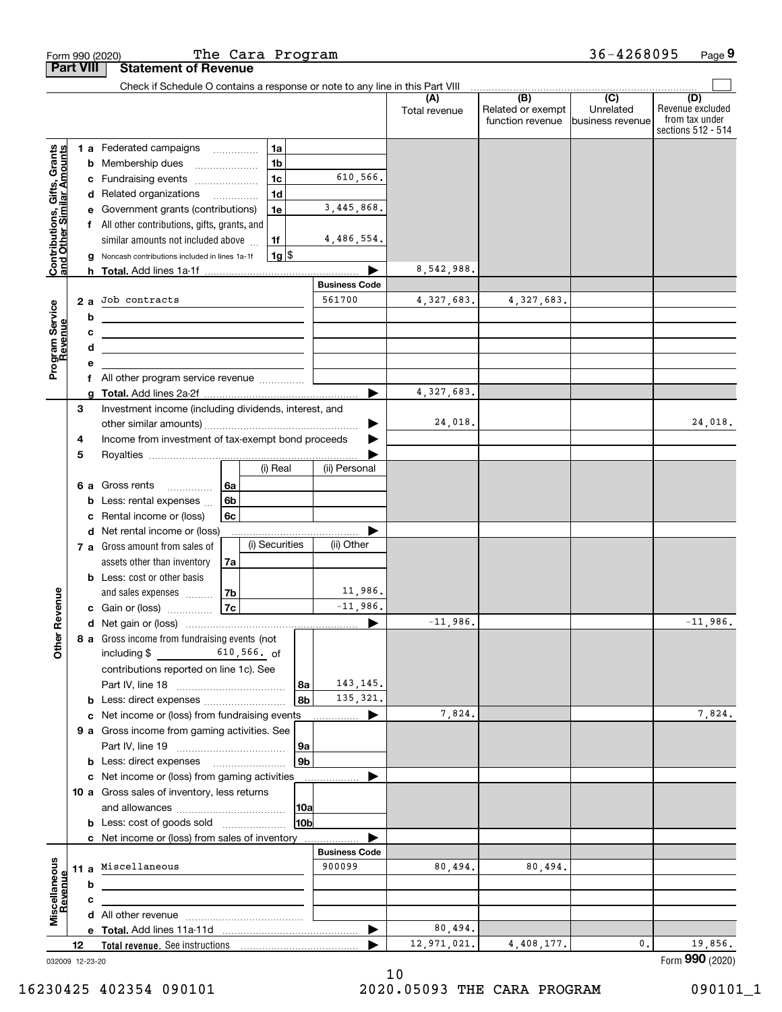|                                                           |                  |                 | Form 990 (2020)                                                                     | The Cara Program |                |                       |                      |                          | 36-4268095                  | Page 9                               |
|-----------------------------------------------------------|------------------|-----------------|-------------------------------------------------------------------------------------|------------------|----------------|-----------------------|----------------------|--------------------------|-----------------------------|--------------------------------------|
|                                                           | <b>Part VIII</b> |                 | <b>Statement of Revenue</b>                                                         |                  |                |                       |                      |                          |                             |                                      |
|                                                           |                  |                 | Check if Schedule O contains a response or note to any line in this Part VIII       |                  |                |                       | (A)<br>Total revenue | (B)<br>Related or exempt | $\overline{C}$<br>Unrelated | (D)<br>Revenue excluded              |
|                                                           |                  |                 |                                                                                     |                  |                |                       |                      | function revenue         | lbusiness revenue           | from tax under<br>sections 512 - 514 |
|                                                           |                  |                 | 1 a Federated campaigns                                                             |                  | 1a             |                       |                      |                          |                             |                                      |
|                                                           |                  | b               | Membership dues                                                                     |                  | 1 <sub>b</sub> |                       |                      |                          |                             |                                      |
|                                                           |                  | c               | Fundraising events                                                                  |                  | 1 <sub>c</sub> | 610,566.              |                      |                          |                             |                                      |
|                                                           |                  | d               | Related organizations                                                               |                  | 1 <sub>d</sub> |                       |                      |                          |                             |                                      |
|                                                           |                  |                 | Government grants (contributions)                                                   |                  | 1e             | 3,445,868.            |                      |                          |                             |                                      |
|                                                           |                  |                 | f All other contributions, gifts, grants, and                                       |                  | 1f             | 4,486,554.            |                      |                          |                             |                                      |
| Contributions, Gifts, Grants<br>and Other Similar Amounts |                  | g               | similar amounts not included above<br>Noncash contributions included in lines 1a-1f |                  | $1g$ \$        |                       |                      |                          |                             |                                      |
|                                                           |                  |                 |                                                                                     |                  |                |                       | 8,542,988.           |                          |                             |                                      |
|                                                           |                  |                 |                                                                                     |                  |                | <b>Business Code</b>  |                      |                          |                             |                                      |
|                                                           | 2a               |                 | Job contracts                                                                       |                  |                | 561700                | 4,327,683.           | 4,327,683.               |                             |                                      |
|                                                           |                  | b               | the control of the control of the control of the control of the control of          |                  |                |                       |                      |                          |                             |                                      |
|                                                           |                  | c               | <u> 1989 - Johann Stoff, Amerikaansk politiker (</u>                                |                  |                |                       |                      |                          |                             |                                      |
| Program Service<br>Revenue                                |                  | d               |                                                                                     |                  |                |                       |                      |                          |                             |                                      |
|                                                           |                  | е               |                                                                                     |                  |                |                       |                      |                          |                             |                                      |
|                                                           |                  | f               | All other program service revenue                                                   |                  |                |                       |                      |                          |                             |                                      |
|                                                           |                  | q               |                                                                                     |                  |                | $\blacktriangleright$ | 4,327,683.           |                          |                             |                                      |
|                                                           | 3                |                 | Investment income (including dividends, interest, and                               |                  |                |                       | 24,018.              |                          |                             | 24,018.                              |
|                                                           | 4                |                 | Income from investment of tax-exempt bond proceeds                                  |                  |                |                       |                      |                          |                             |                                      |
|                                                           | 5                |                 |                                                                                     |                  |                |                       |                      |                          |                             |                                      |
|                                                           |                  |                 |                                                                                     |                  | (i) Real       | (ii) Personal         |                      |                          |                             |                                      |
|                                                           | 6а               |                 | Gross rents<br>$\overline{\phantom{a}}$                                             | 6a               |                |                       |                      |                          |                             |                                      |
|                                                           |                  | b               | Less: rental expenses                                                               | 6 <sub>b</sub>   |                |                       |                      |                          |                             |                                      |
|                                                           |                  | c               | Rental income or (loss)                                                             | 6с               |                |                       |                      |                          |                             |                                      |
|                                                           |                  | d               | Net rental income or (loss)                                                         |                  |                |                       |                      |                          |                             |                                      |
|                                                           |                  |                 | 7 a Gross amount from sales of                                                      |                  | (i) Securities | (ii) Other            |                      |                          |                             |                                      |
|                                                           |                  |                 | assets other than inventory                                                         | 7a               |                |                       |                      |                          |                             |                                      |
|                                                           |                  |                 | <b>b</b> Less: cost or other basis                                                  |                  |                |                       |                      |                          |                             |                                      |
| evenue                                                    |                  |                 | and sales expenses                                                                  | 7b<br>7c         |                | 11,986.<br>$-11,986.$ |                      |                          |                             |                                      |
|                                                           |                  |                 | c Gain or (loss)                                                                    |                  |                |                       | $-11,986.$           |                          |                             | $-11,986.$                           |
| Other R                                                   |                  |                 | 8 a Gross income from fundraising events (not                                       |                  |                |                       |                      |                          |                             |                                      |
|                                                           |                  |                 | including $$$ 610, 566. of                                                          |                  |                |                       |                      |                          |                             |                                      |
|                                                           |                  |                 | contributions reported on line 1c). See                                             |                  |                |                       |                      |                          |                             |                                      |
|                                                           |                  |                 |                                                                                     |                  | 8а             | 143, 145.             |                      |                          |                             |                                      |
|                                                           |                  | b               | Less: direct expenses                                                               |                  | 8b             | 135, 321.             |                      |                          |                             |                                      |
|                                                           |                  | с               | Net income or (loss) from fundraising events                                        |                  |                | ▶                     | 7,824.               |                          |                             | 7,824.                               |
|                                                           |                  |                 | 9 a Gross income from gaming activities. See                                        |                  |                |                       |                      |                          |                             |                                      |
|                                                           |                  |                 |                                                                                     |                  | <u>  9a</u>    |                       |                      |                          |                             |                                      |
|                                                           |                  | b               |                                                                                     |                  | 9 <sub>b</sub> |                       |                      |                          |                             |                                      |
|                                                           |                  | с               | Net income or (loss) from gaming activities                                         |                  |                |                       |                      |                          |                             |                                      |
|                                                           |                  |                 | 10 a Gross sales of inventory, less returns                                         |                  | 10a            |                       |                      |                          |                             |                                      |
|                                                           |                  |                 | <b>b</b> Less: cost of goods sold                                                   |                  | 10bl           |                       |                      |                          |                             |                                      |
|                                                           |                  |                 | c Net income or (loss) from sales of inventory                                      |                  |                |                       |                      |                          |                             |                                      |
|                                                           |                  |                 |                                                                                     |                  |                | <b>Business Code</b>  |                      |                          |                             |                                      |
|                                                           |                  |                 | 11 a Miscellaneous                                                                  |                  |                | 900099                | 80,494.              | 80,494.                  |                             |                                      |
|                                                           |                  | b               |                                                                                     |                  |                |                       |                      |                          |                             |                                      |
| Miscellaneous<br>Revenue                                  |                  | c               |                                                                                     |                  |                |                       |                      |                          |                             |                                      |
|                                                           |                  |                 |                                                                                     |                  |                |                       |                      |                          |                             |                                      |
|                                                           |                  |                 |                                                                                     |                  |                | ▶                     | 80,494.              |                          |                             |                                      |
|                                                           | 12               | 032009 12-23-20 |                                                                                     |                  |                |                       | 12,971,021.          | 4,408,177.               | 0.                          | 19,856.<br>Form 990 (2020)           |

032009 12-23-20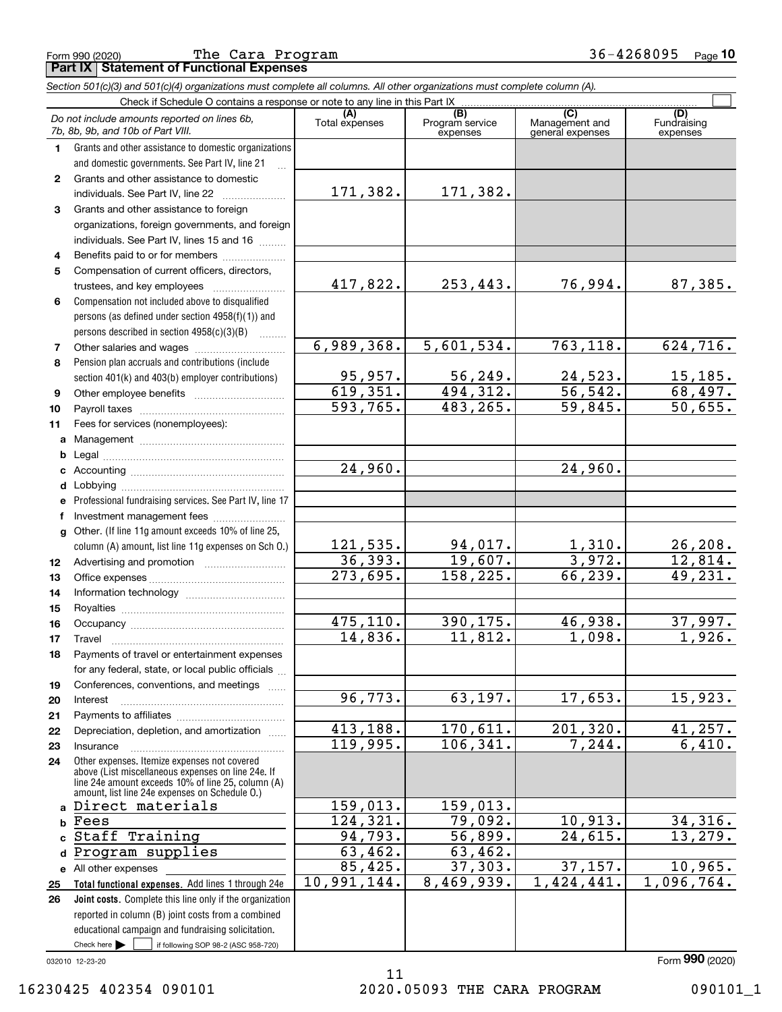|              | Check if Schedule O contains a response or note to any line in this Part IX                                                                        |                       |                                    |                                           |                             |
|--------------|----------------------------------------------------------------------------------------------------------------------------------------------------|-----------------------|------------------------------------|-------------------------------------------|-----------------------------|
|              | Do not include amounts reported on lines 6b,<br>7b, 8b, 9b, and 10b of Part VIII.                                                                  | (A)<br>Total expenses | (B)<br>Program service<br>expenses | (C)<br>Management and<br>general expenses | (D)<br>Fundraisi<br>expense |
| 1            | Grants and other assistance to domestic organizations<br>and domestic governments. See Part IV, line 21                                            |                       |                                    |                                           |                             |
| $\mathbf{2}$ | Grants and other assistance to domestic<br>individuals. See Part IV, line 22                                                                       | 171,382.              | 171,382.                           |                                           |                             |
| 3            | Grants and other assistance to foreign<br>organizations, foreign governments, and foreign<br>individuals. See Part IV, lines 15 and 16             |                       |                                    |                                           |                             |
| 4            | Benefits paid to or for members                                                                                                                    |                       |                                    |                                           |                             |
| 5            | Compensation of current officers, directors,<br>trustees, and key employees                                                                        | 417,822.              | 253,443.                           | 76,994.                                   | 87,                         |
| 6            | Compensation not included above to disqualified<br>persons (as defined under section 4958(f)(1)) and<br>persons described in section 4958(c)(3)(B) |                       |                                    |                                           |                             |
| 7            |                                                                                                                                                    | 6,989,368.            | 5,601,534.                         | 763,118.                                  | 624,                        |
| 8            | Pension plan accruals and contributions (include<br>section 401(k) and 403(b) employer contributions)                                              | 95,957.               | 56, 249.                           | 24,523.                                   | 15,                         |
| 9            |                                                                                                                                                    | 619,351.              | 494,312.                           | 56,542.                                   | 68,                         |
| 10           |                                                                                                                                                    | 593,765.              | 483,265.                           | 59,845.                                   | 50,                         |
| 11           | Fees for services (nonemployees):                                                                                                                  |                       |                                    |                                           |                             |
| a            |                                                                                                                                                    |                       |                                    |                                           |                             |
| b            |                                                                                                                                                    |                       |                                    |                                           |                             |

**Part IX Statement of Functional Expenses**

Fundraising

 $\mathcal{L}^{\text{max}}$ 

### **c** Accounting ………………………………………… **defg1213141516171819202122**Professional fundraising services. See Part IV, line 17 Other. (If line 11g amount exceeds 10% of line 25, column (A) amount, list line 11g expenses on Sch O.) expensesLobbying ~~~~~~~~~~~~~~~~~~lnvestment management fees ....................... Advertising and promotion www.communication Office expenses ~~~~~~~~~~~~~~~ Information technology ~~~~~~~~~~~ Royalties ~~~~~~~~~~~~~~~~~~ Occupancy ~~~~~~~~~~~~~~~~~ Travel ……………………………………………… Payments of travel or entertainment expenses for any federal, state, or local public officials ... Conferences, conventions, and meetings Interest ……………………………………………… Payments to affiliates ~~~~~~~~~~~~ Depreciation, depletion, and amortization  $\,\,\ldots\,\,$ 24,960. 121,535. 36,393. 273,695. 475,110. 14,836. 96,773. 413,188. 253,443. 76,994. 87,385. 5,601,534. 763,118. 624,716.  $24,523.$  15,185. 494,312. 56,542. 68,497. 59,845. 50,655. 24,960. 94,017. 1,310. 26,208. 19,607. 3,972. 12,814. 158,225. 66,239. 49,231. 390,175. 46,938. 37,997. 11,812. 1,098. 1,926.  $63, 197.$  17,  $653.$  15,  $923.$  $170,611.$   $201,320.$   $41,257.$

119,995.

159,013. 124,321. 94,793. 63,462. 85,425. 10,991,144.

Check here  $\begin{array}{|c|c|c|c|c|}\hline \text{ } & \text{ if following SOP 98-2 (ASC 958-720)} \hline \end{array}$ 032010 12-23-20 Check here  $\blacktriangleright$ 

**e** All other expenses

Insurance

Fees

**d**Program supplies

Staff Training

Direct materials

**2324**

> **abc**

**2526**

**Total functional expenses.**  Add lines 1 through 24e **Joint costs.** Complete this line only if the organization

reported in column (B) joint costs from a combined educational campaign and fundraising solicitation.

Other expenses. Itemize expenses not covered above (List miscellaneous expenses on line 24e. If line 24e amount exceeds 10% of line 25, column (A) amount, list line 24e expenses on Schedule O.)

~~~~~~~~~~~~~~~~~

Form (2020) **990**

106,341. 7,244. 6,410.

79,092. 10,913. 34,316. 56,899. 24,615. 13,279.

37,303. 37,157. 10,965. 8,469,939. 1,424,441. 1,096,764.

159,013.

63,462.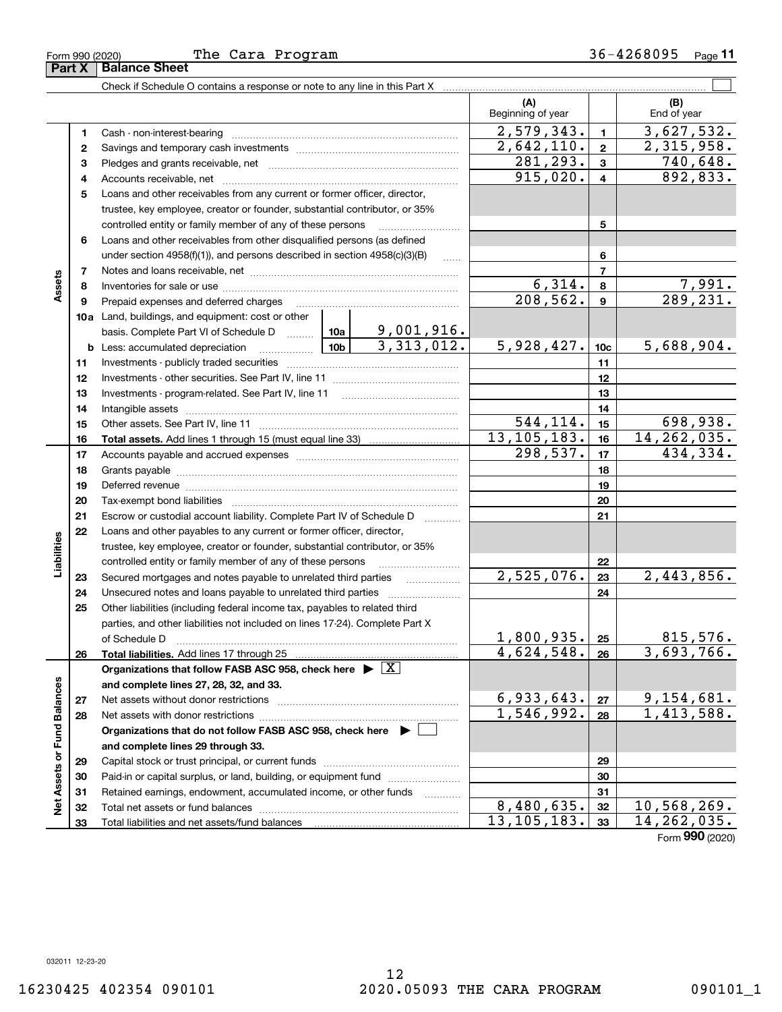|                             | Form 990 (2020) | The Cara Program                                                                                                                                                            |           |                         |                             |                         | 36-4268095<br>Page $11$             |
|-----------------------------|-----------------|-----------------------------------------------------------------------------------------------------------------------------------------------------------------------------|-----------|-------------------------|-----------------------------|-------------------------|-------------------------------------|
|                             | Part X          | <b>Balance Sheet</b>                                                                                                                                                        |           |                         |                             |                         |                                     |
|                             |                 | Check if Schedule O contains a response or note to any line in this Part X [111] Check if Schedule O contains are response or note to any line in this Part X [11] $\ldots$ |           |                         |                             |                         |                                     |
|                             |                 |                                                                                                                                                                             |           |                         | (A)<br>Beginning of year    |                         | (B)<br>End of year                  |
|                             | 1               | Cash - non-interest-bearing                                                                                                                                                 |           |                         | 2,579,343.                  | $\mathbf{1}$            | 3,627,532.                          |
|                             | 2               |                                                                                                                                                                             |           |                         | $\overline{2,642,110.}$     | $\mathbf{2}$            | 2,315,958.                          |
|                             | з               |                                                                                                                                                                             |           |                         | 281,293.                    | $\mathbf{3}$            | 740,648.                            |
|                             | 4               |                                                                                                                                                                             |           |                         | 915,020.                    | 4                       | 892, 833.                           |
|                             | 5               | Loans and other receivables from any current or former officer, director,                                                                                                   |           |                         |                             |                         |                                     |
|                             |                 | trustee, key employee, creator or founder, substantial contributor, or 35%                                                                                                  |           |                         |                             |                         |                                     |
|                             |                 | controlled entity or family member of any of these persons                                                                                                                  |           |                         |                             | 5                       |                                     |
|                             | 6               | Loans and other receivables from other disqualified persons (as defined                                                                                                     |           |                         |                             |                         |                                     |
|                             |                 | under section $4958(f)(1)$ , and persons described in section $4958(c)(3)(B)$                                                                                               |           |                         |                             | 6                       |                                     |
| Assets                      | 7               |                                                                                                                                                                             |           | $\overline{7}$          |                             |                         |                                     |
|                             | 8               |                                                                                                                                                                             |           | 6,314.                  | 8                           | $\frac{7,991}{289,231}$ |                                     |
|                             | 9               | Prepaid expenses and deferred charges                                                                                                                                       | 208, 562. | 9                       |                             |                         |                                     |
|                             |                 | <b>10a</b> Land, buildings, and equipment: cost or other                                                                                                                    |           |                         |                             |                         |                                     |
|                             |                 | basis. Complete Part VI of Schedule D $\frac{10a}{\cdot}$ 10a   9,001,916.                                                                                                  |           |                         |                             |                         |                                     |
|                             |                 | <b>b</b> Less: accumulated depreciation                                                                                                                                     |           | $\frac{10b}{3,313,012}$ | 5,928,427.                  | 10 <sub>c</sub>         | 5,688,904.                          |
|                             | 11              |                                                                                                                                                                             |           | 11                      |                             |                         |                                     |
|                             | 12              |                                                                                                                                                                             |           | 12                      |                             |                         |                                     |
|                             | 13              |                                                                                                                                                                             |           | 13                      |                             |                         |                                     |
|                             | 14              |                                                                                                                                                                             |           | 14                      |                             |                         |                                     |
|                             | 15              |                                                                                                                                                                             |           | 544,114.                | 15                          | 698,938.                |                                     |
|                             | 16              |                                                                                                                                                                             |           |                         | 13, 105, 183.               | 16                      | 14, 262, 035.                       |
|                             | 17              |                                                                                                                                                                             | 298,537.  | 17                      | 434,334.                    |                         |                                     |
|                             | 18              |                                                                                                                                                                             |           | 18                      |                             |                         |                                     |
|                             | 19              |                                                                                                                                                                             |           |                         |                             | 19                      |                                     |
|                             | 20              |                                                                                                                                                                             |           |                         |                             | 20                      |                                     |
|                             | 21              | Escrow or custodial account liability. Complete Part IV of Schedule D                                                                                                       |           | .                       |                             | 21                      |                                     |
|                             | 22              | Loans and other payables to any current or former officer, director,                                                                                                        |           |                         |                             |                         |                                     |
|                             |                 | trustee, key employee, creator or founder, substantial contributor, or 35%                                                                                                  |           |                         |                             |                         |                                     |
| Liabilities                 |                 | controlled entity or family member of any of these persons                                                                                                                  |           |                         |                             | 22                      |                                     |
|                             | 23              | Secured mortgages and notes payable to unrelated third parties                                                                                                              |           |                         | 2,525,076.                  | 23                      | 2,443,856.                          |
|                             | 24              | Unsecured notes and loans payable to unrelated third parties                                                                                                                |           |                         |                             | 24                      |                                     |
|                             | 25              | Other liabilities (including federal income tax, payables to related third                                                                                                  |           |                         |                             |                         |                                     |
|                             |                 | parties, and other liabilities not included on lines 17-24). Complete Part X                                                                                                |           |                         |                             |                         |                                     |
|                             |                 | of Schedule D                                                                                                                                                               |           |                         | <u>1,800,935.</u>           | 25                      | 815,576.                            |
|                             | 26              | Total liabilities. Add lines 17 through 25                                                                                                                                  |           |                         | 4,624,548.                  | 26                      | 3,693,766.                          |
|                             |                 | Organizations that follow FASB ASC 958, check here $\blacktriangleright \boxed{X}$                                                                                          |           |                         |                             |                         |                                     |
|                             |                 | and complete lines 27, 28, 32, and 33.                                                                                                                                      |           |                         |                             |                         |                                     |
|                             | 27              | Net assets without donor restrictions                                                                                                                                       |           |                         | 6,933,643.                  | 27                      | 9, 154, 681.<br>1, 413, 588.        |
|                             | 28              | Net assets with donor restrictions                                                                                                                                          |           |                         | 1,546,992.                  | 28                      |                                     |
|                             |                 | Organizations that do not follow FASB ASC 958, check here $\blacktriangleright$                                                                                             |           |                         |                             |                         |                                     |
| Net Assets or Fund Balances |                 | and complete lines 29 through 33.                                                                                                                                           |           |                         |                             |                         |                                     |
|                             | 29              |                                                                                                                                                                             |           |                         |                             | 29                      |                                     |
|                             | 30              | Paid-in or capital surplus, or land, building, or equipment fund                                                                                                            |           |                         |                             | 30                      |                                     |
|                             | 31              | Retained earnings, endowment, accumulated income, or other funds                                                                                                            |           |                         |                             | 31                      |                                     |
|                             | 32              |                                                                                                                                                                             |           |                         | 8,480,635.<br>13, 105, 183. | 32                      | <u>10,568,269.</u><br>14, 262, 035. |
|                             | 33              |                                                                                                                                                                             |           |                         |                             | 33                      |                                     |

Form (2020) **990**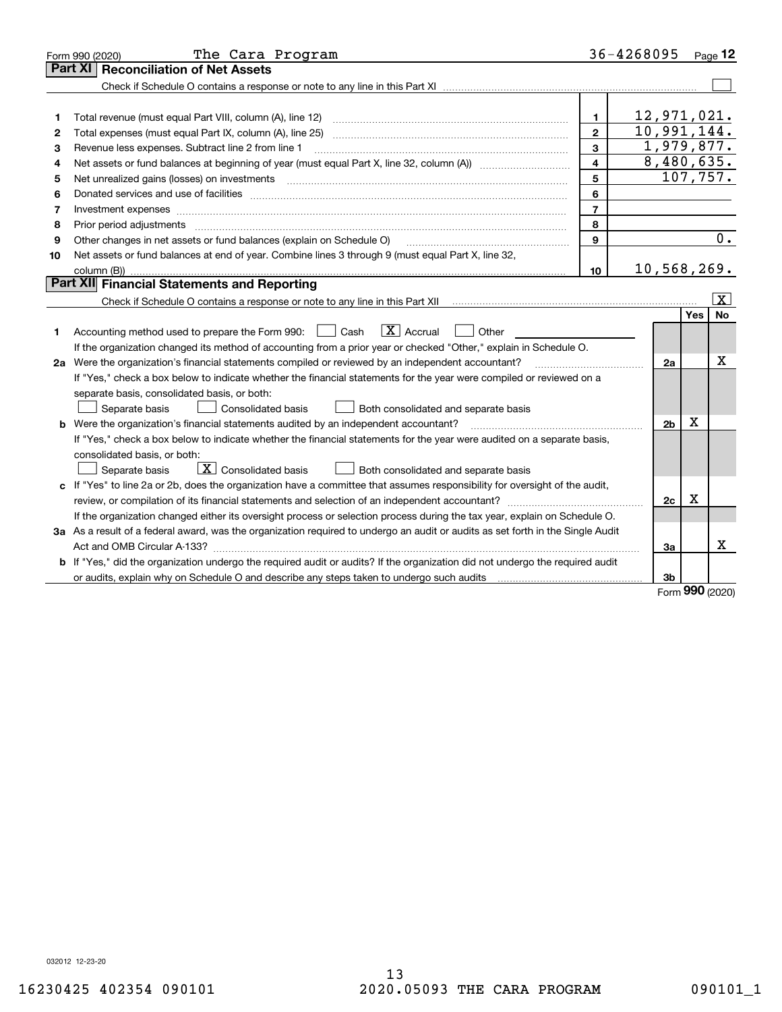|    | The Cara Program<br>Form 990 (2020)                                                                                                                                                                                            |                | 36-4268095               |         | Page $12$    |  |  |  |
|----|--------------------------------------------------------------------------------------------------------------------------------------------------------------------------------------------------------------------------------|----------------|--------------------------|---------|--------------|--|--|--|
|    | <b>Reconciliation of Net Assets</b><br>Part XI                                                                                                                                                                                 |                |                          |         |              |  |  |  |
|    |                                                                                                                                                                                                                                |                |                          |         |              |  |  |  |
|    |                                                                                                                                                                                                                                |                |                          |         |              |  |  |  |
| 1  |                                                                                                                                                                                                                                | 1.             | 12,971,021.              |         |              |  |  |  |
| 2  |                                                                                                                                                                                                                                | $\mathbf{2}$   | 10,991,144.              |         |              |  |  |  |
| 3  | Revenue less expenses. Subtract line 2 from line 1                                                                                                                                                                             | 3              | 1,979,877.<br>8,480,635. |         |              |  |  |  |
| 4  | $\overline{\mathbf{4}}$                                                                                                                                                                                                        |                |                          |         |              |  |  |  |
| 5  | Net unrealized gains (losses) on investments [11] matter contracts and the state of the state of the state of the state of the state of the state of the state of the state of the state of the state of the state of the stat | 5              |                          |         | 107,757.     |  |  |  |
| 6  |                                                                                                                                                                                                                                | 6              |                          |         |              |  |  |  |
| 7  | Investment expenses www.communication.com/www.communication.com/www.communication.com/www.com                                                                                                                                  | $\overline{7}$ |                          |         |              |  |  |  |
| 8  | Prior period adjustments www.communication.communication.com/news/communication.com/news/communication.com/new                                                                                                                 | 8              |                          |         |              |  |  |  |
| 9  | Other changes in net assets or fund balances (explain on Schedule O)                                                                                                                                                           | 9              |                          |         | 0.           |  |  |  |
| 10 | Net assets or fund balances at end of year. Combine lines 3 through 9 (must equal Part X, line 32,                                                                                                                             |                |                          |         |              |  |  |  |
|    | column (B))                                                                                                                                                                                                                    | 10             | 10,568,269.              |         |              |  |  |  |
|    | Part XII Financial Statements and Reporting                                                                                                                                                                                    |                |                          |         |              |  |  |  |
|    | Check if Schedule O contains a response or note to any line in this Part XII <i>manumano contained in the O contains</i>                                                                                                       |                |                          |         | $\mathbf{X}$ |  |  |  |
|    |                                                                                                                                                                                                                                |                |                          | Yes     | <b>No</b>    |  |  |  |
| 1  | $\boxed{\mathbf{X}}$ Accrual<br>Accounting method used to prepare the Form 990: <u>June</u> Cash<br>Other<br>$\mathbf{1}$                                                                                                      |                |                          |         |              |  |  |  |
|    | If the organization changed its method of accounting from a prior year or checked "Other," explain in Schedule O.                                                                                                              |                |                          |         |              |  |  |  |
|    | 2a Were the organization's financial statements compiled or reviewed by an independent accountant?                                                                                                                             |                | 2a                       |         | x            |  |  |  |
|    | If "Yes," check a box below to indicate whether the financial statements for the year were compiled or reviewed on a                                                                                                           |                |                          |         |              |  |  |  |
|    | separate basis, consolidated basis, or both:                                                                                                                                                                                   |                |                          |         |              |  |  |  |
|    | Separate basis<br><b>Consolidated basis</b><br>Both consolidated and separate basis                                                                                                                                            |                |                          |         |              |  |  |  |
|    | <b>b</b> Were the organization's financial statements audited by an independent accountant?                                                                                                                                    |                | 2 <sub>b</sub>           | х       |              |  |  |  |
|    | If "Yes," check a box below to indicate whether the financial statements for the year were audited on a separate basis,                                                                                                        |                |                          |         |              |  |  |  |
|    | consolidated basis, or both:                                                                                                                                                                                                   |                |                          |         |              |  |  |  |
|    | $\mid$ $\rm X \mid$ Consolidated basis<br>Separate basis<br>Both consolidated and separate basis                                                                                                                               |                |                          |         |              |  |  |  |
|    | c If "Yes" to line 2a or 2b, does the organization have a committee that assumes responsibility for oversight of the audit,                                                                                                    |                |                          |         |              |  |  |  |
|    |                                                                                                                                                                                                                                |                | 2c                       | X       |              |  |  |  |
|    | If the organization changed either its oversight process or selection process during the tax year, explain on Schedule O.                                                                                                      |                |                          |         |              |  |  |  |
|    | 3a As a result of a federal award, was the organization required to undergo an audit or audits as set forth in the Single Audit                                                                                                |                |                          |         |              |  |  |  |
|    |                                                                                                                                                                                                                                |                | За                       |         | x            |  |  |  |
|    | <b>b</b> If "Yes," did the organization undergo the required audit or audits? If the organization did not undergo the required audit                                                                                           |                |                          |         |              |  |  |  |
|    | or audits, explain why on Schedule O and describe any steps taken to undergo such audits manufactured university                                                                                                               |                | 3b                       | $000 -$ |              |  |  |  |

Form (2020) **990**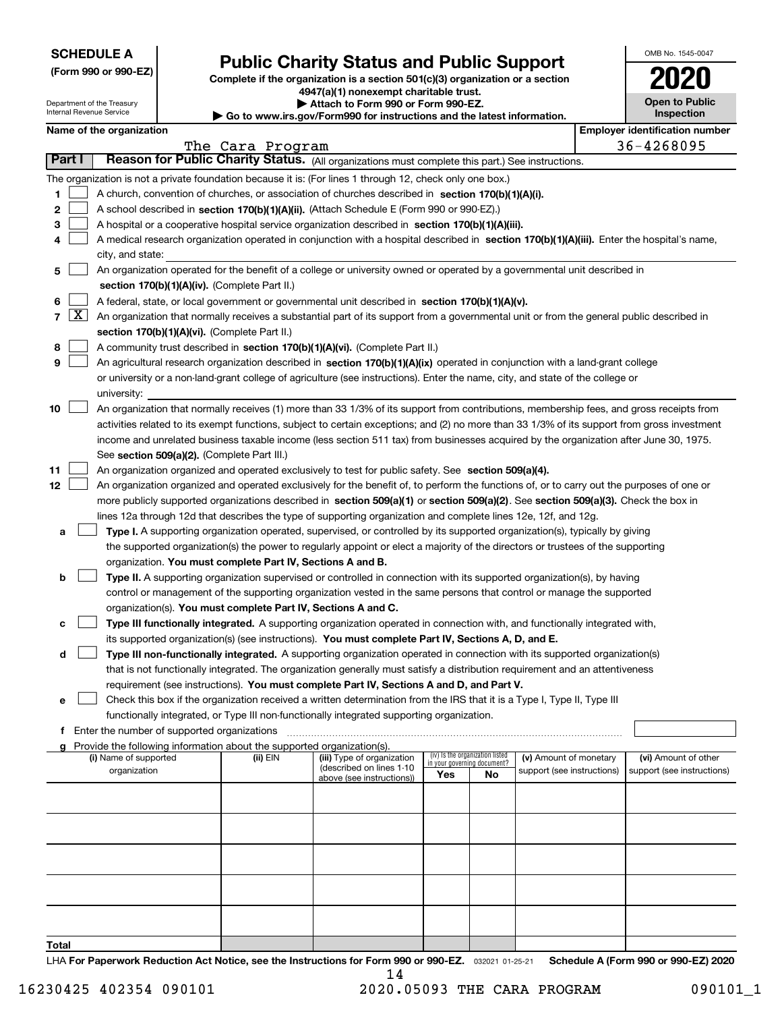| <b>SCHEDULE A</b> |
|-------------------|
|-------------------|

Department of the Treasury Internal Revenue Service

**(Form 990 or 990-EZ)**

 $\blacktriangleright$  Go to

# **Public Charity Status and Public Support**

**Complete if the organization is a section 501(c)(3) organization or a section 4947(a)(1) nonexempt charitable trust. | Attach to Form 990 or Form 990-EZ.** 

| www.irs.gov/Form990 for instructions and the latest information. |  |
|------------------------------------------------------------------|--|

| OMB No. 1545-0047                   |
|-------------------------------------|
| 120<br>U                            |
| <b>Open to Public</b><br>Inspection |

|               | <b>Employer identification number</b><br>Name of the organization |                                                                                                                                                                                      |                  |                                                       |                                    |                                 |                            |  |                            |  |
|---------------|-------------------------------------------------------------------|--------------------------------------------------------------------------------------------------------------------------------------------------------------------------------------|------------------|-------------------------------------------------------|------------------------------------|---------------------------------|----------------------------|--|----------------------------|--|
|               |                                                                   |                                                                                                                                                                                      | The Cara Program |                                                       |                                    |                                 |                            |  | 36-4268095                 |  |
| <b>Part I</b> |                                                                   | Reason for Public Charity Status. (All organizations must complete this part.) See instructions.                                                                                     |                  |                                                       |                                    |                                 |                            |  |                            |  |
|               |                                                                   | The organization is not a private foundation because it is: (For lines 1 through 12, check only one box.)                                                                            |                  |                                                       |                                    |                                 |                            |  |                            |  |
| 1             |                                                                   | A church, convention of churches, or association of churches described in section 170(b)(1)(A)(i).                                                                                   |                  |                                                       |                                    |                                 |                            |  |                            |  |
| 2             |                                                                   | A school described in section 170(b)(1)(A)(ii). (Attach Schedule E (Form 990 or 990-EZ).)                                                                                            |                  |                                                       |                                    |                                 |                            |  |                            |  |
| з             |                                                                   | A hospital or a cooperative hospital service organization described in section 170(b)(1)(A)(iii).                                                                                    |                  |                                                       |                                    |                                 |                            |  |                            |  |
|               |                                                                   | A medical research organization operated in conjunction with a hospital described in section 170(b)(1)(A)(iii). Enter the hospital's name,<br>city, and state:                       |                  |                                                       |                                    |                                 |                            |  |                            |  |
| 5             |                                                                   | An organization operated for the benefit of a college or university owned or operated by a governmental unit described in                                                            |                  |                                                       |                                    |                                 |                            |  |                            |  |
|               |                                                                   | section 170(b)(1)(A)(iv). (Complete Part II.)                                                                                                                                        |                  |                                                       |                                    |                                 |                            |  |                            |  |
| 6             |                                                                   | A federal, state, or local government or governmental unit described in section 170(b)(1)(A)(v).                                                                                     |                  |                                                       |                                    |                                 |                            |  |                            |  |
|               |                                                                   | $7 \overline{X}$ An organization that normally receives a substantial part of its support from a governmental unit or from the general public described in                           |                  |                                                       |                                    |                                 |                            |  |                            |  |
|               |                                                                   | section 170(b)(1)(A)(vi). (Complete Part II.)                                                                                                                                        |                  |                                                       |                                    |                                 |                            |  |                            |  |
| 8             |                                                                   | A community trust described in section 170(b)(1)(A)(vi). (Complete Part II.)                                                                                                         |                  |                                                       |                                    |                                 |                            |  |                            |  |
| 9             |                                                                   | An agricultural research organization described in section 170(b)(1)(A)(ix) operated in conjunction with a land-grant college                                                        |                  |                                                       |                                    |                                 |                            |  |                            |  |
|               |                                                                   | or university or a non-land-grant college of agriculture (see instructions). Enter the name, city, and state of the college or                                                       |                  |                                                       |                                    |                                 |                            |  |                            |  |
|               |                                                                   | university:                                                                                                                                                                          |                  |                                                       |                                    |                                 |                            |  |                            |  |
| 10            |                                                                   | An organization that normally receives (1) more than 33 1/3% of its support from contributions, membership fees, and gross receipts from                                             |                  |                                                       |                                    |                                 |                            |  |                            |  |
|               |                                                                   | activities related to its exempt functions, subject to certain exceptions; and (2) no more than 33 1/3% of its support from gross investment                                         |                  |                                                       |                                    |                                 |                            |  |                            |  |
|               |                                                                   | income and unrelated business taxable income (less section 511 tax) from businesses acquired by the organization after June 30, 1975.<br>See section 509(a)(2). (Complete Part III.) |                  |                                                       |                                    |                                 |                            |  |                            |  |
| 11            |                                                                   | An organization organized and operated exclusively to test for public safety. See section 509(a)(4).                                                                                 |                  |                                                       |                                    |                                 |                            |  |                            |  |
| 12            |                                                                   | An organization organized and operated exclusively for the benefit of, to perform the functions of, or to carry out the purposes of one or                                           |                  |                                                       |                                    |                                 |                            |  |                            |  |
|               |                                                                   | more publicly supported organizations described in section 509(a)(1) or section 509(a)(2). See section 509(a)(3). Check the box in                                                   |                  |                                                       |                                    |                                 |                            |  |                            |  |
|               |                                                                   | lines 12a through 12d that describes the type of supporting organization and complete lines 12e, 12f, and 12g.                                                                       |                  |                                                       |                                    |                                 |                            |  |                            |  |
| а             |                                                                   | Type I. A supporting organization operated, supervised, or controlled by its supported organization(s), typically by giving                                                          |                  |                                                       |                                    |                                 |                            |  |                            |  |
|               |                                                                   | the supported organization(s) the power to regularly appoint or elect a majority of the directors or trustees of the supporting                                                      |                  |                                                       |                                    |                                 |                            |  |                            |  |
|               |                                                                   | organization. You must complete Part IV, Sections A and B.                                                                                                                           |                  |                                                       |                                    |                                 |                            |  |                            |  |
| b             |                                                                   | Type II. A supporting organization supervised or controlled in connection with its supported organization(s), by having                                                              |                  |                                                       |                                    |                                 |                            |  |                            |  |
|               |                                                                   | control or management of the supporting organization vested in the same persons that control or manage the supported                                                                 |                  |                                                       |                                    |                                 |                            |  |                            |  |
|               |                                                                   | organization(s). You must complete Part IV, Sections A and C.                                                                                                                        |                  |                                                       |                                    |                                 |                            |  |                            |  |
| c             |                                                                   | Type III functionally integrated. A supporting organization operated in connection with, and functionally integrated with,                                                           |                  |                                                       |                                    |                                 |                            |  |                            |  |
|               |                                                                   | its supported organization(s) (see instructions). You must complete Part IV, Sections A, D, and E.                                                                                   |                  |                                                       |                                    |                                 |                            |  |                            |  |
| d             |                                                                   | Type III non-functionally integrated. A supporting organization operated in connection with its supported organization(s)                                                            |                  |                                                       |                                    |                                 |                            |  |                            |  |
|               |                                                                   | that is not functionally integrated. The organization generally must satisfy a distribution requirement and an attentiveness                                                         |                  |                                                       |                                    |                                 |                            |  |                            |  |
|               |                                                                   | requirement (see instructions). You must complete Part IV, Sections A and D, and Part V.                                                                                             |                  |                                                       |                                    |                                 |                            |  |                            |  |
| е             |                                                                   | Check this box if the organization received a written determination from the IRS that it is a Type I, Type II, Type III                                                              |                  |                                                       |                                    |                                 |                            |  |                            |  |
|               |                                                                   | functionally integrated, or Type III non-functionally integrated supporting organization.                                                                                            |                  |                                                       |                                    |                                 |                            |  |                            |  |
|               |                                                                   | f Enter the number of supported organizations<br>Provide the following information about the supported organization(s).                                                              |                  |                                                       |                                    |                                 |                            |  |                            |  |
|               |                                                                   | (i) Name of supported                                                                                                                                                                | (ii) EIN         | (iii) Type of organization                            |                                    | (iv) Is the organization listed | (v) Amount of monetary     |  | (vi) Amount of other       |  |
|               |                                                                   | organization                                                                                                                                                                         |                  | (described on lines 1-10<br>above (see instructions)) | in your governing document?<br>Yes | No                              | support (see instructions) |  | support (see instructions) |  |
|               |                                                                   |                                                                                                                                                                                      |                  |                                                       |                                    |                                 |                            |  |                            |  |
|               |                                                                   |                                                                                                                                                                                      |                  |                                                       |                                    |                                 |                            |  |                            |  |
|               |                                                                   |                                                                                                                                                                                      |                  |                                                       |                                    |                                 |                            |  |                            |  |
|               |                                                                   |                                                                                                                                                                                      |                  |                                                       |                                    |                                 |                            |  |                            |  |
|               |                                                                   |                                                                                                                                                                                      |                  |                                                       |                                    |                                 |                            |  |                            |  |
|               |                                                                   |                                                                                                                                                                                      |                  |                                                       |                                    |                                 |                            |  |                            |  |
|               |                                                                   |                                                                                                                                                                                      |                  |                                                       |                                    |                                 |                            |  |                            |  |
|               |                                                                   |                                                                                                                                                                                      |                  |                                                       |                                    |                                 |                            |  |                            |  |
| Total         |                                                                   |                                                                                                                                                                                      |                  |                                                       |                                    |                                 |                            |  |                            |  |

LHA For Paperwork Reduction Act Notice, see the Instructions for Form 990 or 990-EZ. <sub>032021</sub> o1-25-21 Schedule A (Form 990 or 990-EZ) 2020 14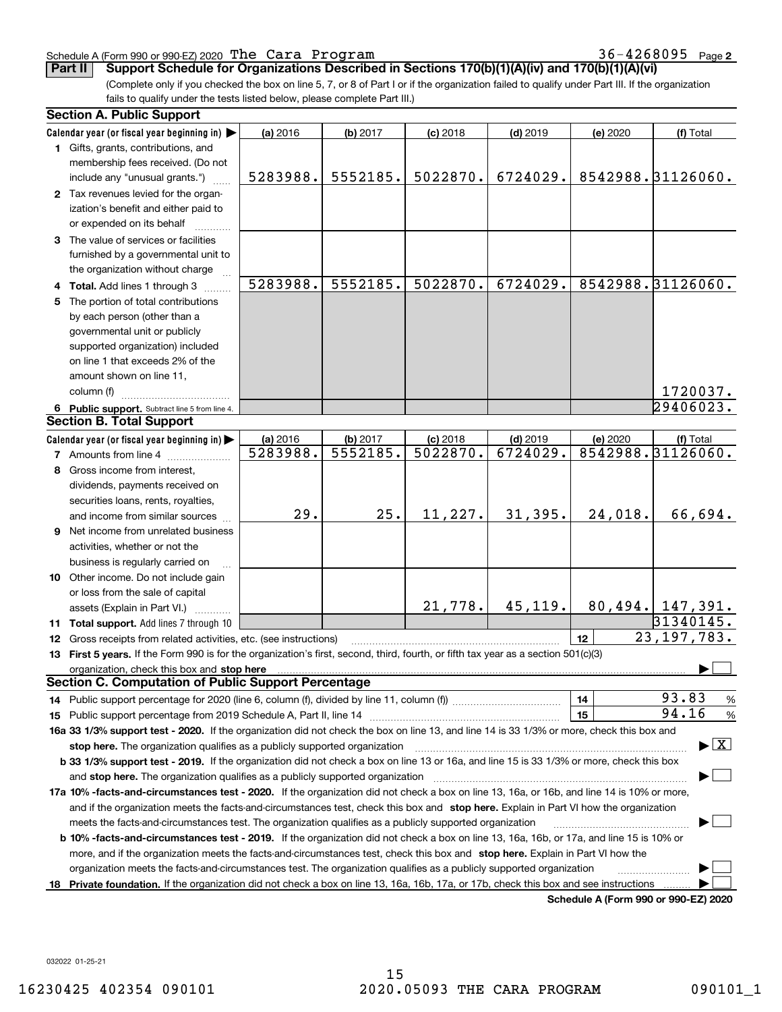### Schedule A (Form 990 or 990-EZ) 2020 Page The Cara Program 36-4268095

**2**

(Complete only if you checked the box on line 5, 7, or 8 of Part I or if the organization failed to qualify under Part III. If the organization **Part II Support Schedule for Organizations Described in Sections 170(b)(1)(A)(iv) and 170(b)(1)(A)(vi)**

fails to qualify under the tests listed below, please complete Part III.)

|     | <b>Section A. Public Support</b>                                                                                                                                                                                               |                      |          |                        |            |                                      |                                          |
|-----|--------------------------------------------------------------------------------------------------------------------------------------------------------------------------------------------------------------------------------|----------------------|----------|------------------------|------------|--------------------------------------|------------------------------------------|
|     | Calendar year (or fiscal year beginning in)                                                                                                                                                                                    | (a) 2016             | (b) 2017 | $(c)$ 2018             | $(d)$ 2019 | (e) 2020                             | (f) Total                                |
|     | 1 Gifts, grants, contributions, and                                                                                                                                                                                            |                      |          |                        |            |                                      |                                          |
|     | membership fees received. (Do not                                                                                                                                                                                              |                      |          |                        |            |                                      |                                          |
|     | include any "unusual grants.")                                                                                                                                                                                                 | 5283988.             | 5552185. | 5022870.               | 6724029.   |                                      | 8542988. 31126060.                       |
|     | 2 Tax revenues levied for the organ-                                                                                                                                                                                           |                      |          |                        |            |                                      |                                          |
|     | ization's benefit and either paid to                                                                                                                                                                                           |                      |          |                        |            |                                      |                                          |
|     | or expended on its behalf                                                                                                                                                                                                      |                      |          |                        |            |                                      |                                          |
|     | 3 The value of services or facilities                                                                                                                                                                                          |                      |          |                        |            |                                      |                                          |
|     | furnished by a governmental unit to                                                                                                                                                                                            |                      |          |                        |            |                                      |                                          |
|     | the organization without charge                                                                                                                                                                                                |                      |          |                        |            |                                      |                                          |
|     | 4 Total. Add lines 1 through 3                                                                                                                                                                                                 | 5283988.             | 5552185. | 5022870.               | 6724029.   |                                      | 8542988. 31126060.                       |
| 5   | The portion of total contributions                                                                                                                                                                                             |                      |          |                        |            |                                      |                                          |
|     | by each person (other than a                                                                                                                                                                                                   |                      |          |                        |            |                                      |                                          |
|     | governmental unit or publicly                                                                                                                                                                                                  |                      |          |                        |            |                                      |                                          |
|     | supported organization) included                                                                                                                                                                                               |                      |          |                        |            |                                      |                                          |
|     | on line 1 that exceeds 2% of the                                                                                                                                                                                               |                      |          |                        |            |                                      |                                          |
|     | amount shown on line 11,                                                                                                                                                                                                       |                      |          |                        |            |                                      |                                          |
|     | column (f)                                                                                                                                                                                                                     |                      |          |                        |            |                                      | 1720037.                                 |
|     | 6 Public support. Subtract line 5 from line 4.                                                                                                                                                                                 |                      |          |                        |            |                                      | 29406023.                                |
|     | <b>Section B. Total Support</b>                                                                                                                                                                                                |                      |          |                        |            |                                      |                                          |
|     | Calendar year (or fiscal year beginning in)                                                                                                                                                                                    |                      | (b) 2017 |                        | $(d)$ 2019 |                                      |                                          |
|     |                                                                                                                                                                                                                                | (a) 2016<br>5283988. | 5552185. | $(c)$ 2018<br>5022870. | 6724029.   | (e) 2020                             | (f) Total<br>8542988.31126060.           |
|     | <b>7</b> Amounts from line 4                                                                                                                                                                                                   |                      |          |                        |            |                                      |                                          |
|     | 8 Gross income from interest,                                                                                                                                                                                                  |                      |          |                        |            |                                      |                                          |
|     | dividends, payments received on                                                                                                                                                                                                |                      |          |                        |            |                                      |                                          |
|     | securities loans, rents, royalties,                                                                                                                                                                                            | 29.                  | 25.      | 11,227.                |            |                                      | 66,694.                                  |
|     | and income from similar sources                                                                                                                                                                                                |                      |          |                        | 31,395.    | 24,018.                              |                                          |
|     | 9 Net income from unrelated business                                                                                                                                                                                           |                      |          |                        |            |                                      |                                          |
|     | activities, whether or not the                                                                                                                                                                                                 |                      |          |                        |            |                                      |                                          |
|     | business is regularly carried on                                                                                                                                                                                               |                      |          |                        |            |                                      |                                          |
|     | 10 Other income. Do not include gain                                                                                                                                                                                           |                      |          |                        |            |                                      |                                          |
|     | or loss from the sale of capital                                                                                                                                                                                               |                      |          |                        |            |                                      |                                          |
|     | assets (Explain in Part VI.)                                                                                                                                                                                                   |                      |          | 21,778.                | 45,119.    |                                      | 80, 494.   147, 391.                     |
|     | <b>11 Total support.</b> Add lines 7 through 10                                                                                                                                                                                |                      |          |                        |            |                                      | 31340145.                                |
|     | 12 Gross receipts from related activities, etc. (see instructions)                                                                                                                                                             |                      |          |                        |            | 12                                   | 23, 197, 783.                            |
|     | 13 First 5 years. If the Form 990 is for the organization's first, second, third, fourth, or fifth tax year as a section 501(c)(3)                                                                                             |                      |          |                        |            |                                      |                                          |
|     | organization, check this box and stop here manufactured and according to the state of the state of the state of the state of the state of the state of the state of the state of the state of the state of the state of the st |                      |          |                        |            |                                      |                                          |
|     | Section C. Computation of Public Support Percentage                                                                                                                                                                            |                      |          |                        |            |                                      |                                          |
|     |                                                                                                                                                                                                                                |                      |          |                        |            | 14                                   | 93.83<br>%                               |
|     |                                                                                                                                                                                                                                |                      |          |                        |            | 15                                   | 94.16<br>$\%$                            |
|     | 16a 33 1/3% support test - 2020. If the organization did not check the box on line 13, and line 14 is 33 1/3% or more, check this box and                                                                                      |                      |          |                        |            |                                      |                                          |
|     | stop here. The organization qualifies as a publicly supported organization                                                                                                                                                     |                      |          |                        |            |                                      | $\blacktriangleright$ $\boxed{\text{X}}$ |
|     | b 33 1/3% support test - 2019. If the organization did not check a box on line 13 or 16a, and line 15 is 33 1/3% or more, check this box                                                                                       |                      |          |                        |            |                                      |                                          |
|     | and stop here. The organization qualifies as a publicly supported organization                                                                                                                                                 |                      |          |                        |            |                                      |                                          |
|     | 17a 10% -facts-and-circumstances test - 2020. If the organization did not check a box on line 13, 16a, or 16b, and line 14 is 10% or more,                                                                                     |                      |          |                        |            |                                      |                                          |
|     | and if the organization meets the facts-and-circumstances test, check this box and stop here. Explain in Part VI how the organization                                                                                          |                      |          |                        |            |                                      |                                          |
|     | meets the facts-and-circumstances test. The organization qualifies as a publicly supported organization                                                                                                                        |                      |          |                        |            |                                      |                                          |
|     | <b>b 10% -facts-and-circumstances test - 2019.</b> If the organization did not check a box on line 13, 16a, 16b, or 17a, and line 15 is 10% or                                                                                 |                      |          |                        |            |                                      |                                          |
|     | more, and if the organization meets the facts-and-circumstances test, check this box and stop here. Explain in Part VI how the                                                                                                 |                      |          |                        |            |                                      |                                          |
|     | organization meets the facts-and-circumstances test. The organization qualifies as a publicly supported organization                                                                                                           |                      |          |                        |            |                                      |                                          |
| 18. | Private foundation. If the organization did not check a box on line 13, 16a, 16b, 17a, or 17b, check this box and see instructions                                                                                             |                      |          |                        |            |                                      |                                          |
|     |                                                                                                                                                                                                                                |                      |          |                        |            | Schedule A (Form 990 or 990-F7) 2020 |                                          |

**Schedule A (Form 990 or 990-EZ) 2020**

032022 01-25-21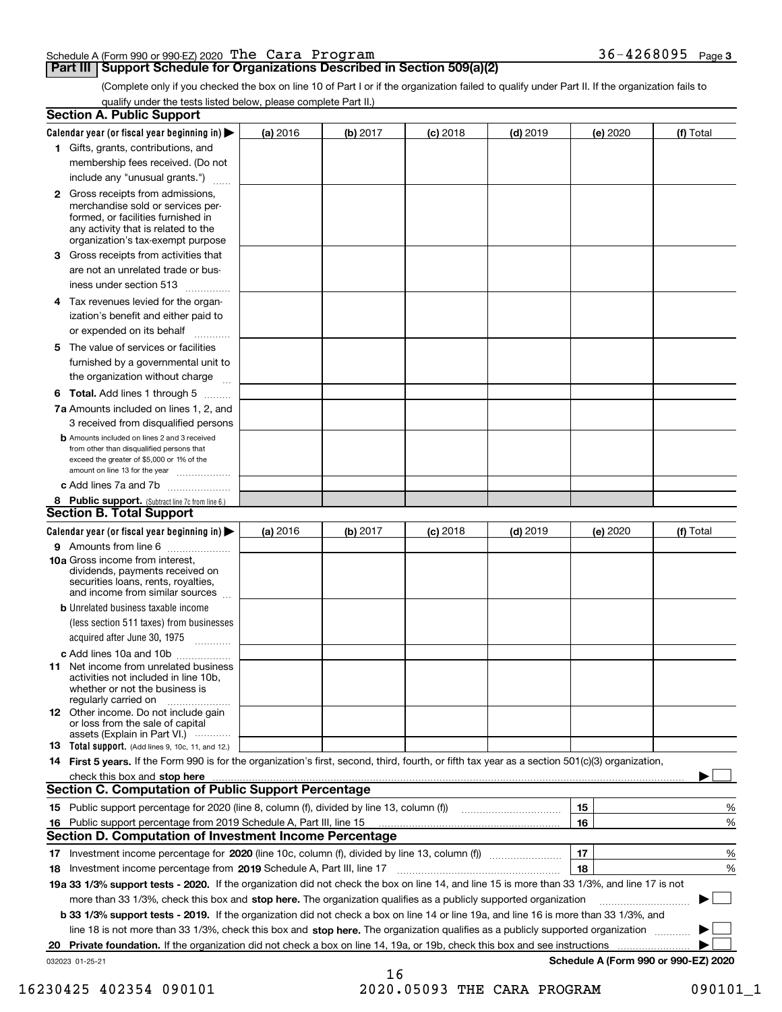|  |  | Schedule A (Form 990 or 990-EZ) 2020 $\,$ The $\,$ Ca $\,$ ra $\,$ P $\,$ r $\,$ o $\,$ g $\,$ r $\,$ a $\,$ m $\,$ | $36 - 4268095$ Page 3 |  |
|--|--|---------------------------------------------------------------------------------------------------------------------|-----------------------|--|
|  |  |                                                                                                                     |                       |  |

## **Part III Support Schedule for Organizations Described in Section 509(a)(2)**

(Complete only if you checked the box on line 10 of Part I or if the organization failed to qualify under Part II. If the organization fails to qualify under the tests listed below, please complete Part II.)

| <b>Section A. Public Support</b>                                                                                                                                                         |          |          |            |            |          |                                      |
|------------------------------------------------------------------------------------------------------------------------------------------------------------------------------------------|----------|----------|------------|------------|----------|--------------------------------------|
| Calendar year (or fiscal year beginning in) $\blacktriangleright$                                                                                                                        | (a) 2016 | (b) 2017 | $(c)$ 2018 | $(d)$ 2019 | (e) 2020 | (f) Total                            |
| 1 Gifts, grants, contributions, and                                                                                                                                                      |          |          |            |            |          |                                      |
| membership fees received. (Do not                                                                                                                                                        |          |          |            |            |          |                                      |
| include any "unusual grants.")                                                                                                                                                           |          |          |            |            |          |                                      |
| 2 Gross receipts from admissions,<br>merchandise sold or services per-<br>formed, or facilities furnished in<br>any activity that is related to the<br>organization's tax-exempt purpose |          |          |            |            |          |                                      |
| 3 Gross receipts from activities that                                                                                                                                                    |          |          |            |            |          |                                      |
| are not an unrelated trade or bus-<br>iness under section 513                                                                                                                            |          |          |            |            |          |                                      |
| 4 Tax revenues levied for the organ-                                                                                                                                                     |          |          |            |            |          |                                      |
| ization's benefit and either paid to<br>or expended on its behalf<br>.                                                                                                                   |          |          |            |            |          |                                      |
| 5 The value of services or facilities                                                                                                                                                    |          |          |            |            |          |                                      |
| furnished by a governmental unit to                                                                                                                                                      |          |          |            |            |          |                                      |
| the organization without charge                                                                                                                                                          |          |          |            |            |          |                                      |
| <b>6 Total.</b> Add lines 1 through 5                                                                                                                                                    |          |          |            |            |          |                                      |
| 7a Amounts included on lines 1, 2, and<br>3 received from disqualified persons                                                                                                           |          |          |            |            |          |                                      |
| <b>b</b> Amounts included on lines 2 and 3 received<br>from other than disqualified persons that<br>exceed the greater of \$5,000 or 1% of the<br>amount on line 13 for the year         |          |          |            |            |          |                                      |
| c Add lines 7a and 7b                                                                                                                                                                    |          |          |            |            |          |                                      |
| 8 Public support. (Subtract line 7c from line 6.)<br><b>Section B. Total Support</b>                                                                                                     |          |          |            |            |          |                                      |
| Calendar year (or fiscal year beginning in) $\blacktriangleright$                                                                                                                        | (a) 2016 | (b) 2017 | $(c)$ 2018 | $(d)$ 2019 | (e) 2020 | (f) Total                            |
| 9 Amounts from line 6                                                                                                                                                                    |          |          |            |            |          |                                      |
| 10a Gross income from interest,<br>dividends, payments received on<br>securities loans, rents, royalties,<br>and income from similar sources                                             |          |          |            |            |          |                                      |
| <b>b</b> Unrelated business taxable income                                                                                                                                               |          |          |            |            |          |                                      |
| (less section 511 taxes) from businesses<br>acquired after June 30, 1975<br>1.1.1.1.1.1.1.1.1.1                                                                                          |          |          |            |            |          |                                      |
| c Add lines 10a and 10b                                                                                                                                                                  |          |          |            |            |          |                                      |
| <b>11</b> Net income from unrelated business<br>activities not included in line 10b.<br>whether or not the business is<br>regularly carried on                                           |          |          |            |            |          |                                      |
| <b>12</b> Other income. Do not include gain<br>or loss from the sale of capital<br>assets (Explain in Part VI.)                                                                          |          |          |            |            |          |                                      |
| <b>13</b> Total support. (Add lines 9, 10c, 11, and 12.)                                                                                                                                 |          |          |            |            |          |                                      |
| 14 First 5 years. If the Form 990 is for the organization's first, second, third, fourth, or fifth tax year as a section 501(c)(3) organization,                                         |          |          |            |            |          |                                      |
| check this box and stop here <b>contractly contractly and structure and stop here</b> check this box and stop here <b>contractly and stop here contractly</b>                            |          |          |            |            |          |                                      |
| <b>Section C. Computation of Public Support Percentage</b>                                                                                                                               |          |          |            |            |          |                                      |
|                                                                                                                                                                                          |          |          |            |            | 15       | %                                    |
| 16 Public support percentage from 2019 Schedule A, Part III, line 15<br><b>Section D. Computation of Investment Income Percentage</b>                                                    |          |          |            |            | 16       | %                                    |
| 17 Investment income percentage for 2020 (line 10c, column (f), divided by line 13, column (f))                                                                                          |          |          |            |            | 17       | %                                    |
| 18 Investment income percentage from 2019 Schedule A, Part III, line 17                                                                                                                  |          |          |            |            | 18       | %                                    |
| 19a 33 1/3% support tests - 2020. If the organization did not check the box on line 14, and line 15 is more than 33 1/3%, and line 17 is not                                             |          |          |            |            |          |                                      |
| more than 33 1/3%, check this box and stop here. The organization qualifies as a publicly supported organization                                                                         |          |          |            |            |          |                                      |
| b 33 1/3% support tests - 2019. If the organization did not check a box on line 14 or line 19a, and line 16 is more than 33 1/3%, and                                                    |          |          |            |            |          |                                      |
| line 18 is not more than 33 1/3%, check this box and stop here. The organization qualifies as a publicly supported organization                                                          |          |          |            |            |          |                                      |
| 20 Private foundation. If the organization did not check a box on line 14, 19a, or 19b, check this box and see instructions                                                              |          |          |            |            |          |                                      |
| 032023 01-25-21                                                                                                                                                                          |          |          |            |            |          | Schedule A (Form 990 or 990-EZ) 2020 |
|                                                                                                                                                                                          |          | 16       |            |            |          |                                      |

16230425 402354 090101 2020.05093 THE CARA PROGRAM 090101\_1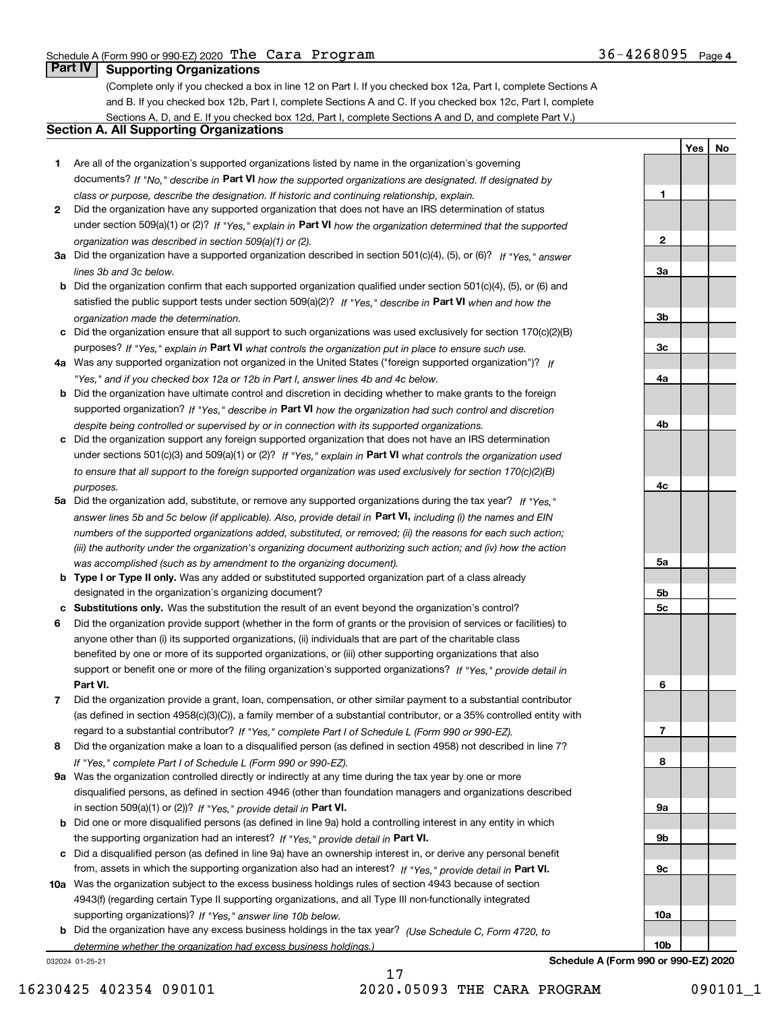**1**

**2**

**3a**

**3b**

**3c**

**4a**

**4b**

**4c**

**5a**

**5b5c** **YesNo**

## **Part IV Supporting Organizations**

(Complete only if you checked a box in line 12 on Part I. If you checked box 12a, Part I, complete Sections A and B. If you checked box 12b, Part I, complete Sections A and C. If you checked box 12c, Part I, complete Sections A, D, and E. If you checked box 12d, Part I, complete Sections A and D, and complete Part V.)

## **Section A. All Supporting Organizations**

- **1** Are all of the organization's supported organizations listed by name in the organization's governing documents? If "No," describe in **Part VI** how the supported organizations are designated. If designated by *class or purpose, describe the designation. If historic and continuing relationship, explain.*
- **2** Did the organization have any supported organization that does not have an IRS determination of status under section 509(a)(1) or (2)? If "Yes," explain in Part VI how the organization determined that the supported *organization was described in section 509(a)(1) or (2).*
- **3a** Did the organization have a supported organization described in section 501(c)(4), (5), or (6)? If "Yes," answer *lines 3b and 3c below.*
- **b** Did the organization confirm that each supported organization qualified under section 501(c)(4), (5), or (6) and satisfied the public support tests under section 509(a)(2)? If "Yes," describe in **Part VI** when and how the *organization made the determination.*
- **c**Did the organization ensure that all support to such organizations was used exclusively for section 170(c)(2)(B) purposes? If "Yes," explain in **Part VI** what controls the organization put in place to ensure such use.
- **4a***If* Was any supported organization not organized in the United States ("foreign supported organization")? *"Yes," and if you checked box 12a or 12b in Part I, answer lines 4b and 4c below.*
- **b** Did the organization have ultimate control and discretion in deciding whether to make grants to the foreign supported organization? If "Yes," describe in **Part VI** how the organization had such control and discretion *despite being controlled or supervised by or in connection with its supported organizations.*
- **c** Did the organization support any foreign supported organization that does not have an IRS determination under sections 501(c)(3) and 509(a)(1) or (2)? If "Yes," explain in **Part VI** what controls the organization used *to ensure that all support to the foreign supported organization was used exclusively for section 170(c)(2)(B) purposes.*
- **5a** Did the organization add, substitute, or remove any supported organizations during the tax year? If "Yes," answer lines 5b and 5c below (if applicable). Also, provide detail in **Part VI,** including (i) the names and EIN *numbers of the supported organizations added, substituted, or removed; (ii) the reasons for each such action; (iii) the authority under the organization's organizing document authorizing such action; and (iv) how the action was accomplished (such as by amendment to the organizing document).*
- **b** Type I or Type II only. Was any added or substituted supported organization part of a class already designated in the organization's organizing document?
- **cSubstitutions only.**  Was the substitution the result of an event beyond the organization's control?
- **6** Did the organization provide support (whether in the form of grants or the provision of services or facilities) to **Part VI.** *If "Yes," provide detail in* support or benefit one or more of the filing organization's supported organizations? anyone other than (i) its supported organizations, (ii) individuals that are part of the charitable class benefited by one or more of its supported organizations, or (iii) other supporting organizations that also
- **7**Did the organization provide a grant, loan, compensation, or other similar payment to a substantial contributor *If "Yes," complete Part I of Schedule L (Form 990 or 990-EZ).* regard to a substantial contributor? (as defined in section 4958(c)(3)(C)), a family member of a substantial contributor, or a 35% controlled entity with
- **8** Did the organization make a loan to a disqualified person (as defined in section 4958) not described in line 7? *If "Yes," complete Part I of Schedule L (Form 990 or 990-EZ).*
- **9a** Was the organization controlled directly or indirectly at any time during the tax year by one or more in section 509(a)(1) or (2))? If "Yes," *provide detail in* <code>Part VI.</code> disqualified persons, as defined in section 4946 (other than foundation managers and organizations described
- **b** Did one or more disqualified persons (as defined in line 9a) hold a controlling interest in any entity in which the supporting organization had an interest? If "Yes," provide detail in P**art VI**.
- **c**Did a disqualified person (as defined in line 9a) have an ownership interest in, or derive any personal benefit from, assets in which the supporting organization also had an interest? If "Yes," provide detail in P**art VI.**
- **10a** Was the organization subject to the excess business holdings rules of section 4943 because of section supporting organizations)? If "Yes," answer line 10b below. 4943(f) (regarding certain Type II supporting organizations, and all Type III non-functionally integrated
- **b** Did the organization have any excess business holdings in the tax year? (Use Schedule C, Form 4720, to *determine whether the organization had excess business holdings.)*

032024 01-25-21



17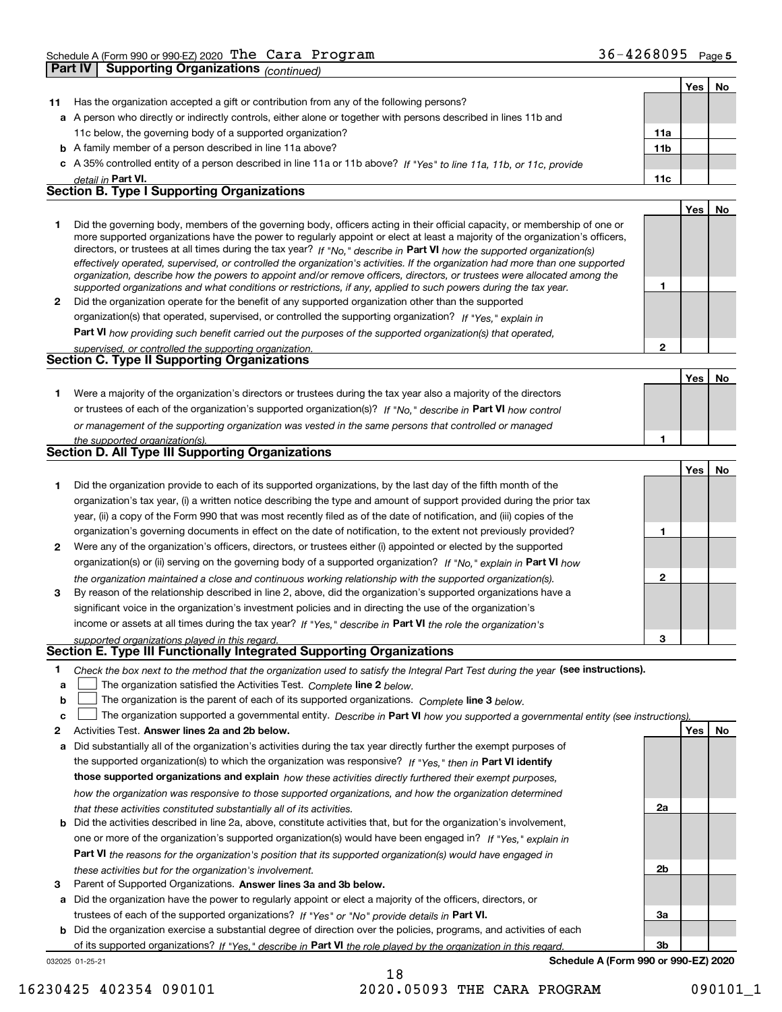|              | <b>Part IV   Supporting Organizations (continued)</b>                                                                                                                                                                                                                                                                                                                                                                                                                                                                    |                 |            |    |
|--------------|--------------------------------------------------------------------------------------------------------------------------------------------------------------------------------------------------------------------------------------------------------------------------------------------------------------------------------------------------------------------------------------------------------------------------------------------------------------------------------------------------------------------------|-----------------|------------|----|
|              |                                                                                                                                                                                                                                                                                                                                                                                                                                                                                                                          |                 | Yes        | No |
| 11           | Has the organization accepted a gift or contribution from any of the following persons?                                                                                                                                                                                                                                                                                                                                                                                                                                  |                 |            |    |
|              | a A person who directly or indirectly controls, either alone or together with persons described in lines 11b and                                                                                                                                                                                                                                                                                                                                                                                                         |                 |            |    |
|              | 11c below, the governing body of a supported organization?                                                                                                                                                                                                                                                                                                                                                                                                                                                               | 11a             |            |    |
|              | <b>b</b> A family member of a person described in line 11a above?                                                                                                                                                                                                                                                                                                                                                                                                                                                        | 11 <sub>b</sub> |            |    |
|              | c A 35% controlled entity of a person described in line 11a or 11b above? If "Yes" to line 11a, 11b, or 11c, provide                                                                                                                                                                                                                                                                                                                                                                                                     |                 |            |    |
|              | detail in Part VI.                                                                                                                                                                                                                                                                                                                                                                                                                                                                                                       | 11c             |            |    |
|              | <b>Section B. Type I Supporting Organizations</b>                                                                                                                                                                                                                                                                                                                                                                                                                                                                        |                 |            |    |
|              |                                                                                                                                                                                                                                                                                                                                                                                                                                                                                                                          |                 | Yes        | No |
| 1            | Did the governing body, members of the governing body, officers acting in their official capacity, or membership of one or<br>more supported organizations have the power to regularly appoint or elect at least a majority of the organization's officers,<br>directors, or trustees at all times during the tax year? If "No," describe in Part VI how the supported organization(s)<br>effectively operated, supervised, or controlled the organization's activities. If the organization had more than one supported |                 |            |    |
|              | organization, describe how the powers to appoint and/or remove officers, directors, or trustees were allocated among the                                                                                                                                                                                                                                                                                                                                                                                                 |                 |            |    |
|              | supported organizations and what conditions or restrictions, if any, applied to such powers during the tax year.                                                                                                                                                                                                                                                                                                                                                                                                         | 1               |            |    |
| $\mathbf{2}$ | Did the organization operate for the benefit of any supported organization other than the supported                                                                                                                                                                                                                                                                                                                                                                                                                      |                 |            |    |
|              | organization(s) that operated, supervised, or controlled the supporting organization? If "Yes," explain in                                                                                                                                                                                                                                                                                                                                                                                                               |                 |            |    |
|              | Part VI how providing such benefit carried out the purposes of the supported organization(s) that operated,                                                                                                                                                                                                                                                                                                                                                                                                              | $\overline{2}$  |            |    |
|              | supervised, or controlled the supporting organization.<br>Section C. Type II Supporting Organizations                                                                                                                                                                                                                                                                                                                                                                                                                    |                 |            |    |
|              |                                                                                                                                                                                                                                                                                                                                                                                                                                                                                                                          |                 | Yes        | No |
| 1.           | Were a majority of the organization's directors or trustees during the tax year also a majority of the directors                                                                                                                                                                                                                                                                                                                                                                                                         |                 |            |    |
|              | or trustees of each of the organization's supported organization(s)? If "No," describe in Part VI how control                                                                                                                                                                                                                                                                                                                                                                                                            |                 |            |    |
|              | or management of the supporting organization was vested in the same persons that controlled or managed                                                                                                                                                                                                                                                                                                                                                                                                                   |                 |            |    |
|              | the supported organization(s).                                                                                                                                                                                                                                                                                                                                                                                                                                                                                           | 1               |            |    |
|              | Section D. All Type III Supporting Organizations                                                                                                                                                                                                                                                                                                                                                                                                                                                                         |                 |            |    |
|              |                                                                                                                                                                                                                                                                                                                                                                                                                                                                                                                          |                 | Yes        | No |
| 1.           | Did the organization provide to each of its supported organizations, by the last day of the fifth month of the                                                                                                                                                                                                                                                                                                                                                                                                           |                 |            |    |
|              | organization's tax year, (i) a written notice describing the type and amount of support provided during the prior tax                                                                                                                                                                                                                                                                                                                                                                                                    |                 |            |    |
|              | year, (ii) a copy of the Form 990 that was most recently filed as of the date of notification, and (iii) copies of the                                                                                                                                                                                                                                                                                                                                                                                                   |                 |            |    |
|              | organization's governing documents in effect on the date of notification, to the extent not previously provided?                                                                                                                                                                                                                                                                                                                                                                                                         | 1               |            |    |
| 2            | Were any of the organization's officers, directors, or trustees either (i) appointed or elected by the supported                                                                                                                                                                                                                                                                                                                                                                                                         |                 |            |    |
|              | organization(s) or (ii) serving on the governing body of a supported organization? If "No." explain in <b>Part VI</b> how                                                                                                                                                                                                                                                                                                                                                                                                |                 |            |    |
|              | the organization maintained a close and continuous working relationship with the supported organization(s).                                                                                                                                                                                                                                                                                                                                                                                                              | 2               |            |    |
| 3            | By reason of the relationship described in line 2, above, did the organization's supported organizations have a                                                                                                                                                                                                                                                                                                                                                                                                          |                 |            |    |
|              | significant voice in the organization's investment policies and in directing the use of the organization's                                                                                                                                                                                                                                                                                                                                                                                                               |                 |            |    |
|              | income or assets at all times during the tax year? If "Yes," describe in Part VI the role the organization's                                                                                                                                                                                                                                                                                                                                                                                                             |                 |            |    |
|              | supported organizations played in this regard.                                                                                                                                                                                                                                                                                                                                                                                                                                                                           |                 |            |    |
|              | Section E. Type III Functionally Integrated Supporting Organizations                                                                                                                                                                                                                                                                                                                                                                                                                                                     |                 |            |    |
| 1.           | Check the box next to the method that the organization used to satisfy the Integral Part Test during the year (see instructions).                                                                                                                                                                                                                                                                                                                                                                                        |                 |            |    |
| а            | The organization satisfied the Activities Test. Complete line 2 below.                                                                                                                                                                                                                                                                                                                                                                                                                                                   |                 |            |    |
| b            | The organization is the parent of each of its supported organizations. Complete line 3 below.                                                                                                                                                                                                                                                                                                                                                                                                                            |                 |            |    |
| с            | The organization supported a governmental entity. Describe in Part VI how you supported a governmental entity (see instructions)                                                                                                                                                                                                                                                                                                                                                                                         |                 |            |    |
| 2            | Activities Test. Answer lines 2a and 2b below.                                                                                                                                                                                                                                                                                                                                                                                                                                                                           |                 | <b>Yes</b> | No |
| а            | Did substantially all of the organization's activities during the tax year directly further the exempt purposes of                                                                                                                                                                                                                                                                                                                                                                                                       |                 |            |    |
|              | the supported organization(s) to which the organization was responsive? If "Yes." then in Part VI identify                                                                                                                                                                                                                                                                                                                                                                                                               |                 |            |    |
|              | those supported organizations and explain how these activities directly furthered their exempt purposes,                                                                                                                                                                                                                                                                                                                                                                                                                 |                 |            |    |
|              | how the organization was responsive to those supported organizations, and how the organization determined                                                                                                                                                                                                                                                                                                                                                                                                                |                 |            |    |
|              | that these activities constituted substantially all of its activities.                                                                                                                                                                                                                                                                                                                                                                                                                                                   | 2a              |            |    |

- **b** Did the activities described in line 2a, above, constitute activities that, but for the organization's involvement, **Part VI**  *the reasons for the organization's position that its supported organization(s) would have engaged in* one or more of the organization's supported organization(s) would have been engaged in? If "Yes," e*xplain in these activities but for the organization's involvement.*
- **3** Parent of Supported Organizations. Answer lines 3a and 3b below.

**a** Did the organization have the power to regularly appoint or elect a majority of the officers, directors, or trustees of each of the supported organizations? If "Yes" or "No" provide details in **Part VI.** 

**b** Did the organization exercise a substantial degree of direction over the policies, programs, and activities of each of its supported organizations? If "Yes," describe in Part VI the role played by the organization in this regard.

18

032025 01-25-21

**Schedule A (Form 990 or 990-EZ) 2020**

**2b**

**3a**

**3b**

16230425 402354 090101 2020.05093 THE CARA PROGRAM 090101\_1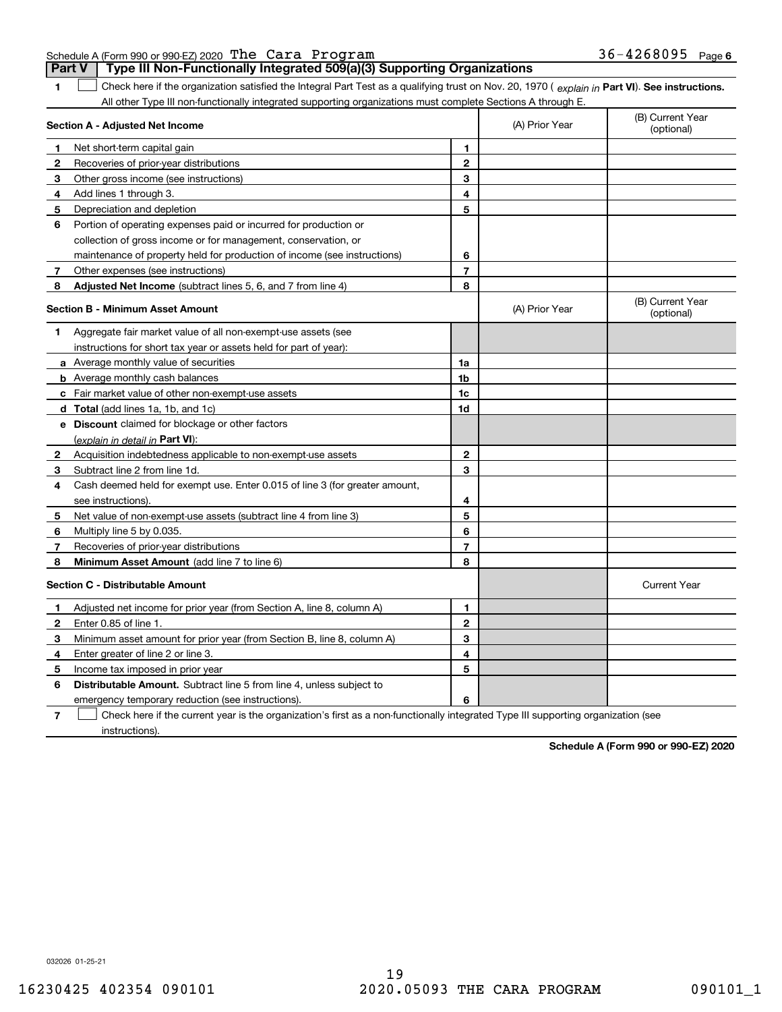032026 01-25-21

### Schedule A (Form 990 or 990-EZ) 2020 Page The Cara Program 36-4268095 **Part V** | Type III Non-Functionally Integrated 509(a)(3) Supporting Organizations

**1**

1 Check here if the organization satisfied the Integral Part Test as a qualifying trust on Nov. 20, 1970 (explain in Part VI). See instructions. All other Type III non-functionally integrated supporting organizations must complete Sections A through E.

|              | Section A - Adjusted Net Income                                                                                                   |                | (A) Prior Year | (B) Current Year<br>(optional) |
|--------------|-----------------------------------------------------------------------------------------------------------------------------------|----------------|----------------|--------------------------------|
| 1            | Net short-term capital gain                                                                                                       | 1              |                |                                |
| 2            | Recoveries of prior-year distributions                                                                                            | $\overline{2}$ |                |                                |
| з            | Other gross income (see instructions)                                                                                             | 3              |                |                                |
| 4            | Add lines 1 through 3.                                                                                                            | 4              |                |                                |
| 5            | Depreciation and depletion                                                                                                        | 5              |                |                                |
| 6            | Portion of operating expenses paid or incurred for production or                                                                  |                |                |                                |
|              | collection of gross income or for management, conservation, or                                                                    |                |                |                                |
|              | maintenance of property held for production of income (see instructions)                                                          | 6              |                |                                |
| 7            | Other expenses (see instructions)                                                                                                 | $\overline{7}$ |                |                                |
| 8            | Adjusted Net Income (subtract lines 5, 6, and 7 from line 4)                                                                      | 8              |                |                                |
|              | <b>Section B - Minimum Asset Amount</b>                                                                                           |                | (A) Prior Year | (B) Current Year<br>(optional) |
| 1            | Aggregate fair market value of all non-exempt-use assets (see                                                                     |                |                |                                |
|              | instructions for short tax year or assets held for part of year):                                                                 |                |                |                                |
|              | <b>a</b> Average monthly value of securities                                                                                      | 1a             |                |                                |
|              | <b>b</b> Average monthly cash balances                                                                                            | 1b             |                |                                |
|              | <b>c</b> Fair market value of other non-exempt-use assets                                                                         | 1c             |                |                                |
|              | d Total (add lines 1a, 1b, and 1c)                                                                                                | 1d             |                |                                |
|              | e Discount claimed for blockage or other factors                                                                                  |                |                |                                |
|              | (explain in detail in Part VI):                                                                                                   |                |                |                                |
| 2            | Acquisition indebtedness applicable to non-exempt-use assets                                                                      | 2              |                |                                |
| 3            | Subtract line 2 from line 1d.                                                                                                     | 3              |                |                                |
| 4            | Cash deemed held for exempt use. Enter 0.015 of line 3 (for greater amount,                                                       |                |                |                                |
|              | see instructions).                                                                                                                | 4              |                |                                |
| 5            | Net value of non-exempt-use assets (subtract line 4 from line 3)                                                                  | 5              |                |                                |
| 6            | Multiply line 5 by 0.035.                                                                                                         | 6              |                |                                |
| 7            | Recoveries of prior-year distributions                                                                                            | $\overline{7}$ |                |                                |
| 8            | <b>Minimum Asset Amount</b> (add line 7 to line 6)                                                                                | 8              |                |                                |
|              | <b>Section C - Distributable Amount</b>                                                                                           |                |                | <b>Current Year</b>            |
| 1            | Adjusted net income for prior year (from Section A, line 8, column A)                                                             | 1              |                |                                |
| $\mathbf{2}$ | Enter 0.85 of line 1.                                                                                                             | $\overline{2}$ |                |                                |
| 3            | Minimum asset amount for prior year (from Section B, line 8, column A)                                                            | 3              |                |                                |
| 4            | Enter greater of line 2 or line 3.                                                                                                | 4              |                |                                |
| 5            | Income tax imposed in prior year                                                                                                  | 5              |                |                                |
| 6            | <b>Distributable Amount.</b> Subtract line 5 from line 4, unless subject to                                                       |                |                |                                |
|              | emergency temporary reduction (see instructions).                                                                                 | 6              |                |                                |
| 7            | Check here if the current year is the organization's first as a non-functionally integrated Type III supporting organization (see |                |                |                                |

instructions).

**Schedule A (Form 990 or 990-EZ) 2020**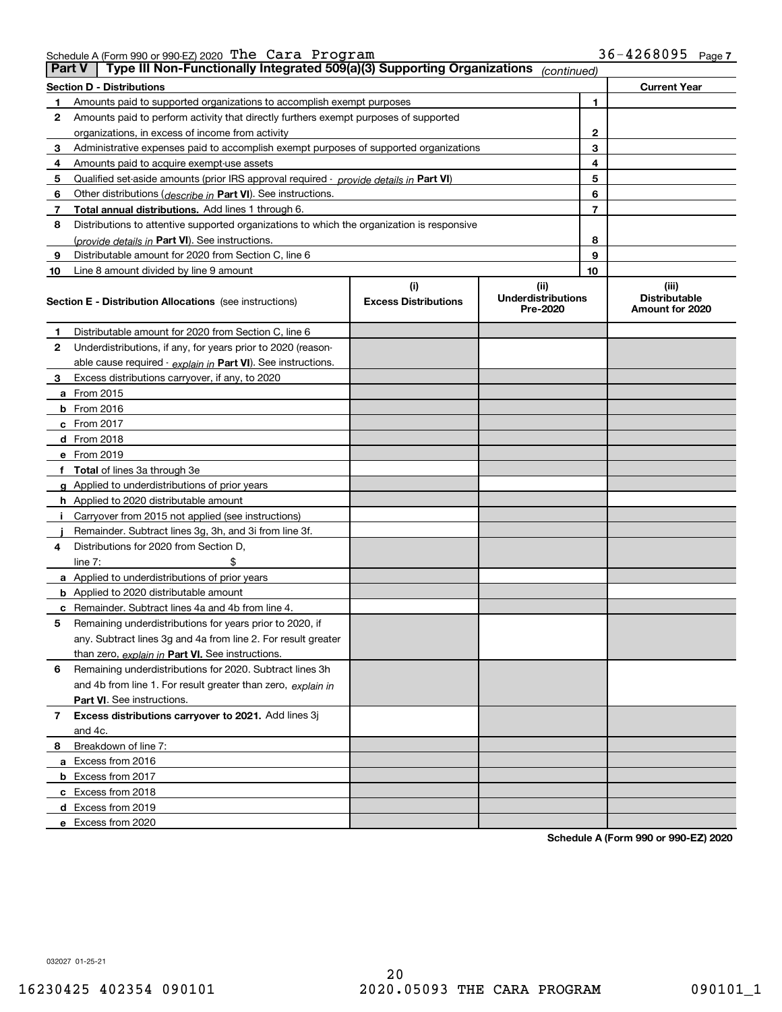Schedule A (Form 990 or 990-EZ) 2020 Page The Cara Program 36-4268095

| <b>Part V</b> | Type III Non-Functionally Integrated 509(a)(3) Supporting Organizations                    |                                    | (continued)                                   |                                                  |
|---------------|--------------------------------------------------------------------------------------------|------------------------------------|-----------------------------------------------|--------------------------------------------------|
|               | <b>Section D - Distributions</b>                                                           |                                    |                                               | <b>Current Year</b>                              |
| 1             | Amounts paid to supported organizations to accomplish exempt purposes                      |                                    | 1                                             |                                                  |
| 2             | Amounts paid to perform activity that directly furthers exempt purposes of supported       |                                    |                                               |                                                  |
|               | organizations, in excess of income from activity                                           |                                    | 2                                             |                                                  |
| 3             | Administrative expenses paid to accomplish exempt purposes of supported organizations      |                                    | 3                                             |                                                  |
| 4             | Amounts paid to acquire exempt-use assets                                                  |                                    | 4                                             |                                                  |
| 5             | Qualified set-aside amounts (prior IRS approval required - provide details in Part VI)     |                                    | 5                                             |                                                  |
| 6             | Other distributions ( <i>describe in</i> Part VI). See instructions.                       |                                    | 6                                             |                                                  |
| 7             | Total annual distributions. Add lines 1 through 6.                                         |                                    | 7                                             |                                                  |
| 8             | Distributions to attentive supported organizations to which the organization is responsive |                                    |                                               |                                                  |
|               | (provide details in Part VI). See instructions.                                            |                                    | 8                                             |                                                  |
| 9             | Distributable amount for 2020 from Section C, line 6                                       |                                    | 9                                             |                                                  |
| 10            | Line 8 amount divided by line 9 amount                                                     |                                    | 10                                            |                                                  |
|               | <b>Section E - Distribution Allocations</b> (see instructions)                             | (i)<br><b>Excess Distributions</b> | (ii)<br><b>Underdistributions</b><br>Pre-2020 | (iii)<br><b>Distributable</b><br>Amount for 2020 |
| 1             | Distributable amount for 2020 from Section C, line 6                                       |                                    |                                               |                                                  |
| 2             | Underdistributions, if any, for years prior to 2020 (reason-                               |                                    |                                               |                                                  |
|               | able cause required - explain in Part VI). See instructions.                               |                                    |                                               |                                                  |
| 3             | Excess distributions carryover, if any, to 2020                                            |                                    |                                               |                                                  |
|               | <b>a</b> From 2015                                                                         |                                    |                                               |                                                  |
|               | <b>b</b> From 2016                                                                         |                                    |                                               |                                                  |
|               | $c$ From 2017                                                                              |                                    |                                               |                                                  |
|               | <b>d</b> From 2018                                                                         |                                    |                                               |                                                  |
|               | e From 2019                                                                                |                                    |                                               |                                                  |
|               | f Total of lines 3a through 3e                                                             |                                    |                                               |                                                  |
|               | g Applied to underdistributions of prior years                                             |                                    |                                               |                                                  |
|               | <b>h</b> Applied to 2020 distributable amount                                              |                                    |                                               |                                                  |
|               | Carryover from 2015 not applied (see instructions)                                         |                                    |                                               |                                                  |
|               | Remainder. Subtract lines 3g, 3h, and 3i from line 3f.                                     |                                    |                                               |                                                  |
| 4             | Distributions for 2020 from Section D,                                                     |                                    |                                               |                                                  |
|               | line $7:$                                                                                  |                                    |                                               |                                                  |
|               | a Applied to underdistributions of prior years                                             |                                    |                                               |                                                  |
|               | <b>b</b> Applied to 2020 distributable amount                                              |                                    |                                               |                                                  |
|               | c Remainder. Subtract lines 4a and 4b from line 4.                                         |                                    |                                               |                                                  |
| 5             | Remaining underdistributions for years prior to 2020, if                                   |                                    |                                               |                                                  |
|               | any. Subtract lines 3g and 4a from line 2. For result greater                              |                                    |                                               |                                                  |
|               | than zero, explain in Part VI. See instructions.                                           |                                    |                                               |                                                  |
| 6             | Remaining underdistributions for 2020. Subtract lines 3h                                   |                                    |                                               |                                                  |
|               | and 4b from line 1. For result greater than zero, explain in                               |                                    |                                               |                                                  |
|               | Part VI. See instructions.                                                                 |                                    |                                               |                                                  |
| 7             | Excess distributions carryover to 2021. Add lines 3j                                       |                                    |                                               |                                                  |
|               | and 4c.                                                                                    |                                    |                                               |                                                  |
| 8             | Breakdown of line 7:                                                                       |                                    |                                               |                                                  |
|               | a Excess from 2016                                                                         |                                    |                                               |                                                  |
|               | <b>b</b> Excess from 2017                                                                  |                                    |                                               |                                                  |
|               | c Excess from 2018                                                                         |                                    |                                               |                                                  |
|               | d Excess from 2019                                                                         |                                    |                                               |                                                  |
|               | e Excess from 2020                                                                         |                                    |                                               |                                                  |

**Schedule A (Form 990 or 990-EZ) 2020**

032027 01-25-21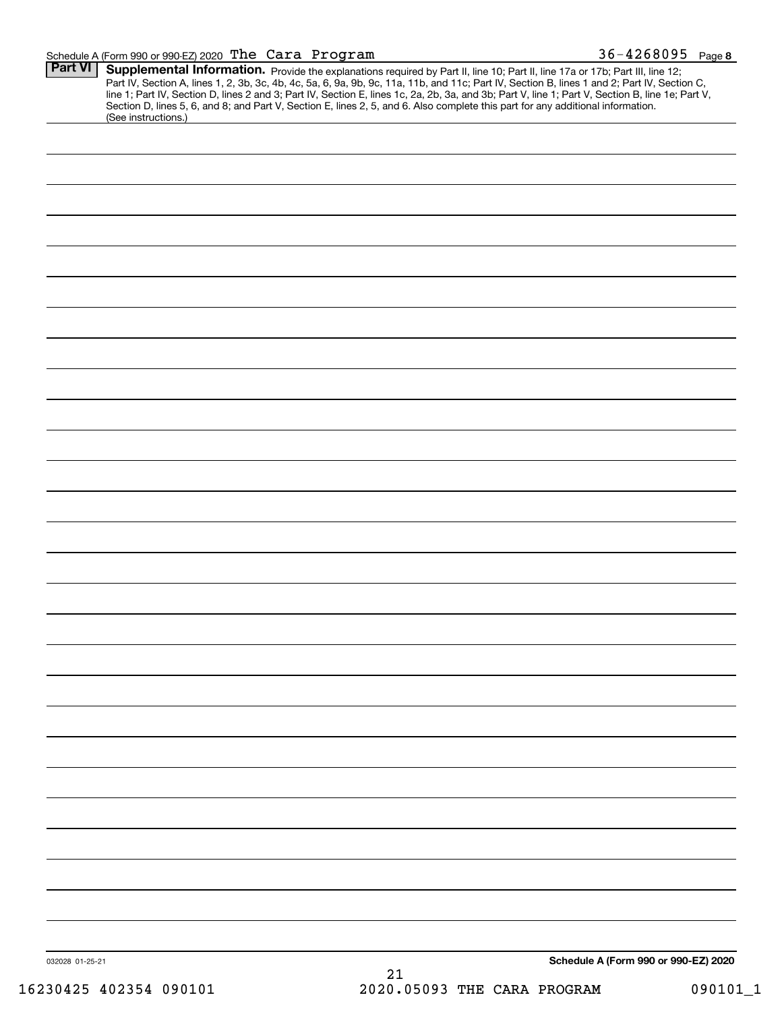### Schedule A (Form 990 or 990-EZ) 2020 'L**'ne Cara Program black and the community of the State of A** and State D The Cara Program 36-4268095

| <b>Part VI</b>  | (See instructions.)    | Supplemental Information. Provide the explanations required by Part II, line 10; Part II, line 17a or 17b; Part III, line 12;<br>Part IV, Section A, lines 1, 2, 3b, 3c, 4b, 4c, 5a, 6, 9a, 9b, 9c, 11a, 11b, and 11c; Part IV, Section B, lines 1 and 2; Part IV, Section C,<br>line 1; Part IV, Section D, lines 2 and 3; Part IV, Section E, lines 1c, 2a, 2b, 3a, and 3b; Part V, line 1; Part V, Section B, line 1e; Part V,<br>Section D, lines 5, 6, and 8; and Part V, Section E, lines 2, 5, and 6. Also complete this part for any additional information. |
|-----------------|------------------------|----------------------------------------------------------------------------------------------------------------------------------------------------------------------------------------------------------------------------------------------------------------------------------------------------------------------------------------------------------------------------------------------------------------------------------------------------------------------------------------------------------------------------------------------------------------------|
|                 |                        |                                                                                                                                                                                                                                                                                                                                                                                                                                                                                                                                                                      |
|                 |                        |                                                                                                                                                                                                                                                                                                                                                                                                                                                                                                                                                                      |
|                 |                        |                                                                                                                                                                                                                                                                                                                                                                                                                                                                                                                                                                      |
|                 |                        |                                                                                                                                                                                                                                                                                                                                                                                                                                                                                                                                                                      |
|                 |                        |                                                                                                                                                                                                                                                                                                                                                                                                                                                                                                                                                                      |
|                 |                        |                                                                                                                                                                                                                                                                                                                                                                                                                                                                                                                                                                      |
|                 |                        |                                                                                                                                                                                                                                                                                                                                                                                                                                                                                                                                                                      |
|                 |                        |                                                                                                                                                                                                                                                                                                                                                                                                                                                                                                                                                                      |
|                 |                        |                                                                                                                                                                                                                                                                                                                                                                                                                                                                                                                                                                      |
|                 |                        |                                                                                                                                                                                                                                                                                                                                                                                                                                                                                                                                                                      |
|                 |                        |                                                                                                                                                                                                                                                                                                                                                                                                                                                                                                                                                                      |
|                 |                        |                                                                                                                                                                                                                                                                                                                                                                                                                                                                                                                                                                      |
|                 |                        |                                                                                                                                                                                                                                                                                                                                                                                                                                                                                                                                                                      |
|                 |                        |                                                                                                                                                                                                                                                                                                                                                                                                                                                                                                                                                                      |
|                 |                        |                                                                                                                                                                                                                                                                                                                                                                                                                                                                                                                                                                      |
|                 |                        |                                                                                                                                                                                                                                                                                                                                                                                                                                                                                                                                                                      |
|                 |                        |                                                                                                                                                                                                                                                                                                                                                                                                                                                                                                                                                                      |
|                 |                        |                                                                                                                                                                                                                                                                                                                                                                                                                                                                                                                                                                      |
|                 |                        |                                                                                                                                                                                                                                                                                                                                                                                                                                                                                                                                                                      |
|                 |                        |                                                                                                                                                                                                                                                                                                                                                                                                                                                                                                                                                                      |
|                 |                        |                                                                                                                                                                                                                                                                                                                                                                                                                                                                                                                                                                      |
|                 |                        |                                                                                                                                                                                                                                                                                                                                                                                                                                                                                                                                                                      |
|                 |                        |                                                                                                                                                                                                                                                                                                                                                                                                                                                                                                                                                                      |
|                 |                        |                                                                                                                                                                                                                                                                                                                                                                                                                                                                                                                                                                      |
|                 |                        |                                                                                                                                                                                                                                                                                                                                                                                                                                                                                                                                                                      |
|                 |                        |                                                                                                                                                                                                                                                                                                                                                                                                                                                                                                                                                                      |
|                 |                        |                                                                                                                                                                                                                                                                                                                                                                                                                                                                                                                                                                      |
|                 |                        |                                                                                                                                                                                                                                                                                                                                                                                                                                                                                                                                                                      |
|                 |                        |                                                                                                                                                                                                                                                                                                                                                                                                                                                                                                                                                                      |
|                 |                        |                                                                                                                                                                                                                                                                                                                                                                                                                                                                                                                                                                      |
|                 |                        |                                                                                                                                                                                                                                                                                                                                                                                                                                                                                                                                                                      |
|                 |                        |                                                                                                                                                                                                                                                                                                                                                                                                                                                                                                                                                                      |
|                 |                        |                                                                                                                                                                                                                                                                                                                                                                                                                                                                                                                                                                      |
|                 |                        |                                                                                                                                                                                                                                                                                                                                                                                                                                                                                                                                                                      |
|                 |                        |                                                                                                                                                                                                                                                                                                                                                                                                                                                                                                                                                                      |
|                 |                        |                                                                                                                                                                                                                                                                                                                                                                                                                                                                                                                                                                      |
|                 |                        |                                                                                                                                                                                                                                                                                                                                                                                                                                                                                                                                                                      |
|                 |                        |                                                                                                                                                                                                                                                                                                                                                                                                                                                                                                                                                                      |
|                 |                        |                                                                                                                                                                                                                                                                                                                                                                                                                                                                                                                                                                      |
|                 |                        |                                                                                                                                                                                                                                                                                                                                                                                                                                                                                                                                                                      |
| 032028 01-25-21 |                        | Schedule A (Form 990 or 990-EZ) 2020<br>21                                                                                                                                                                                                                                                                                                                                                                                                                                                                                                                           |
|                 | 16230425 402354 090101 | 2020.05093 THE CARA PROGRAM<br>090101_1                                                                                                                                                                                                                                                                                                                                                                                                                                                                                                                              |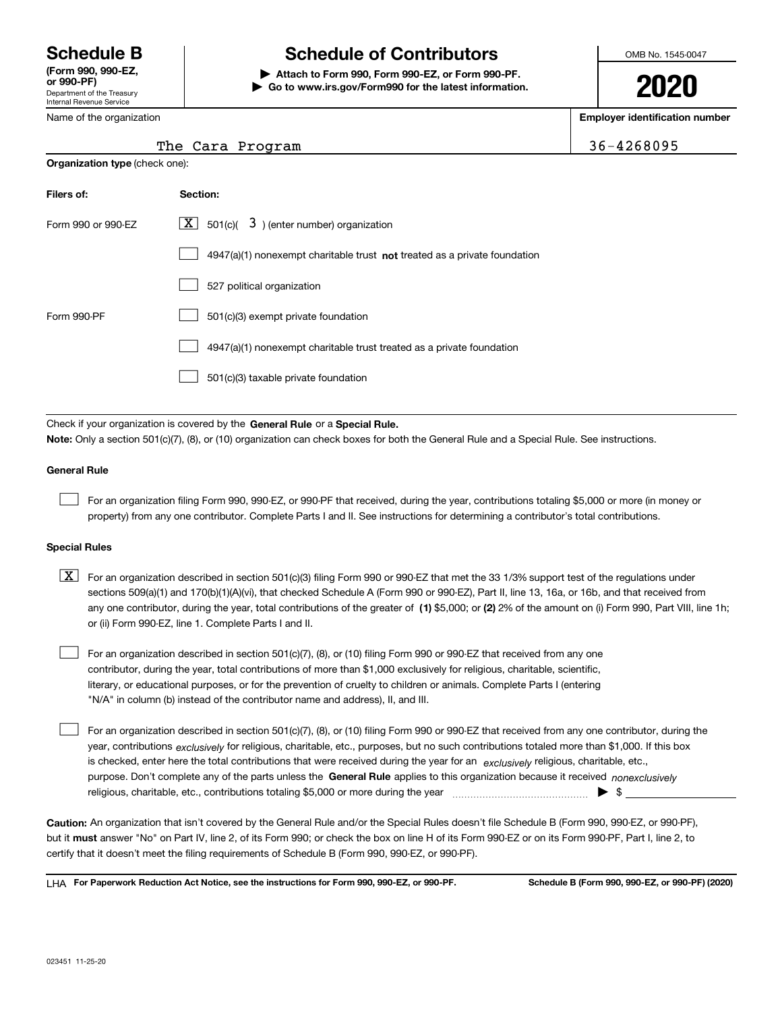Department of the Treasury Internal Revenue Service **(Form 990, 990-EZ, or 990-PF)**

Name of the organization

**Organization type** (check one):

# **Schedule B Schedule of Contributors**

**| Attach to Form 990, Form 990-EZ, or Form 990-PF. | Go to www.irs.gov/Form990 for the latest information.** OMB No. 1545-0047

**2020**

**Employer identification number**

The Cara Program 36-4268095

| The Cara Program |  |
|------------------|--|
|------------------|--|

| Filers of:         | Section:                                                                           |
|--------------------|------------------------------------------------------------------------------------|
| Form 990 or 990-FZ | $\underline{\mathbf{X}}$ 501(c)(<br>$3$ ) (enter number) organization              |
|                    | $4947(a)(1)$ nonexempt charitable trust <b>not</b> treated as a private foundation |
|                    | 527 political organization                                                         |
| Form 990-PF        | 501(c)(3) exempt private foundation                                                |
|                    | 4947(a)(1) nonexempt charitable trust treated as a private foundation              |
|                    | 501(c)(3) taxable private foundation                                               |

Check if your organization is covered by the **General Rule** or a **Special Rule. Note:**  Only a section 501(c)(7), (8), or (10) organization can check boxes for both the General Rule and a Special Rule. See instructions.

### **General Rule**

 $\mathcal{L}^{\text{max}}$ 

For an organization filing Form 990, 990-EZ, or 990-PF that received, during the year, contributions totaling \$5,000 or more (in money or property) from any one contributor. Complete Parts I and II. See instructions for determining a contributor's total contributions.

### **Special Rules**

any one contributor, during the year, total contributions of the greater of  $\,$  (1) \$5,000; or **(2)** 2% of the amount on (i) Form 990, Part VIII, line 1h;  $\boxed{\textbf{X}}$  For an organization described in section 501(c)(3) filing Form 990 or 990-EZ that met the 33 1/3% support test of the regulations under sections 509(a)(1) and 170(b)(1)(A)(vi), that checked Schedule A (Form 990 or 990-EZ), Part II, line 13, 16a, or 16b, and that received from or (ii) Form 990-EZ, line 1. Complete Parts I and II.

For an organization described in section 501(c)(7), (8), or (10) filing Form 990 or 990-EZ that received from any one contributor, during the year, total contributions of more than \$1,000 exclusively for religious, charitable, scientific, literary, or educational purposes, or for the prevention of cruelty to children or animals. Complete Parts I (entering "N/A" in column (b) instead of the contributor name and address), II, and III.  $\mathcal{L}^{\text{max}}$ 

purpose. Don't complete any of the parts unless the **General Rule** applies to this organization because it received *nonexclusively* year, contributions <sub>exclusively</sub> for religious, charitable, etc., purposes, but no such contributions totaled more than \$1,000. If this box is checked, enter here the total contributions that were received during the year for an *exclusively* religious, charitable, etc., For an organization described in section 501(c)(7), (8), or (10) filing Form 990 or 990-EZ that received from any one contributor, during the religious, charitable, etc., contributions totaling \$5,000 or more during the year  $\Box$ — $\Box$   $\Box$   $\Box$  $\mathcal{L}^{\text{max}}$ 

**Caution:**  An organization that isn't covered by the General Rule and/or the Special Rules doesn't file Schedule B (Form 990, 990-EZ, or 990-PF),  **must** but it answer "No" on Part IV, line 2, of its Form 990; or check the box on line H of its Form 990-EZ or on its Form 990-PF, Part I, line 2, to certify that it doesn't meet the filing requirements of Schedule B (Form 990, 990-EZ, or 990-PF).

**For Paperwork Reduction Act Notice, see the instructions for Form 990, 990-EZ, or 990-PF. Schedule B (Form 990, 990-EZ, or 990-PF) (2020)** LHA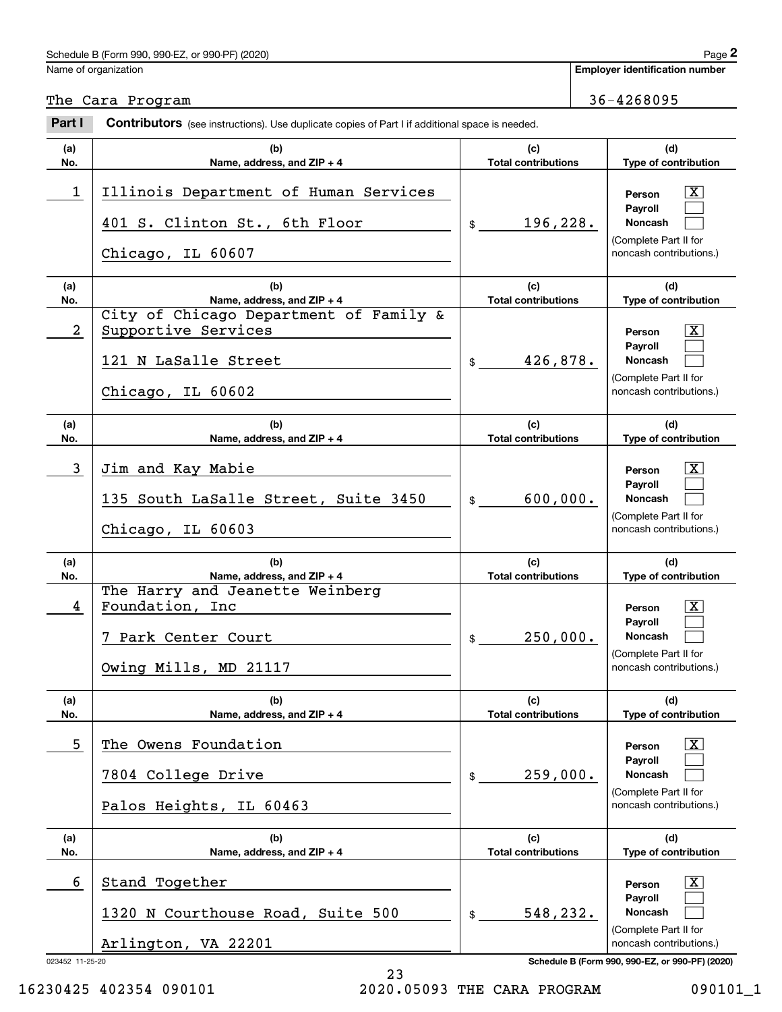# Schedule B (Form 990, 990-EZ, or 990-PF) (2020) Page 2 Employer identification Page 2<br>
lame of organization<br> **2Part I Cara Program** 36-4268095<br> **2Part I Contributors** (see instructions). Use duplicate copies of Part I if additional space is needed.

Name of organization

**Employer identification number**

The Cara Program 36-4268095

| (a)<br>No.           | (b)<br>Name, address, and ZIP + 4                                                                          | (c)<br><b>Total contributions</b> | (d)<br>Type of contribution                                                                                                                                           |
|----------------------|------------------------------------------------------------------------------------------------------------|-----------------------------------|-----------------------------------------------------------------------------------------------------------------------------------------------------------------------|
| 1                    | Illinois Department of Human Services<br>401 S. Clinton St., 6th Floor<br>Chicago, IL 60607                | 196,228.<br>$\frac{1}{2}$         | X<br>Person<br>Payroll<br><b>Noncash</b><br>(Complete Part II for<br>noncash contributions.)                                                                          |
| (a)<br>No.           | (b)<br>Name, address, and ZIP + 4                                                                          | (c)<br><b>Total contributions</b> | (d)<br>Type of contribution                                                                                                                                           |
| $\overline{a}$       | City of Chicago Department of Family &<br>Supportive Services<br>121 N LaSalle Street<br>Chicago, IL 60602 | 426,878.<br>$\frac{1}{2}$         | X<br>Person<br>Payroll<br><b>Noncash</b><br>(Complete Part II for<br>noncash contributions.)                                                                          |
| (a)<br>No.           | (b)<br>Name, address, and ZIP + 4                                                                          | (c)<br><b>Total contributions</b> | (d)<br>Type of contribution                                                                                                                                           |
| 3                    | Jim and Kay Mabie<br>135 South LaSalle Street, Suite 3450<br>Chicago, IL 60603                             | 600,000.<br>\$                    | X<br>Person<br><b>Pavroll</b><br><b>Noncash</b><br>(Complete Part II for<br>noncash contributions.)                                                                   |
| (a)<br>No.           | (b)<br>Name, address, and ZIP + 4                                                                          | (c)<br><b>Total contributions</b> | (d)<br>Type of contribution                                                                                                                                           |
| 4                    | The Harry and Jeanette Weinberg<br>Foundation, Inc<br>7 Park Center Court<br>Owing Mills, MD 21117         | 250,000.<br>$$\mathbb{S}$$        | X<br>Person<br><b>Payroll</b><br><b>Noncash</b><br>(Complete Part II for<br>noncash contributions.)                                                                   |
| (a)<br>No.           | (b)                                                                                                        | (c)                               |                                                                                                                                                                       |
|                      | Name, address, and ZIP + 4                                                                                 | <b>Total contributions</b>        | (d)<br><b>Type of contribution</b>                                                                                                                                    |
| 5                    | The Owens Foundation<br>7804 College Drive<br>Palos Heights, IL 60463                                      | 259,000.<br>\$                    | $\mathbf{X}$<br>Person<br><b>Pavroll</b><br>Noncash<br>(Complete Part II for<br>noncash contributions.)                                                               |
| (a)<br>No.           | (b)<br>Name, address, and ZIP + 4                                                                          | (c)<br><b>Total contributions</b> | (d)<br><b>Type of contribution</b>                                                                                                                                    |
| 6<br>023452 11-25-20 | Stand Together<br>1320 N Courthouse Road, Suite 500<br>Arlington, VA 22201                                 | 548,232.<br>\$                    | $\overline{\mathbf{X}}$<br>Person<br><b>Payroll</b><br>Noncash<br>(Complete Part II for<br>noncash contributions.)<br>Schedule B (Form 990, 990-EZ, or 990-PF) (2020) |

16230425 402354 090101 2020.05093 THE CARA PROGRAM 090101\_1

23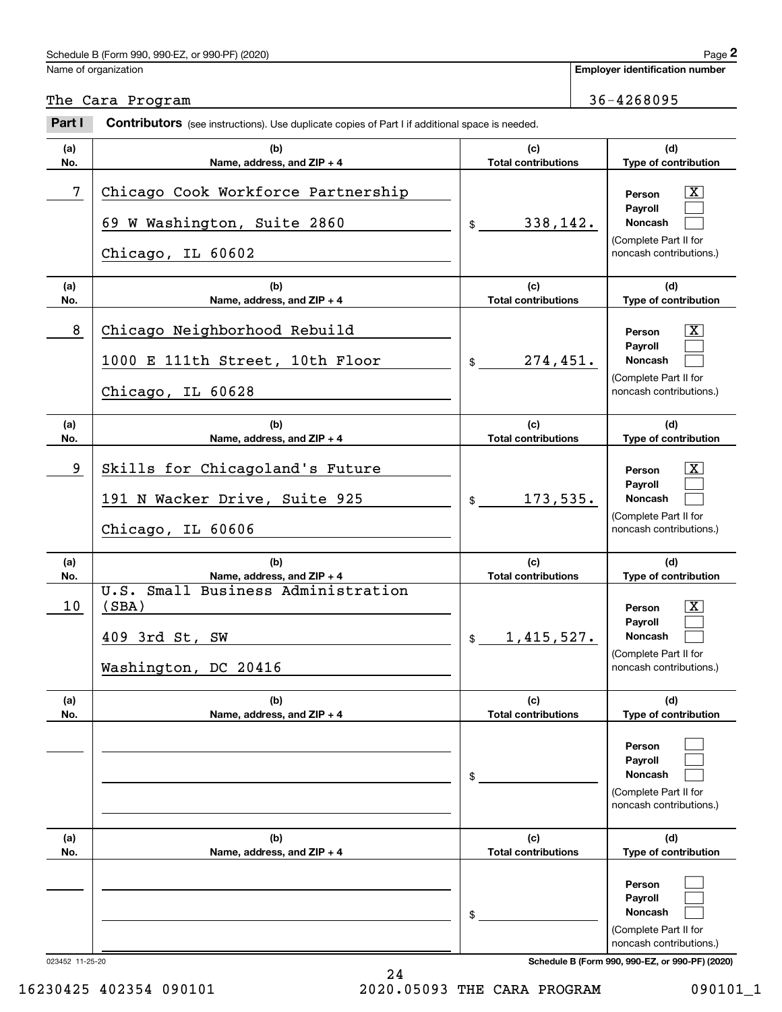# Schedule B (Form 990, 990-EZ, or 990-PF) (2020) Page 2

|                 | Schedule B (Form 990, 990-EZ, or 990-PF) (2020)                                                                     |                                                | Page 2                                                                                                                   |
|-----------------|---------------------------------------------------------------------------------------------------------------------|------------------------------------------------|--------------------------------------------------------------------------------------------------------------------------|
|                 | Name of organization                                                                                                |                                                | <b>Employer identification number</b>                                                                                    |
|                 | The Cara Program                                                                                                    |                                                | 36-4268095                                                                                                               |
| Part I          | <b>Contributors</b> (see instructions). Use duplicate copies of Part I if additional space is needed.               |                                                |                                                                                                                          |
| (a)<br>No.      | (b)<br>Name, address, and ZIP + 4                                                                                   | (c)<br><b>Total contributions</b>              | (d)<br>Type of contribution                                                                                              |
| 7               | Chicago Cook Workforce Partnership<br>69 W Washington, Suite 2860                                                   | 338,142.<br>\$                                 | $\mathbf{X}$<br>Person<br>Payroll<br><b>Noncash</b><br>(Complete Part II for                                             |
|                 | Chicago, IL 60602                                                                                                   |                                                | noncash contributions.)                                                                                                  |
| (a)<br>No.      | (b)<br>Name, address, and ZIP + 4                                                                                   | (c)<br><b>Total contributions</b>              | (d)<br>Type of contribution                                                                                              |
| 8               | Chicago Neighborhood Rebuild<br>1000 E 111th Street, 10th Floor<br>Chicago, IL 60628                                | 274,451.<br>\$                                 | $\mathbf{X}$<br>Person<br>Payroll<br>Noncash<br>(Complete Part II for<br>noncash contributions.)                         |
| (a)<br>No.      | (b)<br>Name, address, and ZIP + 4                                                                                   | (c)<br><b>Total contributions</b>              | (d)<br>Type of contribution                                                                                              |
| 9               | Skills for Chicagoland's Future<br>191 N Wacker Drive, Suite 925<br>Chicago, IL 60606                               | 173,535.<br>\$                                 | $\mathbf{X}$<br>Person<br>Payroll<br>Noncash<br>(Complete Part II for<br>noncash contributions.)                         |
| (a)             | (b)                                                                                                                 | (c)                                            | (d)                                                                                                                      |
| No.<br>10       | Name, address, and ZIP + 4<br>U.S. Small Business Administration<br>(SBA)<br>409 3rd St, SW<br>Washington, DC 20416 | <b>Total contributions</b><br>1,415,527.<br>\$ | Type of contribution<br>$\mathbf{X}$<br>Person<br>Payroll<br>Noncash<br>(Complete Part II for<br>noncash contributions.) |
| (a)<br>No.      | (b)<br>Name, address, and $ZIP + 4$                                                                                 | (c)<br><b>Total contributions</b>              | (d)<br>Type of contribution                                                                                              |
|                 |                                                                                                                     | \$                                             | Person<br>Payroll<br><b>Noncash</b><br>(Complete Part II for<br>noncash contributions.)                                  |
| (a)<br>No.      | (b)<br>Name, address, and ZIP + 4                                                                                   | (c)<br><b>Total contributions</b>              | (d)<br>Type of contribution                                                                                              |
|                 |                                                                                                                     | \$                                             | Person<br>Payroll<br>Noncash<br>(Complete Part II for<br>noncash contributions.)                                         |
| 023452 11-25-20 |                                                                                                                     |                                                | Schedule B (Form 990, 990-EZ, or 990-PF) (2020)                                                                          |

16230425 402354 090101 2020.05093 THE CARA PROGRAM 090101\_1

24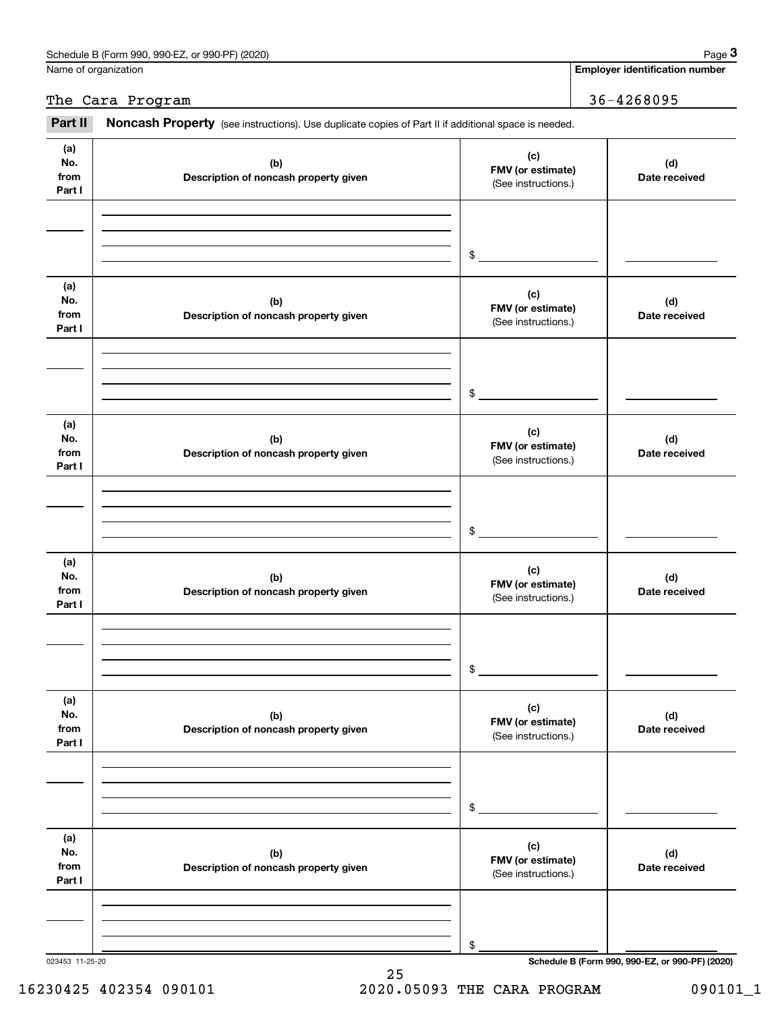| or 990-PF) (2020)<br>Schedule B (Form 990. 9<br>990-EZ |  |  | Page |  |
|--------------------------------------------------------|--|--|------|--|
|                                                        |  |  |      |  |

Name of organization

**Employer identification number**

The Cara Program 36-4268095

(see instructions). Use duplicate copies of Part II if additional space is needed.<br> **2Part II in Noncash Property** (see instructions). Use duplicate copies of Part II if additional space is needed.

| (a)<br>No.<br>from<br>Part I | (b)<br>Description of noncash property given | (c)<br>FMV (or estimate)<br>(See instructions.) | (d)<br>Date received                            |
|------------------------------|----------------------------------------------|-------------------------------------------------|-------------------------------------------------|
|                              |                                              | $$\overbrace{\hspace{2.5cm}}$                   |                                                 |
| (a)<br>No.<br>from<br>Part I | (b)<br>Description of noncash property given | (c)<br>FMV (or estimate)<br>(See instructions.) | (d)<br>Date received                            |
|                              |                                              | $\frac{1}{2}$                                   |                                                 |
| (a)<br>No.<br>from<br>Part I | (b)<br>Description of noncash property given | (c)<br>FMV (or estimate)<br>(See instructions.) | (d)<br>Date received                            |
|                              |                                              | $$\overbrace{\hspace{2.5cm}}$                   |                                                 |
| (a)<br>No.<br>from<br>Part I | (b)<br>Description of noncash property given | (c)<br>FMV (or estimate)<br>(See instructions.) | (d)<br>Date received                            |
|                              |                                              | $\frac{1}{2}$                                   |                                                 |
| (a)<br>No.<br>from<br>Part I | (b)<br>Description of noncash property given | (c)<br>FMV (or estimate)<br>(See instructions.) | (d)<br>Date received                            |
|                              |                                              | $\$$                                            |                                                 |
| (a)<br>No.<br>from<br>Part I | (b)<br>Description of noncash property given | (c)<br>FMV (or estimate)<br>(See instructions.) | (d)<br>Date received                            |
|                              |                                              | \$                                              |                                                 |
| 023453 11-25-20              |                                              |                                                 | Schedule B (Form 990, 990-EZ, or 990-PF) (2020) |

25 16230425 402354 090101 2020.05093 THE CARA PROGRAM 090101\_1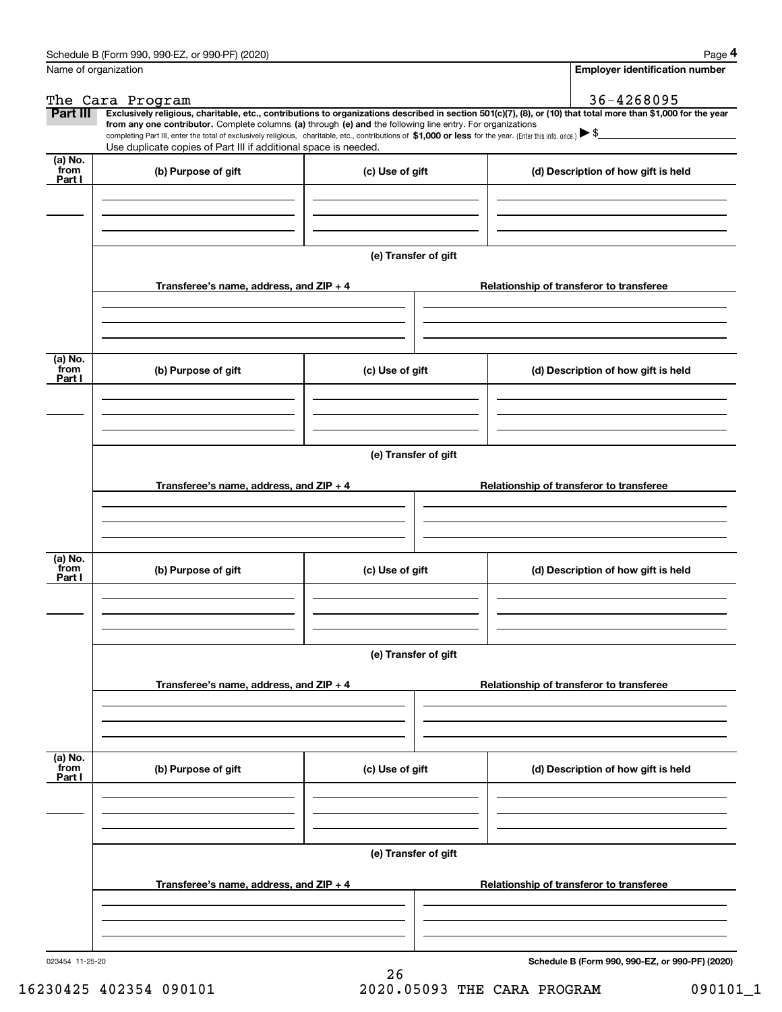|                           | Schedule B (Form 990, 990-EZ, or 990-PF) (2020)                                                                                                                                                                                                      |                      | Page 4                                                                                                                                                         |
|---------------------------|------------------------------------------------------------------------------------------------------------------------------------------------------------------------------------------------------------------------------------------------------|----------------------|----------------------------------------------------------------------------------------------------------------------------------------------------------------|
|                           | Name of organization                                                                                                                                                                                                                                 |                      | <b>Employer identification number</b>                                                                                                                          |
|                           | The Cara Program                                                                                                                                                                                                                                     |                      | 36-4268095                                                                                                                                                     |
| Part III                  | from any one contributor. Complete columns (a) through (e) and the following line entry. For organizations                                                                                                                                           |                      | Exclusively religious, charitable, etc., contributions to organizations described in section 501(c)(7), (8), or (10) that total more than \$1,000 for the year |
|                           | completing Part III, enter the total of exclusively religious, charitable, etc., contributions of \$1,000 or less for the year. (Enter this info. once.) $\blacktriangleright$ \$<br>Use duplicate copies of Part III if additional space is needed. |                      |                                                                                                                                                                |
| (a) No.<br>from           |                                                                                                                                                                                                                                                      |                      |                                                                                                                                                                |
| Part I                    | (b) Purpose of gift                                                                                                                                                                                                                                  | (c) Use of gift      | (d) Description of how gift is held                                                                                                                            |
|                           |                                                                                                                                                                                                                                                      |                      |                                                                                                                                                                |
|                           |                                                                                                                                                                                                                                                      |                      |                                                                                                                                                                |
|                           |                                                                                                                                                                                                                                                      |                      |                                                                                                                                                                |
|                           |                                                                                                                                                                                                                                                      | (e) Transfer of gift |                                                                                                                                                                |
|                           |                                                                                                                                                                                                                                                      |                      |                                                                                                                                                                |
|                           | Transferee's name, address, and ZIP + 4                                                                                                                                                                                                              |                      | Relationship of transferor to transferee                                                                                                                       |
|                           |                                                                                                                                                                                                                                                      |                      |                                                                                                                                                                |
|                           |                                                                                                                                                                                                                                                      |                      |                                                                                                                                                                |
|                           |                                                                                                                                                                                                                                                      |                      |                                                                                                                                                                |
| (a) No.                   |                                                                                                                                                                                                                                                      |                      |                                                                                                                                                                |
| from<br>Part I            | (b) Purpose of gift                                                                                                                                                                                                                                  | (c) Use of gift      | (d) Description of how gift is held                                                                                                                            |
|                           |                                                                                                                                                                                                                                                      |                      |                                                                                                                                                                |
|                           |                                                                                                                                                                                                                                                      |                      |                                                                                                                                                                |
|                           |                                                                                                                                                                                                                                                      |                      |                                                                                                                                                                |
|                           |                                                                                                                                                                                                                                                      | (e) Transfer of gift |                                                                                                                                                                |
|                           |                                                                                                                                                                                                                                                      |                      |                                                                                                                                                                |
|                           | Transferee's name, address, and ZIP + 4                                                                                                                                                                                                              |                      | Relationship of transferor to transferee                                                                                                                       |
|                           |                                                                                                                                                                                                                                                      |                      |                                                                                                                                                                |
|                           |                                                                                                                                                                                                                                                      |                      |                                                                                                                                                                |
|                           |                                                                                                                                                                                                                                                      |                      |                                                                                                                                                                |
| (a) No.<br>from           | (b) Purpose of gift                                                                                                                                                                                                                                  | (c) Use of gift      | (d) Description of how gift is held                                                                                                                            |
| Part I                    |                                                                                                                                                                                                                                                      |                      |                                                                                                                                                                |
|                           |                                                                                                                                                                                                                                                      |                      |                                                                                                                                                                |
|                           |                                                                                                                                                                                                                                                      |                      |                                                                                                                                                                |
|                           |                                                                                                                                                                                                                                                      |                      |                                                                                                                                                                |
|                           |                                                                                                                                                                                                                                                      | (e) Transfer of gift |                                                                                                                                                                |
|                           | Transferee's name, address, and ZIP + 4                                                                                                                                                                                                              |                      | Relationship of transferor to transferee                                                                                                                       |
|                           |                                                                                                                                                                                                                                                      |                      |                                                                                                                                                                |
|                           |                                                                                                                                                                                                                                                      |                      |                                                                                                                                                                |
|                           |                                                                                                                                                                                                                                                      |                      |                                                                                                                                                                |
|                           |                                                                                                                                                                                                                                                      |                      |                                                                                                                                                                |
| (a) No.<br>from<br>Part I | (b) Purpose of gift                                                                                                                                                                                                                                  | (c) Use of gift      | (d) Description of how gift is held                                                                                                                            |
|                           |                                                                                                                                                                                                                                                      |                      |                                                                                                                                                                |
|                           |                                                                                                                                                                                                                                                      |                      |                                                                                                                                                                |
|                           |                                                                                                                                                                                                                                                      |                      |                                                                                                                                                                |
|                           |                                                                                                                                                                                                                                                      |                      |                                                                                                                                                                |
|                           |                                                                                                                                                                                                                                                      | (e) Transfer of gift |                                                                                                                                                                |
|                           | Transferee's name, address, and ZIP + 4                                                                                                                                                                                                              |                      | Relationship of transferor to transferee                                                                                                                       |
|                           |                                                                                                                                                                                                                                                      |                      |                                                                                                                                                                |
|                           |                                                                                                                                                                                                                                                      |                      |                                                                                                                                                                |
|                           |                                                                                                                                                                                                                                                      |                      |                                                                                                                                                                |
|                           |                                                                                                                                                                                                                                                      |                      |                                                                                                                                                                |

**Schedule B (Form 990, 990-EZ, or 990-PF) (2020)**

16230425 402354 090101 2020.05093 THE CARA PROGRAM 090101\_1

26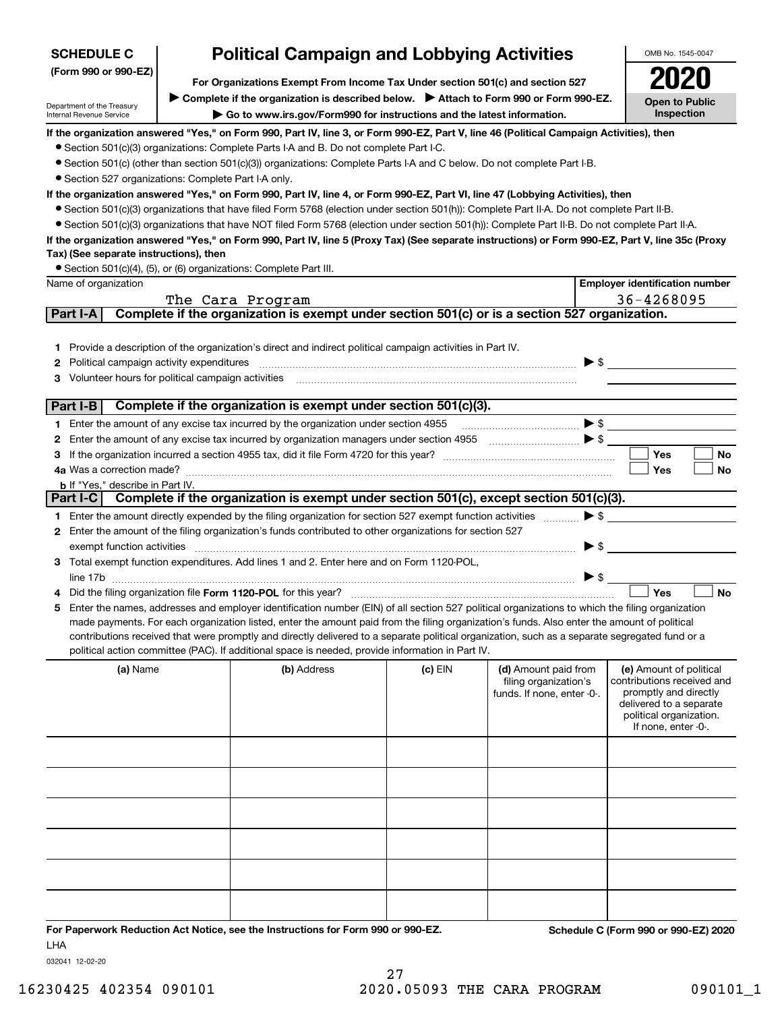| <b>Political Campaign and Lobbying Activities</b><br><b>SCHEDULE C</b> |                                                                                                                                                 |                                                                                                                                                                                                                                                    |         |                                                                                                                                                                                                                                                                                                                                                                     | OMB No. 1545-0047        |                                                       |  |  |  |
|------------------------------------------------------------------------|-------------------------------------------------------------------------------------------------------------------------------------------------|----------------------------------------------------------------------------------------------------------------------------------------------------------------------------------------------------------------------------------------------------|---------|---------------------------------------------------------------------------------------------------------------------------------------------------------------------------------------------------------------------------------------------------------------------------------------------------------------------------------------------------------------------|--------------------------|-------------------------------------------------------|--|--|--|
| (Form 990 or 990-EZ)                                                   |                                                                                                                                                 |                                                                                                                                                                                                                                                    |         |                                                                                                                                                                                                                                                                                                                                                                     |                          |                                                       |  |  |  |
|                                                                        |                                                                                                                                                 | For Organizations Exempt From Income Tax Under section 501(c) and section 527                                                                                                                                                                      |         |                                                                                                                                                                                                                                                                                                                                                                     |                          |                                                       |  |  |  |
| Department of the Treasury<br>Internal Revenue Service                 |                                                                                                                                                 | ▶ Complete if the organization is described below. ▶ Attach to Form 990 or Form 990-EZ.<br>Go to www.irs.gov/Form990 for instructions and the latest information.                                                                                  |         |                                                                                                                                                                                                                                                                                                                                                                     |                          | <b>Open to Public</b><br>Inspection                   |  |  |  |
|                                                                        |                                                                                                                                                 | If the organization answered "Yes," on Form 990, Part IV, line 3, or Form 990-EZ, Part V, line 46 (Political Campaign Activities), then                                                                                                            |         |                                                                                                                                                                                                                                                                                                                                                                     |                          |                                                       |  |  |  |
|                                                                        |                                                                                                                                                 | • Section 501(c)(3) organizations: Complete Parts I-A and B. Do not complete Part I-C.                                                                                                                                                             |         |                                                                                                                                                                                                                                                                                                                                                                     |                          |                                                       |  |  |  |
|                                                                        |                                                                                                                                                 | • Section 501(c) (other than section 501(c)(3)) organizations: Complete Parts I-A and C below. Do not complete Part I-B.                                                                                                                           |         |                                                                                                                                                                                                                                                                                                                                                                     |                          |                                                       |  |  |  |
| • Section 527 organizations: Complete Part I-A only.                   |                                                                                                                                                 |                                                                                                                                                                                                                                                    |         |                                                                                                                                                                                                                                                                                                                                                                     |                          |                                                       |  |  |  |
|                                                                        |                                                                                                                                                 | If the organization answered "Yes," on Form 990, Part IV, line 4, or Form 990-EZ, Part VI, line 47 (Lobbying Activities), then                                                                                                                     |         |                                                                                                                                                                                                                                                                                                                                                                     |                          |                                                       |  |  |  |
|                                                                        | • Section 501(c)(3) organizations that have filed Form 5768 (election under section 501(h)): Complete Part II-A. Do not complete Part II-B.     |                                                                                                                                                                                                                                                    |         |                                                                                                                                                                                                                                                                                                                                                                     |                          |                                                       |  |  |  |
|                                                                        | • Section 501(c)(3) organizations that have NOT filed Form 5768 (election under section 501(h)): Complete Part II-B. Do not complete Part II-A. |                                                                                                                                                                                                                                                    |         |                                                                                                                                                                                                                                                                                                                                                                     |                          |                                                       |  |  |  |
|                                                                        |                                                                                                                                                 | If the organization answered "Yes," on Form 990, Part IV, line 5 (Proxy Tax) (See separate instructions) or Form 990-EZ, Part V, line 35c (Proxy                                                                                                   |         |                                                                                                                                                                                                                                                                                                                                                                     |                          |                                                       |  |  |  |
| Tax) (See separate instructions), then                                 |                                                                                                                                                 |                                                                                                                                                                                                                                                    |         |                                                                                                                                                                                                                                                                                                                                                                     |                          |                                                       |  |  |  |
|                                                                        |                                                                                                                                                 | • Section 501(c)(4), (5), or (6) organizations: Complete Part III.                                                                                                                                                                                 |         |                                                                                                                                                                                                                                                                                                                                                                     |                          |                                                       |  |  |  |
| Name of organization                                                   |                                                                                                                                                 |                                                                                                                                                                                                                                                    |         |                                                                                                                                                                                                                                                                                                                                                                     |                          | <b>Employer identification number</b>                 |  |  |  |
|                                                                        |                                                                                                                                                 | The Cara Program                                                                                                                                                                                                                                   |         |                                                                                                                                                                                                                                                                                                                                                                     |                          | 36-4268095                                            |  |  |  |
| Part I-A                                                               |                                                                                                                                                 | Complete if the organization is exempt under section 501(c) or is a section 527 organization.                                                                                                                                                      |         |                                                                                                                                                                                                                                                                                                                                                                     |                          |                                                       |  |  |  |
|                                                                        |                                                                                                                                                 |                                                                                                                                                                                                                                                    |         |                                                                                                                                                                                                                                                                                                                                                                     |                          |                                                       |  |  |  |
|                                                                        |                                                                                                                                                 | 1 Provide a description of the organization's direct and indirect political campaign activities in Part IV.                                                                                                                                        |         |                                                                                                                                                                                                                                                                                                                                                                     |                          |                                                       |  |  |  |
| 2 Political campaign activity expenditures                             |                                                                                                                                                 |                                                                                                                                                                                                                                                    |         |                                                                                                                                                                                                                                                                                                                                                                     |                          | $\triangleright$ \$                                   |  |  |  |
| Volunteer hours for political campaign activities<br>З                 |                                                                                                                                                 |                                                                                                                                                                                                                                                    |         |                                                                                                                                                                                                                                                                                                                                                                     |                          |                                                       |  |  |  |
|                                                                        |                                                                                                                                                 |                                                                                                                                                                                                                                                    |         |                                                                                                                                                                                                                                                                                                                                                                     |                          |                                                       |  |  |  |
| Part I-B                                                               |                                                                                                                                                 | Complete if the organization is exempt under section 501(c)(3).                                                                                                                                                                                    |         |                                                                                                                                                                                                                                                                                                                                                                     |                          |                                                       |  |  |  |
|                                                                        |                                                                                                                                                 | 1 Enter the amount of any excise tax incurred by the organization under section 4955                                                                                                                                                               |         | $\begin{picture}(20,10) \put(0,0){\vector(1,0){100}} \put(15,0){\vector(1,0){100}} \put(15,0){\vector(1,0){100}} \put(15,0){\vector(1,0){100}} \put(15,0){\vector(1,0){100}} \put(15,0){\vector(1,0){100}} \put(15,0){\vector(1,0){100}} \put(15,0){\vector(1,0){100}} \put(15,0){\vector(1,0){100}} \put(15,0){\vector(1,0){100}} \put(15,0){\vector(1,0){100}} \$ |                          |                                                       |  |  |  |
|                                                                        |                                                                                                                                                 | 2 Enter the amount of any excise tax incurred by organization managers under section 4955                                                                                                                                                          |         |                                                                                                                                                                                                                                                                                                                                                                     |                          |                                                       |  |  |  |
| З                                                                      |                                                                                                                                                 |                                                                                                                                                                                                                                                    |         |                                                                                                                                                                                                                                                                                                                                                                     |                          | Yes<br>No                                             |  |  |  |
|                                                                        |                                                                                                                                                 |                                                                                                                                                                                                                                                    |         |                                                                                                                                                                                                                                                                                                                                                                     |                          | <b>No</b><br>Yes                                      |  |  |  |
| <b>b</b> If "Yes," describe in Part IV.                                |                                                                                                                                                 |                                                                                                                                                                                                                                                    |         |                                                                                                                                                                                                                                                                                                                                                                     |                          |                                                       |  |  |  |
|                                                                        |                                                                                                                                                 | Part I-C Complete if the organization is exempt under section 501(c), except section 501(c)(3).                                                                                                                                                    |         |                                                                                                                                                                                                                                                                                                                                                                     |                          |                                                       |  |  |  |
|                                                                        |                                                                                                                                                 | 1 Enter the amount directly expended by the filing organization for section 527 exempt function activities                                                                                                                                         |         |                                                                                                                                                                                                                                                                                                                                                                     |                          | $\blacktriangleright$ \$                              |  |  |  |
|                                                                        |                                                                                                                                                 | 2 Enter the amount of the filing organization's funds contributed to other organizations for section 527                                                                                                                                           |         |                                                                                                                                                                                                                                                                                                                                                                     |                          |                                                       |  |  |  |
| exempt function activities                                             |                                                                                                                                                 |                                                                                                                                                                                                                                                    |         |                                                                                                                                                                                                                                                                                                                                                                     | $\blacktriangleright$ \$ |                                                       |  |  |  |
|                                                                        |                                                                                                                                                 | 3 Total exempt function expenditures. Add lines 1 and 2. Enter here and on Form 1120-POL,                                                                                                                                                          |         |                                                                                                                                                                                                                                                                                                                                                                     |                          |                                                       |  |  |  |
|                                                                        |                                                                                                                                                 |                                                                                                                                                                                                                                                    |         |                                                                                                                                                                                                                                                                                                                                                                     | >                        |                                                       |  |  |  |
|                                                                        |                                                                                                                                                 |                                                                                                                                                                                                                                                    |         |                                                                                                                                                                                                                                                                                                                                                                     |                          | <b>No</b><br>Yes                                      |  |  |  |
|                                                                        |                                                                                                                                                 | 5 Enter the names, addresses and employer identification number (EIN) of all section 527 political organizations to which the filing organization                                                                                                  |         |                                                                                                                                                                                                                                                                                                                                                                     |                          |                                                       |  |  |  |
|                                                                        |                                                                                                                                                 | made payments. For each organization listed, enter the amount paid from the filing organization's funds. Also enter the amount of political                                                                                                        |         |                                                                                                                                                                                                                                                                                                                                                                     |                          |                                                       |  |  |  |
|                                                                        |                                                                                                                                                 | contributions received that were promptly and directly delivered to a separate political organization, such as a separate segregated fund or a<br>political action committee (PAC). If additional space is needed, provide information in Part IV. |         |                                                                                                                                                                                                                                                                                                                                                                     |                          |                                                       |  |  |  |
|                                                                        |                                                                                                                                                 |                                                                                                                                                                                                                                                    |         |                                                                                                                                                                                                                                                                                                                                                                     |                          |                                                       |  |  |  |
| (a) Name                                                               |                                                                                                                                                 | (b) Address                                                                                                                                                                                                                                        | (c) EIN | (d) Amount paid from<br>filing organization's                                                                                                                                                                                                                                                                                                                       |                          | (e) Amount of political<br>contributions received and |  |  |  |
|                                                                        |                                                                                                                                                 |                                                                                                                                                                                                                                                    |         | funds. If none, enter -0-.                                                                                                                                                                                                                                                                                                                                          |                          | promptly and directly                                 |  |  |  |
|                                                                        |                                                                                                                                                 |                                                                                                                                                                                                                                                    |         |                                                                                                                                                                                                                                                                                                                                                                     |                          | delivered to a separate                               |  |  |  |
|                                                                        |                                                                                                                                                 |                                                                                                                                                                                                                                                    |         |                                                                                                                                                                                                                                                                                                                                                                     |                          | political organization.<br>If none, enter -0-.        |  |  |  |
|                                                                        |                                                                                                                                                 |                                                                                                                                                                                                                                                    |         |                                                                                                                                                                                                                                                                                                                                                                     |                          |                                                       |  |  |  |
|                                                                        |                                                                                                                                                 |                                                                                                                                                                                                                                                    |         |                                                                                                                                                                                                                                                                                                                                                                     |                          |                                                       |  |  |  |
|                                                                        |                                                                                                                                                 |                                                                                                                                                                                                                                                    |         |                                                                                                                                                                                                                                                                                                                                                                     |                          |                                                       |  |  |  |
|                                                                        |                                                                                                                                                 |                                                                                                                                                                                                                                                    |         |                                                                                                                                                                                                                                                                                                                                                                     |                          |                                                       |  |  |  |
|                                                                        |                                                                                                                                                 |                                                                                                                                                                                                                                                    |         |                                                                                                                                                                                                                                                                                                                                                                     |                          |                                                       |  |  |  |

**For Paperwork Reduction Act Notice, see the Instructions for Form 990 or 990-EZ. Schedule C (Form 990 or 990-EZ) 2020** LHA

032041 12-02-20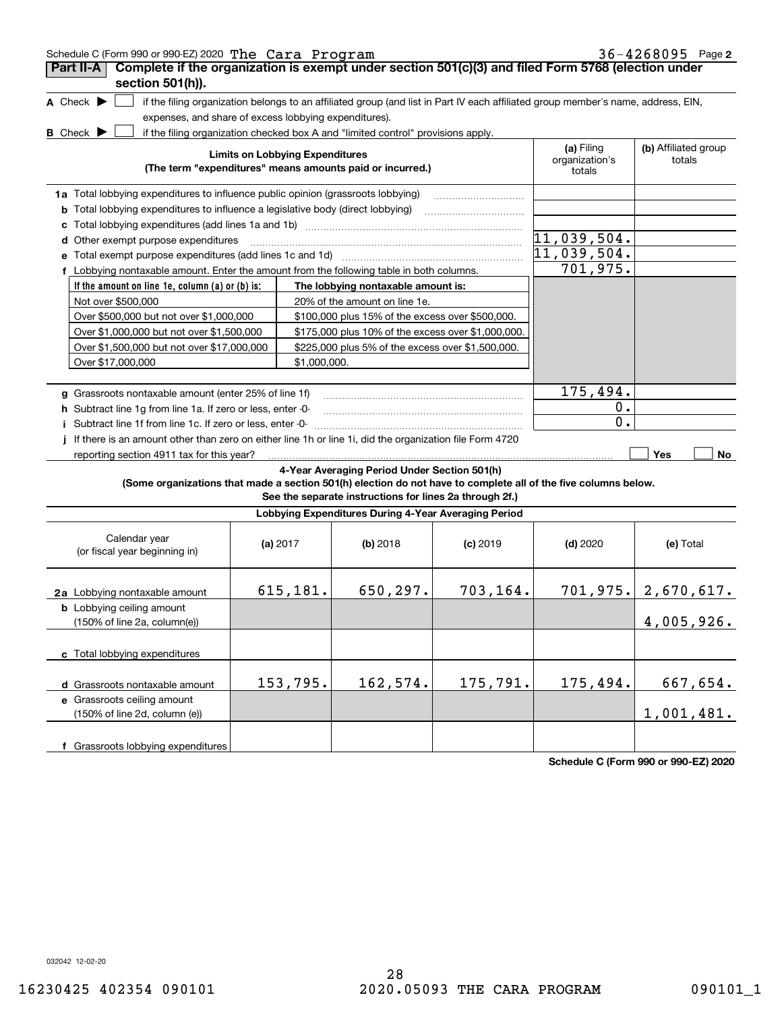| Schedule C (Form 990 or 990-EZ) 2020 The Cara Program | 36-4268095 Page 2 |
|-------------------------------------------------------|-------------------|
|-------------------------------------------------------|-------------------|

| Part II-A<br>Complete if the organization is exempt under section 501(c)(3) and filed Form 5768 (election under<br>section 501(h)).                    |                                        |                                                                                                                                                                                                                           |            |                                        |                                |
|--------------------------------------------------------------------------------------------------------------------------------------------------------|----------------------------------------|---------------------------------------------------------------------------------------------------------------------------------------------------------------------------------------------------------------------------|------------|----------------------------------------|--------------------------------|
| A Check $\blacktriangleright$                                                                                                                          |                                        | if the filing organization belongs to an affiliated group (and list in Part IV each affiliated group member's name, address, EIN,                                                                                         |            |                                        |                                |
| expenses, and share of excess lobbying expenditures).                                                                                                  |                                        |                                                                                                                                                                                                                           |            |                                        |                                |
| <b>B</b> Check $\blacktriangleright$                                                                                                                   |                                        | if the filing organization checked box A and "limited control" provisions apply.                                                                                                                                          |            |                                        |                                |
|                                                                                                                                                        | <b>Limits on Lobbying Expenditures</b> | (The term "expenditures" means amounts paid or incurred.)                                                                                                                                                                 |            | (a) Filing<br>organization's<br>totals | (b) Affiliated group<br>totals |
| 1a Total lobbying expenditures to influence public opinion (grassroots lobbying)                                                                       |                                        |                                                                                                                                                                                                                           |            |                                        |                                |
| <b>b</b> Total lobbying expenditures to influence a legislative body (direct lobbying)                                                                 |                                        |                                                                                                                                                                                                                           |            |                                        |                                |
|                                                                                                                                                        |                                        |                                                                                                                                                                                                                           |            |                                        |                                |
| <b>d</b> Other exempt purpose expenditures                                                                                                             |                                        |                                                                                                                                                                                                                           |            | 11,039,504.                            |                                |
| e Total exempt purpose expenditures (add lines 1c and 1d)                                                                                              |                                        |                                                                                                                                                                                                                           |            | 11,039,504.                            |                                |
| f Lobbying nontaxable amount. Enter the amount from the following table in both columns.                                                               |                                        |                                                                                                                                                                                                                           |            | 701,975.                               |                                |
| If the amount on line 1e, column (a) or (b) is:                                                                                                        |                                        | The lobbying nontaxable amount is:                                                                                                                                                                                        |            |                                        |                                |
| Not over \$500,000                                                                                                                                     |                                        | 20% of the amount on line 1e.                                                                                                                                                                                             |            |                                        |                                |
| Over \$500,000 but not over \$1,000,000<br>\$100,000 plus 15% of the excess over \$500,000.                                                            |                                        |                                                                                                                                                                                                                           |            |                                        |                                |
| Over \$1,000,000 but not over \$1,500,000<br>\$175,000 plus 10% of the excess over \$1,000,000.                                                        |                                        |                                                                                                                                                                                                                           |            |                                        |                                |
| Over \$1,500,000 but not over \$17,000,000                                                                                                             |                                        | \$225,000 plus 5% of the excess over \$1,500,000.                                                                                                                                                                         |            |                                        |                                |
| Over \$17,000,000                                                                                                                                      |                                        | \$1,000,000.                                                                                                                                                                                                              |            |                                        |                                |
|                                                                                                                                                        |                                        |                                                                                                                                                                                                                           |            |                                        |                                |
| g Grassroots nontaxable amount (enter 25% of line 1f)                                                                                                  |                                        |                                                                                                                                                                                                                           |            | 175,494.                               |                                |
| h Subtract line 1g from line 1a. If zero or less, enter -0-                                                                                            |                                        |                                                                                                                                                                                                                           |            | 0.                                     |                                |
| Subtract line 1f from line 1c. If zero or less, enter -0-                                                                                              |                                        |                                                                                                                                                                                                                           |            | $\mathbf{0}$ .                         |                                |
| i If there is an amount other than zero on either line 1h or line 1i, did the organization file Form 4720<br>reporting section 4911 tax for this year? |                                        |                                                                                                                                                                                                                           |            |                                        | No<br>Yes                      |
|                                                                                                                                                        |                                        | 4-Year Averaging Period Under Section 501(h)<br>(Some organizations that made a section 501(h) election do not have to complete all of the five columns below.<br>See the separate instructions for lines 2a through 2f.) |            |                                        |                                |
|                                                                                                                                                        |                                        | Lobbying Expenditures During 4-Year Averaging Period                                                                                                                                                                      |            |                                        |                                |
| Calendar year<br>(or fiscal year beginning in)                                                                                                         | (a) $2017$                             | $(b)$ 2018                                                                                                                                                                                                                | $(c)$ 2019 | $(d)$ 2020                             | (e) Total                      |
| 2a Lobbying nontaxable amount                                                                                                                          | 615,181.                               | 650,297.                                                                                                                                                                                                                  | 703,164.   | 701, 975.                              | 2,670,617.                     |
| <b>b</b> Lobbying ceiling amount<br>$(150\% \text{ of line } 2a, \text{ column}(e))$                                                                   |                                        |                                                                                                                                                                                                                           |            |                                        | 4,005,926.                     |
| c Total lobbying expenditures                                                                                                                          |                                        |                                                                                                                                                                                                                           |            |                                        |                                |
| d Grassroots nontaxable amount                                                                                                                         | 153,795.                               | 162,574.                                                                                                                                                                                                                  | 175,791.   | 175, 494.                              | 667,654.                       |
| e Grassroots ceiling amount<br>(150% of line 2d, column (e))                                                                                           |                                        |                                                                                                                                                                                                                           |            |                                        | 1,001,481.                     |

**Schedule C (Form 990 or 990-EZ) 2020**

032042 12-02-20

**f** Grassroots lobbying expenditures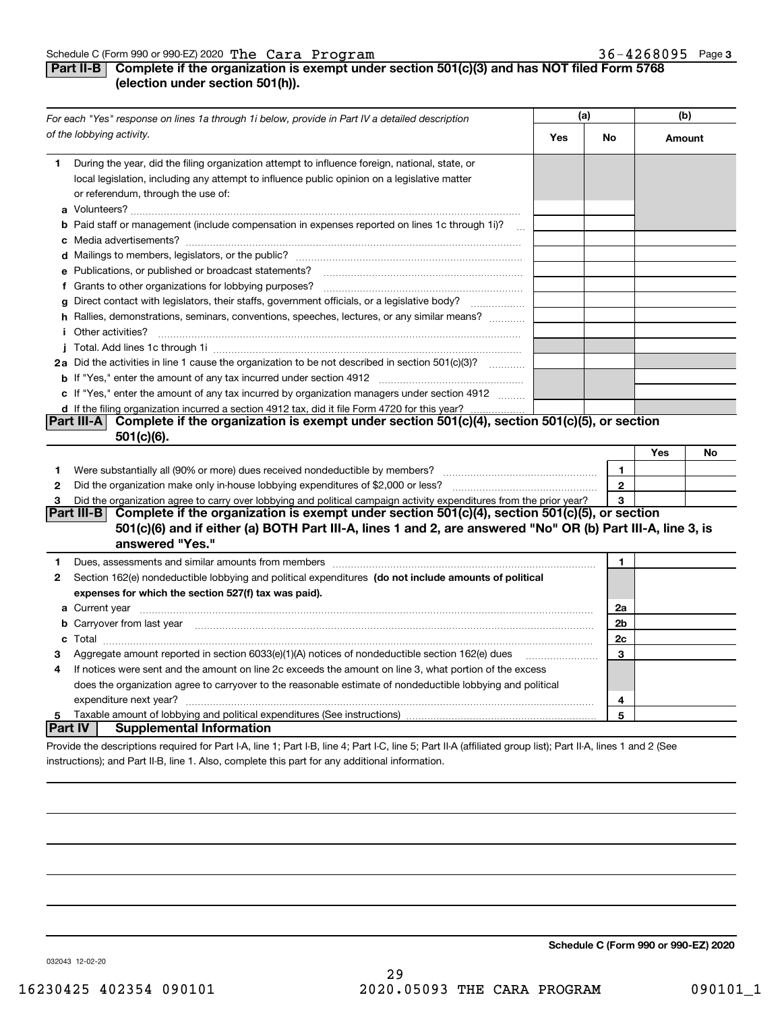## **Part II-B** Complete if the organization is exempt under section 501(c)(3) and has NOT filed Form 5768 **(election under section 501(h)).**

| For each "Yes" response on lines 1a through 1i below, provide in Part IV a detailed description |                                                                                                                                                                                                                                           | (a) |                      | (b)    |    |
|-------------------------------------------------------------------------------------------------|-------------------------------------------------------------------------------------------------------------------------------------------------------------------------------------------------------------------------------------------|-----|----------------------|--------|----|
|                                                                                                 | of the lobbying activity.                                                                                                                                                                                                                 | Yes | No                   | Amount |    |
| 1.                                                                                              | During the year, did the filing organization attempt to influence foreign, national, state, or<br>local legislation, including any attempt to influence public opinion on a legislative matter<br>or referendum, through the use of:      |     |                      |        |    |
|                                                                                                 | <b>b</b> Paid staff or management (include compensation in expenses reported on lines 1c through 1i)?<br>$\sim$                                                                                                                           |     |                      |        |    |
|                                                                                                 |                                                                                                                                                                                                                                           |     |                      |        |    |
|                                                                                                 | e Publications, or published or broadcast statements?                                                                                                                                                                                     |     |                      |        |    |
|                                                                                                 |                                                                                                                                                                                                                                           |     |                      |        |    |
|                                                                                                 | g Direct contact with legislators, their staffs, government officials, or a legislative body?                                                                                                                                             |     |                      |        |    |
|                                                                                                 | h Rallies, demonstrations, seminars, conventions, speeches, lectures, or any similar means?                                                                                                                                               |     |                      |        |    |
|                                                                                                 | <i>i</i> Other activities?                                                                                                                                                                                                                |     |                      |        |    |
|                                                                                                 | 2a Did the activities in line 1 cause the organization to be not described in section 501(c)(3)?                                                                                                                                          |     |                      |        |    |
|                                                                                                 |                                                                                                                                                                                                                                           |     |                      |        |    |
|                                                                                                 | c If "Yes," enter the amount of any tax incurred by organization managers under section 4912                                                                                                                                              |     |                      |        |    |
|                                                                                                 | d If the filing organization incurred a section 4912 tax, did it file Form 4720 for this year?                                                                                                                                            |     |                      |        |    |
|                                                                                                 | Complete if the organization is exempt under section $501(c)(4)$ , section $501(c)(5)$ , or section<br>Part III-A                                                                                                                         |     |                      |        |    |
|                                                                                                 | 501(c)(6).                                                                                                                                                                                                                                |     |                      |        |    |
|                                                                                                 |                                                                                                                                                                                                                                           |     |                      | Yes    | No |
| 1                                                                                               | Were substantially all (90% or more) dues received nondeductible by members?                                                                                                                                                              |     | $\mathbf{1}$         |        |    |
| 2                                                                                               |                                                                                                                                                                                                                                           |     | $\overline{2}$       |        |    |
| 3                                                                                               | Did the organization agree to carry over lobbying and political campaign activity expenditures from the prior year?                                                                                                                       |     | 3                    |        |    |
|                                                                                                 | Part III-B Complete if the organization is exempt under section $501(c)(4)$ , section $501(c)(5)$ , or section                                                                                                                            |     |                      |        |    |
|                                                                                                 | 501(c)(6) and if either (a) BOTH Part III-A, lines 1 and 2, are answered "No" OR (b) Part III-A, line 3, is                                                                                                                               |     |                      |        |    |
|                                                                                                 | answered "Yes."                                                                                                                                                                                                                           |     |                      |        |    |
| 1                                                                                               | Dues, assessments and similar amounts from members [11] matter continuum matter assessments and similar amounts from members [11] matter continuum matter assessments and similar amounts from members [11] matter and the sta            |     | $\mathbf{1}$         |        |    |
| 2                                                                                               | Section 162(e) nondeductible lobbying and political expenditures (do not include amounts of political                                                                                                                                     |     |                      |        |    |
|                                                                                                 | expenses for which the section 527(f) tax was paid).                                                                                                                                                                                      |     |                      |        |    |
|                                                                                                 | <b>a</b> Current year <u>maail is a communicate of the contract of the contract of the contract of the contract of the contract of the contract of the contract of the contract of the contract of the contract of the contract of th</u> |     | 2a                   |        |    |
|                                                                                                 | <b>b</b> Carryover from last year manufactured contained and contained and contained and contained and contained and contained and contained and contained and contained and contained and contained and contained and contained an       |     | 2 <sub>b</sub><br>2c |        |    |
| з                                                                                               | Aggregate amount reported in section 6033(e)(1)(A) notices of nondeductible section 162(e) dues                                                                                                                                           |     | 3                    |        |    |
| 4                                                                                               | If notices were sent and the amount on line 2c exceeds the amount on line 3, what portion of the excess                                                                                                                                   |     |                      |        |    |
|                                                                                                 | does the organization agree to carryover to the reasonable estimate of nondeductible lobbying and political                                                                                                                               |     |                      |        |    |
|                                                                                                 | expenditure next year?                                                                                                                                                                                                                    |     | 4                    |        |    |
| 5                                                                                               |                                                                                                                                                                                                                                           |     | 5                    |        |    |
|                                                                                                 | Supplemental Information<br>∣Part IV ∣                                                                                                                                                                                                    |     |                      |        |    |
|                                                                                                 | Provide the descriptions required for Part I-A, line 1; Part I-B, line 4; Part I-C, line 5; Part II-A (affiliated group list); Part II-A, lines 1 and 2 (See                                                                              |     |                      |        |    |

instructions); and Part II-B, line 1. Also, complete this part for any additional information.

**Schedule C (Form 990 or 990-EZ) 2020**

032043 12-02-20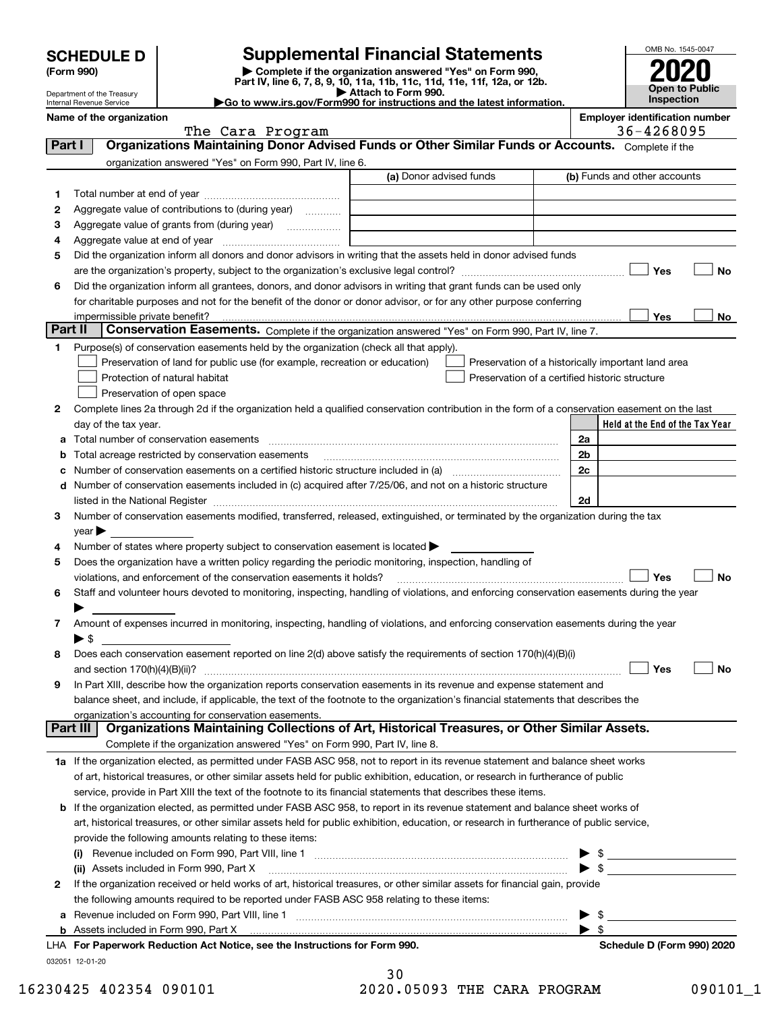| <b>SCHEDULE D</b> |  |
|-------------------|--|
|-------------------|--|

# **Supplemental Financial Statements**

**(Form 990)** (**Form 990,**<br>Part IV, line 6, 7, 8, 9, 10, 11a, 11b, 11c, 11d, 11e, 11f, 12a, or 12b.<br>Department of the Treasury **and Exercise Connect Connect Connect Connect Connect Connect Connect Connect Connect** 



Department of the Treasury Internal Revenue Service

| Department of the Treasury<br>Internal Revenue Service | ► Αιιανπ ιν Γνππ σσν.<br>Go to www.irs.gov/Form990 for instructions and the latest information. | <b>Inspection</b>                     |
|--------------------------------------------------------|-------------------------------------------------------------------------------------------------|---------------------------------------|
| Name of the organization                               |                                                                                                 | <b>Emplover identification number</b> |

|          | The Cara Program                                                                                                                               |                         | 36-4268095                                         |
|----------|------------------------------------------------------------------------------------------------------------------------------------------------|-------------------------|----------------------------------------------------|
| Part I   | Organizations Maintaining Donor Advised Funds or Other Similar Funds or Accounts. Complete if the                                              |                         |                                                    |
|          | organization answered "Yes" on Form 990, Part IV, line 6.                                                                                      |                         |                                                    |
|          |                                                                                                                                                | (a) Donor advised funds | (b) Funds and other accounts                       |
| 1        |                                                                                                                                                |                         |                                                    |
| 2        | Aggregate value of contributions to (during year)                                                                                              |                         |                                                    |
| з        |                                                                                                                                                |                         |                                                    |
| 4        |                                                                                                                                                |                         |                                                    |
| 5        | Did the organization inform all donors and donor advisors in writing that the assets held in donor advised funds                               |                         |                                                    |
|          |                                                                                                                                                |                         | Yes<br>No                                          |
| 6        | Did the organization inform all grantees, donors, and donor advisors in writing that grant funds can be used only                              |                         |                                                    |
|          | for charitable purposes and not for the benefit of the donor or donor advisor, or for any other purpose conferring                             |                         |                                                    |
|          | impermissible private benefit?                                                                                                                 |                         | Yes<br>No                                          |
| Part II  | Conservation Easements. Complete if the organization answered "Yes" on Form 990, Part IV, line 7.                                              |                         |                                                    |
| 1        | Purpose(s) of conservation easements held by the organization (check all that apply).                                                          |                         |                                                    |
|          | Preservation of land for public use (for example, recreation or education)                                                                     |                         | Preservation of a historically important land area |
|          | Protection of natural habitat                                                                                                                  |                         | Preservation of a certified historic structure     |
|          | Preservation of open space                                                                                                                     |                         |                                                    |
| 2        | Complete lines 2a through 2d if the organization held a qualified conservation contribution in the form of a conservation easement on the last |                         |                                                    |
|          | day of the tax year.                                                                                                                           |                         | Held at the End of the Tax Year                    |
| а        | Total number of conservation easements                                                                                                         |                         | 2a                                                 |
| b        | Total acreage restricted by conservation easements                                                                                             |                         | 2 <sub>b</sub>                                     |
| с        | Number of conservation easements on a certified historic structure included in (a) manufacture included in (a)                                 |                         | 2c                                                 |
| d        | Number of conservation easements included in (c) acquired after 7/25/06, and not on a historic structure                                       |                         |                                                    |
|          |                                                                                                                                                |                         | 2d                                                 |
| 3        | Number of conservation easements modified, transferred, released, extinguished, or terminated by the organization during the tax               |                         |                                                    |
|          | year                                                                                                                                           |                         |                                                    |
| 4        | Number of states where property subject to conservation easement is located >                                                                  |                         |                                                    |
| 5        | Does the organization have a written policy regarding the periodic monitoring, inspection, handling of                                         |                         |                                                    |
|          | violations, and enforcement of the conservation easements it holds?                                                                            |                         | Yes<br>No                                          |
| 6        | Staff and volunteer hours devoted to monitoring, inspecting, handling of violations, and enforcing conservation easements during the year      |                         |                                                    |
|          |                                                                                                                                                |                         |                                                    |
| 7        | Amount of expenses incurred in monitoring, inspecting, handling of violations, and enforcing conservation easements during the year            |                         |                                                    |
|          | ► \$                                                                                                                                           |                         |                                                    |
| 8        | Does each conservation easement reported on line 2(d) above satisfy the requirements of section 170(h)(4)(B)(i)                                |                         |                                                    |
|          | and section 170(h)(4)(B)(ii)?                                                                                                                  |                         | Yes<br>No                                          |
| 9        | In Part XIII, describe how the organization reports conservation easements in its revenue and expense statement and                            |                         |                                                    |
|          | balance sheet, and include, if applicable, the text of the footnote to the organization's financial statements that describes the              |                         |                                                    |
|          | organization's accounting for conservation easements.                                                                                          |                         |                                                    |
| Part III | Organizations Maintaining Collections of Art, Historical Treasures, or Other Similar Assets.                                                   |                         |                                                    |
|          | Complete if the organization answered "Yes" on Form 990, Part IV, line 8.                                                                      |                         |                                                    |
|          | 1a If the organization elected, as permitted under FASB ASC 958, not to report in its revenue statement and balance sheet works                |                         |                                                    |
|          | of art, historical treasures, or other similar assets held for public exhibition, education, or research in furtherance of public              |                         |                                                    |
|          | service, provide in Part XIII the text of the footnote to its financial statements that describes these items.                                 |                         |                                                    |
|          | b If the organization elected, as permitted under FASB ASC 958, to report in its revenue statement and balance sheet works of                  |                         |                                                    |
|          | art, historical treasures, or other similar assets held for public exhibition, education, or research in furtherance of public service,        |                         |                                                    |
|          | provide the following amounts relating to these items:                                                                                         |                         |                                                    |
|          |                                                                                                                                                |                         |                                                    |
|          | (ii) Assets included in Form 990, Part X                                                                                                       |                         | $\triangleright$ \$                                |
| 2        | If the organization received or held works of art, historical treasures, or other similar assets for financial gain, provide                   |                         |                                                    |
|          | the following amounts required to be reported under FASB ASC 958 relating to these items:                                                      |                         |                                                    |
| а        | Revenue included on Form 990, Part VIII, line 1 [2000] [2000] [2000] [2000] [3000] [3000] [3000] [3000] [3000                                  |                         | \$                                                 |
|          |                                                                                                                                                |                         | -\$                                                |
|          | LHA For Paperwork Reduction Act Notice, see the Instructions for Form 990.                                                                     |                         | Schedule D (Form 990) 2020                         |
|          | 032051 12-01-20                                                                                                                                |                         |                                                    |
|          |                                                                                                                                                | 30                      |                                                    |

16230425 402354 090101 2020.05093 THE CARA PROGRAM 090101\_1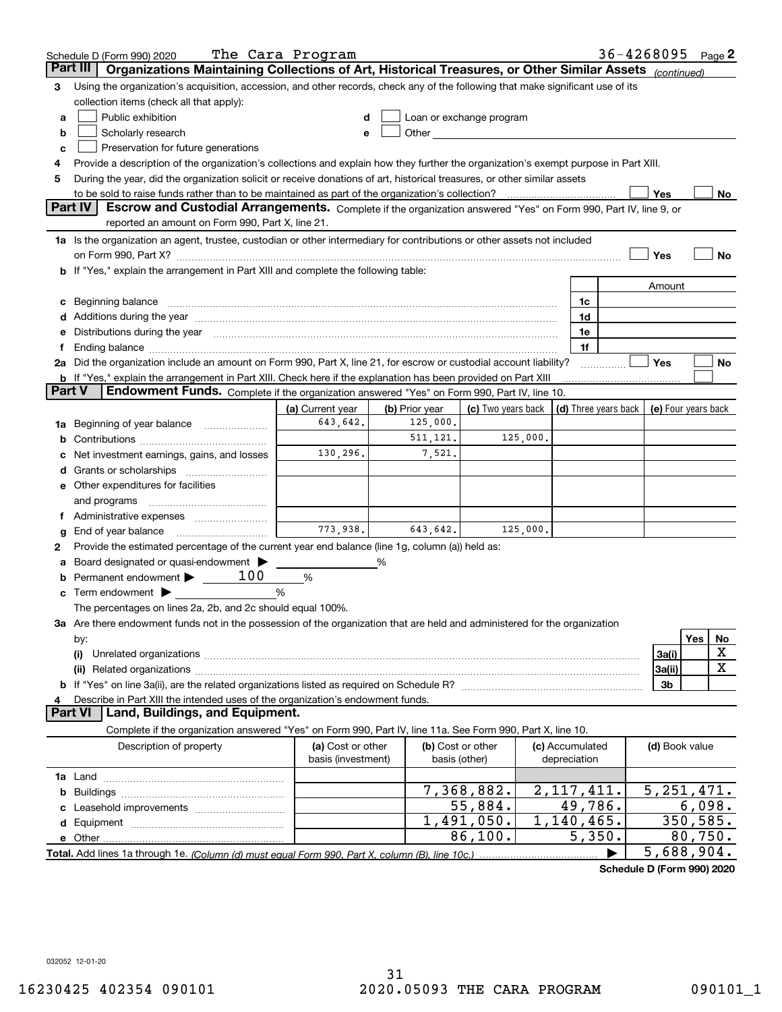|        | Schedule D (Form 990) 2020                                                                                                                                                                                                     | The Cara Program                        |                |                                                                                                                                                                                                                                 |                                 |   |                | $36 - 4268095$ Page 2 |
|--------|--------------------------------------------------------------------------------------------------------------------------------------------------------------------------------------------------------------------------------|-----------------------------------------|----------------|---------------------------------------------------------------------------------------------------------------------------------------------------------------------------------------------------------------------------------|---------------------------------|---|----------------|-----------------------|
|        | Organizations Maintaining Collections of Art, Historical Treasures, or Other Similar Assets (continued)<br>Part III                                                                                                            |                                         |                |                                                                                                                                                                                                                                 |                                 |   |                |                       |
| 3      | Using the organization's acquisition, accession, and other records, check any of the following that make significant use of its                                                                                                |                                         |                |                                                                                                                                                                                                                                 |                                 |   |                |                       |
|        | collection items (check all that apply):                                                                                                                                                                                       |                                         |                |                                                                                                                                                                                                                                 |                                 |   |                |                       |
| a      | Public exhibition                                                                                                                                                                                                              |                                         |                | Loan or exchange program                                                                                                                                                                                                        |                                 |   |                |                       |
| b      | Scholarly research                                                                                                                                                                                                             |                                         |                | Other and the contract of the contract of the contract of the contract of the contract of the contract of the contract of the contract of the contract of the contract of the contract of the contract of the contract of the c |                                 |   |                |                       |
| с      | Preservation for future generations                                                                                                                                                                                            |                                         |                |                                                                                                                                                                                                                                 |                                 |   |                |                       |
| 4      | Provide a description of the organization's collections and explain how they further the organization's exempt purpose in Part XIII.                                                                                           |                                         |                |                                                                                                                                                                                                                                 |                                 |   |                |                       |
| 5      | During the year, did the organization solicit or receive donations of art, historical treasures, or other similar assets                                                                                                       |                                         |                |                                                                                                                                                                                                                                 |                                 |   |                |                       |
|        | to be sold to raise funds rather than to be maintained as part of the organization's collection?                                                                                                                               |                                         |                |                                                                                                                                                                                                                                 |                                 |   | Yes            | No                    |
|        | Escrow and Custodial Arrangements. Complete if the organization answered "Yes" on Form 990, Part IV, line 9, or<br>Part IV                                                                                                     |                                         |                |                                                                                                                                                                                                                                 |                                 |   |                |                       |
|        | reported an amount on Form 990, Part X, line 21.                                                                                                                                                                               |                                         |                |                                                                                                                                                                                                                                 |                                 |   |                |                       |
|        | 1a Is the organization an agent, trustee, custodian or other intermediary for contributions or other assets not included                                                                                                       |                                         |                |                                                                                                                                                                                                                                 |                                 |   |                |                       |
|        | on Form 990, Part X? [11] matter and the contract of the contract of the contract of the contract of the contract of the contract of the contract of the contract of the contract of the contract of the contract of the contr |                                         |                |                                                                                                                                                                                                                                 |                                 |   | Yes            | No                    |
|        | <b>b</b> If "Yes," explain the arrangement in Part XIII and complete the following table:                                                                                                                                      |                                         |                |                                                                                                                                                                                                                                 |                                 |   |                |                       |
|        |                                                                                                                                                                                                                                |                                         |                |                                                                                                                                                                                                                                 |                                 |   | Amount         |                       |
| c      | Beginning balance <u>www.maren.communication.communication.communication.communication.com</u>                                                                                                                                 |                                         |                |                                                                                                                                                                                                                                 | 1c                              |   |                |                       |
|        |                                                                                                                                                                                                                                |                                         |                |                                                                                                                                                                                                                                 | 1d                              |   |                |                       |
|        | e Distributions during the year manufactured and continuum and contract the year manufactured and contract the                                                                                                                 |                                         |                |                                                                                                                                                                                                                                 | 1e<br>1f                        |   |                |                       |
|        | 2a Did the organization include an amount on Form 990, Part X, line 21, for escrow or custodial account liability?                                                                                                             |                                         |                |                                                                                                                                                                                                                                 |                                 |   | Yes            | No                    |
|        | <b>b</b> If "Yes," explain the arrangement in Part XIII. Check here if the explanation has been provided on Part XIII                                                                                                          |                                         |                |                                                                                                                                                                                                                                 |                                 | . |                |                       |
| Part V | Endowment Funds. Complete if the organization answered "Yes" on Form 990, Part IV, line 10.                                                                                                                                    |                                         |                |                                                                                                                                                                                                                                 |                                 |   |                |                       |
|        |                                                                                                                                                                                                                                | (a) Current year                        | (b) Prior year | (c) Two years back $\vert$ (d) Three years back $\vert$ (e) Four years back                                                                                                                                                     |                                 |   |                |                       |
|        | 1a Beginning of year balance                                                                                                                                                                                                   | 643,642.                                | 125,000.       |                                                                                                                                                                                                                                 |                                 |   |                |                       |
| b      |                                                                                                                                                                                                                                |                                         | 511, 121.      | 125,000.                                                                                                                                                                                                                        |                                 |   |                |                       |
|        | Net investment earnings, gains, and losses                                                                                                                                                                                     | 130,296.                                | 7,521.         |                                                                                                                                                                                                                                 |                                 |   |                |                       |
|        |                                                                                                                                                                                                                                |                                         |                |                                                                                                                                                                                                                                 |                                 |   |                |                       |
|        | e Other expenditures for facilities                                                                                                                                                                                            |                                         |                |                                                                                                                                                                                                                                 |                                 |   |                |                       |
|        | and programs                                                                                                                                                                                                                   |                                         |                |                                                                                                                                                                                                                                 |                                 |   |                |                       |
|        |                                                                                                                                                                                                                                |                                         |                |                                                                                                                                                                                                                                 |                                 |   |                |                       |
| g      | End of year balance                                                                                                                                                                                                            | 773,938.                                | 643,642.       | 125,000.                                                                                                                                                                                                                        |                                 |   |                |                       |
| 2      | Provide the estimated percentage of the current year end balance (line 1g, column (a)) held as:                                                                                                                                |                                         |                |                                                                                                                                                                                                                                 |                                 |   |                |                       |
|        | Board designated or quasi-endowment                                                                                                                                                                                            |                                         | %              |                                                                                                                                                                                                                                 |                                 |   |                |                       |
| b      | Permanent endowment $\blacktriangleright$ _____ 100                                                                                                                                                                            | %                                       |                |                                                                                                                                                                                                                                 |                                 |   |                |                       |
|        | <b>c</b> Term endowment $\blacktriangleright$                                                                                                                                                                                  | %                                       |                |                                                                                                                                                                                                                                 |                                 |   |                |                       |
|        | The percentages on lines 2a, 2b, and 2c should equal 100%.                                                                                                                                                                     |                                         |                |                                                                                                                                                                                                                                 |                                 |   |                |                       |
|        | 3a Are there endowment funds not in the possession of the organization that are held and administered for the organization                                                                                                     |                                         |                |                                                                                                                                                                                                                                 |                                 |   |                |                       |
|        | by:                                                                                                                                                                                                                            |                                         |                |                                                                                                                                                                                                                                 |                                 |   |                | Yes<br>No             |
|        | (i)                                                                                                                                                                                                                            |                                         |                |                                                                                                                                                                                                                                 |                                 |   | 3a(i)          | X                     |
|        |                                                                                                                                                                                                                                |                                         |                |                                                                                                                                                                                                                                 |                                 |   | 3a(ii)         | х                     |
|        |                                                                                                                                                                                                                                |                                         |                |                                                                                                                                                                                                                                 |                                 |   | 3b             |                       |
|        | Describe in Part XIII the intended uses of the organization's endowment funds.                                                                                                                                                 |                                         |                |                                                                                                                                                                                                                                 |                                 |   |                |                       |
|        | Land, Buildings, and Equipment.<br><b>Part VI</b>                                                                                                                                                                              |                                         |                |                                                                                                                                                                                                                                 |                                 |   |                |                       |
|        | Complete if the organization answered "Yes" on Form 990, Part IV, line 11a. See Form 990, Part X, line 10.                                                                                                                     |                                         |                |                                                                                                                                                                                                                                 |                                 |   |                |                       |
|        | Description of property                                                                                                                                                                                                        | (a) Cost or other<br>basis (investment) |                | (b) Cost or other<br>basis (other)                                                                                                                                                                                              | (c) Accumulated<br>depreciation |   | (d) Book value |                       |
|        |                                                                                                                                                                                                                                |                                         |                |                                                                                                                                                                                                                                 |                                 |   |                |                       |
| b      |                                                                                                                                                                                                                                |                                         |                | 7,368,882.                                                                                                                                                                                                                      | 2, 117, 411.                    |   |                | 5, 251, 471.          |
|        |                                                                                                                                                                                                                                |                                         |                | 55,884.                                                                                                                                                                                                                         | 49,786.                         |   |                | 6,098.                |
|        |                                                                                                                                                                                                                                |                                         |                | 1,491,050.                                                                                                                                                                                                                      | 1,140,465.                      |   |                | 350,585.              |
|        |                                                                                                                                                                                                                                |                                         |                | 86,100.                                                                                                                                                                                                                         | 5,350.                          |   |                | 80,750.               |
|        |                                                                                                                                                                                                                                |                                         |                |                                                                                                                                                                                                                                 |                                 |   |                | 5,688,904.            |

**Schedule D (Form 990) 2020**

032052 12-01-20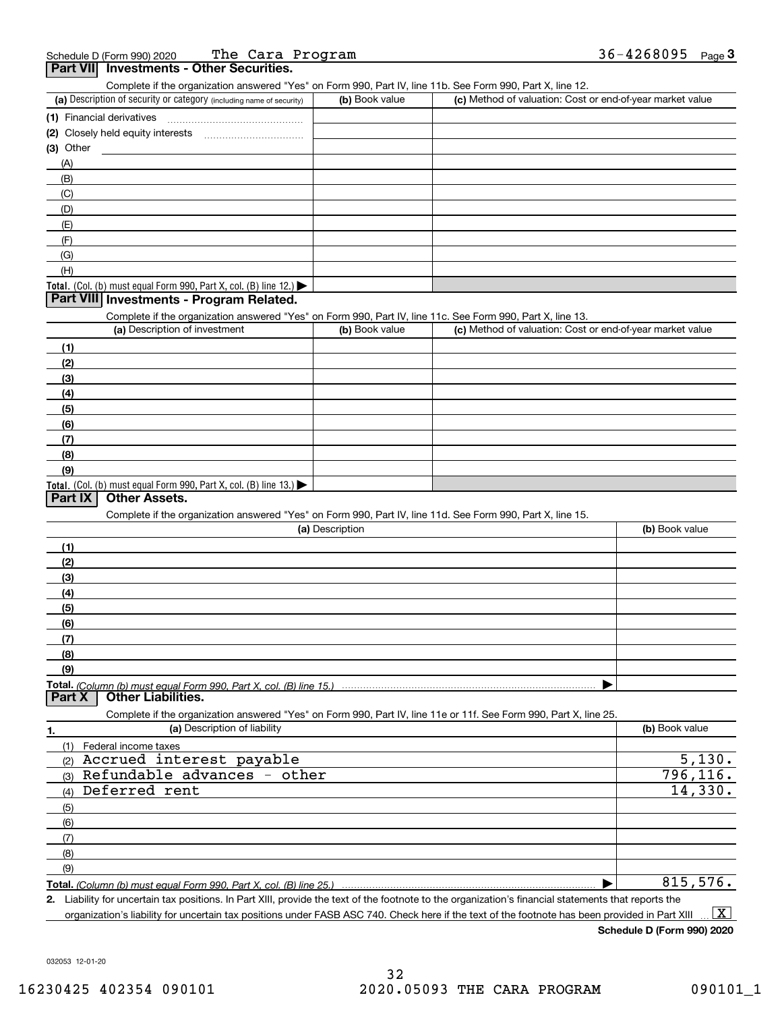| <b>Dart VII</b> Investments - Other Securities |                  |                |      |
|------------------------------------------------|------------------|----------------|------|
| Schedule D (Form 990) 2020                     | The Cara Program | $36 - 4268095$ | Page |

| .                         | Complete if the organization answered "Yes" on Form 990, Part IV, line 11b. See Form 990, Part X, line 12.        |                 |                                                           |                |
|---------------------------|-------------------------------------------------------------------------------------------------------------------|-----------------|-----------------------------------------------------------|----------------|
|                           | (a) Description of security or category (including name of security)                                              | (b) Book value  | (c) Method of valuation: Cost or end-of-year market value |                |
| (1) Financial derivatives |                                                                                                                   |                 |                                                           |                |
|                           |                                                                                                                   |                 |                                                           |                |
| (3) Other                 |                                                                                                                   |                 |                                                           |                |
| (A)                       |                                                                                                                   |                 |                                                           |                |
| (B)                       |                                                                                                                   |                 |                                                           |                |
| (C)                       |                                                                                                                   |                 |                                                           |                |
| (D)                       |                                                                                                                   |                 |                                                           |                |
| (E)                       |                                                                                                                   |                 |                                                           |                |
| (F)                       |                                                                                                                   |                 |                                                           |                |
| (G)                       |                                                                                                                   |                 |                                                           |                |
| (H)                       |                                                                                                                   |                 |                                                           |                |
|                           | Total. (Col. (b) must equal Form 990, Part X, col. (B) line 12.)                                                  |                 |                                                           |                |
|                           | Part VIII Investments - Program Related.                                                                          |                 |                                                           |                |
|                           | Complete if the organization answered "Yes" on Form 990, Part IV, line 11c. See Form 990, Part X, line 13.        |                 |                                                           |                |
|                           | (a) Description of investment                                                                                     | (b) Book value  | (c) Method of valuation: Cost or end-of-year market value |                |
| (1)                       |                                                                                                                   |                 |                                                           |                |
| (2)                       |                                                                                                                   |                 |                                                           |                |
| (3)                       |                                                                                                                   |                 |                                                           |                |
| (4)                       |                                                                                                                   |                 |                                                           |                |
| (5)                       |                                                                                                                   |                 |                                                           |                |
| (6)                       |                                                                                                                   |                 |                                                           |                |
| (7)                       |                                                                                                                   |                 |                                                           |                |
| (8)                       |                                                                                                                   |                 |                                                           |                |
| (9)                       |                                                                                                                   |                 |                                                           |                |
|                           | Total. (Col. (b) must equal Form 990, Part X, col. (B) line 13.)                                                  |                 |                                                           |                |
| <b>Part IX</b>            | Other Assets.                                                                                                     |                 |                                                           |                |
|                           | Complete if the organization answered "Yes" on Form 990, Part IV, line 11d. See Form 990, Part X, line 15.        |                 |                                                           |                |
|                           |                                                                                                                   | (a) Description |                                                           | (b) Book value |
| (1)                       |                                                                                                                   |                 |                                                           |                |
| (2)                       |                                                                                                                   |                 |                                                           |                |
| (3)                       |                                                                                                                   |                 |                                                           |                |
| (4)                       |                                                                                                                   |                 |                                                           |                |
| (5)                       |                                                                                                                   |                 |                                                           |                |
| (6)                       |                                                                                                                   |                 |                                                           |                |
| (7)                       |                                                                                                                   |                 |                                                           |                |
| (8)                       |                                                                                                                   |                 |                                                           |                |
| (9)                       |                                                                                                                   |                 |                                                           |                |
|                           | Total. (Column (b) must equal Form 990. Part X, col. (B) line 15.)                                                |                 |                                                           |                |
| <b>Part X</b>             | <b>Other Liabilities.</b>                                                                                         |                 |                                                           |                |
|                           | Complete if the organization answered "Yes" on Form 990, Part IV, line 11e or 11f. See Form 990, Part X, line 25. |                 |                                                           |                |
| 1.                        | (a) Description of liability                                                                                      |                 |                                                           | (b) Book value |
|                           | (1) Federal income taxes                                                                                          |                 |                                                           |                |
| (2)                       | Accrued interest payable                                                                                          |                 |                                                           | 5,130.         |
| (3)                       | Refundable advances - other                                                                                       |                 |                                                           | 796, 116.      |
| (4)                       | Deferred rent                                                                                                     |                 |                                                           | 14,330.        |
| (5)                       |                                                                                                                   |                 |                                                           |                |
| (6)                       |                                                                                                                   |                 |                                                           |                |
| (7)                       |                                                                                                                   |                 |                                                           |                |
| (8)                       |                                                                                                                   |                 |                                                           |                |
| (9)                       |                                                                                                                   |                 |                                                           |                |
|                           |                                                                                                                   |                 |                                                           | 815,576.       |
|                           | Total. (Column (b) must equal Form 990, Part X, col. (B) line 25.)                                                |                 |                                                           |                |

**2.** Liability for uncertain tax positions. In Part XIII, provide the text of the footnote to the organization's financial statements that reports the organization's liability for uncertain tax positions under FASB ASC 740. Check here if the text of the footnote has been provided in Part XIII  $\boxed{\text{X}}$ 

**Schedule D (Form 990) 2020**

032053 12-01-20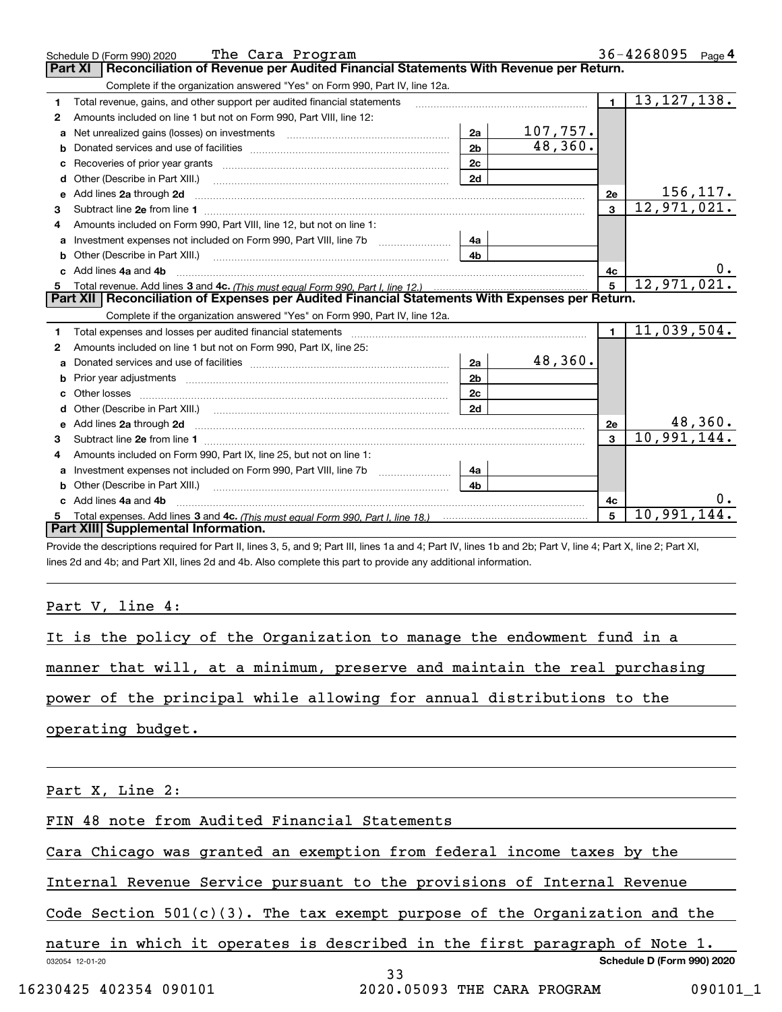|              | The Cara Program<br>Schedule D (Form 990) 2020                                                                                                                                                                                      |                |          |                | 36-4268095 Page 4        |           |
|--------------|-------------------------------------------------------------------------------------------------------------------------------------------------------------------------------------------------------------------------------------|----------------|----------|----------------|--------------------------|-----------|
|              | Reconciliation of Revenue per Audited Financial Statements With Revenue per Return.<br>Part XI                                                                                                                                      |                |          |                |                          |           |
|              | Complete if the organization answered "Yes" on Form 990, Part IV, line 12a.                                                                                                                                                         |                |          |                |                          |           |
| 1            | Total revenue, gains, and other support per audited financial statements                                                                                                                                                            |                |          | $\blacksquare$ | 13, 127, 138.            |           |
| $\mathbf{2}$ | Amounts included on line 1 but not on Form 990, Part VIII, line 12:                                                                                                                                                                 |                |          |                |                          |           |
|              | Net unrealized gains (losses) on investments [11] matter contracts and the unrealized gains (losses) on investments                                                                                                                 | 2a             | 107,757. |                |                          |           |
| b            | Donated services and use of facilities <b>Example 20</b> Figures 1                                                                                                                                                                  | 2 <sub>b</sub> | 48,360.  |                |                          |           |
| c            |                                                                                                                                                                                                                                     | 2c             |          |                |                          |           |
| d            | Other (Describe in Part XIII.)                                                                                                                                                                                                      | 2d             |          |                |                          |           |
| е            | Add lines 2a through 2d                                                                                                                                                                                                             |                |          | 2e             |                          | 156,117.  |
| 3            |                                                                                                                                                                                                                                     |                |          | $\mathbf{3}$   | $\overline{12,971,021.}$ |           |
|              | Amounts included on Form 990, Part VIII, line 12, but not on line 1:                                                                                                                                                                |                |          |                |                          |           |
| a            | Investment expenses not included on Form 990, Part VIII, line 7b                                                                                                                                                                    | 4a             |          |                |                          |           |
| b            | Other (Describe in Part XIII.) [100] [100] [100] [100] [100] [100] [100] [100] [100] [100] [100] [100] [100] [                                                                                                                      | 4 <sub>b</sub> |          |                |                          |           |
|              | Add lines 4a and 4b                                                                                                                                                                                                                 |                |          | 4c             |                          | $0 \cdot$ |
| 5            |                                                                                                                                                                                                                                     |                |          | 5              | 12,971,021.              |           |
|              | Part XII   Reconciliation of Expenses per Audited Financial Statements With Expenses per Return.                                                                                                                                    |                |          |                |                          |           |
|              | Complete if the organization answered "Yes" on Form 990, Part IV, line 12a.                                                                                                                                                         |                |          |                |                          |           |
| 1            | Total expenses and losses per audited financial statements [11] [12] manuscription control expenses and losses per audited financial statements [12] [12] manuscription of the statements [12] manuscription of the statements      |                |          | $\mathbf{1}$   | 11,039,504.              |           |
| 2            | Amounts included on line 1 but not on Form 990, Part IX, line 25:                                                                                                                                                                   |                |          |                |                          |           |
| a            |                                                                                                                                                                                                                                     | 2a             | 48,360.  |                |                          |           |
|              |                                                                                                                                                                                                                                     | 2 <sub>b</sub> |          |                |                          |           |
| c            |                                                                                                                                                                                                                                     | 2c             |          |                |                          |           |
|              |                                                                                                                                                                                                                                     | 2d             |          |                |                          |           |
|              | Add lines 2a through 2d <b>contained a contained a contained a contained a</b> contained a contact the state of the state of the state of the state of the state of the state of the state of the state of the state of the state o |                |          | 2e             |                          | 48,360.   |
| 3            |                                                                                                                                                                                                                                     |                |          | $\mathbf{a}$   | 10,991,144.              |           |
| 4            | Amounts included on Form 990, Part IX, line 25, but not on line 1:                                                                                                                                                                  |                |          |                |                          |           |
|              | Investment expenses not included on Form 990, Part VIII, line 7b [1000000000000000000000000000000000                                                                                                                                | 4a             |          |                |                          |           |
| b            | Other (Describe in Part XIII.) <b>Construction Contract Construction</b> Chemistry Chemistry Chemistry Chemistry Chemistry                                                                                                          | 4 <sub>h</sub> |          |                |                          |           |
|              | Add lines 4a and 4b                                                                                                                                                                                                                 |                |          | 4c             |                          |           |
|              |                                                                                                                                                                                                                                     |                |          | 5              | 10,991,144.              |           |
|              | Part XIII Supplemental Information.                                                                                                                                                                                                 |                |          |                |                          |           |

Provide the descriptions required for Part II, lines 3, 5, and 9; Part III, lines 1a and 4; Part IV, lines 1b and 2b; Part V, line 4; Part X, line 2; Part XI, lines 2d and 4b; and Part XII, lines 2d and 4b. Also complete this part to provide any additional information.

Part V, line 4:

| It is the policy of the Organization to manage the endowment fund in a    |  |  |  |  |  |  |  |  |
|---------------------------------------------------------------------------|--|--|--|--|--|--|--|--|
| manner that will, at a minimum, preserve and maintain the real purchasing |  |  |  |  |  |  |  |  |
| power of the principal while allowing for annual distributions to the     |  |  |  |  |  |  |  |  |
| operating budget.                                                         |  |  |  |  |  |  |  |  |
| Part X, Line 2:                                                           |  |  |  |  |  |  |  |  |
| FIN 48 note from Audited Financial Statements                             |  |  |  |  |  |  |  |  |

Cara Chicago was granted an exemption from federal income taxes by the

Internal Revenue Service pursuant to the provisions of Internal Revenue

Code Section  $501(c)(3)$ . The tax exempt purpose of the Organization and the

032054 12-01-20 **Schedule D (Form 990) 2020** nature in which it operates is described in the first paragraph of Note 1.

16230425 402354 090101 2020.05093 THE CARA PROGRAM 090101\_1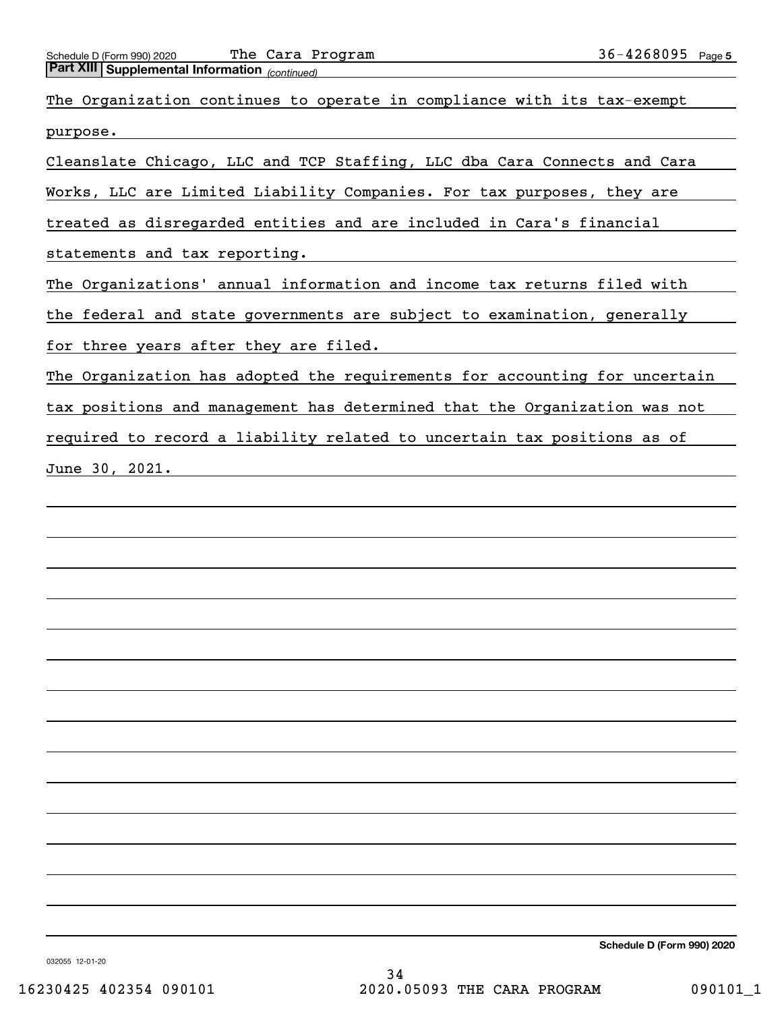| <b>Part XIII Supplemental Information</b> (continued)                      |
|----------------------------------------------------------------------------|
| The Organization continues to operate in compliance with its tax-exempt    |
| purpose.                                                                   |
| Cleanslate Chicago, LLC and TCP Staffing, LLC dba Cara Connects and Cara   |
| Works, LLC are Limited Liability Companies. For tax purposes, they are     |
| treated as disregarded entities and are included in Cara's financial       |
| statements and tax reporting.                                              |
| The Organizations' annual information and income tax returns filed with    |
| the federal and state governments are subject to examination, generally    |
| for three years after they are filed.                                      |
| The Organization has adopted the requirements for accounting for uncertain |
| tax positions and management has determined that the Organization was not  |
| required to record a liability related to uncertain tax positions as of    |
| June 30, 2021.                                                             |
|                                                                            |

**Schedule D (Form 990) 2020**

032055 12-01-20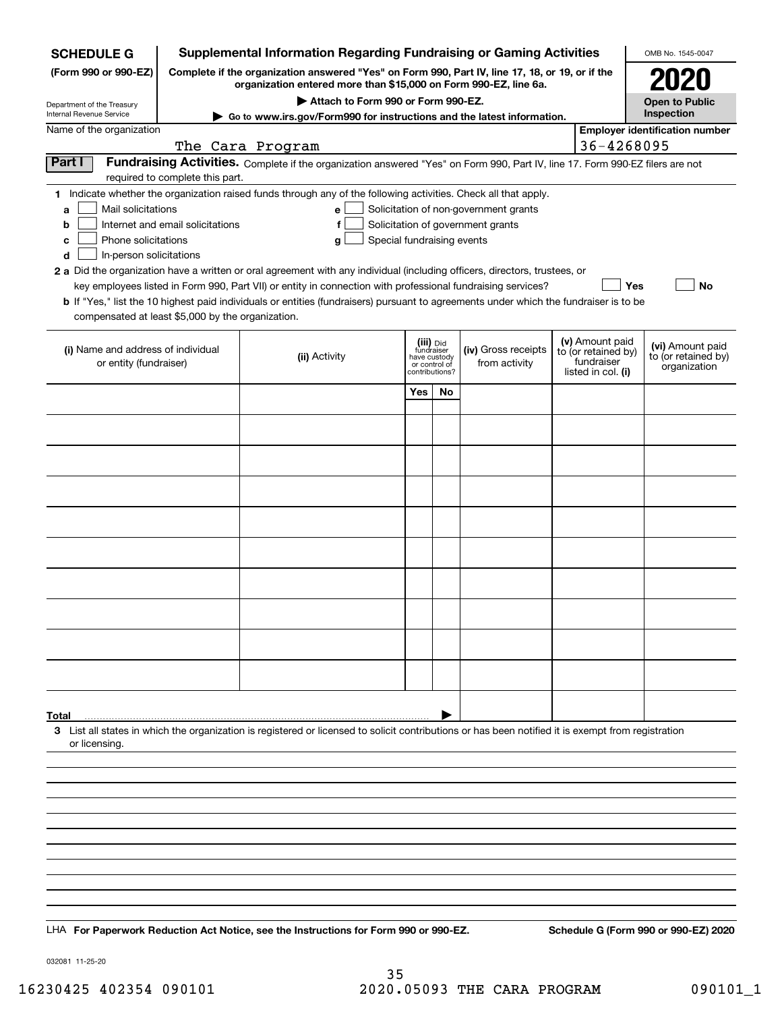| <b>SCHEDULE G</b>                                                                                                                                                          | <b>Supplemental Information Regarding Fundraising or Gaming Activities</b>                                                                                          |                                                                                                                                                                                                                                                                                                                                                                                                                                                                                                                                                           |                                                                            |    |                                                                            |  |                                                                            |                                                         |  |  |  |
|----------------------------------------------------------------------------------------------------------------------------------------------------------------------------|---------------------------------------------------------------------------------------------------------------------------------------------------------------------|-----------------------------------------------------------------------------------------------------------------------------------------------------------------------------------------------------------------------------------------------------------------------------------------------------------------------------------------------------------------------------------------------------------------------------------------------------------------------------------------------------------------------------------------------------------|----------------------------------------------------------------------------|----|----------------------------------------------------------------------------|--|----------------------------------------------------------------------------|---------------------------------------------------------|--|--|--|
| (Form 990 or 990-EZ)                                                                                                                                                       | Complete if the organization answered "Yes" on Form 990, Part IV, line 17, 18, or 19, or if the<br>organization entered more than \$15,000 on Form 990-EZ, line 6a. |                                                                                                                                                                                                                                                                                                                                                                                                                                                                                                                                                           |                                                                            |    |                                                                            |  |                                                                            |                                                         |  |  |  |
| Department of the Treasury                                                                                                                                                 | Attach to Form 990 or Form 990-EZ.<br><b>Open to Public</b>                                                                                                         |                                                                                                                                                                                                                                                                                                                                                                                                                                                                                                                                                           |                                                                            |    |                                                                            |  |                                                                            |                                                         |  |  |  |
| Internal Revenue Service                                                                                                                                                   | Inspection<br>Go to www.irs.gov/Form990 for instructions and the latest information.                                                                                |                                                                                                                                                                                                                                                                                                                                                                                                                                                                                                                                                           |                                                                            |    |                                                                            |  |                                                                            |                                                         |  |  |  |
| Name of the organization                                                                                                                                                   |                                                                                                                                                                     | The Cara Program                                                                                                                                                                                                                                                                                                                                                                                                                                                                                                                                          |                                                                            |    |                                                                            |  | 36-4268095                                                                 | <b>Employer identification number</b>                   |  |  |  |
| Fundraising Activities. Complete if the organization answered "Yes" on Form 990, Part IV, line 17. Form 990-EZ filers are not<br>Part I<br>required to complete this part. |                                                                                                                                                                     |                                                                                                                                                                                                                                                                                                                                                                                                                                                                                                                                                           |                                                                            |    |                                                                            |  |                                                                            |                                                         |  |  |  |
| Mail solicitations<br>a<br>b<br>Phone solicitations<br>с<br>In-person solicitations<br>d<br>compensated at least \$5,000 by the organization.                              | Internet and email solicitations                                                                                                                                    | 1 Indicate whether the organization raised funds through any of the following activities. Check all that apply.<br>е<br>f<br>Special fundraising events<br>g<br>2 a Did the organization have a written or oral agreement with any individual (including officers, directors, trustees, or<br>key employees listed in Form 990, Part VII) or entity in connection with professional fundraising services?<br><b>b</b> If "Yes," list the 10 highest paid individuals or entities (fundraisers) pursuant to agreements under which the fundraiser is to be |                                                                            |    | Solicitation of non-government grants<br>Solicitation of government grants |  | Yes                                                                        | No                                                      |  |  |  |
| (i) Name and address of individual<br>or entity (fundraiser)                                                                                                               |                                                                                                                                                                     | (ii) Activity                                                                                                                                                                                                                                                                                                                                                                                                                                                                                                                                             | (iii) Did<br>fundraiser<br>have custody<br>or control of<br>contributions? |    | (iv) Gross receipts<br>from activity                                       |  | (v) Amount paid<br>to (or retained by)<br>fundraiser<br>listed in col. (i) | (vi) Amount paid<br>to (or retained by)<br>organization |  |  |  |
|                                                                                                                                                                            |                                                                                                                                                                     |                                                                                                                                                                                                                                                                                                                                                                                                                                                                                                                                                           | Yes                                                                        | No |                                                                            |  |                                                                            |                                                         |  |  |  |
|                                                                                                                                                                            |                                                                                                                                                                     |                                                                                                                                                                                                                                                                                                                                                                                                                                                                                                                                                           |                                                                            |    |                                                                            |  |                                                                            |                                                         |  |  |  |
|                                                                                                                                                                            |                                                                                                                                                                     |                                                                                                                                                                                                                                                                                                                                                                                                                                                                                                                                                           |                                                                            |    |                                                                            |  |                                                                            |                                                         |  |  |  |
|                                                                                                                                                                            |                                                                                                                                                                     |                                                                                                                                                                                                                                                                                                                                                                                                                                                                                                                                                           |                                                                            |    |                                                                            |  |                                                                            |                                                         |  |  |  |
|                                                                                                                                                                            |                                                                                                                                                                     |                                                                                                                                                                                                                                                                                                                                                                                                                                                                                                                                                           |                                                                            |    |                                                                            |  |                                                                            |                                                         |  |  |  |
|                                                                                                                                                                            |                                                                                                                                                                     |                                                                                                                                                                                                                                                                                                                                                                                                                                                                                                                                                           |                                                                            |    |                                                                            |  |                                                                            |                                                         |  |  |  |
|                                                                                                                                                                            |                                                                                                                                                                     |                                                                                                                                                                                                                                                                                                                                                                                                                                                                                                                                                           |                                                                            |    |                                                                            |  |                                                                            |                                                         |  |  |  |
|                                                                                                                                                                            |                                                                                                                                                                     |                                                                                                                                                                                                                                                                                                                                                                                                                                                                                                                                                           |                                                                            |    |                                                                            |  |                                                                            |                                                         |  |  |  |
|                                                                                                                                                                            |                                                                                                                                                                     |                                                                                                                                                                                                                                                                                                                                                                                                                                                                                                                                                           |                                                                            |    |                                                                            |  |                                                                            |                                                         |  |  |  |
|                                                                                                                                                                            |                                                                                                                                                                     |                                                                                                                                                                                                                                                                                                                                                                                                                                                                                                                                                           |                                                                            |    |                                                                            |  |                                                                            |                                                         |  |  |  |
|                                                                                                                                                                            |                                                                                                                                                                     |                                                                                                                                                                                                                                                                                                                                                                                                                                                                                                                                                           |                                                                            |    |                                                                            |  |                                                                            |                                                         |  |  |  |
|                                                                                                                                                                            |                                                                                                                                                                     |                                                                                                                                                                                                                                                                                                                                                                                                                                                                                                                                                           |                                                                            |    |                                                                            |  |                                                                            |                                                         |  |  |  |
| Total<br>or licensing.                                                                                                                                                     |                                                                                                                                                                     | 3 List all states in which the organization is registered or licensed to solicit contributions or has been notified it is exempt from registration                                                                                                                                                                                                                                                                                                                                                                                                        |                                                                            |    |                                                                            |  |                                                                            |                                                         |  |  |  |
|                                                                                                                                                                            |                                                                                                                                                                     |                                                                                                                                                                                                                                                                                                                                                                                                                                                                                                                                                           |                                                                            |    |                                                                            |  |                                                                            |                                                         |  |  |  |
|                                                                                                                                                                            |                                                                                                                                                                     |                                                                                                                                                                                                                                                                                                                                                                                                                                                                                                                                                           |                                                                            |    |                                                                            |  |                                                                            |                                                         |  |  |  |
|                                                                                                                                                                            |                                                                                                                                                                     |                                                                                                                                                                                                                                                                                                                                                                                                                                                                                                                                                           |                                                                            |    |                                                                            |  |                                                                            |                                                         |  |  |  |
|                                                                                                                                                                            |                                                                                                                                                                     |                                                                                                                                                                                                                                                                                                                                                                                                                                                                                                                                                           |                                                                            |    |                                                                            |  |                                                                            |                                                         |  |  |  |
|                                                                                                                                                                            |                                                                                                                                                                     |                                                                                                                                                                                                                                                                                                                                                                                                                                                                                                                                                           |                                                                            |    |                                                                            |  |                                                                            |                                                         |  |  |  |
|                                                                                                                                                                            |                                                                                                                                                                     |                                                                                                                                                                                                                                                                                                                                                                                                                                                                                                                                                           |                                                                            |    |                                                                            |  |                                                                            |                                                         |  |  |  |
|                                                                                                                                                                            |                                                                                                                                                                     | LHA For Paperwork Reduction Act Notice, see the Instructions for Form 990 or 990-EZ.                                                                                                                                                                                                                                                                                                                                                                                                                                                                      |                                                                            |    |                                                                            |  |                                                                            | Schedule G (Form 990 or 990-EZ) 2020                    |  |  |  |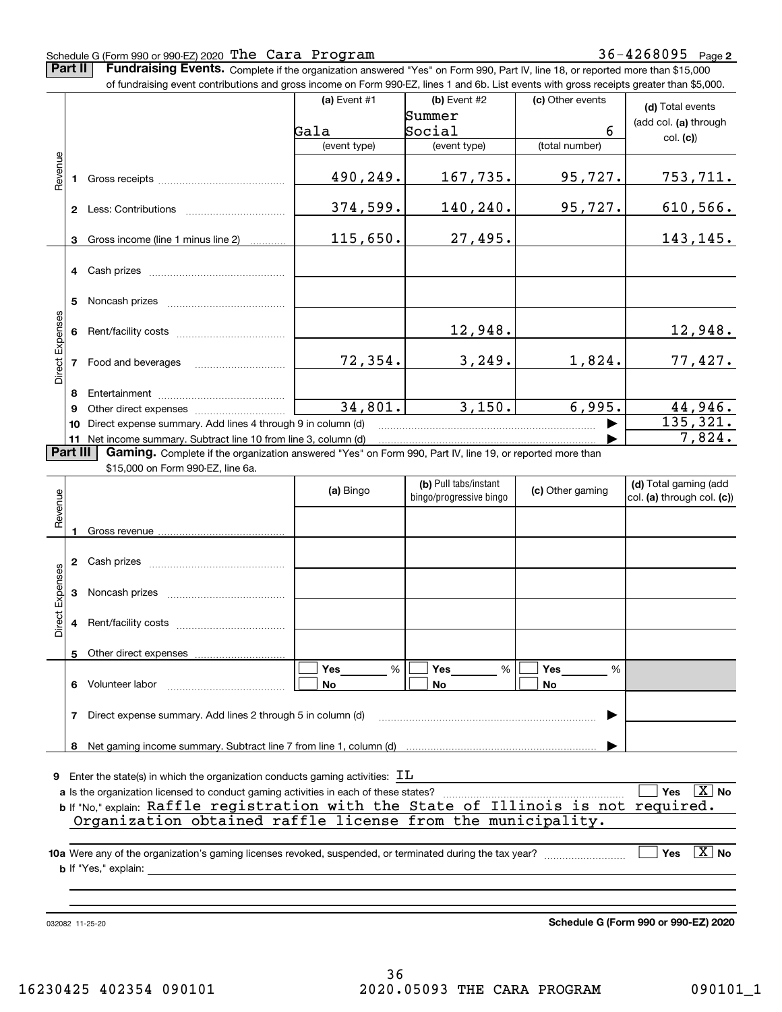36-4268095 Page 2 Schedule G (Form 990 or 990-EZ) 2020 Page The Cara Program 36-4268095 **Part II** | Fundraising Events. Complete if the organization answered "Yes" on Form 990, Part IV, line 18, or reported more than \$15,000 of fundraising event contributions and gross income on Form 990-EZ, lines 1 and 6b. List events with gross receipts greater than \$5,000. **(a)** Event  $#1$  **(b)** Event  $#2$ (c) Other events **(d)**  Total events Summer (add col. **(a)** through Gala Social 6 col. **(c)**) (event type) (event type) (total number) Revenue Revenue 490,249. 167,735. 95,727. 753,711. Gross receipts **1**374,599. 140,240. 95,727. 610,566. **2** Less: Contributions ................................ 115,650. 27,495. Gross income (line 1 minus line 2) 143,145. **3**. . . . . . . . . . . . **4** Cash prizes <sub>………………………………………</sub> **5** Noncash prizes \_\_\_\_\_\_\_\_\_\_\_\_\_\_\_\_\_\_\_\_\_\_\_\_\_\_\_\_ Direct Expenses Direct Expenses 12,948. 12,948. **6**Rent/facility costs ~~~~~~~~~~~~72,354. 3,249. 1,824. 77,427. **7**Food and beverages **8**Entertainment ~~~~~~~~~~~~~~34,801. 3,150. 6,995. 44,946. Other direct expenses ~~~~~~~~~~ **9**135,321.  $\blacktriangleright$ **10** Direct expense summary. Add lines 4 through 9 in column (d) 7,824. …… ▶ **11** Net income summary. Subtract line 10 from line 3, column (d)  $\sqrt{P}$ art III **Part III | Gaming.** Complete if the organization answered "Yes" on Form 990, Part IV, line 19, or reported more than \$15,000 on Form 990-EZ, line 6a. **(b)**  Pull tabs/instant **(d)**  Total gaming (add **(a)**  Bingo  $\left| \right|$  bings (pregressive bings  $\left| \right|$  (c) Other gaming **(c)**  Revenue bingo/progressive bingo col. **(a)** through col. **(c)**) **(a) (c)** Gross revenue **1**Cash prizes **23**Noncash prizes

| Revenue         |    |                                                                                             | (a) Bingo      | (D) Full taps/illstafft<br>bingo/progressive bingo | (c) Other gaming | <b>(d)</b> Total garring (auu<br>$ col. (a)$ through col. $(c)$ |
|-----------------|----|---------------------------------------------------------------------------------------------|----------------|----------------------------------------------------|------------------|-----------------------------------------------------------------|
|                 |    | Gross revenue                                                                               |                |                                                    |                  |                                                                 |
|                 |    | Cash prizes                                                                                 |                |                                                    |                  |                                                                 |
| Direct Expenses | 3  | Noncash prizes                                                                              |                |                                                    |                  |                                                                 |
|                 | 4  | Rent/facility costs                                                                         |                |                                                    |                  |                                                                 |
|                 | 5. | Other direct expenses                                                                       |                |                                                    |                  |                                                                 |
|                 | 6  | Volunteer labor                                                                             | %<br>Yes<br>No | <b>Yes</b><br>%<br>No                              | Yes<br>%<br>No   |                                                                 |
|                 | 7  | Direct expense summary. Add lines 2 through 5 in column (d)                                 |                |                                                    |                  |                                                                 |
|                 | 8  |                                                                                             |                |                                                    |                  |                                                                 |
| 9               |    | Enter the state(s) in which the organization conducts gaming activities: $\text{I}\text{L}$ |                |                                                    |                  |                                                                 |

|                                                                                      | $\sim$ . The endropy in miner and engagements from across spanning accurate $\sim$ |  |  |  |  |  |  |  |                                                                                     |                        |  |  |
|--------------------------------------------------------------------------------------|------------------------------------------------------------------------------------|--|--|--|--|--|--|--|-------------------------------------------------------------------------------------|------------------------|--|--|
| a Is the organization licensed to conduct gaming activities in each of these states? |                                                                                    |  |  |  |  |  |  |  |                                                                                     | $\Box$ Yes $\Box X$ No |  |  |
|                                                                                      |                                                                                    |  |  |  |  |  |  |  | b If "No," explain: Raffle registration with the State of Illinois is not required. |                        |  |  |
|                                                                                      |                                                                                    |  |  |  |  |  |  |  | Organization obtained raffle license from the municipality.                         |                        |  |  |
|                                                                                      |                                                                                    |  |  |  |  |  |  |  |                                                                                     |                        |  |  |

| 10a Were any of the organization's gaming licenses revoked, suspended, or terminated during the tax year? | $\boxed{\phantom{1}}$ Yes $\boxed{\phantom{1}}$ No |
|-----------------------------------------------------------------------------------------------------------|----------------------------------------------------|
| <b>b</b> If "Yes," explain:                                                                               |                                                    |

032082 11-25-20

**Schedule G (Form 990 or 990-EZ) 2020**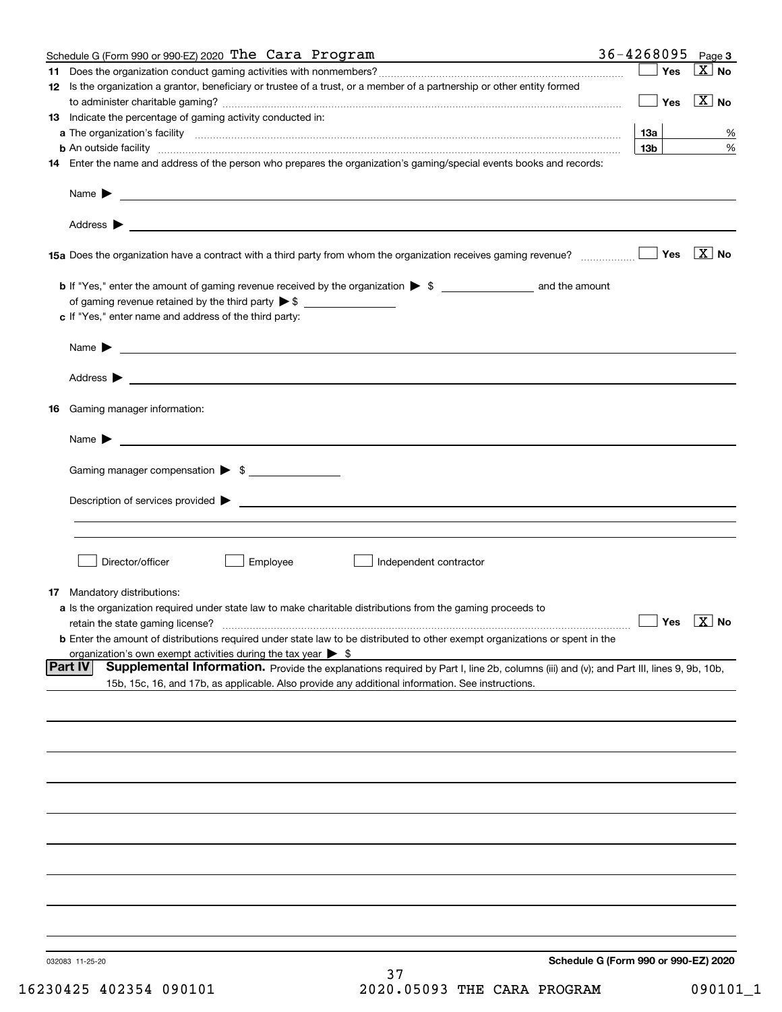|    | Schedule G (Form 990 or 990-EZ) 2020 The Cara Program                                                                                                                   | 36-4268095                           | Page 3                           |
|----|-------------------------------------------------------------------------------------------------------------------------------------------------------------------------|--------------------------------------|----------------------------------|
| 11 |                                                                                                                                                                         | Yes                                  | ∣X∣no                            |
|    | 12 Is the organization a grantor, beneficiary or trustee of a trust, or a member of a partnership or other entity formed                                                | Yes                                  | $\boxed{\text{X}}$ No            |
|    | 13 Indicate the percentage of gaming activity conducted in:                                                                                                             |                                      |                                  |
|    |                                                                                                                                                                         | 13а                                  | %                                |
|    | <b>b</b> An outside facility <i>www.communicality www.communicality.communicality www.communicality www.communicality.communicality</i>                                 | 13 <sub>b</sub>                      | %                                |
|    | 14 Enter the name and address of the person who prepares the organization's gaming/special events books and records:                                                    |                                      |                                  |
|    | Name $\blacktriangleright$ $\bot$                                                                                                                                       |                                      |                                  |
|    |                                                                                                                                                                         |                                      |                                  |
|    |                                                                                                                                                                         | Yes                                  | $\overline{\mathbf{X}}$ No       |
|    |                                                                                                                                                                         |                                      |                                  |
|    |                                                                                                                                                                         |                                      |                                  |
|    | c If "Yes," enter name and address of the third party:                                                                                                                  |                                      |                                  |
|    | <u> 1989 - Johann Barbara, marka a shekara ta 1989 - An tsaran tsara tsara tsara tsara tsara tsara tsara tsara t</u><br>Name $\blacktriangleright$                      |                                      |                                  |
|    |                                                                                                                                                                         |                                      |                                  |
|    |                                                                                                                                                                         |                                      |                                  |
| 16 | Gaming manager information:                                                                                                                                             |                                      |                                  |
|    | $Name \rightarrow$                                                                                                                                                      |                                      |                                  |
|    | Gaming manager compensation > \$                                                                                                                                        |                                      |                                  |
|    |                                                                                                                                                                         |                                      |                                  |
|    |                                                                                                                                                                         |                                      |                                  |
|    |                                                                                                                                                                         |                                      |                                  |
|    | Director/officer<br>Employee<br>Independent contractor                                                                                                                  |                                      |                                  |
|    |                                                                                                                                                                         |                                      |                                  |
|    | 17 Mandatory distributions:                                                                                                                                             |                                      |                                  |
|    | a Is the organization required under state law to make charitable distributions from the gaming proceeds to                                                             |                                      | $\Box$ Yes $\boxed{\text{X}}$ No |
|    | retain the state gaming license?<br><b>b</b> Enter the amount of distributions required under state law to be distributed to other exempt organizations or spent in the |                                      |                                  |
|    | organization's own exempt activities during the tax year $\triangleright$ \$                                                                                            |                                      |                                  |
|    | Part IV<br>Supplemental Information. Provide the explanations required by Part I, line 2b, columns (iii) and (v); and Part III, lines 9, 9b, 10b,                       |                                      |                                  |
|    | 15b, 15c, 16, and 17b, as applicable. Also provide any additional information. See instructions.                                                                        |                                      |                                  |
|    |                                                                                                                                                                         |                                      |                                  |
|    |                                                                                                                                                                         |                                      |                                  |
|    |                                                                                                                                                                         |                                      |                                  |
|    |                                                                                                                                                                         |                                      |                                  |
|    |                                                                                                                                                                         |                                      |                                  |
|    |                                                                                                                                                                         |                                      |                                  |
|    |                                                                                                                                                                         |                                      |                                  |
|    |                                                                                                                                                                         |                                      |                                  |
|    |                                                                                                                                                                         |                                      |                                  |
|    |                                                                                                                                                                         |                                      |                                  |
|    | 032083 11-25-20<br>37                                                                                                                                                   | Schedule G (Form 990 or 990-EZ) 2020 |                                  |
|    |                                                                                                                                                                         |                                      |                                  |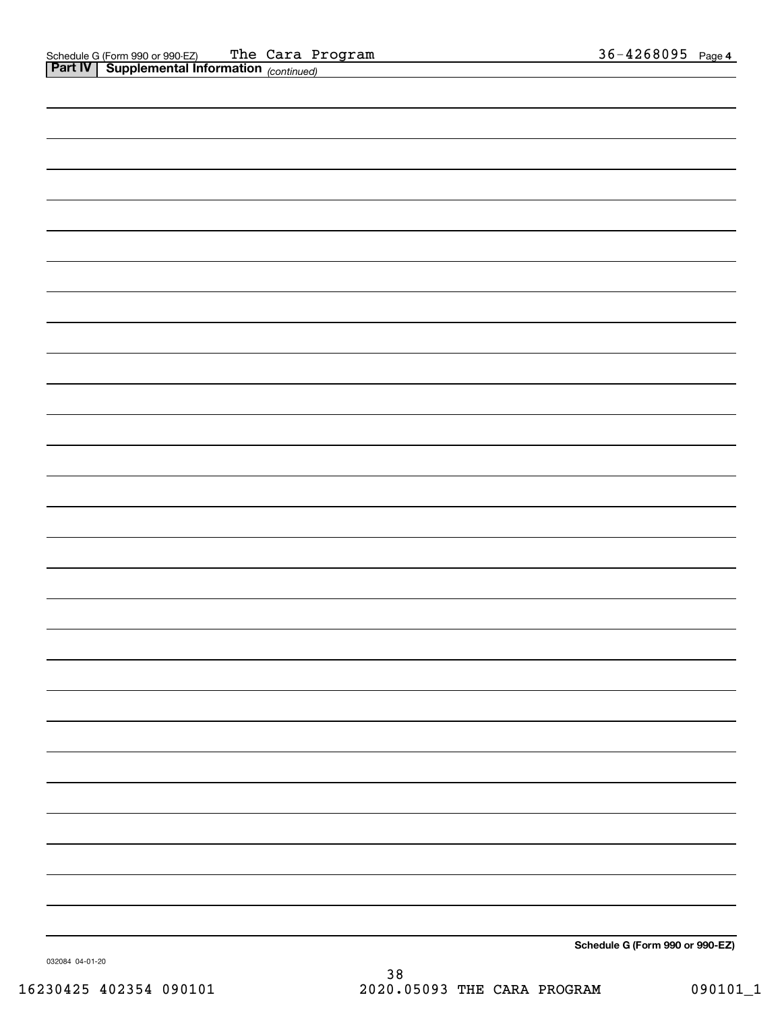| <b>Part IV Supplemental Information</b> (continued) |                                                 |
|-----------------------------------------------------|-------------------------------------------------|
|                                                     |                                                 |
|                                                     |                                                 |
|                                                     |                                                 |
|                                                     |                                                 |
|                                                     |                                                 |
|                                                     |                                                 |
|                                                     |                                                 |
|                                                     |                                                 |
|                                                     |                                                 |
|                                                     |                                                 |
|                                                     |                                                 |
|                                                     |                                                 |
|                                                     |                                                 |
|                                                     |                                                 |
|                                                     |                                                 |
|                                                     |                                                 |
|                                                     |                                                 |
|                                                     |                                                 |
|                                                     |                                                 |
|                                                     |                                                 |
|                                                     |                                                 |
|                                                     |                                                 |
|                                                     |                                                 |
|                                                     |                                                 |
|                                                     |                                                 |
|                                                     |                                                 |
|                                                     |                                                 |
|                                                     |                                                 |
|                                                     |                                                 |
|                                                     | $\frac{1}{2}$ Cohealile C (Ferma 000 or 000 F7) |
|                                                     |                                                 |

032084 04-01-20

**Schedule G (Form 990 or 990-EZ)**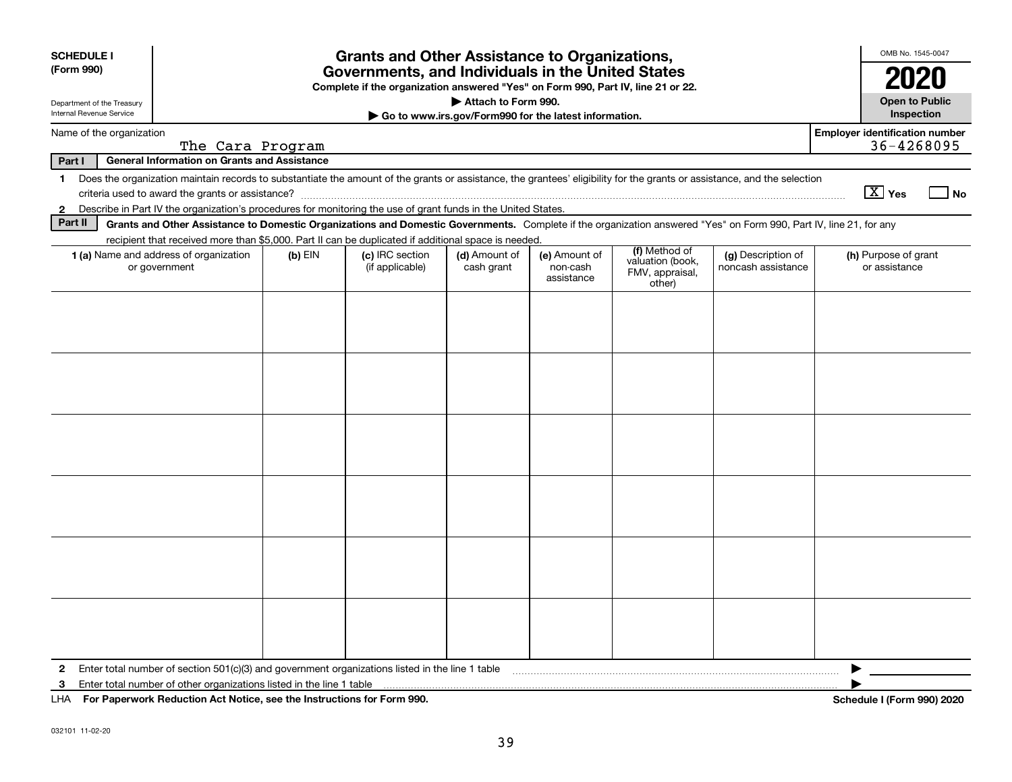| <b>SCHEDULE I</b><br>(Form 990)<br>Department of the Treasury<br>Internal Revenue Service | <b>Grants and Other Assistance to Organizations,</b><br>Governments, and Individuals in the United States<br>Complete if the organization answered "Yes" on Form 990, Part IV, line 21 or 22.<br>Attach to Form 990.<br>Go to www.irs.gov/Form990 for the latest information. |           |                                                                                                               |                             |                                         |                                                                                                                                                                          |                                          |                                       |  |  |  |
|-------------------------------------------------------------------------------------------|-------------------------------------------------------------------------------------------------------------------------------------------------------------------------------------------------------------------------------------------------------------------------------|-----------|---------------------------------------------------------------------------------------------------------------|-----------------------------|-----------------------------------------|--------------------------------------------------------------------------------------------------------------------------------------------------------------------------|------------------------------------------|---------------------------------------|--|--|--|
|                                                                                           | <b>Employer identification number</b><br>Name of the organization                                                                                                                                                                                                             |           |                                                                                                               |                             |                                         |                                                                                                                                                                          |                                          |                                       |  |  |  |
| Part I                                                                                    | The Cara Program<br><b>General Information on Grants and Assistance</b>                                                                                                                                                                                                       |           |                                                                                                               |                             |                                         |                                                                                                                                                                          |                                          | 36-4268095                            |  |  |  |
| $\mathbf 1$                                                                               |                                                                                                                                                                                                                                                                               |           |                                                                                                               |                             |                                         | Does the organization maintain records to substantiate the amount of the grants or assistance, the grantees' eligibility for the grants or assistance, and the selection |                                          |                                       |  |  |  |
|                                                                                           |                                                                                                                                                                                                                                                                               |           |                                                                                                               |                             |                                         |                                                                                                                                                                          |                                          | $\boxed{\text{X}}$ Yes<br>l No        |  |  |  |
| $\mathbf{2}$                                                                              |                                                                                                                                                                                                                                                                               |           | Describe in Part IV the organization's procedures for monitoring the use of grant funds in the United States. |                             |                                         |                                                                                                                                                                          |                                          |                                       |  |  |  |
| Part II                                                                                   |                                                                                                                                                                                                                                                                               |           |                                                                                                               |                             |                                         | Grants and Other Assistance to Domestic Organizations and Domestic Governments. Complete if the organization answered "Yes" on Form 990, Part IV, line 21, for any       |                                          |                                       |  |  |  |
|                                                                                           |                                                                                                                                                                                                                                                                               |           | recipient that received more than \$5,000. Part II can be duplicated if additional space is needed.           |                             |                                         | (f) Method of                                                                                                                                                            |                                          |                                       |  |  |  |
| <b>1 (a)</b> Name and address of organization<br>or government                            |                                                                                                                                                                                                                                                                               | $(b)$ EIN | (c) IRC section<br>(if applicable)                                                                            | (d) Amount of<br>cash grant | (e) Amount of<br>non-cash<br>assistance | valuation (book,<br>FMV, appraisal,<br>other)                                                                                                                            | (g) Description of<br>noncash assistance | (h) Purpose of grant<br>or assistance |  |  |  |
|                                                                                           |                                                                                                                                                                                                                                                                               |           |                                                                                                               |                             |                                         |                                                                                                                                                                          |                                          |                                       |  |  |  |
|                                                                                           |                                                                                                                                                                                                                                                                               |           |                                                                                                               |                             |                                         |                                                                                                                                                                          |                                          |                                       |  |  |  |
|                                                                                           |                                                                                                                                                                                                                                                                               |           |                                                                                                               |                             |                                         |                                                                                                                                                                          |                                          |                                       |  |  |  |
|                                                                                           |                                                                                                                                                                                                                                                                               |           |                                                                                                               |                             |                                         |                                                                                                                                                                          |                                          |                                       |  |  |  |
|                                                                                           |                                                                                                                                                                                                                                                                               |           |                                                                                                               |                             |                                         |                                                                                                                                                                          |                                          |                                       |  |  |  |
|                                                                                           |                                                                                                                                                                                                                                                                               |           |                                                                                                               |                             |                                         |                                                                                                                                                                          |                                          |                                       |  |  |  |
|                                                                                           |                                                                                                                                                                                                                                                                               |           |                                                                                                               |                             |                                         |                                                                                                                                                                          |                                          |                                       |  |  |  |
|                                                                                           |                                                                                                                                                                                                                                                                               |           |                                                                                                               |                             |                                         |                                                                                                                                                                          |                                          |                                       |  |  |  |
|                                                                                           |                                                                                                                                                                                                                                                                               |           |                                                                                                               |                             |                                         |                                                                                                                                                                          |                                          |                                       |  |  |  |
|                                                                                           |                                                                                                                                                                                                                                                                               |           |                                                                                                               |                             |                                         |                                                                                                                                                                          |                                          |                                       |  |  |  |
|                                                                                           |                                                                                                                                                                                                                                                                               |           |                                                                                                               |                             |                                         |                                                                                                                                                                          |                                          |                                       |  |  |  |
|                                                                                           |                                                                                                                                                                                                                                                                               |           |                                                                                                               |                             |                                         |                                                                                                                                                                          |                                          |                                       |  |  |  |
|                                                                                           |                                                                                                                                                                                                                                                                               |           |                                                                                                               |                             |                                         |                                                                                                                                                                          |                                          |                                       |  |  |  |
|                                                                                           |                                                                                                                                                                                                                                                                               |           |                                                                                                               |                             |                                         |                                                                                                                                                                          |                                          |                                       |  |  |  |
|                                                                                           |                                                                                                                                                                                                                                                                               |           |                                                                                                               |                             |                                         |                                                                                                                                                                          |                                          |                                       |  |  |  |
|                                                                                           |                                                                                                                                                                                                                                                                               |           |                                                                                                               |                             |                                         |                                                                                                                                                                          |                                          |                                       |  |  |  |
|                                                                                           |                                                                                                                                                                                                                                                                               |           |                                                                                                               |                             |                                         |                                                                                                                                                                          |                                          |                                       |  |  |  |
|                                                                                           |                                                                                                                                                                                                                                                                               |           |                                                                                                               |                             |                                         |                                                                                                                                                                          |                                          |                                       |  |  |  |
|                                                                                           |                                                                                                                                                                                                                                                                               |           |                                                                                                               |                             |                                         |                                                                                                                                                                          |                                          |                                       |  |  |  |
| $\mathbf{2}$                                                                              |                                                                                                                                                                                                                                                                               |           | Enter total number of section 501(c)(3) and government organizations listed in the line 1 table               |                             |                                         |                                                                                                                                                                          |                                          |                                       |  |  |  |
| 3                                                                                         | Enter total number of other organizations listed in the line 1 table                                                                                                                                                                                                          |           |                                                                                                               |                             |                                         |                                                                                                                                                                          |                                          |                                       |  |  |  |
| LHA For Paperwork Reduction Act Notice, see the Instructions for Form 990.                |                                                                                                                                                                                                                                                                               |           |                                                                                                               |                             |                                         |                                                                                                                                                                          |                                          | Schedule I (Form 990) 2020            |  |  |  |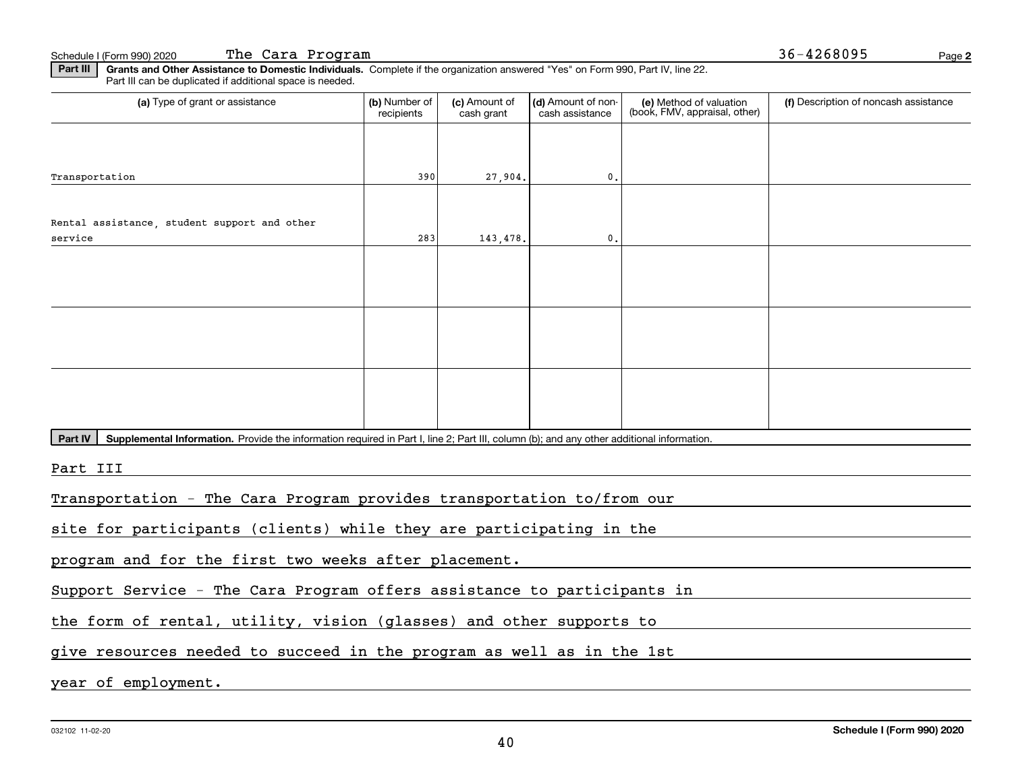**2**Schedule I (Form 990) 2020 **The Cara Program** 36-4268095 Page

**Part III | Grants and Other Assistance to Domestic Individuals. Complete if the organization answered "Yes" on Form 990, Part IV, line 22.** Part III can be duplicated if additional space is needed.

| (a) Type of grant or assistance                                                                                                                      | (b) Number of<br>recipients | (c) Amount of<br>cash grant | (d) Amount of non-<br>cash assistance | (e) Method of valuation<br>(book, FMV, appraisal, other) | (f) Description of noncash assistance |
|------------------------------------------------------------------------------------------------------------------------------------------------------|-----------------------------|-----------------------------|---------------------------------------|----------------------------------------------------------|---------------------------------------|
|                                                                                                                                                      |                             |                             |                                       |                                                          |                                       |
| Transportation                                                                                                                                       | 390                         | 27,904.                     | $\mathfrak o$ .                       |                                                          |                                       |
|                                                                                                                                                      |                             |                             |                                       |                                                          |                                       |
| Rental assistance, student support and other                                                                                                         |                             |                             |                                       |                                                          |                                       |
| service                                                                                                                                              | 283                         | 143,478.                    | $\mathbf{0}$ .                        |                                                          |                                       |
|                                                                                                                                                      |                             |                             |                                       |                                                          |                                       |
|                                                                                                                                                      |                             |                             |                                       |                                                          |                                       |
|                                                                                                                                                      |                             |                             |                                       |                                                          |                                       |
|                                                                                                                                                      |                             |                             |                                       |                                                          |                                       |
|                                                                                                                                                      |                             |                             |                                       |                                                          |                                       |
|                                                                                                                                                      |                             |                             |                                       |                                                          |                                       |
|                                                                                                                                                      |                             |                             |                                       |                                                          |                                       |
|                                                                                                                                                      |                             |                             |                                       |                                                          |                                       |
|                                                                                                                                                      |                             |                             |                                       |                                                          |                                       |
| Supplemental Information. Provide the information required in Part I, line 2; Part III, column (b); and any other additional information.<br>Part IV |                             |                             |                                       |                                                          |                                       |
|                                                                                                                                                      |                             |                             |                                       |                                                          |                                       |
| Part III                                                                                                                                             |                             |                             |                                       |                                                          |                                       |
| Transportation - The Cara Program provides transportation to/from our                                                                                |                             |                             |                                       |                                                          |                                       |
|                                                                                                                                                      |                             |                             |                                       |                                                          |                                       |
| site for participants (clients) while they are participating in the                                                                                  |                             |                             |                                       |                                                          |                                       |

program and for the first two weeks after placement.

Support Service - The Cara Program offers assistance to participants in

the form of rental, utility, vision (glasses) and other supports to

give resources needed to succeed in the program as well as in the 1st

year of employment.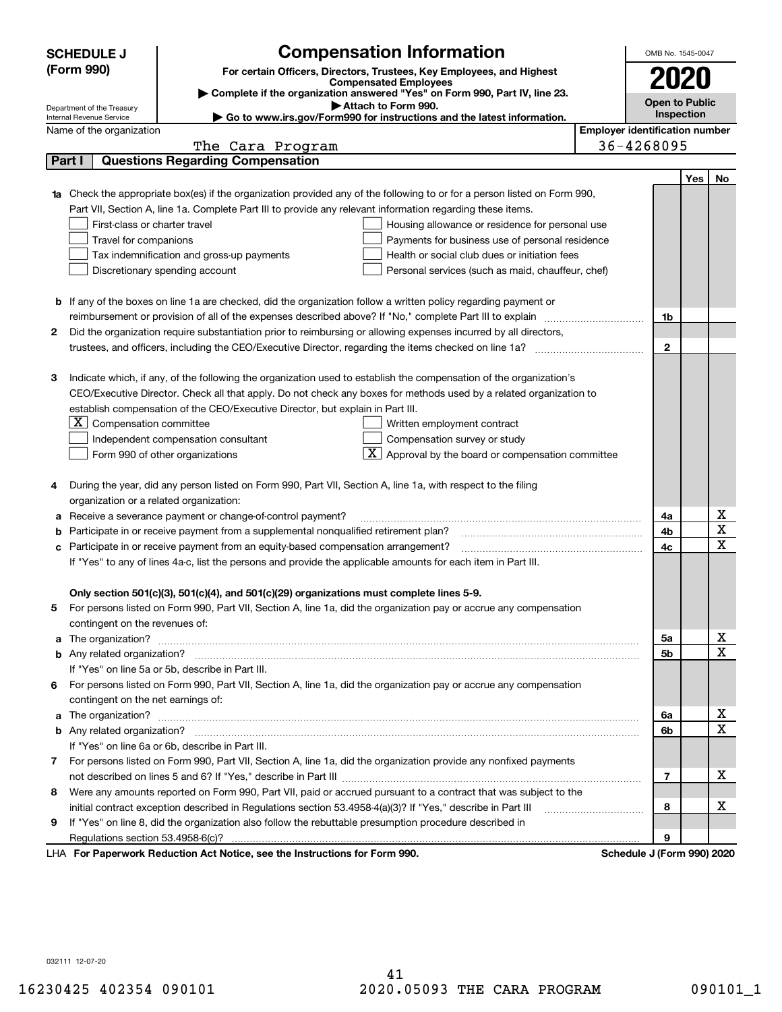| <b>Open to Public</b><br>Attach to Form 990.<br>Department of the Treasury<br>Inspection<br>► Go to www.irs.gov/Form990 for instructions and the latest information.<br>Internal Revenue Service<br><b>Employer identification number</b><br>Name of the organization<br>36-4268095<br>The Cara Program<br><b>Questions Regarding Compensation</b><br>Part I<br>Yes<br>No<br>Check the appropriate box(es) if the organization provided any of the following to or for a person listed on Form 990,<br>Part VII, Section A, line 1a. Complete Part III to provide any relevant information regarding these items.<br>First-class or charter travel<br>Housing allowance or residence for personal use<br>Travel for companions<br>Payments for business use of personal residence<br>Health or social club dues or initiation fees<br>Tax indemnification and gross-up payments<br>Discretionary spending account<br>Personal services (such as maid, chauffeur, chef)<br><b>b</b> If any of the boxes on line 1a are checked, did the organization follow a written policy regarding payment or<br>reimbursement or provision of all of the expenses described above? If "No," complete Part III to explain<br>1b<br>Did the organization require substantiation prior to reimbursing or allowing expenses incurred by all directors,<br>2<br>$\mathbf{2}$<br>Indicate which, if any, of the following the organization used to establish the compensation of the organization's<br>з<br>CEO/Executive Director. Check all that apply. Do not check any boxes for methods used by a related organization to<br>establish compensation of the CEO/Executive Director, but explain in Part III.<br>$ \mathbf{X} $ Compensation committee<br>Written employment contract<br>Compensation survey or study<br>Independent compensation consultant<br>$\boxed{\textbf{X}}$ Approval by the board or compensation committee<br>Form 990 of other organizations<br>During the year, did any person listed on Form 990, Part VII, Section A, line 1a, with respect to the filing<br>4<br>organization or a related organization:<br>х<br>Receive a severance payment or change-of-control payment?<br>4a<br>а<br>X<br>Participate in or receive payment from a supplemental nonqualified retirement plan?<br>4b<br>b<br>$\mathbf X$<br>Participate in or receive payment from an equity-based compensation arrangement?<br>4c<br>с<br>If "Yes" to any of lines 4a-c, list the persons and provide the applicable amounts for each item in Part III.<br>Only section 501(c)(3), 501(c)(4), and 501(c)(29) organizations must complete lines 5-9.<br>For persons listed on Form 990, Part VII, Section A, line 1a, did the organization pay or accrue any compensation<br>contingent on the revenues of:<br>x<br>The organization? <b>With the contract of the contract of the contract of the contract of the contract of the contract of the contract of the contract of the contract of the contract of the contract of the contract of the co</b><br>5a<br>a<br>$\mathbf X$<br>5b<br>If "Yes" on line 5a or 5b, describe in Part III.<br>6 For persons listed on Form 990, Part VII, Section A, line 1a, did the organization pay or accrue any compensation<br>contingent on the net earnings of:<br>х<br>6a<br>a<br>$\mathbf X$<br>6b<br>If "Yes" on line 6a or 6b, describe in Part III.<br>7 For persons listed on Form 990, Part VII, Section A, line 1a, did the organization provide any nonfixed payments<br>x<br>$\overline{7}$<br>Were any amounts reported on Form 990, Part VII, paid or accrued pursuant to a contract that was subject to the<br>8<br>х<br>initial contract exception described in Regulations section 53.4958-4(a)(3)? If "Yes," describe in Part III<br>8<br>If "Yes" on line 8, did the organization also follow the rebuttable presumption procedure described in<br>9<br>9<br>LHA For Paperwork Reduction Act Notice, see the Instructions for Form 990.<br>Schedule J (Form 990) 2020 | <b>SCHEDULE J</b><br>(Form 990) | <b>Compensation Information</b><br>For certain Officers, Directors, Trustees, Key Employees, and Highest<br><b>Compensated Employees</b><br>Complete if the organization answered "Yes" on Form 990, Part IV, line 23. |  | OMB No. 1545-0047<br>2020 |  |  |  |  |  |
|---------------------------------------------------------------------------------------------------------------------------------------------------------------------------------------------------------------------------------------------------------------------------------------------------------------------------------------------------------------------------------------------------------------------------------------------------------------------------------------------------------------------------------------------------------------------------------------------------------------------------------------------------------------------------------------------------------------------------------------------------------------------------------------------------------------------------------------------------------------------------------------------------------------------------------------------------------------------------------------------------------------------------------------------------------------------------------------------------------------------------------------------------------------------------------------------------------------------------------------------------------------------------------------------------------------------------------------------------------------------------------------------------------------------------------------------------------------------------------------------------------------------------------------------------------------------------------------------------------------------------------------------------------------------------------------------------------------------------------------------------------------------------------------------------------------------------------------------------------------------------------------------------------------------------------------------------------------------------------------------------------------------------------------------------------------------------------------------------------------------------------------------------------------------------------------------------------------------------------------------------------------------------------------------------------------------------------------------------------------------------------------------------------------------------------------------------------------------------------------------------------------------------------------------------------------------------------------------------------------------------------------------------------------------------------------------------------------------------------------------------------------------------------------------------------------------------------------------------------------------------------------------------------------------------------------------------------------------------------------------------------------------------------------------------------------------------------------------------------------------------------------------------------------------------------------------------------------------------------------------------------------------------------------------------------------------------------------------------------------------------------------------------------------------------------------------------------------------------------------------------------------------------------------------------------------------------------------------------------------------------------------------------------------------------------------------------------------------------------------------------------------------------------------------------------------------------------------------------------------------------------------------------------------------------------------------------------------------------------------------------------------------|---------------------------------|------------------------------------------------------------------------------------------------------------------------------------------------------------------------------------------------------------------------|--|---------------------------|--|--|--|--|--|
|                                                                                                                                                                                                                                                                                                                                                                                                                                                                                                                                                                                                                                                                                                                                                                                                                                                                                                                                                                                                                                                                                                                                                                                                                                                                                                                                                                                                                                                                                                                                                                                                                                                                                                                                                                                                                                                                                                                                                                                                                                                                                                                                                                                                                                                                                                                                                                                                                                                                                                                                                                                                                                                                                                                                                                                                                                                                                                                                                                                                                                                                                                                                                                                                                                                                                                                                                                                                                                                                                                                                                                                                                                                                                                                                                                                                                                                                                                                                                                                                                     |                                 |                                                                                                                                                                                                                        |  |                           |  |  |  |  |  |
|                                                                                                                                                                                                                                                                                                                                                                                                                                                                                                                                                                                                                                                                                                                                                                                                                                                                                                                                                                                                                                                                                                                                                                                                                                                                                                                                                                                                                                                                                                                                                                                                                                                                                                                                                                                                                                                                                                                                                                                                                                                                                                                                                                                                                                                                                                                                                                                                                                                                                                                                                                                                                                                                                                                                                                                                                                                                                                                                                                                                                                                                                                                                                                                                                                                                                                                                                                                                                                                                                                                                                                                                                                                                                                                                                                                                                                                                                                                                                                                                                     |                                 |                                                                                                                                                                                                                        |  |                           |  |  |  |  |  |
|                                                                                                                                                                                                                                                                                                                                                                                                                                                                                                                                                                                                                                                                                                                                                                                                                                                                                                                                                                                                                                                                                                                                                                                                                                                                                                                                                                                                                                                                                                                                                                                                                                                                                                                                                                                                                                                                                                                                                                                                                                                                                                                                                                                                                                                                                                                                                                                                                                                                                                                                                                                                                                                                                                                                                                                                                                                                                                                                                                                                                                                                                                                                                                                                                                                                                                                                                                                                                                                                                                                                                                                                                                                                                                                                                                                                                                                                                                                                                                                                                     |                                 |                                                                                                                                                                                                                        |  |                           |  |  |  |  |  |
|                                                                                                                                                                                                                                                                                                                                                                                                                                                                                                                                                                                                                                                                                                                                                                                                                                                                                                                                                                                                                                                                                                                                                                                                                                                                                                                                                                                                                                                                                                                                                                                                                                                                                                                                                                                                                                                                                                                                                                                                                                                                                                                                                                                                                                                                                                                                                                                                                                                                                                                                                                                                                                                                                                                                                                                                                                                                                                                                                                                                                                                                                                                                                                                                                                                                                                                                                                                                                                                                                                                                                                                                                                                                                                                                                                                                                                                                                                                                                                                                                     |                                 |                                                                                                                                                                                                                        |  |                           |  |  |  |  |  |
|                                                                                                                                                                                                                                                                                                                                                                                                                                                                                                                                                                                                                                                                                                                                                                                                                                                                                                                                                                                                                                                                                                                                                                                                                                                                                                                                                                                                                                                                                                                                                                                                                                                                                                                                                                                                                                                                                                                                                                                                                                                                                                                                                                                                                                                                                                                                                                                                                                                                                                                                                                                                                                                                                                                                                                                                                                                                                                                                                                                                                                                                                                                                                                                                                                                                                                                                                                                                                                                                                                                                                                                                                                                                                                                                                                                                                                                                                                                                                                                                                     |                                 |                                                                                                                                                                                                                        |  |                           |  |  |  |  |  |
|                                                                                                                                                                                                                                                                                                                                                                                                                                                                                                                                                                                                                                                                                                                                                                                                                                                                                                                                                                                                                                                                                                                                                                                                                                                                                                                                                                                                                                                                                                                                                                                                                                                                                                                                                                                                                                                                                                                                                                                                                                                                                                                                                                                                                                                                                                                                                                                                                                                                                                                                                                                                                                                                                                                                                                                                                                                                                                                                                                                                                                                                                                                                                                                                                                                                                                                                                                                                                                                                                                                                                                                                                                                                                                                                                                                                                                                                                                                                                                                                                     |                                 |                                                                                                                                                                                                                        |  |                           |  |  |  |  |  |
|                                                                                                                                                                                                                                                                                                                                                                                                                                                                                                                                                                                                                                                                                                                                                                                                                                                                                                                                                                                                                                                                                                                                                                                                                                                                                                                                                                                                                                                                                                                                                                                                                                                                                                                                                                                                                                                                                                                                                                                                                                                                                                                                                                                                                                                                                                                                                                                                                                                                                                                                                                                                                                                                                                                                                                                                                                                                                                                                                                                                                                                                                                                                                                                                                                                                                                                                                                                                                                                                                                                                                                                                                                                                                                                                                                                                                                                                                                                                                                                                                     |                                 |                                                                                                                                                                                                                        |  |                           |  |  |  |  |  |
|                                                                                                                                                                                                                                                                                                                                                                                                                                                                                                                                                                                                                                                                                                                                                                                                                                                                                                                                                                                                                                                                                                                                                                                                                                                                                                                                                                                                                                                                                                                                                                                                                                                                                                                                                                                                                                                                                                                                                                                                                                                                                                                                                                                                                                                                                                                                                                                                                                                                                                                                                                                                                                                                                                                                                                                                                                                                                                                                                                                                                                                                                                                                                                                                                                                                                                                                                                                                                                                                                                                                                                                                                                                                                                                                                                                                                                                                                                                                                                                                                     |                                 |                                                                                                                                                                                                                        |  |                           |  |  |  |  |  |
|                                                                                                                                                                                                                                                                                                                                                                                                                                                                                                                                                                                                                                                                                                                                                                                                                                                                                                                                                                                                                                                                                                                                                                                                                                                                                                                                                                                                                                                                                                                                                                                                                                                                                                                                                                                                                                                                                                                                                                                                                                                                                                                                                                                                                                                                                                                                                                                                                                                                                                                                                                                                                                                                                                                                                                                                                                                                                                                                                                                                                                                                                                                                                                                                                                                                                                                                                                                                                                                                                                                                                                                                                                                                                                                                                                                                                                                                                                                                                                                                                     |                                 |                                                                                                                                                                                                                        |  |                           |  |  |  |  |  |
|                                                                                                                                                                                                                                                                                                                                                                                                                                                                                                                                                                                                                                                                                                                                                                                                                                                                                                                                                                                                                                                                                                                                                                                                                                                                                                                                                                                                                                                                                                                                                                                                                                                                                                                                                                                                                                                                                                                                                                                                                                                                                                                                                                                                                                                                                                                                                                                                                                                                                                                                                                                                                                                                                                                                                                                                                                                                                                                                                                                                                                                                                                                                                                                                                                                                                                                                                                                                                                                                                                                                                                                                                                                                                                                                                                                                                                                                                                                                                                                                                     |                                 |                                                                                                                                                                                                                        |  |                           |  |  |  |  |  |
|                                                                                                                                                                                                                                                                                                                                                                                                                                                                                                                                                                                                                                                                                                                                                                                                                                                                                                                                                                                                                                                                                                                                                                                                                                                                                                                                                                                                                                                                                                                                                                                                                                                                                                                                                                                                                                                                                                                                                                                                                                                                                                                                                                                                                                                                                                                                                                                                                                                                                                                                                                                                                                                                                                                                                                                                                                                                                                                                                                                                                                                                                                                                                                                                                                                                                                                                                                                                                                                                                                                                                                                                                                                                                                                                                                                                                                                                                                                                                                                                                     |                                 |                                                                                                                                                                                                                        |  |                           |  |  |  |  |  |
|                                                                                                                                                                                                                                                                                                                                                                                                                                                                                                                                                                                                                                                                                                                                                                                                                                                                                                                                                                                                                                                                                                                                                                                                                                                                                                                                                                                                                                                                                                                                                                                                                                                                                                                                                                                                                                                                                                                                                                                                                                                                                                                                                                                                                                                                                                                                                                                                                                                                                                                                                                                                                                                                                                                                                                                                                                                                                                                                                                                                                                                                                                                                                                                                                                                                                                                                                                                                                                                                                                                                                                                                                                                                                                                                                                                                                                                                                                                                                                                                                     |                                 |                                                                                                                                                                                                                        |  |                           |  |  |  |  |  |
|                                                                                                                                                                                                                                                                                                                                                                                                                                                                                                                                                                                                                                                                                                                                                                                                                                                                                                                                                                                                                                                                                                                                                                                                                                                                                                                                                                                                                                                                                                                                                                                                                                                                                                                                                                                                                                                                                                                                                                                                                                                                                                                                                                                                                                                                                                                                                                                                                                                                                                                                                                                                                                                                                                                                                                                                                                                                                                                                                                                                                                                                                                                                                                                                                                                                                                                                                                                                                                                                                                                                                                                                                                                                                                                                                                                                                                                                                                                                                                                                                     |                                 |                                                                                                                                                                                                                        |  |                           |  |  |  |  |  |
|                                                                                                                                                                                                                                                                                                                                                                                                                                                                                                                                                                                                                                                                                                                                                                                                                                                                                                                                                                                                                                                                                                                                                                                                                                                                                                                                                                                                                                                                                                                                                                                                                                                                                                                                                                                                                                                                                                                                                                                                                                                                                                                                                                                                                                                                                                                                                                                                                                                                                                                                                                                                                                                                                                                                                                                                                                                                                                                                                                                                                                                                                                                                                                                                                                                                                                                                                                                                                                                                                                                                                                                                                                                                                                                                                                                                                                                                                                                                                                                                                     |                                 |                                                                                                                                                                                                                        |  |                           |  |  |  |  |  |
|                                                                                                                                                                                                                                                                                                                                                                                                                                                                                                                                                                                                                                                                                                                                                                                                                                                                                                                                                                                                                                                                                                                                                                                                                                                                                                                                                                                                                                                                                                                                                                                                                                                                                                                                                                                                                                                                                                                                                                                                                                                                                                                                                                                                                                                                                                                                                                                                                                                                                                                                                                                                                                                                                                                                                                                                                                                                                                                                                                                                                                                                                                                                                                                                                                                                                                                                                                                                                                                                                                                                                                                                                                                                                                                                                                                                                                                                                                                                                                                                                     |                                 |                                                                                                                                                                                                                        |  |                           |  |  |  |  |  |
|                                                                                                                                                                                                                                                                                                                                                                                                                                                                                                                                                                                                                                                                                                                                                                                                                                                                                                                                                                                                                                                                                                                                                                                                                                                                                                                                                                                                                                                                                                                                                                                                                                                                                                                                                                                                                                                                                                                                                                                                                                                                                                                                                                                                                                                                                                                                                                                                                                                                                                                                                                                                                                                                                                                                                                                                                                                                                                                                                                                                                                                                                                                                                                                                                                                                                                                                                                                                                                                                                                                                                                                                                                                                                                                                                                                                                                                                                                                                                                                                                     |                                 |                                                                                                                                                                                                                        |  |                           |  |  |  |  |  |
|                                                                                                                                                                                                                                                                                                                                                                                                                                                                                                                                                                                                                                                                                                                                                                                                                                                                                                                                                                                                                                                                                                                                                                                                                                                                                                                                                                                                                                                                                                                                                                                                                                                                                                                                                                                                                                                                                                                                                                                                                                                                                                                                                                                                                                                                                                                                                                                                                                                                                                                                                                                                                                                                                                                                                                                                                                                                                                                                                                                                                                                                                                                                                                                                                                                                                                                                                                                                                                                                                                                                                                                                                                                                                                                                                                                                                                                                                                                                                                                                                     |                                 |                                                                                                                                                                                                                        |  |                           |  |  |  |  |  |
|                                                                                                                                                                                                                                                                                                                                                                                                                                                                                                                                                                                                                                                                                                                                                                                                                                                                                                                                                                                                                                                                                                                                                                                                                                                                                                                                                                                                                                                                                                                                                                                                                                                                                                                                                                                                                                                                                                                                                                                                                                                                                                                                                                                                                                                                                                                                                                                                                                                                                                                                                                                                                                                                                                                                                                                                                                                                                                                                                                                                                                                                                                                                                                                                                                                                                                                                                                                                                                                                                                                                                                                                                                                                                                                                                                                                                                                                                                                                                                                                                     |                                 |                                                                                                                                                                                                                        |  |                           |  |  |  |  |  |
|                                                                                                                                                                                                                                                                                                                                                                                                                                                                                                                                                                                                                                                                                                                                                                                                                                                                                                                                                                                                                                                                                                                                                                                                                                                                                                                                                                                                                                                                                                                                                                                                                                                                                                                                                                                                                                                                                                                                                                                                                                                                                                                                                                                                                                                                                                                                                                                                                                                                                                                                                                                                                                                                                                                                                                                                                                                                                                                                                                                                                                                                                                                                                                                                                                                                                                                                                                                                                                                                                                                                                                                                                                                                                                                                                                                                                                                                                                                                                                                                                     |                                 |                                                                                                                                                                                                                        |  |                           |  |  |  |  |  |
|                                                                                                                                                                                                                                                                                                                                                                                                                                                                                                                                                                                                                                                                                                                                                                                                                                                                                                                                                                                                                                                                                                                                                                                                                                                                                                                                                                                                                                                                                                                                                                                                                                                                                                                                                                                                                                                                                                                                                                                                                                                                                                                                                                                                                                                                                                                                                                                                                                                                                                                                                                                                                                                                                                                                                                                                                                                                                                                                                                                                                                                                                                                                                                                                                                                                                                                                                                                                                                                                                                                                                                                                                                                                                                                                                                                                                                                                                                                                                                                                                     |                                 |                                                                                                                                                                                                                        |  |                           |  |  |  |  |  |
|                                                                                                                                                                                                                                                                                                                                                                                                                                                                                                                                                                                                                                                                                                                                                                                                                                                                                                                                                                                                                                                                                                                                                                                                                                                                                                                                                                                                                                                                                                                                                                                                                                                                                                                                                                                                                                                                                                                                                                                                                                                                                                                                                                                                                                                                                                                                                                                                                                                                                                                                                                                                                                                                                                                                                                                                                                                                                                                                                                                                                                                                                                                                                                                                                                                                                                                                                                                                                                                                                                                                                                                                                                                                                                                                                                                                                                                                                                                                                                                                                     |                                 |                                                                                                                                                                                                                        |  |                           |  |  |  |  |  |
|                                                                                                                                                                                                                                                                                                                                                                                                                                                                                                                                                                                                                                                                                                                                                                                                                                                                                                                                                                                                                                                                                                                                                                                                                                                                                                                                                                                                                                                                                                                                                                                                                                                                                                                                                                                                                                                                                                                                                                                                                                                                                                                                                                                                                                                                                                                                                                                                                                                                                                                                                                                                                                                                                                                                                                                                                                                                                                                                                                                                                                                                                                                                                                                                                                                                                                                                                                                                                                                                                                                                                                                                                                                                                                                                                                                                                                                                                                                                                                                                                     |                                 |                                                                                                                                                                                                                        |  |                           |  |  |  |  |  |
|                                                                                                                                                                                                                                                                                                                                                                                                                                                                                                                                                                                                                                                                                                                                                                                                                                                                                                                                                                                                                                                                                                                                                                                                                                                                                                                                                                                                                                                                                                                                                                                                                                                                                                                                                                                                                                                                                                                                                                                                                                                                                                                                                                                                                                                                                                                                                                                                                                                                                                                                                                                                                                                                                                                                                                                                                                                                                                                                                                                                                                                                                                                                                                                                                                                                                                                                                                                                                                                                                                                                                                                                                                                                                                                                                                                                                                                                                                                                                                                                                     |                                 |                                                                                                                                                                                                                        |  |                           |  |  |  |  |  |
|                                                                                                                                                                                                                                                                                                                                                                                                                                                                                                                                                                                                                                                                                                                                                                                                                                                                                                                                                                                                                                                                                                                                                                                                                                                                                                                                                                                                                                                                                                                                                                                                                                                                                                                                                                                                                                                                                                                                                                                                                                                                                                                                                                                                                                                                                                                                                                                                                                                                                                                                                                                                                                                                                                                                                                                                                                                                                                                                                                                                                                                                                                                                                                                                                                                                                                                                                                                                                                                                                                                                                                                                                                                                                                                                                                                                                                                                                                                                                                                                                     |                                 |                                                                                                                                                                                                                        |  |                           |  |  |  |  |  |
|                                                                                                                                                                                                                                                                                                                                                                                                                                                                                                                                                                                                                                                                                                                                                                                                                                                                                                                                                                                                                                                                                                                                                                                                                                                                                                                                                                                                                                                                                                                                                                                                                                                                                                                                                                                                                                                                                                                                                                                                                                                                                                                                                                                                                                                                                                                                                                                                                                                                                                                                                                                                                                                                                                                                                                                                                                                                                                                                                                                                                                                                                                                                                                                                                                                                                                                                                                                                                                                                                                                                                                                                                                                                                                                                                                                                                                                                                                                                                                                                                     |                                 |                                                                                                                                                                                                                        |  |                           |  |  |  |  |  |
|                                                                                                                                                                                                                                                                                                                                                                                                                                                                                                                                                                                                                                                                                                                                                                                                                                                                                                                                                                                                                                                                                                                                                                                                                                                                                                                                                                                                                                                                                                                                                                                                                                                                                                                                                                                                                                                                                                                                                                                                                                                                                                                                                                                                                                                                                                                                                                                                                                                                                                                                                                                                                                                                                                                                                                                                                                                                                                                                                                                                                                                                                                                                                                                                                                                                                                                                                                                                                                                                                                                                                                                                                                                                                                                                                                                                                                                                                                                                                                                                                     |                                 |                                                                                                                                                                                                                        |  |                           |  |  |  |  |  |
|                                                                                                                                                                                                                                                                                                                                                                                                                                                                                                                                                                                                                                                                                                                                                                                                                                                                                                                                                                                                                                                                                                                                                                                                                                                                                                                                                                                                                                                                                                                                                                                                                                                                                                                                                                                                                                                                                                                                                                                                                                                                                                                                                                                                                                                                                                                                                                                                                                                                                                                                                                                                                                                                                                                                                                                                                                                                                                                                                                                                                                                                                                                                                                                                                                                                                                                                                                                                                                                                                                                                                                                                                                                                                                                                                                                                                                                                                                                                                                                                                     |                                 |                                                                                                                                                                                                                        |  |                           |  |  |  |  |  |
|                                                                                                                                                                                                                                                                                                                                                                                                                                                                                                                                                                                                                                                                                                                                                                                                                                                                                                                                                                                                                                                                                                                                                                                                                                                                                                                                                                                                                                                                                                                                                                                                                                                                                                                                                                                                                                                                                                                                                                                                                                                                                                                                                                                                                                                                                                                                                                                                                                                                                                                                                                                                                                                                                                                                                                                                                                                                                                                                                                                                                                                                                                                                                                                                                                                                                                                                                                                                                                                                                                                                                                                                                                                                                                                                                                                                                                                                                                                                                                                                                     |                                 |                                                                                                                                                                                                                        |  |                           |  |  |  |  |  |
|                                                                                                                                                                                                                                                                                                                                                                                                                                                                                                                                                                                                                                                                                                                                                                                                                                                                                                                                                                                                                                                                                                                                                                                                                                                                                                                                                                                                                                                                                                                                                                                                                                                                                                                                                                                                                                                                                                                                                                                                                                                                                                                                                                                                                                                                                                                                                                                                                                                                                                                                                                                                                                                                                                                                                                                                                                                                                                                                                                                                                                                                                                                                                                                                                                                                                                                                                                                                                                                                                                                                                                                                                                                                                                                                                                                                                                                                                                                                                                                                                     |                                 |                                                                                                                                                                                                                        |  |                           |  |  |  |  |  |
|                                                                                                                                                                                                                                                                                                                                                                                                                                                                                                                                                                                                                                                                                                                                                                                                                                                                                                                                                                                                                                                                                                                                                                                                                                                                                                                                                                                                                                                                                                                                                                                                                                                                                                                                                                                                                                                                                                                                                                                                                                                                                                                                                                                                                                                                                                                                                                                                                                                                                                                                                                                                                                                                                                                                                                                                                                                                                                                                                                                                                                                                                                                                                                                                                                                                                                                                                                                                                                                                                                                                                                                                                                                                                                                                                                                                                                                                                                                                                                                                                     |                                 |                                                                                                                                                                                                                        |  |                           |  |  |  |  |  |
|                                                                                                                                                                                                                                                                                                                                                                                                                                                                                                                                                                                                                                                                                                                                                                                                                                                                                                                                                                                                                                                                                                                                                                                                                                                                                                                                                                                                                                                                                                                                                                                                                                                                                                                                                                                                                                                                                                                                                                                                                                                                                                                                                                                                                                                                                                                                                                                                                                                                                                                                                                                                                                                                                                                                                                                                                                                                                                                                                                                                                                                                                                                                                                                                                                                                                                                                                                                                                                                                                                                                                                                                                                                                                                                                                                                                                                                                                                                                                                                                                     |                                 |                                                                                                                                                                                                                        |  |                           |  |  |  |  |  |
|                                                                                                                                                                                                                                                                                                                                                                                                                                                                                                                                                                                                                                                                                                                                                                                                                                                                                                                                                                                                                                                                                                                                                                                                                                                                                                                                                                                                                                                                                                                                                                                                                                                                                                                                                                                                                                                                                                                                                                                                                                                                                                                                                                                                                                                                                                                                                                                                                                                                                                                                                                                                                                                                                                                                                                                                                                                                                                                                                                                                                                                                                                                                                                                                                                                                                                                                                                                                                                                                                                                                                                                                                                                                                                                                                                                                                                                                                                                                                                                                                     |                                 |                                                                                                                                                                                                                        |  |                           |  |  |  |  |  |
|                                                                                                                                                                                                                                                                                                                                                                                                                                                                                                                                                                                                                                                                                                                                                                                                                                                                                                                                                                                                                                                                                                                                                                                                                                                                                                                                                                                                                                                                                                                                                                                                                                                                                                                                                                                                                                                                                                                                                                                                                                                                                                                                                                                                                                                                                                                                                                                                                                                                                                                                                                                                                                                                                                                                                                                                                                                                                                                                                                                                                                                                                                                                                                                                                                                                                                                                                                                                                                                                                                                                                                                                                                                                                                                                                                                                                                                                                                                                                                                                                     |                                 |                                                                                                                                                                                                                        |  |                           |  |  |  |  |  |
|                                                                                                                                                                                                                                                                                                                                                                                                                                                                                                                                                                                                                                                                                                                                                                                                                                                                                                                                                                                                                                                                                                                                                                                                                                                                                                                                                                                                                                                                                                                                                                                                                                                                                                                                                                                                                                                                                                                                                                                                                                                                                                                                                                                                                                                                                                                                                                                                                                                                                                                                                                                                                                                                                                                                                                                                                                                                                                                                                                                                                                                                                                                                                                                                                                                                                                                                                                                                                                                                                                                                                                                                                                                                                                                                                                                                                                                                                                                                                                                                                     |                                 |                                                                                                                                                                                                                        |  |                           |  |  |  |  |  |
|                                                                                                                                                                                                                                                                                                                                                                                                                                                                                                                                                                                                                                                                                                                                                                                                                                                                                                                                                                                                                                                                                                                                                                                                                                                                                                                                                                                                                                                                                                                                                                                                                                                                                                                                                                                                                                                                                                                                                                                                                                                                                                                                                                                                                                                                                                                                                                                                                                                                                                                                                                                                                                                                                                                                                                                                                                                                                                                                                                                                                                                                                                                                                                                                                                                                                                                                                                                                                                                                                                                                                                                                                                                                                                                                                                                                                                                                                                                                                                                                                     |                                 |                                                                                                                                                                                                                        |  |                           |  |  |  |  |  |
|                                                                                                                                                                                                                                                                                                                                                                                                                                                                                                                                                                                                                                                                                                                                                                                                                                                                                                                                                                                                                                                                                                                                                                                                                                                                                                                                                                                                                                                                                                                                                                                                                                                                                                                                                                                                                                                                                                                                                                                                                                                                                                                                                                                                                                                                                                                                                                                                                                                                                                                                                                                                                                                                                                                                                                                                                                                                                                                                                                                                                                                                                                                                                                                                                                                                                                                                                                                                                                                                                                                                                                                                                                                                                                                                                                                                                                                                                                                                                                                                                     |                                 |                                                                                                                                                                                                                        |  |                           |  |  |  |  |  |
|                                                                                                                                                                                                                                                                                                                                                                                                                                                                                                                                                                                                                                                                                                                                                                                                                                                                                                                                                                                                                                                                                                                                                                                                                                                                                                                                                                                                                                                                                                                                                                                                                                                                                                                                                                                                                                                                                                                                                                                                                                                                                                                                                                                                                                                                                                                                                                                                                                                                                                                                                                                                                                                                                                                                                                                                                                                                                                                                                                                                                                                                                                                                                                                                                                                                                                                                                                                                                                                                                                                                                                                                                                                                                                                                                                                                                                                                                                                                                                                                                     |                                 |                                                                                                                                                                                                                        |  |                           |  |  |  |  |  |
|                                                                                                                                                                                                                                                                                                                                                                                                                                                                                                                                                                                                                                                                                                                                                                                                                                                                                                                                                                                                                                                                                                                                                                                                                                                                                                                                                                                                                                                                                                                                                                                                                                                                                                                                                                                                                                                                                                                                                                                                                                                                                                                                                                                                                                                                                                                                                                                                                                                                                                                                                                                                                                                                                                                                                                                                                                                                                                                                                                                                                                                                                                                                                                                                                                                                                                                                                                                                                                                                                                                                                                                                                                                                                                                                                                                                                                                                                                                                                                                                                     |                                 |                                                                                                                                                                                                                        |  |                           |  |  |  |  |  |
|                                                                                                                                                                                                                                                                                                                                                                                                                                                                                                                                                                                                                                                                                                                                                                                                                                                                                                                                                                                                                                                                                                                                                                                                                                                                                                                                                                                                                                                                                                                                                                                                                                                                                                                                                                                                                                                                                                                                                                                                                                                                                                                                                                                                                                                                                                                                                                                                                                                                                                                                                                                                                                                                                                                                                                                                                                                                                                                                                                                                                                                                                                                                                                                                                                                                                                                                                                                                                                                                                                                                                                                                                                                                                                                                                                                                                                                                                                                                                                                                                     |                                 |                                                                                                                                                                                                                        |  |                           |  |  |  |  |  |
|                                                                                                                                                                                                                                                                                                                                                                                                                                                                                                                                                                                                                                                                                                                                                                                                                                                                                                                                                                                                                                                                                                                                                                                                                                                                                                                                                                                                                                                                                                                                                                                                                                                                                                                                                                                                                                                                                                                                                                                                                                                                                                                                                                                                                                                                                                                                                                                                                                                                                                                                                                                                                                                                                                                                                                                                                                                                                                                                                                                                                                                                                                                                                                                                                                                                                                                                                                                                                                                                                                                                                                                                                                                                                                                                                                                                                                                                                                                                                                                                                     |                                 |                                                                                                                                                                                                                        |  |                           |  |  |  |  |  |
|                                                                                                                                                                                                                                                                                                                                                                                                                                                                                                                                                                                                                                                                                                                                                                                                                                                                                                                                                                                                                                                                                                                                                                                                                                                                                                                                                                                                                                                                                                                                                                                                                                                                                                                                                                                                                                                                                                                                                                                                                                                                                                                                                                                                                                                                                                                                                                                                                                                                                                                                                                                                                                                                                                                                                                                                                                                                                                                                                                                                                                                                                                                                                                                                                                                                                                                                                                                                                                                                                                                                                                                                                                                                                                                                                                                                                                                                                                                                                                                                                     |                                 |                                                                                                                                                                                                                        |  |                           |  |  |  |  |  |
|                                                                                                                                                                                                                                                                                                                                                                                                                                                                                                                                                                                                                                                                                                                                                                                                                                                                                                                                                                                                                                                                                                                                                                                                                                                                                                                                                                                                                                                                                                                                                                                                                                                                                                                                                                                                                                                                                                                                                                                                                                                                                                                                                                                                                                                                                                                                                                                                                                                                                                                                                                                                                                                                                                                                                                                                                                                                                                                                                                                                                                                                                                                                                                                                                                                                                                                                                                                                                                                                                                                                                                                                                                                                                                                                                                                                                                                                                                                                                                                                                     |                                 |                                                                                                                                                                                                                        |  |                           |  |  |  |  |  |
|                                                                                                                                                                                                                                                                                                                                                                                                                                                                                                                                                                                                                                                                                                                                                                                                                                                                                                                                                                                                                                                                                                                                                                                                                                                                                                                                                                                                                                                                                                                                                                                                                                                                                                                                                                                                                                                                                                                                                                                                                                                                                                                                                                                                                                                                                                                                                                                                                                                                                                                                                                                                                                                                                                                                                                                                                                                                                                                                                                                                                                                                                                                                                                                                                                                                                                                                                                                                                                                                                                                                                                                                                                                                                                                                                                                                                                                                                                                                                                                                                     |                                 |                                                                                                                                                                                                                        |  |                           |  |  |  |  |  |
|                                                                                                                                                                                                                                                                                                                                                                                                                                                                                                                                                                                                                                                                                                                                                                                                                                                                                                                                                                                                                                                                                                                                                                                                                                                                                                                                                                                                                                                                                                                                                                                                                                                                                                                                                                                                                                                                                                                                                                                                                                                                                                                                                                                                                                                                                                                                                                                                                                                                                                                                                                                                                                                                                                                                                                                                                                                                                                                                                                                                                                                                                                                                                                                                                                                                                                                                                                                                                                                                                                                                                                                                                                                                                                                                                                                                                                                                                                                                                                                                                     |                                 |                                                                                                                                                                                                                        |  |                           |  |  |  |  |  |
|                                                                                                                                                                                                                                                                                                                                                                                                                                                                                                                                                                                                                                                                                                                                                                                                                                                                                                                                                                                                                                                                                                                                                                                                                                                                                                                                                                                                                                                                                                                                                                                                                                                                                                                                                                                                                                                                                                                                                                                                                                                                                                                                                                                                                                                                                                                                                                                                                                                                                                                                                                                                                                                                                                                                                                                                                                                                                                                                                                                                                                                                                                                                                                                                                                                                                                                                                                                                                                                                                                                                                                                                                                                                                                                                                                                                                                                                                                                                                                                                                     |                                 |                                                                                                                                                                                                                        |  |                           |  |  |  |  |  |
|                                                                                                                                                                                                                                                                                                                                                                                                                                                                                                                                                                                                                                                                                                                                                                                                                                                                                                                                                                                                                                                                                                                                                                                                                                                                                                                                                                                                                                                                                                                                                                                                                                                                                                                                                                                                                                                                                                                                                                                                                                                                                                                                                                                                                                                                                                                                                                                                                                                                                                                                                                                                                                                                                                                                                                                                                                                                                                                                                                                                                                                                                                                                                                                                                                                                                                                                                                                                                                                                                                                                                                                                                                                                                                                                                                                                                                                                                                                                                                                                                     |                                 |                                                                                                                                                                                                                        |  |                           |  |  |  |  |  |
|                                                                                                                                                                                                                                                                                                                                                                                                                                                                                                                                                                                                                                                                                                                                                                                                                                                                                                                                                                                                                                                                                                                                                                                                                                                                                                                                                                                                                                                                                                                                                                                                                                                                                                                                                                                                                                                                                                                                                                                                                                                                                                                                                                                                                                                                                                                                                                                                                                                                                                                                                                                                                                                                                                                                                                                                                                                                                                                                                                                                                                                                                                                                                                                                                                                                                                                                                                                                                                                                                                                                                                                                                                                                                                                                                                                                                                                                                                                                                                                                                     |                                 |                                                                                                                                                                                                                        |  |                           |  |  |  |  |  |
|                                                                                                                                                                                                                                                                                                                                                                                                                                                                                                                                                                                                                                                                                                                                                                                                                                                                                                                                                                                                                                                                                                                                                                                                                                                                                                                                                                                                                                                                                                                                                                                                                                                                                                                                                                                                                                                                                                                                                                                                                                                                                                                                                                                                                                                                                                                                                                                                                                                                                                                                                                                                                                                                                                                                                                                                                                                                                                                                                                                                                                                                                                                                                                                                                                                                                                                                                                                                                                                                                                                                                                                                                                                                                                                                                                                                                                                                                                                                                                                                                     |                                 |                                                                                                                                                                                                                        |  |                           |  |  |  |  |  |

032111 12-07-20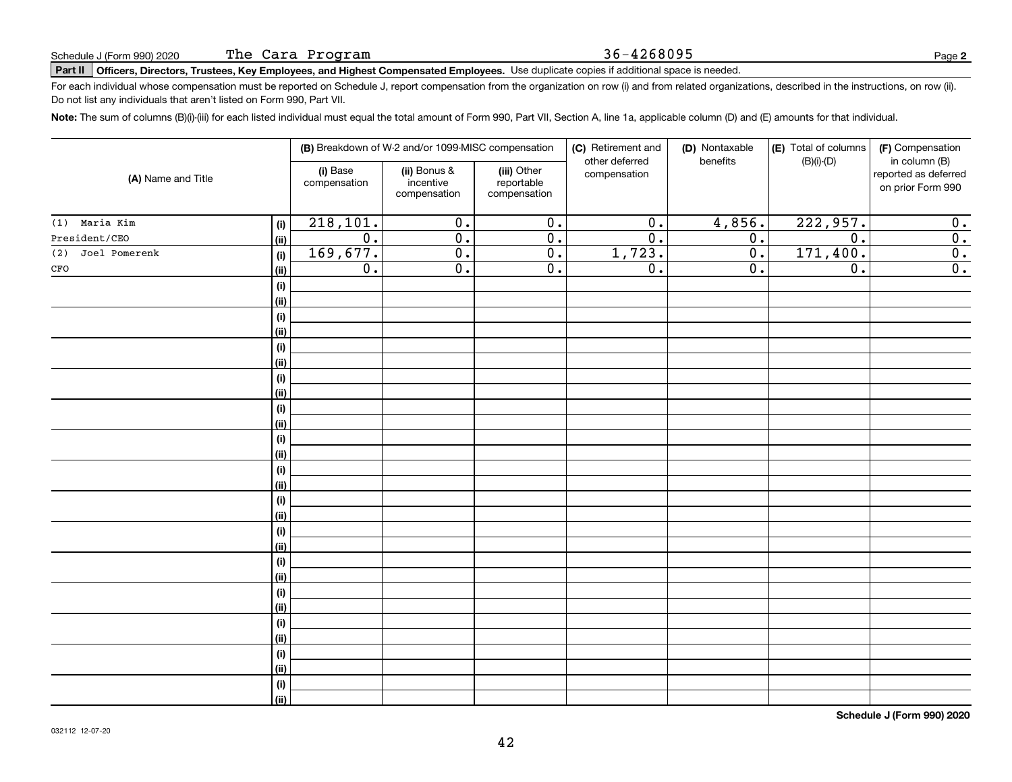Do not list any individuals that aren't listed on Form 990, Part VII.

The Cara Program

| (A) Name and Title     |             |                          | (B) Breakdown of W-2 and/or 1099-MISC compensation |                                           | (C) Retirement and             | (D) Nontaxable   | (E) Total of columns<br>$(B)(i)-(D)$ | (F) Compensation                                           |
|------------------------|-------------|--------------------------|----------------------------------------------------|-------------------------------------------|--------------------------------|------------------|--------------------------------------|------------------------------------------------------------|
|                        |             | (i) Base<br>compensation | (ii) Bonus &<br>incentive<br>compensation          | (iii) Other<br>reportable<br>compensation | other deferred<br>compensation | benefits         |                                      | in column (B)<br>reported as deferred<br>on prior Form 990 |
| Maria Kim<br>(1)       | (i)         | 218, 101.                | $\overline{0}$ .                                   | $\overline{0}$ .                          | $\overline{0}$ .               | 4,856.           | 222,957.                             | $\overline{0}$ .                                           |
| President/CEO          | (ii)        | $\overline{0}$ .         | $\overline{0}$ .                                   | $\overline{0}$ .                          | $\overline{0}$ .               | $\overline{0}$ . | $\overline{0}$ .                     | $\overline{\mathbf{0}}$ .                                  |
| Joel Pomerenk<br>(2)   | (i)         | 169,677.                 | $\overline{0}$ .                                   | $\overline{0}$ .                          | 1,723.                         | $\overline{0}$ . | 171,400.                             | $\overline{0}$ .                                           |
| $_{\mbox{\small CFO}}$ | (ii)        | $\overline{0}$ .         | $\overline{0}$ .                                   | $\overline{0}$ .                          | $\overline{0}$ .               | 0.               | $\overline{0}$ .                     | $\overline{0}$ .                                           |
|                        | (i)         |                          |                                                    |                                           |                                |                  |                                      |                                                            |
|                        | (ii)        |                          |                                                    |                                           |                                |                  |                                      |                                                            |
|                        | (i)         |                          |                                                    |                                           |                                |                  |                                      |                                                            |
|                        | (ii)        |                          |                                                    |                                           |                                |                  |                                      |                                                            |
|                        | (i)         |                          |                                                    |                                           |                                |                  |                                      |                                                            |
|                        | (ii)        |                          |                                                    |                                           |                                |                  |                                      |                                                            |
|                        | (i)         |                          |                                                    |                                           |                                |                  |                                      |                                                            |
|                        | (ii)        |                          |                                                    |                                           |                                |                  |                                      |                                                            |
|                        | (i)         |                          |                                                    |                                           |                                |                  |                                      |                                                            |
|                        | (ii)        |                          |                                                    |                                           |                                |                  |                                      |                                                            |
|                        | (i)         |                          |                                                    |                                           |                                |                  |                                      |                                                            |
|                        | (ii)        |                          |                                                    |                                           |                                |                  |                                      |                                                            |
|                        | (i)<br>(ii) |                          |                                                    |                                           |                                |                  |                                      |                                                            |
|                        | (i)         |                          |                                                    |                                           |                                |                  |                                      |                                                            |
|                        | (ii)        |                          |                                                    |                                           |                                |                  |                                      |                                                            |
|                        | (i)         |                          |                                                    |                                           |                                |                  |                                      |                                                            |
|                        | (ii)        |                          |                                                    |                                           |                                |                  |                                      |                                                            |
|                        | (i)         |                          |                                                    |                                           |                                |                  |                                      |                                                            |
|                        | (ii)        |                          |                                                    |                                           |                                |                  |                                      |                                                            |
|                        | (i)         |                          |                                                    |                                           |                                |                  |                                      |                                                            |
|                        | (ii)        |                          |                                                    |                                           |                                |                  |                                      |                                                            |
|                        | (i)         |                          |                                                    |                                           |                                |                  |                                      |                                                            |
|                        | (i)         |                          |                                                    |                                           |                                |                  |                                      |                                                            |
|                        | (i)         |                          |                                                    |                                           |                                |                  |                                      |                                                            |
|                        | (ii)        |                          |                                                    |                                           |                                |                  |                                      |                                                            |
|                        | (i)         |                          |                                                    |                                           |                                |                  |                                      |                                                            |
|                        | (ii)        |                          |                                                    |                                           |                                |                  |                                      |                                                            |

**Note:**  The sum of columns (B)(i)-(iii) for each listed individual must equal the total amount of Form 990, Part VII, Section A, line 1a, applicable column (D) and (E) amounts for that individual.

For each individual whose compensation must be reported on Schedule J, report compensation from the organization on row (i) and from related organizations, described in the instructions, on row (ii).

**Schedule J (Form 990) 2020**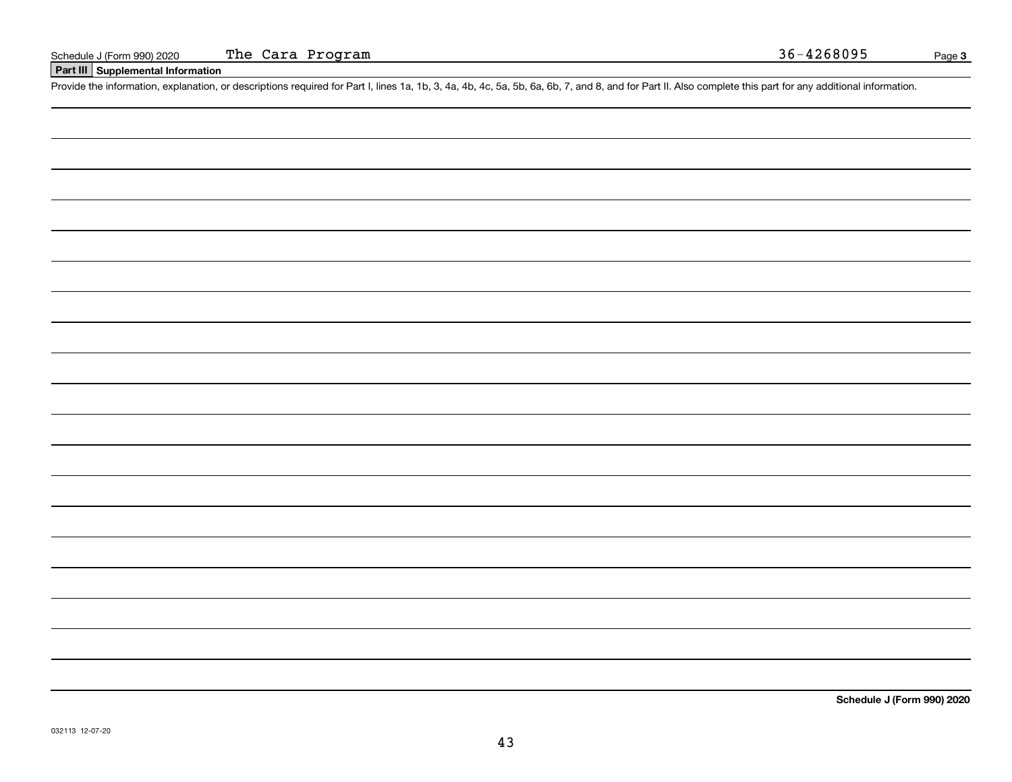## **Part III Supplemental Information**

Schedule J (Form 990) 2020 The Cara Program 36-4268095<br>
Part III Supplemental Information<br>
Provide the information, explanation, or descriptions required for Part I, lines 1a, 1b, 3, 4a, 4b, 4c, 5a, 5b, 6a, 6b, 7, and 8, a

**Schedule J (Form 990) 2020**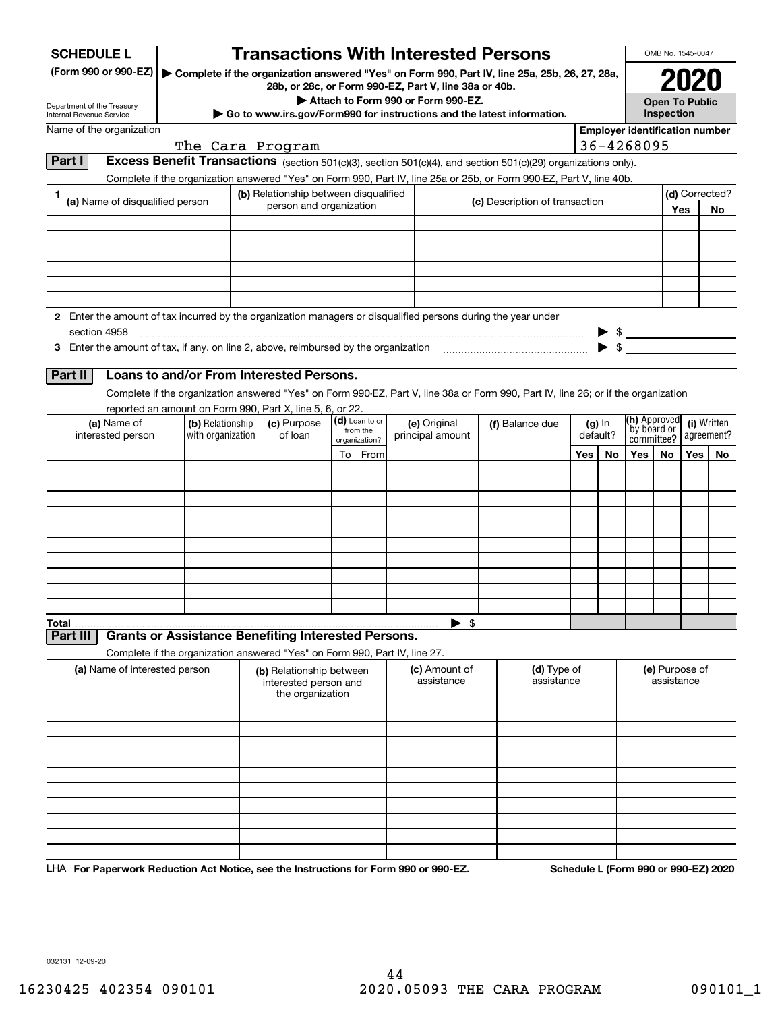| (Form 990 or 990-EZ)<br>▶ Complete if the organization answered "Yes" on Form 990, Part IV, line 25a, 25b, 26, 27, 28a,<br>28b, or 28c, or Form 990-EZ, Part V, line 38a or 40b.<br>Attach to Form 990 or Form 990-EZ.<br><b>Open To Public</b><br>Department of the Treasury<br>Inspection<br>Go to www.irs.gov/Form990 for instructions and the latest information.<br><b>Employer identification number</b><br>Name of the organization<br>36-4268095<br>The Cara Program<br>Part I<br>Excess Benefit Transactions (section 501(c)(3), section 501(c)(4), and section 501(c)(29) organizations only).<br>Complete if the organization answered "Yes" on Form 990, Part IV, line 25a or 25b, or Form 990-EZ, Part V, line 40b.<br>(d) Corrected?<br>(b) Relationship between disqualified<br>1.<br>(a) Name of disqualified person<br>(c) Description of transaction<br>person and organization<br>Yes<br>No<br>2 Enter the amount of tax incurred by the organization managers or disqualified persons during the year under<br>section 4958<br>$\frac{1}{2}$<br>Loans to and/or From Interested Persons.<br>Part II<br>Complete if the organization answered "Yes" on Form 990-EZ, Part V, line 38a or Form 990, Part IV, line 26; or if the organization<br>reported an amount on Form 990, Part X, line 5, 6, or 22.<br>(h) Approved<br>(d) Loan to or<br>(a) Name of<br>(c) Purpose<br>(i) Written<br>(b) Relationship<br>(e) Original<br>(f) Balance due<br>$(g)$ In<br>`by board or<br>from the<br>default?<br>interested person<br>with organization<br>of loan<br>agreement?<br>principal amount<br>committee?<br>organization?<br>From<br>Yes<br>Yes<br>Yes  <br>No<br>To<br>No<br>No<br>$\blacktriangleright$ \$<br><b>Grants or Assistance Benefiting Interested Persons.</b><br>Part III<br>Complete if the organization answered "Yes" on Form 990, Part IV, line 27.<br>(a) Name of interested person<br>(d) Type of<br>(e) Purpose of<br>(c) Amount of<br>(b) Relationship between<br>assistance<br>assistance<br>assistance<br>interested person and<br>the organization | <b>SCHEDULE L</b>        |  |  | <b>Transactions With Interested Persons</b> |  |  |  |  |  |  |  |  | OMB No. 1545-0047 |  |  |  |
|---------------------------------------------------------------------------------------------------------------------------------------------------------------------------------------------------------------------------------------------------------------------------------------------------------------------------------------------------------------------------------------------------------------------------------------------------------------------------------------------------------------------------------------------------------------------------------------------------------------------------------------------------------------------------------------------------------------------------------------------------------------------------------------------------------------------------------------------------------------------------------------------------------------------------------------------------------------------------------------------------------------------------------------------------------------------------------------------------------------------------------------------------------------------------------------------------------------------------------------------------------------------------------------------------------------------------------------------------------------------------------------------------------------------------------------------------------------------------------------------------------------------------------------------------------------------------------------------------------------------------------------------------------------------------------------------------------------------------------------------------------------------------------------------------------------------------------------------------------------------------------------------------------------------------------------------------------------------------------------------------------------------------------------------------------------------------------------------|--------------------------|--|--|---------------------------------------------|--|--|--|--|--|--|--|--|-------------------|--|--|--|
|                                                                                                                                                                                                                                                                                                                                                                                                                                                                                                                                                                                                                                                                                                                                                                                                                                                                                                                                                                                                                                                                                                                                                                                                                                                                                                                                                                                                                                                                                                                                                                                                                                                                                                                                                                                                                                                                                                                                                                                                                                                                                             |                          |  |  |                                             |  |  |  |  |  |  |  |  |                   |  |  |  |
|                                                                                                                                                                                                                                                                                                                                                                                                                                                                                                                                                                                                                                                                                                                                                                                                                                                                                                                                                                                                                                                                                                                                                                                                                                                                                                                                                                                                                                                                                                                                                                                                                                                                                                                                                                                                                                                                                                                                                                                                                                                                                             |                          |  |  |                                             |  |  |  |  |  |  |  |  |                   |  |  |  |
|                                                                                                                                                                                                                                                                                                                                                                                                                                                                                                                                                                                                                                                                                                                                                                                                                                                                                                                                                                                                                                                                                                                                                                                                                                                                                                                                                                                                                                                                                                                                                                                                                                                                                                                                                                                                                                                                                                                                                                                                                                                                                             | Internal Revenue Service |  |  |                                             |  |  |  |  |  |  |  |  |                   |  |  |  |
|                                                                                                                                                                                                                                                                                                                                                                                                                                                                                                                                                                                                                                                                                                                                                                                                                                                                                                                                                                                                                                                                                                                                                                                                                                                                                                                                                                                                                                                                                                                                                                                                                                                                                                                                                                                                                                                                                                                                                                                                                                                                                             |                          |  |  |                                             |  |  |  |  |  |  |  |  |                   |  |  |  |
|                                                                                                                                                                                                                                                                                                                                                                                                                                                                                                                                                                                                                                                                                                                                                                                                                                                                                                                                                                                                                                                                                                                                                                                                                                                                                                                                                                                                                                                                                                                                                                                                                                                                                                                                                                                                                                                                                                                                                                                                                                                                                             |                          |  |  |                                             |  |  |  |  |  |  |  |  |                   |  |  |  |
|                                                                                                                                                                                                                                                                                                                                                                                                                                                                                                                                                                                                                                                                                                                                                                                                                                                                                                                                                                                                                                                                                                                                                                                                                                                                                                                                                                                                                                                                                                                                                                                                                                                                                                                                                                                                                                                                                                                                                                                                                                                                                             |                          |  |  |                                             |  |  |  |  |  |  |  |  |                   |  |  |  |
|                                                                                                                                                                                                                                                                                                                                                                                                                                                                                                                                                                                                                                                                                                                                                                                                                                                                                                                                                                                                                                                                                                                                                                                                                                                                                                                                                                                                                                                                                                                                                                                                                                                                                                                                                                                                                                                                                                                                                                                                                                                                                             |                          |  |  |                                             |  |  |  |  |  |  |  |  |                   |  |  |  |
|                                                                                                                                                                                                                                                                                                                                                                                                                                                                                                                                                                                                                                                                                                                                                                                                                                                                                                                                                                                                                                                                                                                                                                                                                                                                                                                                                                                                                                                                                                                                                                                                                                                                                                                                                                                                                                                                                                                                                                                                                                                                                             |                          |  |  |                                             |  |  |  |  |  |  |  |  |                   |  |  |  |
|                                                                                                                                                                                                                                                                                                                                                                                                                                                                                                                                                                                                                                                                                                                                                                                                                                                                                                                                                                                                                                                                                                                                                                                                                                                                                                                                                                                                                                                                                                                                                                                                                                                                                                                                                                                                                                                                                                                                                                                                                                                                                             |                          |  |  |                                             |  |  |  |  |  |  |  |  |                   |  |  |  |
|                                                                                                                                                                                                                                                                                                                                                                                                                                                                                                                                                                                                                                                                                                                                                                                                                                                                                                                                                                                                                                                                                                                                                                                                                                                                                                                                                                                                                                                                                                                                                                                                                                                                                                                                                                                                                                                                                                                                                                                                                                                                                             |                          |  |  |                                             |  |  |  |  |  |  |  |  |                   |  |  |  |
|                                                                                                                                                                                                                                                                                                                                                                                                                                                                                                                                                                                                                                                                                                                                                                                                                                                                                                                                                                                                                                                                                                                                                                                                                                                                                                                                                                                                                                                                                                                                                                                                                                                                                                                                                                                                                                                                                                                                                                                                                                                                                             |                          |  |  |                                             |  |  |  |  |  |  |  |  |                   |  |  |  |
|                                                                                                                                                                                                                                                                                                                                                                                                                                                                                                                                                                                                                                                                                                                                                                                                                                                                                                                                                                                                                                                                                                                                                                                                                                                                                                                                                                                                                                                                                                                                                                                                                                                                                                                                                                                                                                                                                                                                                                                                                                                                                             |                          |  |  |                                             |  |  |  |  |  |  |  |  |                   |  |  |  |
|                                                                                                                                                                                                                                                                                                                                                                                                                                                                                                                                                                                                                                                                                                                                                                                                                                                                                                                                                                                                                                                                                                                                                                                                                                                                                                                                                                                                                                                                                                                                                                                                                                                                                                                                                                                                                                                                                                                                                                                                                                                                                             |                          |  |  |                                             |  |  |  |  |  |  |  |  |                   |  |  |  |
|                                                                                                                                                                                                                                                                                                                                                                                                                                                                                                                                                                                                                                                                                                                                                                                                                                                                                                                                                                                                                                                                                                                                                                                                                                                                                                                                                                                                                                                                                                                                                                                                                                                                                                                                                                                                                                                                                                                                                                                                                                                                                             |                          |  |  |                                             |  |  |  |  |  |  |  |  |                   |  |  |  |
|                                                                                                                                                                                                                                                                                                                                                                                                                                                                                                                                                                                                                                                                                                                                                                                                                                                                                                                                                                                                                                                                                                                                                                                                                                                                                                                                                                                                                                                                                                                                                                                                                                                                                                                                                                                                                                                                                                                                                                                                                                                                                             |                          |  |  |                                             |  |  |  |  |  |  |  |  |                   |  |  |  |
|                                                                                                                                                                                                                                                                                                                                                                                                                                                                                                                                                                                                                                                                                                                                                                                                                                                                                                                                                                                                                                                                                                                                                                                                                                                                                                                                                                                                                                                                                                                                                                                                                                                                                                                                                                                                                                                                                                                                                                                                                                                                                             |                          |  |  |                                             |  |  |  |  |  |  |  |  |                   |  |  |  |
|                                                                                                                                                                                                                                                                                                                                                                                                                                                                                                                                                                                                                                                                                                                                                                                                                                                                                                                                                                                                                                                                                                                                                                                                                                                                                                                                                                                                                                                                                                                                                                                                                                                                                                                                                                                                                                                                                                                                                                                                                                                                                             |                          |  |  |                                             |  |  |  |  |  |  |  |  |                   |  |  |  |
|                                                                                                                                                                                                                                                                                                                                                                                                                                                                                                                                                                                                                                                                                                                                                                                                                                                                                                                                                                                                                                                                                                                                                                                                                                                                                                                                                                                                                                                                                                                                                                                                                                                                                                                                                                                                                                                                                                                                                                                                                                                                                             |                          |  |  |                                             |  |  |  |  |  |  |  |  |                   |  |  |  |
|                                                                                                                                                                                                                                                                                                                                                                                                                                                                                                                                                                                                                                                                                                                                                                                                                                                                                                                                                                                                                                                                                                                                                                                                                                                                                                                                                                                                                                                                                                                                                                                                                                                                                                                                                                                                                                                                                                                                                                                                                                                                                             |                          |  |  |                                             |  |  |  |  |  |  |  |  |                   |  |  |  |
|                                                                                                                                                                                                                                                                                                                                                                                                                                                                                                                                                                                                                                                                                                                                                                                                                                                                                                                                                                                                                                                                                                                                                                                                                                                                                                                                                                                                                                                                                                                                                                                                                                                                                                                                                                                                                                                                                                                                                                                                                                                                                             |                          |  |  |                                             |  |  |  |  |  |  |  |  |                   |  |  |  |
|                                                                                                                                                                                                                                                                                                                                                                                                                                                                                                                                                                                                                                                                                                                                                                                                                                                                                                                                                                                                                                                                                                                                                                                                                                                                                                                                                                                                                                                                                                                                                                                                                                                                                                                                                                                                                                                                                                                                                                                                                                                                                             |                          |  |  |                                             |  |  |  |  |  |  |  |  |                   |  |  |  |
|                                                                                                                                                                                                                                                                                                                                                                                                                                                                                                                                                                                                                                                                                                                                                                                                                                                                                                                                                                                                                                                                                                                                                                                                                                                                                                                                                                                                                                                                                                                                                                                                                                                                                                                                                                                                                                                                                                                                                                                                                                                                                             |                          |  |  |                                             |  |  |  |  |  |  |  |  |                   |  |  |  |
|                                                                                                                                                                                                                                                                                                                                                                                                                                                                                                                                                                                                                                                                                                                                                                                                                                                                                                                                                                                                                                                                                                                                                                                                                                                                                                                                                                                                                                                                                                                                                                                                                                                                                                                                                                                                                                                                                                                                                                                                                                                                                             |                          |  |  |                                             |  |  |  |  |  |  |  |  |                   |  |  |  |
|                                                                                                                                                                                                                                                                                                                                                                                                                                                                                                                                                                                                                                                                                                                                                                                                                                                                                                                                                                                                                                                                                                                                                                                                                                                                                                                                                                                                                                                                                                                                                                                                                                                                                                                                                                                                                                                                                                                                                                                                                                                                                             |                          |  |  |                                             |  |  |  |  |  |  |  |  |                   |  |  |  |
|                                                                                                                                                                                                                                                                                                                                                                                                                                                                                                                                                                                                                                                                                                                                                                                                                                                                                                                                                                                                                                                                                                                                                                                                                                                                                                                                                                                                                                                                                                                                                                                                                                                                                                                                                                                                                                                                                                                                                                                                                                                                                             |                          |  |  |                                             |  |  |  |  |  |  |  |  |                   |  |  |  |
|                                                                                                                                                                                                                                                                                                                                                                                                                                                                                                                                                                                                                                                                                                                                                                                                                                                                                                                                                                                                                                                                                                                                                                                                                                                                                                                                                                                                                                                                                                                                                                                                                                                                                                                                                                                                                                                                                                                                                                                                                                                                                             |                          |  |  |                                             |  |  |  |  |  |  |  |  |                   |  |  |  |
|                                                                                                                                                                                                                                                                                                                                                                                                                                                                                                                                                                                                                                                                                                                                                                                                                                                                                                                                                                                                                                                                                                                                                                                                                                                                                                                                                                                                                                                                                                                                                                                                                                                                                                                                                                                                                                                                                                                                                                                                                                                                                             |                          |  |  |                                             |  |  |  |  |  |  |  |  |                   |  |  |  |
|                                                                                                                                                                                                                                                                                                                                                                                                                                                                                                                                                                                                                                                                                                                                                                                                                                                                                                                                                                                                                                                                                                                                                                                                                                                                                                                                                                                                                                                                                                                                                                                                                                                                                                                                                                                                                                                                                                                                                                                                                                                                                             |                          |  |  |                                             |  |  |  |  |  |  |  |  |                   |  |  |  |
|                                                                                                                                                                                                                                                                                                                                                                                                                                                                                                                                                                                                                                                                                                                                                                                                                                                                                                                                                                                                                                                                                                                                                                                                                                                                                                                                                                                                                                                                                                                                                                                                                                                                                                                                                                                                                                                                                                                                                                                                                                                                                             |                          |  |  |                                             |  |  |  |  |  |  |  |  |                   |  |  |  |
|                                                                                                                                                                                                                                                                                                                                                                                                                                                                                                                                                                                                                                                                                                                                                                                                                                                                                                                                                                                                                                                                                                                                                                                                                                                                                                                                                                                                                                                                                                                                                                                                                                                                                                                                                                                                                                                                                                                                                                                                                                                                                             | Total                    |  |  |                                             |  |  |  |  |  |  |  |  |                   |  |  |  |
|                                                                                                                                                                                                                                                                                                                                                                                                                                                                                                                                                                                                                                                                                                                                                                                                                                                                                                                                                                                                                                                                                                                                                                                                                                                                                                                                                                                                                                                                                                                                                                                                                                                                                                                                                                                                                                                                                                                                                                                                                                                                                             |                          |  |  |                                             |  |  |  |  |  |  |  |  |                   |  |  |  |
|                                                                                                                                                                                                                                                                                                                                                                                                                                                                                                                                                                                                                                                                                                                                                                                                                                                                                                                                                                                                                                                                                                                                                                                                                                                                                                                                                                                                                                                                                                                                                                                                                                                                                                                                                                                                                                                                                                                                                                                                                                                                                             |                          |  |  |                                             |  |  |  |  |  |  |  |  |                   |  |  |  |
|                                                                                                                                                                                                                                                                                                                                                                                                                                                                                                                                                                                                                                                                                                                                                                                                                                                                                                                                                                                                                                                                                                                                                                                                                                                                                                                                                                                                                                                                                                                                                                                                                                                                                                                                                                                                                                                                                                                                                                                                                                                                                             |                          |  |  |                                             |  |  |  |  |  |  |  |  |                   |  |  |  |
|                                                                                                                                                                                                                                                                                                                                                                                                                                                                                                                                                                                                                                                                                                                                                                                                                                                                                                                                                                                                                                                                                                                                                                                                                                                                                                                                                                                                                                                                                                                                                                                                                                                                                                                                                                                                                                                                                                                                                                                                                                                                                             |                          |  |  |                                             |  |  |  |  |  |  |  |  |                   |  |  |  |
|                                                                                                                                                                                                                                                                                                                                                                                                                                                                                                                                                                                                                                                                                                                                                                                                                                                                                                                                                                                                                                                                                                                                                                                                                                                                                                                                                                                                                                                                                                                                                                                                                                                                                                                                                                                                                                                                                                                                                                                                                                                                                             |                          |  |  |                                             |  |  |  |  |  |  |  |  |                   |  |  |  |
|                                                                                                                                                                                                                                                                                                                                                                                                                                                                                                                                                                                                                                                                                                                                                                                                                                                                                                                                                                                                                                                                                                                                                                                                                                                                                                                                                                                                                                                                                                                                                                                                                                                                                                                                                                                                                                                                                                                                                                                                                                                                                             |                          |  |  |                                             |  |  |  |  |  |  |  |  |                   |  |  |  |
|                                                                                                                                                                                                                                                                                                                                                                                                                                                                                                                                                                                                                                                                                                                                                                                                                                                                                                                                                                                                                                                                                                                                                                                                                                                                                                                                                                                                                                                                                                                                                                                                                                                                                                                                                                                                                                                                                                                                                                                                                                                                                             |                          |  |  |                                             |  |  |  |  |  |  |  |  |                   |  |  |  |
|                                                                                                                                                                                                                                                                                                                                                                                                                                                                                                                                                                                                                                                                                                                                                                                                                                                                                                                                                                                                                                                                                                                                                                                                                                                                                                                                                                                                                                                                                                                                                                                                                                                                                                                                                                                                                                                                                                                                                                                                                                                                                             |                          |  |  |                                             |  |  |  |  |  |  |  |  |                   |  |  |  |
|                                                                                                                                                                                                                                                                                                                                                                                                                                                                                                                                                                                                                                                                                                                                                                                                                                                                                                                                                                                                                                                                                                                                                                                                                                                                                                                                                                                                                                                                                                                                                                                                                                                                                                                                                                                                                                                                                                                                                                                                                                                                                             |                          |  |  |                                             |  |  |  |  |  |  |  |  |                   |  |  |  |
|                                                                                                                                                                                                                                                                                                                                                                                                                                                                                                                                                                                                                                                                                                                                                                                                                                                                                                                                                                                                                                                                                                                                                                                                                                                                                                                                                                                                                                                                                                                                                                                                                                                                                                                                                                                                                                                                                                                                                                                                                                                                                             |                          |  |  |                                             |  |  |  |  |  |  |  |  |                   |  |  |  |
|                                                                                                                                                                                                                                                                                                                                                                                                                                                                                                                                                                                                                                                                                                                                                                                                                                                                                                                                                                                                                                                                                                                                                                                                                                                                                                                                                                                                                                                                                                                                                                                                                                                                                                                                                                                                                                                                                                                                                                                                                                                                                             |                          |  |  |                                             |  |  |  |  |  |  |  |  |                   |  |  |  |

LHA For Paperwork Reduction Act Notice, see the Instructions for Form 990 or 990-EZ. Schedule L (Form 990 or 990-EZ) 2020

032131 12-09-20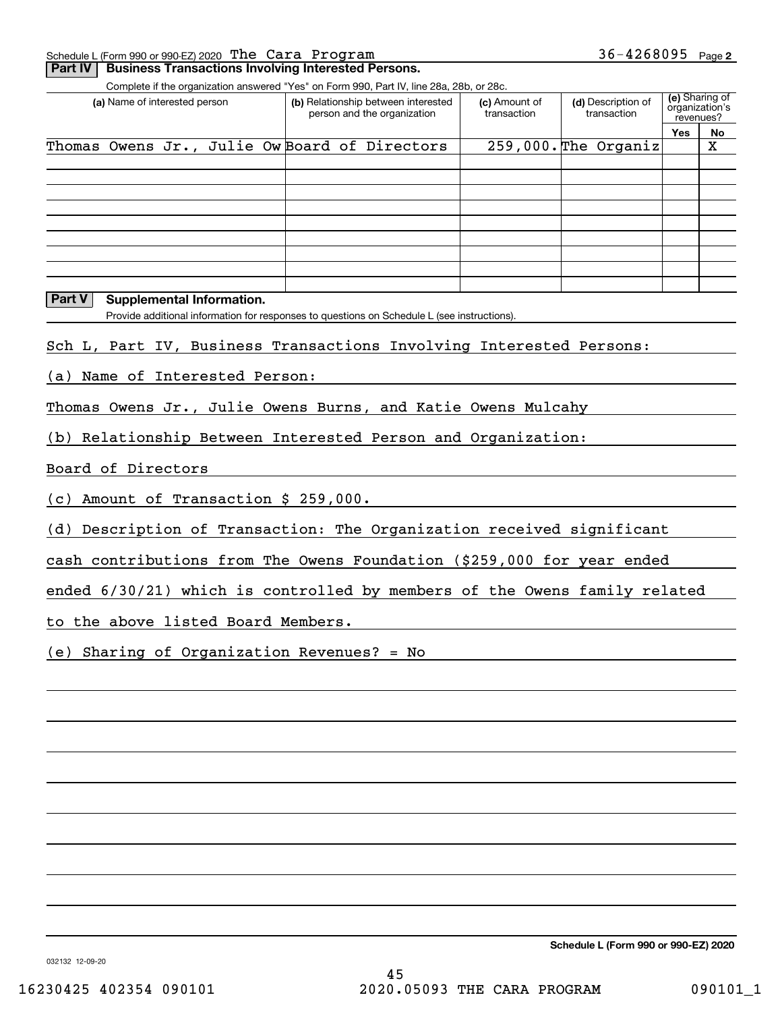|     | Schedule L (Form 990 or 990-EZ) 2020 The Cara Program |    |  | $36 - 4268095$ | Page 2 |
|-----|-------------------------------------------------------|----|--|----------------|--------|
| $-$ |                                                       | __ |  |                |        |

| (a) Name of interested person                                                                                                   | Complete if the organization answered "Yes" on Form 990, Part IV, line 28a, 28b, or 28c.<br>(b) Relationship between interested | (c) Amount of | (d) Description of              | (e) Sharing of<br>organization's |                    |  |
|---------------------------------------------------------------------------------------------------------------------------------|---------------------------------------------------------------------------------------------------------------------------------|---------------|---------------------------------|----------------------------------|--------------------|--|
|                                                                                                                                 | person and the organization                                                                                                     | transaction   | transaction<br>revenues?<br>Yes |                                  |                    |  |
| Thomas Owens Jr.,                                                                                                               | Julie Ow Board of Directors                                                                                                     |               | $259,000.$ The Organiz          |                                  | No.<br>$\mathbf X$ |  |
|                                                                                                                                 |                                                                                                                                 |               |                                 |                                  |                    |  |
|                                                                                                                                 |                                                                                                                                 |               |                                 |                                  |                    |  |
|                                                                                                                                 |                                                                                                                                 |               |                                 |                                  |                    |  |
|                                                                                                                                 |                                                                                                                                 |               |                                 |                                  |                    |  |
|                                                                                                                                 |                                                                                                                                 |               |                                 |                                  |                    |  |
| Part V                                                                                                                          |                                                                                                                                 |               |                                 |                                  |                    |  |
| <b>Supplemental Information.</b><br>Provide additional information for responses to questions on Schedule L (see instructions). |                                                                                                                                 |               |                                 |                                  |                    |  |
|                                                                                                                                 |                                                                                                                                 |               |                                 |                                  |                    |  |
| Sch L, Part IV, Business Transactions Involving Interested Persons:                                                             |                                                                                                                                 |               |                                 |                                  |                    |  |
| (a) Name of Interested Person:                                                                                                  |                                                                                                                                 |               |                                 |                                  |                    |  |
| Thomas Owens Jr., Julie Owens Burns, and Katie Owens Mulcahy                                                                    |                                                                                                                                 |               |                                 |                                  |                    |  |
|                                                                                                                                 |                                                                                                                                 |               |                                 |                                  |                    |  |
| (b) Relationship Between Interested Person and Organization:                                                                    |                                                                                                                                 |               |                                 |                                  |                    |  |
| Board of Directors                                                                                                              |                                                                                                                                 |               |                                 |                                  |                    |  |
| Amount of Transaction \$ 259,000.<br>(c)                                                                                        |                                                                                                                                 |               |                                 |                                  |                    |  |
| Description of Transaction: The Organization received significant<br>(d)                                                        |                                                                                                                                 |               |                                 |                                  |                    |  |
|                                                                                                                                 |                                                                                                                                 |               |                                 |                                  |                    |  |
| cash contributions from The Owens Foundation (\$259,000 for year ended                                                          |                                                                                                                                 |               |                                 |                                  |                    |  |
| ended 6/30/21) which is controlled by members of the Owens family related                                                       |                                                                                                                                 |               |                                 |                                  |                    |  |
| to the above listed Board Members.                                                                                              |                                                                                                                                 |               |                                 |                                  |                    |  |
|                                                                                                                                 |                                                                                                                                 |               |                                 |                                  |                    |  |
| (e) Sharing of Organization Revenues? = No                                                                                      |                                                                                                                                 |               |                                 |                                  |                    |  |
|                                                                                                                                 |                                                                                                                                 |               |                                 |                                  |                    |  |
|                                                                                                                                 |                                                                                                                                 |               |                                 |                                  |                    |  |
|                                                                                                                                 |                                                                                                                                 |               |                                 |                                  |                    |  |
|                                                                                                                                 |                                                                                                                                 |               |                                 |                                  |                    |  |
|                                                                                                                                 |                                                                                                                                 |               |                                 |                                  |                    |  |
|                                                                                                                                 |                                                                                                                                 |               |                                 |                                  |                    |  |
|                                                                                                                                 |                                                                                                                                 |               |                                 |                                  |                    |  |
|                                                                                                                                 |                                                                                                                                 |               |                                 |                                  |                    |  |
|                                                                                                                                 |                                                                                                                                 |               |                                 |                                  |                    |  |

**Schedule L (Form 990 or 990-EZ) 2020**

032132 12-09-20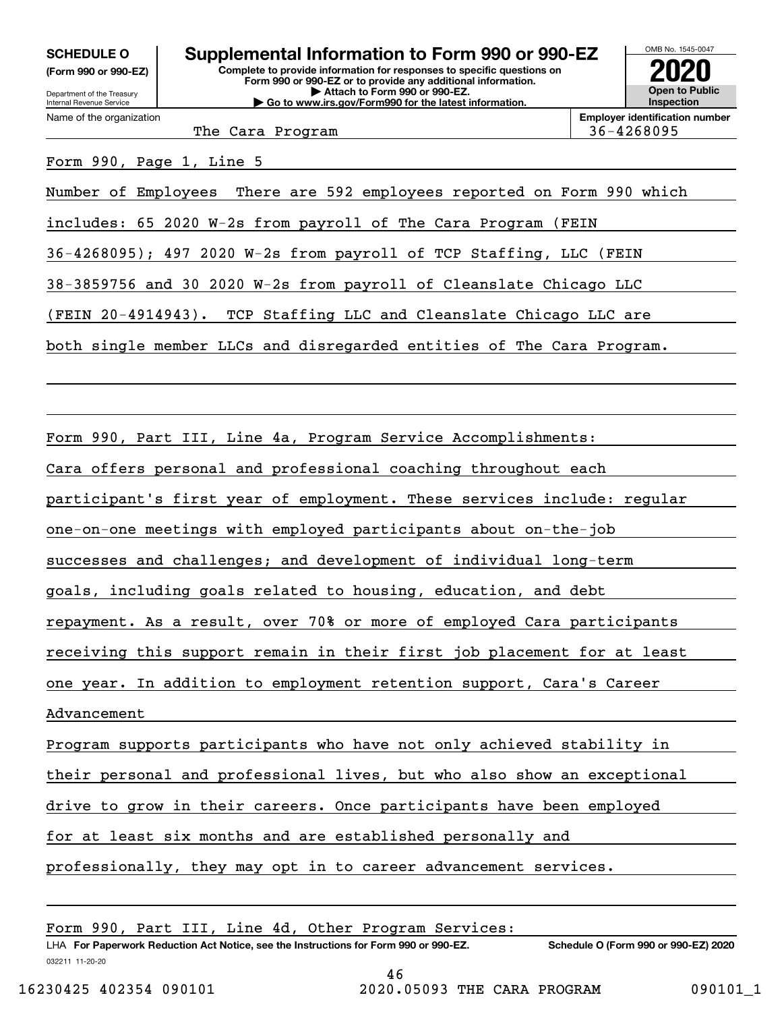**(Form 990 or 990-EZ)**

Department of the Treasury Internal Revenue Service Name of the organization

# **Complete to provide information for responses to specific questions on SCHEDULE O Supplemental Information to Form 990 or 990-EZ**

**Form 990 or 990-EZ or to provide any additional information. | Attach to Form 990 or 990-EZ. | Go to www.irs.gov/Form990 for the latest information.**



**Employer identification number**

The Cara Program 36-4268095

Form 990, Page 1, Line 5

Number of Employees There are 592 employees reported on Form 990 which

includes: 65 2020 W-2s from payroll of The Cara Program (FEIN

36-4268095); 497 2020 W-2s from payroll of TCP Staffing, LLC (FEIN

38-3859756 and 30 2020 W-2s from payroll of Cleanslate Chicago LLC

(FEIN 20-4914943). TCP Staffing LLC and Cleanslate Chicago LLC are

both single member LLCs and disregarded entities of The Cara Program.

Form 990, Part III, Line 4a, Program Service Accomplishments:

Cara offers personal and professional coaching throughout each

participant's first year of employment. These services include: regular

one-on-one meetings with employed participants about on-the-job

successes and challenges; and development of individual long-term

goals, including goals related to housing, education, and debt

repayment. As a result, over 70% or more of employed Cara participants

receiving this support remain in their first job placement for at least

one year. In addition to employment retention support, Cara's Career

Advancement

Program supports participants who have not only achieved stability in

their personal and professional lives, but who also show an exceptional

drive to grow in their careers. Once participants have been employed

for at least six months and are established personally and

professionally, they may opt in to career advancement services.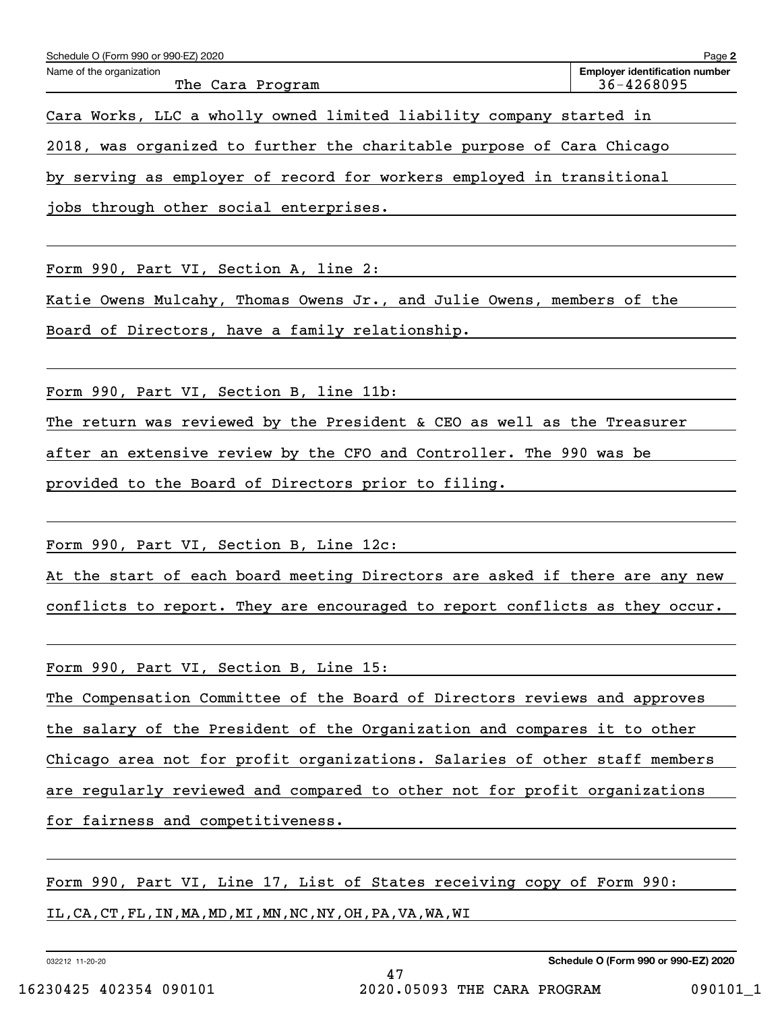| Schedule O (Form 990 or 990-EZ) 2020 | Page 2                                |
|--------------------------------------|---------------------------------------|
| Name of the organization             | <b>Employer identification number</b> |
| The Cara Program                     | 36-4268095                            |

Cara Works, LLC a wholly owned limited liability company started in

2018, was organized to further the charitable purpose of Cara Chicago

by serving as employer of record for workers employed in transitional

jobs through other social enterprises.

Form 990, Part VI, Section A, line 2:

Katie Owens Mulcahy, Thomas Owens Jr., and Julie Owens, members of the

Board of Directors, have a family relationship.

Form 990, Part VI, Section B, line 11b:

The return was reviewed by the President & CEO as well as the Treasurer

after an extensive review by the CFO and Controller. The 990 was be

provided to the Board of Directors prior to filing.

Form 990, Part VI, Section B, Line 12c:

At the start of each board meeting Directors are asked if there are any new

conflicts to report. They are encouraged to report conflicts as they occur.

Form 990, Part VI, Section B, Line 15:

The Compensation Committee of the Board of Directors reviews and approves

the salary of the President of the Organization and compares it to other

Chicago area not for profit organizations. Salaries of other staff members

are regularly reviewed and compared to other not for profit organizations

for fairness and competitiveness.

Form 990, Part VI, Line 17, List of States receiving copy of Form 990:

IL,CA,CT,FL,IN,MA,MD,MI,MN,NC,NY,OH,PA,VA,WA,WI

032212 11-20-20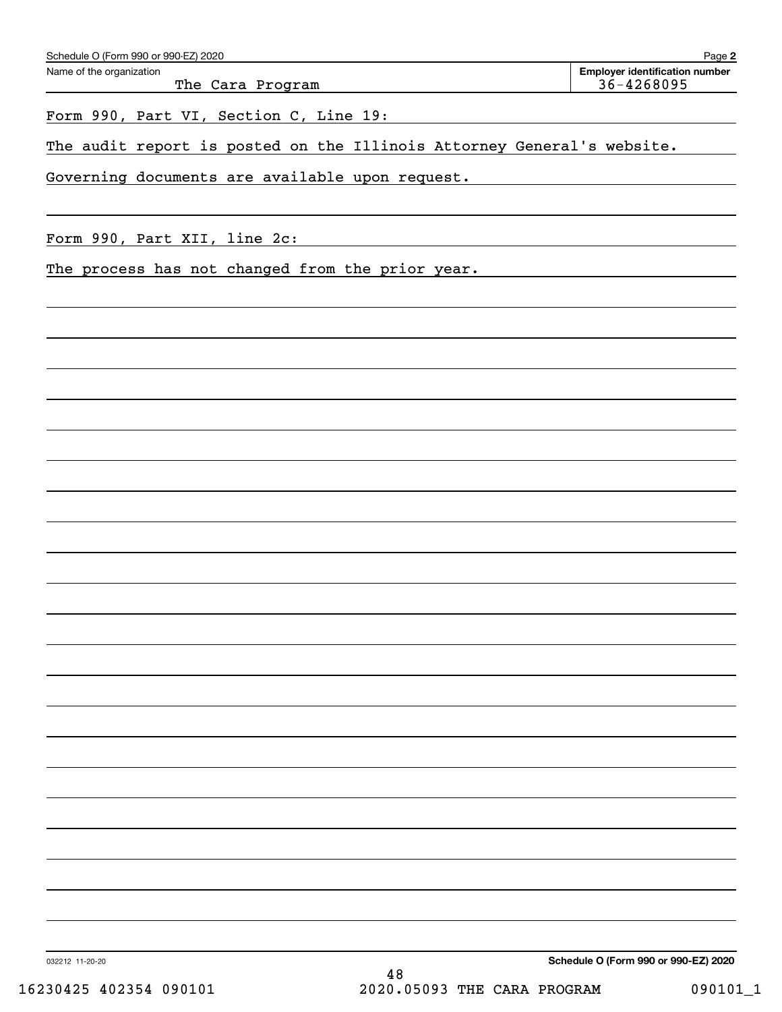| Schedule O (Form 990 or 990-EZ) 2020 | Page 2                                |  |  |  |
|--------------------------------------|---------------------------------------|--|--|--|
| Name of the organization             | <b>Employer identification number</b> |  |  |  |
| The Cara Program                     | $36 - 4268095$                        |  |  |  |

Form 990, Part VI, Section C, Line 19:

The audit report is posted on the Illinois Attorney General's website.

Governing documents are available upon request.

Form 990, Part XII, line 2c:

The process has not changed from the prior year.

**Schedule O (Form 990 or 990-EZ) 2020**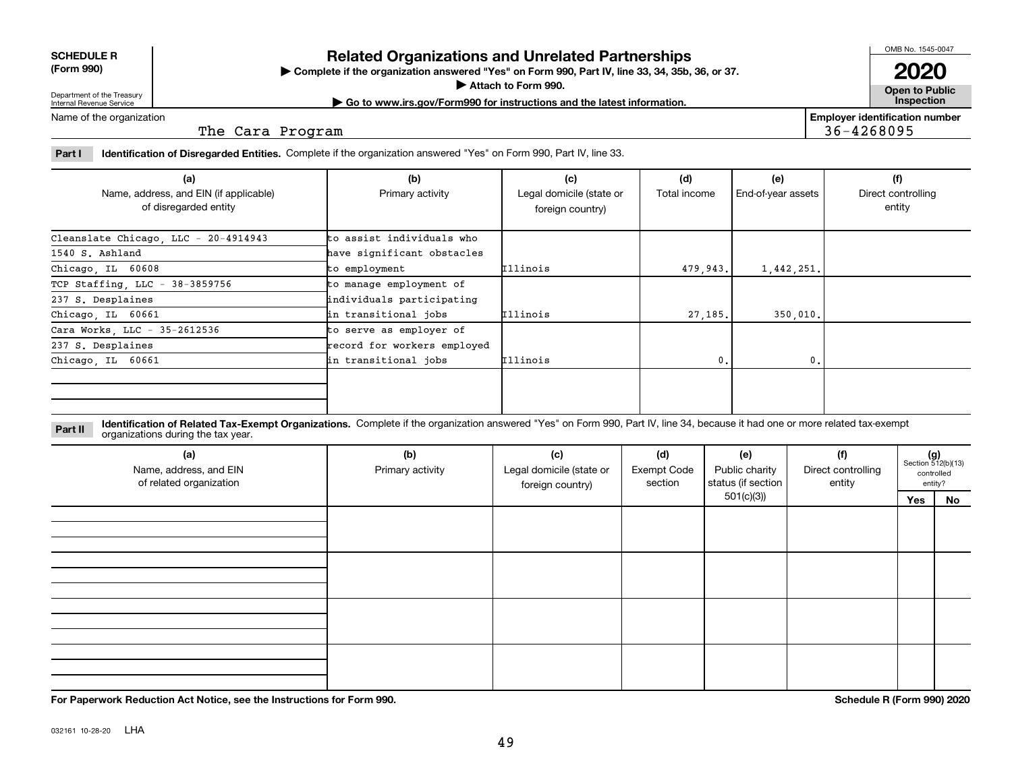| <b>SCHEDULE R</b>                     |  |
|---------------------------------------|--|
| $\Gamma_{\rm Cerm}$ $\Omega$ $\Omega$ |  |

**(Form 990)**

# **Related Organizations and Unrelated Partnerships**

**Complete if the organization answered "Yes" on Form 990, Part IV, line 33, 34, 35b, 36, or 37.** |

**Attach to Form 990.**  |

OMB No. 1545-0047

**Open to Public 2020**

**Employer identification number**

36-4268095

Department of the Treasury Internal Revenue Service

**| Go to www.irs.gov/Form990 for instructions and the latest information. Inspection**

Name of the organization

The Cara Program

**Part I Identification of Disregarded Entities.**  Complete if the organization answered "Yes" on Form 990, Part IV, line 33.

| (a)<br>Name, address, and EIN (if applicable)<br>of disregarded entity | (b)<br>Primary activity     | (c)<br>Legal domicile (state or<br>foreign country) | (d)<br>Total income | (e)<br>End-of-year assets | (f)<br>Direct controlling<br>entity |
|------------------------------------------------------------------------|-----------------------------|-----------------------------------------------------|---------------------|---------------------------|-------------------------------------|
| Cleanslate Chicago, LLC - 20-4914943                                   | to assist individuals who   |                                                     |                     |                           |                                     |
| 1540 S. Ashland                                                        | have significant obstacles  |                                                     |                     |                           |                                     |
| Chicago, IL 60608                                                      | to employment               | Illinois                                            | 479,943.            | 1,442,251.                |                                     |
| TCP Staffing LLC - $38-3859756$                                        | to manage employment of     |                                                     |                     |                           |                                     |
| 237 S. Desplaines                                                      | individuals participating   |                                                     |                     |                           |                                     |
| Chicago, IL 60661                                                      | in transitional jobs        | <b>Illinois</b>                                     | 27,185.             | 350,010.                  |                                     |
| Cara Works, LLC - 35-2612536                                           | to serve as employer of     |                                                     |                     |                           |                                     |
| 237 S. Desplaines                                                      | record for workers employed |                                                     |                     |                           |                                     |
| Chicago IL 60661                                                       | in transitional jobs        | <b>Illinois</b>                                     | 0.                  | 0.                        |                                     |
|                                                                        |                             |                                                     |                     |                           |                                     |

**Identification of Related Tax-Exempt Organizations.** Complete if the organization answered "Yes" on Form 990, Part IV, line 34, because it had one or more related tax-exempt **Part II** organizations during the tax year.

| (a)<br>Name, address, and EIN<br>of related organization | (b)<br>Primary activity | (c)<br>Legal domicile (state or<br>foreign country) | (d)<br><b>Exempt Code</b><br>section | (e)<br>Public charity<br>status (if section | (f)<br>Direct controlling<br>entity |     | $(g)$<br>Section 512(b)(13)<br>controlled<br>entity? |
|----------------------------------------------------------|-------------------------|-----------------------------------------------------|--------------------------------------|---------------------------------------------|-------------------------------------|-----|------------------------------------------------------|
|                                                          |                         |                                                     |                                      | 501(c)(3)                                   |                                     | Yes | No                                                   |
|                                                          |                         |                                                     |                                      |                                             |                                     |     |                                                      |
|                                                          |                         |                                                     |                                      |                                             |                                     |     |                                                      |
|                                                          |                         |                                                     |                                      |                                             |                                     |     |                                                      |

**For Paperwork Reduction Act Notice, see the Instructions for Form 990. Schedule R (Form 990) 2020**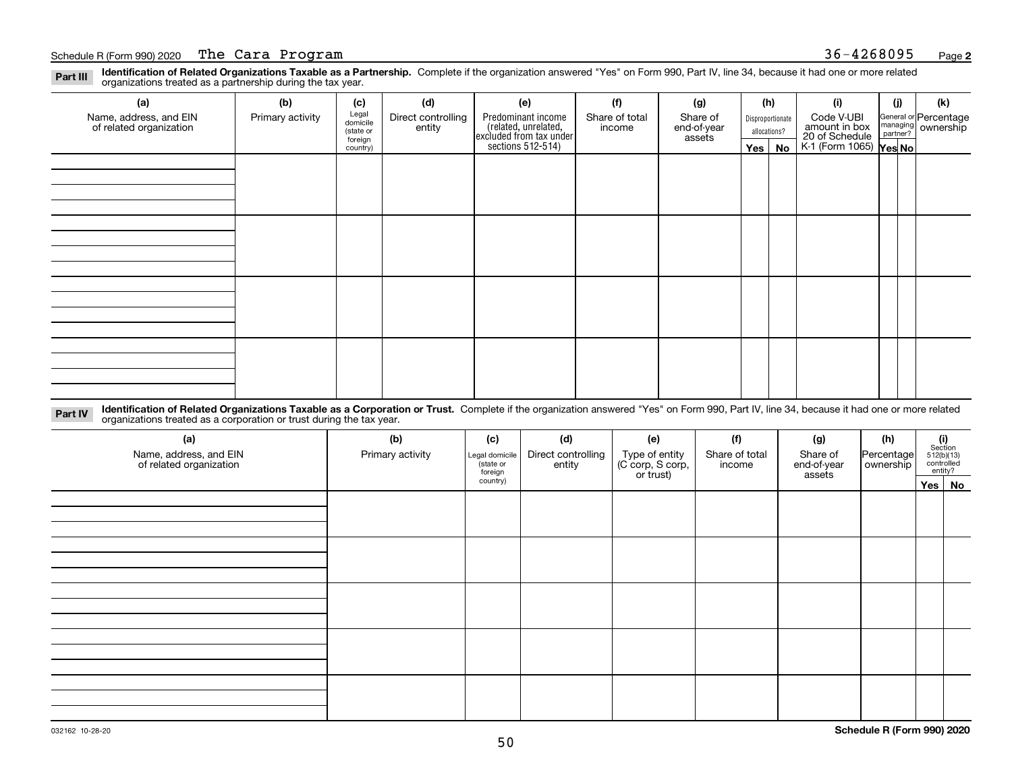### Schedule R(Form 990) 2020 T**he Cara Program 2006 and 2007 2008 2009** 2009 36-4268095 Page

**Identification of Related Organizations Taxable as a Partnership.** Complete if the organization answered "Yes" on Form 990, Part IV, line 34, because it had one or more related **Part III** organizations treated as a partnership during the tax year.

| (a)                                               | (b)              | (c)                  | (d)                          | (e)                                                                 | (f)                      | (g)                     |            | (h)              | (i)                                                              | (j) | (k)                                                     |
|---------------------------------------------------|------------------|----------------------|------------------------------|---------------------------------------------------------------------|--------------------------|-------------------------|------------|------------------|------------------------------------------------------------------|-----|---------------------------------------------------------|
| Name, address, and EIN<br>of related organization | Primary activity | Legal<br>domicile    | Direct controlling<br>entity | Predominant income                                                  | Share of total<br>income | Share of<br>end-of-year |            | Disproportionate | Code V-UBI                                                       |     | General or Percentage<br>managing ownership<br>partner? |
|                                                   |                  | (state or<br>foreign |                              |                                                                     |                          | assets                  |            | allocations?     |                                                                  |     |                                                         |
|                                                   |                  | country)             |                              | related, unrelated,<br>excluded from tax under<br>sections 512-514) |                          |                         | $Yes \mid$ | No               | amount in box<br>20 of Schedule<br>K-1 (Form 1065) <b>Yes No</b> |     |                                                         |
|                                                   |                  |                      |                              |                                                                     |                          |                         |            |                  |                                                                  |     |                                                         |
|                                                   |                  |                      |                              |                                                                     |                          |                         |            |                  |                                                                  |     |                                                         |
|                                                   |                  |                      |                              |                                                                     |                          |                         |            |                  |                                                                  |     |                                                         |
|                                                   |                  |                      |                              |                                                                     |                          |                         |            |                  |                                                                  |     |                                                         |
|                                                   |                  |                      |                              |                                                                     |                          |                         |            |                  |                                                                  |     |                                                         |
|                                                   |                  |                      |                              |                                                                     |                          |                         |            |                  |                                                                  |     |                                                         |
|                                                   |                  |                      |                              |                                                                     |                          |                         |            |                  |                                                                  |     |                                                         |
|                                                   |                  |                      |                              |                                                                     |                          |                         |            |                  |                                                                  |     |                                                         |
|                                                   |                  |                      |                              |                                                                     |                          |                         |            |                  |                                                                  |     |                                                         |
|                                                   |                  |                      |                              |                                                                     |                          |                         |            |                  |                                                                  |     |                                                         |
|                                                   |                  |                      |                              |                                                                     |                          |                         |            |                  |                                                                  |     |                                                         |
|                                                   |                  |                      |                              |                                                                     |                          |                         |            |                  |                                                                  |     |                                                         |
|                                                   |                  |                      |                              |                                                                     |                          |                         |            |                  |                                                                  |     |                                                         |
|                                                   |                  |                      |                              |                                                                     |                          |                         |            |                  |                                                                  |     |                                                         |
|                                                   |                  |                      |                              |                                                                     |                          |                         |            |                  |                                                                  |     |                                                         |
|                                                   |                  |                      |                              |                                                                     |                          |                         |            |                  |                                                                  |     |                                                         |
|                                                   |                  |                      |                              |                                                                     |                          |                         |            |                  |                                                                  |     |                                                         |

**Identification of Related Organizations Taxable as a Corporation or Trust.** Complete if the organization answered "Yes" on Form 990, Part IV, line 34, because it had one or more related **Part IV** organizations treated as a corporation or trust during the tax year.

| (a)<br>Name, address, and EIN<br>of related organization | (b)<br>Primary activity | (c)<br>Legal domicile<br>(state or<br>foreign | (d)<br>Direct controlling<br>entity | (e)<br>Type of entity<br>(C corp, S corp,<br>or trust) | (f)<br>Share of total<br>income | (g)<br>Share of<br>end-of-year<br>assets | (h)<br>Percentage<br>ownership | $\begin{array}{c} \textbf{(i)}\\ \text{Section}\\ 512 \text{(b)} \text{(13)}\\ \text{controlled} \\ \text{entity?} \end{array}$ |  |
|----------------------------------------------------------|-------------------------|-----------------------------------------------|-------------------------------------|--------------------------------------------------------|---------------------------------|------------------------------------------|--------------------------------|---------------------------------------------------------------------------------------------------------------------------------|--|
|                                                          |                         | country)                                      |                                     |                                                        |                                 |                                          |                                | Yes No                                                                                                                          |  |
|                                                          |                         |                                               |                                     |                                                        |                                 |                                          |                                |                                                                                                                                 |  |
|                                                          |                         |                                               |                                     |                                                        |                                 |                                          |                                |                                                                                                                                 |  |
|                                                          |                         |                                               |                                     |                                                        |                                 |                                          |                                |                                                                                                                                 |  |
|                                                          |                         |                                               |                                     |                                                        |                                 |                                          |                                |                                                                                                                                 |  |
|                                                          |                         |                                               |                                     |                                                        |                                 |                                          |                                |                                                                                                                                 |  |
|                                                          |                         |                                               |                                     |                                                        |                                 |                                          |                                |                                                                                                                                 |  |
|                                                          |                         |                                               |                                     |                                                        |                                 |                                          |                                |                                                                                                                                 |  |
|                                                          |                         |                                               |                                     |                                                        |                                 |                                          |                                |                                                                                                                                 |  |
|                                                          |                         |                                               |                                     |                                                        |                                 |                                          |                                |                                                                                                                                 |  |
|                                                          |                         |                                               |                                     |                                                        |                                 |                                          |                                |                                                                                                                                 |  |
|                                                          |                         |                                               |                                     |                                                        |                                 |                                          |                                |                                                                                                                                 |  |
|                                                          |                         |                                               |                                     |                                                        |                                 |                                          |                                |                                                                                                                                 |  |
|                                                          |                         |                                               |                                     |                                                        |                                 |                                          |                                |                                                                                                                                 |  |
|                                                          |                         |                                               |                                     |                                                        |                                 |                                          |                                |                                                                                                                                 |  |
|                                                          |                         |                                               |                                     |                                                        |                                 |                                          |                                |                                                                                                                                 |  |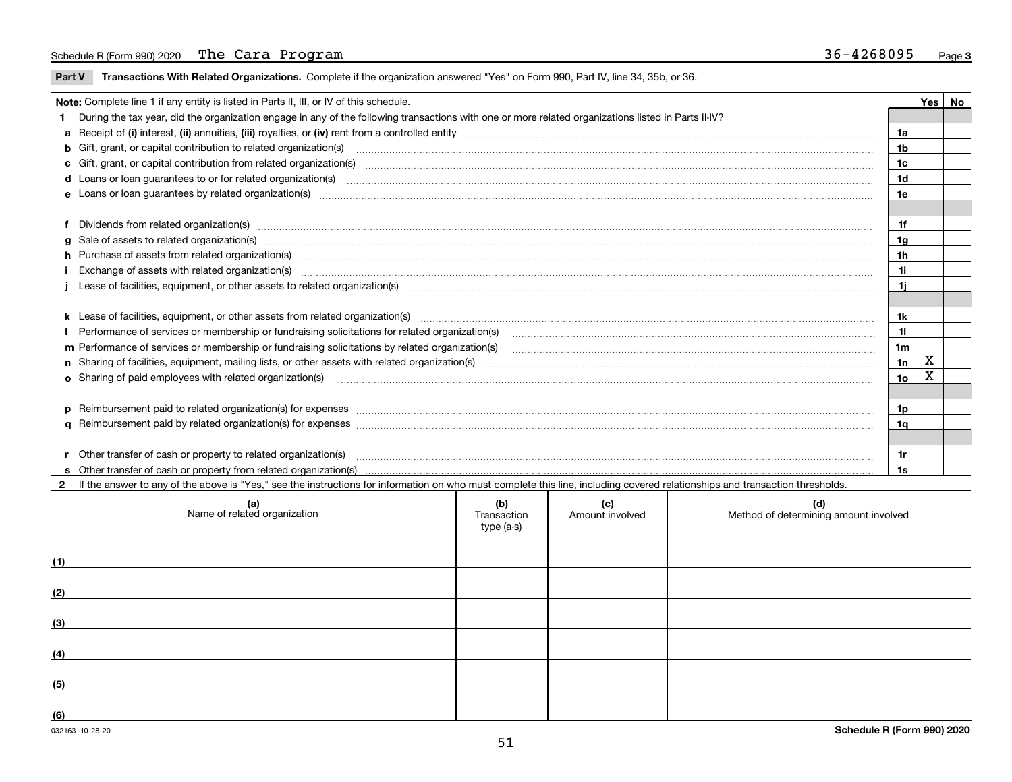### Schedule R(Form 990) 2020 T**he Cara Program 2006 and 2007 2008 2009** 2009 36-4268095 Page

 $\overline{\phantom{0}}$ 

**Part V** T**ransactions With Related Organizations.** Complete if the organization answered "Yes" on Form 990, Part IV, line 34, 35b, or 36.

| Note: Complete line 1 if any entity is listed in Parts II, III, or IV of this schedule. |                                                                                                                                                                                                                                |                |   |  |  |  |
|-----------------------------------------------------------------------------------------|--------------------------------------------------------------------------------------------------------------------------------------------------------------------------------------------------------------------------------|----------------|---|--|--|--|
|                                                                                         | During the tax year, did the organization engage in any of the following transactions with one or more related organizations listed in Parts II-IV?                                                                            |                |   |  |  |  |
|                                                                                         |                                                                                                                                                                                                                                | 1a             |   |  |  |  |
|                                                                                         | b Gift, grant, or capital contribution to related organization(s) mature and contained and contribution to related organization(s)                                                                                             | 1 <sub>b</sub> |   |  |  |  |
|                                                                                         | c Gift, grant, or capital contribution from related organization(s) manufaction(s) and contained a substitution from related organization(s) manufaction contains and contribution from related organization(s) manufaction an | 1c             |   |  |  |  |
|                                                                                         |                                                                                                                                                                                                                                | 1 <sub>d</sub> |   |  |  |  |
|                                                                                         |                                                                                                                                                                                                                                | 1e             |   |  |  |  |
|                                                                                         |                                                                                                                                                                                                                                |                |   |  |  |  |
|                                                                                         | f Dividends from related organization(s) material contents and content to the content of the content of the content of the content of the content of the content of the content of the content of the content of the content o | 1f             |   |  |  |  |
|                                                                                         |                                                                                                                                                                                                                                | 1 <sub>g</sub> |   |  |  |  |
|                                                                                         | h Purchase of assets from related organization(s) manufactured content to content the content of the content of the content of the content of the content of the content of the content of the content of the content of the c | 1 <sub>h</sub> |   |  |  |  |
|                                                                                         | Exchange of assets with related organization(s) www.assettion.com/www.assettion.com/www.assettion.com/www.assettion.com/www.assettion.com/www.assettion.com/www.assettion.com/www.assettion.com/www.assettion.com/www.assettio | 11             |   |  |  |  |
|                                                                                         | Lease of facilities, equipment, or other assets to related organization(s) manufactured content and content and content and content and content and content and content and content and content and content and content and co | 1j             |   |  |  |  |
|                                                                                         |                                                                                                                                                                                                                                |                |   |  |  |  |
|                                                                                         |                                                                                                                                                                                                                                | 1k             |   |  |  |  |
|                                                                                         |                                                                                                                                                                                                                                | 11             |   |  |  |  |
|                                                                                         | m Performance of services or membership or fundraising solicitations by related organization(s)                                                                                                                                | 1 <sub>m</sub> |   |  |  |  |
|                                                                                         |                                                                                                                                                                                                                                | 1n             | X |  |  |  |
|                                                                                         | <b>o</b> Sharing of paid employees with related organization(s)                                                                                                                                                                | 1o             |   |  |  |  |
|                                                                                         |                                                                                                                                                                                                                                |                |   |  |  |  |
|                                                                                         | p Reimbursement paid to related organization(s) for expenses [11111] [12] reasonal content of the separation (s) for expenses [11111] [12] reasonal content in the separation (s) for expenses [1111] [12] reasonal content in | 1p             |   |  |  |  |
|                                                                                         |                                                                                                                                                                                                                                | 1q             |   |  |  |  |
|                                                                                         |                                                                                                                                                                                                                                |                |   |  |  |  |
|                                                                                         | r Other transfer of cash or property to related organization(s)                                                                                                                                                                | 1r             |   |  |  |  |
|                                                                                         |                                                                                                                                                                                                                                | 1s             |   |  |  |  |
|                                                                                         | 2 If the answer to any of the above is "Yes," see the instructions for information on who must complete this line, including covered relationships and transaction thresholds.                                                 |                |   |  |  |  |

| (a)<br>Name of related organization | (b)<br>Transaction<br>type (a-s) | (c)<br>Amount involved | (d)<br>Method of determining amount involved |
|-------------------------------------|----------------------------------|------------------------|----------------------------------------------|
| (1)                                 |                                  |                        |                                              |
| (2)                                 |                                  |                        |                                              |
| (3)                                 |                                  |                        |                                              |
| (4)                                 |                                  |                        |                                              |
| (5)                                 |                                  |                        |                                              |
| (6)                                 |                                  |                        |                                              |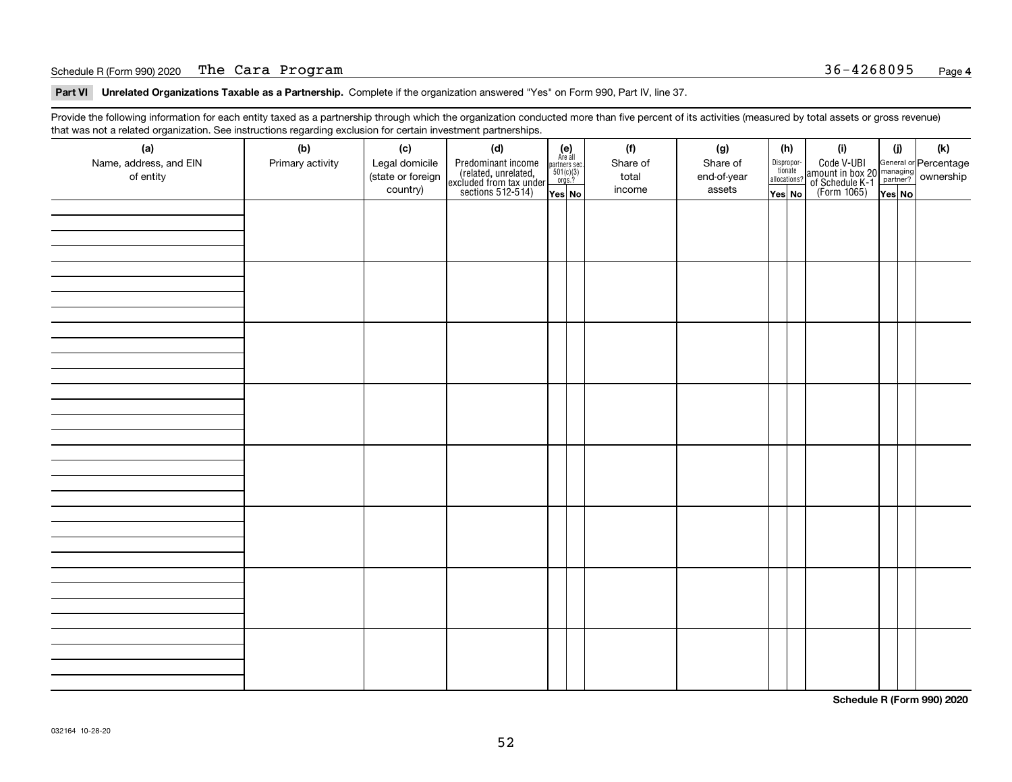### Schedule R(Form 990) 2020 T**he Cara Program** 36-4268095 <sub>Page</sub>

**Part VI Unrelated Organizations Taxable as a Partnership. Complete if the organization answered "Yes" on Form 990, Part IV, line 37.** 

Provide the following information for each entity taxed as a partnership through which the organization conducted more than five percent of its activities (measured by total assets or gross revenue) that was not a related organization. See instructions regarding exclusion for certain investment partnerships.

| ັ                      | ັ<br>ັ           |                   | . .                                                                                        |                                                            |  |          |             |                                  |  |                                                                                                  |        |     |
|------------------------|------------------|-------------------|--------------------------------------------------------------------------------------------|------------------------------------------------------------|--|----------|-------------|----------------------------------|--|--------------------------------------------------------------------------------------------------|--------|-----|
| (a)                    | (b)              | (c)               | (d)                                                                                        | $(e)$<br>Are all<br>partners sec.<br>$501(c)(3)$<br>orgs.? |  | (f)      | (g)         | (h)                              |  | (i)                                                                                              | (i)    | (k) |
| Name, address, and EIN | Primary activity | Legal domicile    |                                                                                            |                                                            |  | Share of | Share of    |                                  |  | Code V-UBI<br>amount in box 20 managing<br>of Schedule K-1<br>(Form 1065)<br>$\overline{Yes}$ No |        |     |
| of entity              |                  | (state or foreign |                                                                                            |                                                            |  | total    | end-of-year | Disproportionate<br>allocations? |  |                                                                                                  |        |     |
|                        |                  | country)          | Predominant income<br>(related, unrelated,<br>excluded from tax under<br>sections 512-514) |                                                            |  | income   | assets      |                                  |  |                                                                                                  |        |     |
|                        |                  |                   |                                                                                            | Yes No                                                     |  |          |             | Yes No                           |  |                                                                                                  | Yes No |     |
|                        |                  |                   |                                                                                            |                                                            |  |          |             |                                  |  |                                                                                                  |        |     |
|                        |                  |                   |                                                                                            |                                                            |  |          |             |                                  |  |                                                                                                  |        |     |
|                        |                  |                   |                                                                                            |                                                            |  |          |             |                                  |  |                                                                                                  |        |     |
|                        |                  |                   |                                                                                            |                                                            |  |          |             |                                  |  |                                                                                                  |        |     |
|                        |                  |                   |                                                                                            |                                                            |  |          |             |                                  |  |                                                                                                  |        |     |
|                        |                  |                   |                                                                                            |                                                            |  |          |             |                                  |  |                                                                                                  |        |     |
|                        |                  |                   |                                                                                            |                                                            |  |          |             |                                  |  |                                                                                                  |        |     |
|                        |                  |                   |                                                                                            |                                                            |  |          |             |                                  |  |                                                                                                  |        |     |
|                        |                  |                   |                                                                                            |                                                            |  |          |             |                                  |  |                                                                                                  |        |     |
|                        |                  |                   |                                                                                            |                                                            |  |          |             |                                  |  |                                                                                                  |        |     |
|                        |                  |                   |                                                                                            |                                                            |  |          |             |                                  |  |                                                                                                  |        |     |
|                        |                  |                   |                                                                                            |                                                            |  |          |             |                                  |  |                                                                                                  |        |     |
|                        |                  |                   |                                                                                            |                                                            |  |          |             |                                  |  |                                                                                                  |        |     |
|                        |                  |                   |                                                                                            |                                                            |  |          |             |                                  |  |                                                                                                  |        |     |
|                        |                  |                   |                                                                                            |                                                            |  |          |             |                                  |  |                                                                                                  |        |     |
|                        |                  |                   |                                                                                            |                                                            |  |          |             |                                  |  |                                                                                                  |        |     |
|                        |                  |                   |                                                                                            |                                                            |  |          |             |                                  |  |                                                                                                  |        |     |
|                        |                  |                   |                                                                                            |                                                            |  |          |             |                                  |  |                                                                                                  |        |     |
|                        |                  |                   |                                                                                            |                                                            |  |          |             |                                  |  |                                                                                                  |        |     |
|                        |                  |                   |                                                                                            |                                                            |  |          |             |                                  |  |                                                                                                  |        |     |
|                        |                  |                   |                                                                                            |                                                            |  |          |             |                                  |  |                                                                                                  |        |     |
|                        |                  |                   |                                                                                            |                                                            |  |          |             |                                  |  |                                                                                                  |        |     |
|                        |                  |                   |                                                                                            |                                                            |  |          |             |                                  |  |                                                                                                  |        |     |
|                        |                  |                   |                                                                                            |                                                            |  |          |             |                                  |  |                                                                                                  |        |     |
|                        |                  |                   |                                                                                            |                                                            |  |          |             |                                  |  |                                                                                                  |        |     |
|                        |                  |                   |                                                                                            |                                                            |  |          |             |                                  |  |                                                                                                  |        |     |
|                        |                  |                   |                                                                                            |                                                            |  |          |             |                                  |  |                                                                                                  |        |     |
|                        |                  |                   |                                                                                            |                                                            |  |          |             |                                  |  |                                                                                                  |        |     |
|                        |                  |                   |                                                                                            |                                                            |  |          |             |                                  |  |                                                                                                  |        |     |
|                        |                  |                   |                                                                                            |                                                            |  |          |             |                                  |  |                                                                                                  |        |     |
|                        |                  |                   |                                                                                            |                                                            |  |          |             |                                  |  |                                                                                                  |        |     |
|                        |                  |                   |                                                                                            |                                                            |  |          |             |                                  |  |                                                                                                  |        |     |
|                        |                  |                   |                                                                                            |                                                            |  |          |             |                                  |  |                                                                                                  |        |     |
|                        |                  |                   |                                                                                            |                                                            |  |          |             |                                  |  |                                                                                                  |        |     |
|                        |                  |                   |                                                                                            |                                                            |  |          |             |                                  |  |                                                                                                  |        |     |
|                        |                  |                   |                                                                                            |                                                            |  |          |             |                                  |  |                                                                                                  |        |     |
|                        |                  |                   |                                                                                            |                                                            |  |          |             |                                  |  |                                                                                                  |        |     |
|                        |                  |                   |                                                                                            |                                                            |  |          |             |                                  |  |                                                                                                  |        |     |
|                        |                  |                   |                                                                                            |                                                            |  |          |             |                                  |  |                                                                                                  |        |     |
|                        |                  |                   |                                                                                            |                                                            |  |          |             |                                  |  |                                                                                                  |        |     |

**Schedule R (Form 990) 2020**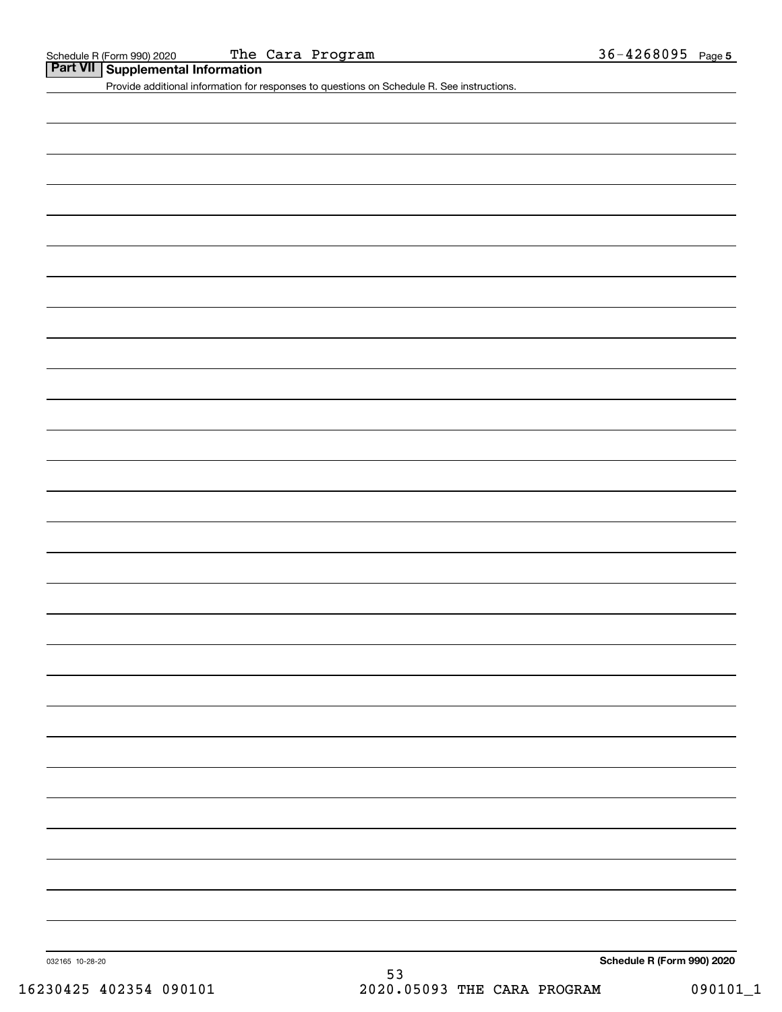|  | Part VII   Supplemental Information |  |
|--|-------------------------------------|--|
|--|-------------------------------------|--|

Provide additional information for responses to questions on Schedule R. See instructions.

032165 10-28-20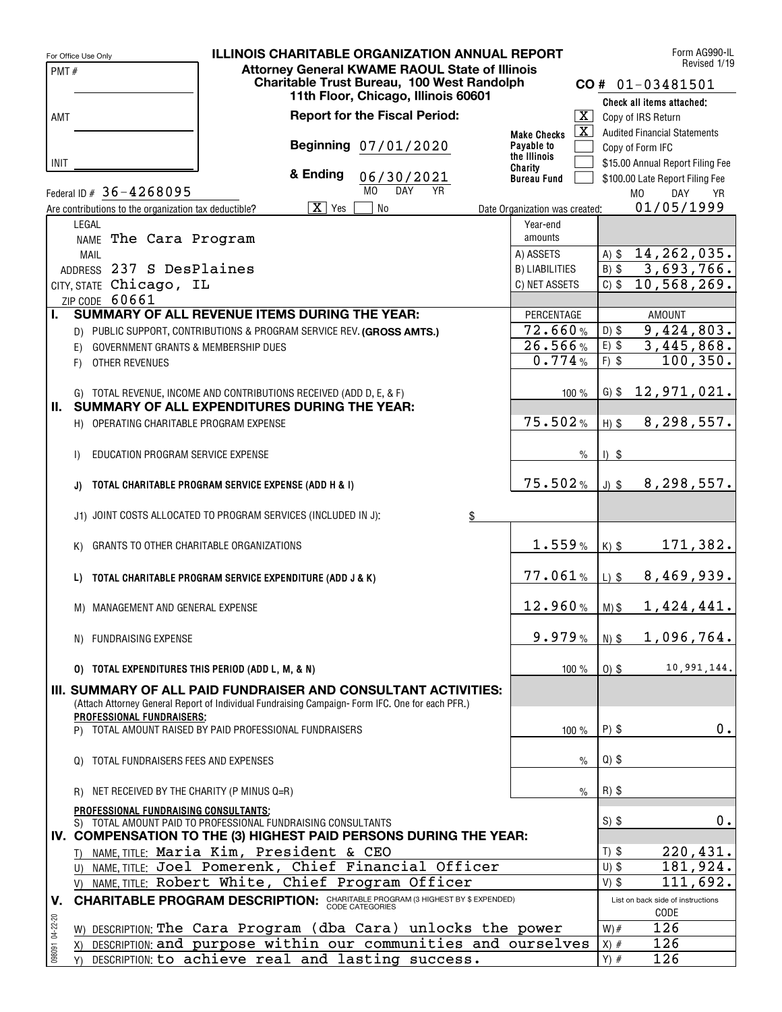|                 | For Office Use Only                                   | <b>ILLINOIS CHARITABLE ORGANIZATION ANNUAL REPORT</b>                                                         |                                               |                    | Form AG990-IL<br>Revised 1/19             |
|-----------------|-------------------------------------------------------|---------------------------------------------------------------------------------------------------------------|-----------------------------------------------|--------------------|-------------------------------------------|
| PMT#            |                                                       | <b>Attorney General KWAME RAOUL State of Illinois</b>                                                         |                                               |                    |                                           |
|                 |                                                       | Charitable Trust Bureau, 100 West Randolph<br>11th Floor, Chicago, Illinois 60601                             |                                               |                    | $CO# 01-03481501$                         |
|                 |                                                       |                                                                                                               |                                               |                    | Check all items attached:                 |
| AMT             |                                                       | <b>Report for the Fiscal Period:</b>                                                                          | $\overline{\mathbf{x}}$                       |                    | Copy of IRS Return                        |
|                 |                                                       |                                                                                                               | $\overline{\mathbf{x}}$<br><b>Make Checks</b> |                    | <b>Audited Financial Statements</b>       |
|                 |                                                       | Beginning 07/01/2020                                                                                          | Payable to<br>the Illinois                    |                    | Copy of Form IFC                          |
| <b>INIT</b>     |                                                       |                                                                                                               | Charity                                       |                    | \$15.00 Annual Report Filing Fee          |
|                 |                                                       | & Ending<br>06/30/2021                                                                                        | <b>Bureau Fund</b>                            |                    | \$100.00 Late Report Filing Fee           |
|                 | Federal ID # $36 - 4268095$                           | M <sub>0</sub><br><b>DAY</b><br>YR                                                                            |                                               |                    | M <sub>0</sub><br>DAY<br>YR.              |
|                 | Are contributions to the organization tax deductible? | $\overline{X}$ Yes<br><b>No</b>                                                                               | Date Organization was created:                |                    | 01/05/1999                                |
|                 | LEGAL                                                 |                                                                                                               | Year-end<br>amounts                           |                    |                                           |
|                 | NAME The Cara Program                                 |                                                                                                               | A) ASSETS                                     | $A)$ \$            | 14, 262, 035.                             |
|                 | <b>MAIL</b><br>ADDRESS 237 S DesPlaines               |                                                                                                               | B) LIABILITIES                                | $B)$ \$            | 3,693,766.                                |
|                 | CITY, STATE Chicago, IL                               |                                                                                                               | C) NET ASSETS                                 | $C)$ \$            | 10,568,269.                               |
|                 | ZIP CODE 60661                                        |                                                                                                               |                                               |                    |                                           |
| L.              |                                                       | SUMMARY OF ALL REVENUE ITEMS DURING THE YEAR:                                                                 | PERCENTAGE                                    |                    | <b>AMOUNT</b>                             |
|                 |                                                       | D) PUBLIC SUPPORT, CONTRIBUTIONS & PROGRAM SERVICE REV. (GROSS AMTS.)                                         | 72.660%                                       | $D)$ \$            | 9,424,803.                                |
|                 | GOVERNMENT GRANTS & MEMBERSHIP DUES<br>E)             |                                                                                                               | 26.566%                                       | $E)$ \$            | $\overline{3,445}$ , 868.                 |
|                 | OTHER REVENUES<br>F)                                  |                                                                                                               | 0.774%                                        | $F)$ \$            | 100, 350.                                 |
|                 |                                                       |                                                                                                               |                                               |                    |                                           |
|                 |                                                       | G) TOTAL REVENUE, INCOME AND CONTRIBUTIONS RECEIVED (ADD D, E, & F)                                           | $100 \%$                                      | $G)$ \$            | 12,971,021.                               |
|                 |                                                       | II. SUMMARY OF ALL EXPENDITURES DURING THE YEAR:                                                              |                                               |                    |                                           |
|                 | H) OPERATING CHARITABLE PROGRAM EXPENSE               |                                                                                                               | 75.502%                                       | $H)$ \$            | 8, 298, 557.                              |
|                 |                                                       |                                                                                                               |                                               |                    |                                           |
|                 | EDUCATION PROGRAM SERVICE EXPENSE<br>$\mathsf{I}$     |                                                                                                               | $\frac{0}{0}$                                 | $1)$ \$            |                                           |
|                 |                                                       |                                                                                                               |                                               |                    |                                           |
|                 | J)                                                    | TOTAL CHARITABLE PROGRAM SERVICE EXPENSE (ADD H & I)                                                          | 75.502%                                       | $J)$ \$            | 8,298,557.                                |
|                 |                                                       | J1) JOINT COSTS ALLOCATED TO PROGRAM SERVICES (INCLUDED IN J):<br>$\frac{3}{2}$                               |                                               |                    |                                           |
|                 |                                                       |                                                                                                               |                                               |                    |                                           |
|                 | GRANTS TO OTHER CHARITABLE ORGANIZATIONS<br>K)        |                                                                                                               | 1.559%                                        | $K)$ \$            | 171,382.                                  |
|                 |                                                       |                                                                                                               |                                               |                    |                                           |
|                 | L)                                                    | TOTAL CHARITABLE PROGRAM SERVICE EXPENDITURE (ADD J & K)                                                      | 77.061%                                       | $L)$ \$            | 8,469,939.                                |
|                 |                                                       |                                                                                                               |                                               |                    |                                           |
|                 | M) MANAGEMENT AND GENERAL EXPENSE                     |                                                                                                               | 12.960%                                       | $M)$ \$            | 1,424,441.                                |
|                 |                                                       |                                                                                                               |                                               |                    |                                           |
|                 | N) FUNDRAISING EXPENSE                                |                                                                                                               | 9.979%                                        | $N)$ \$            | 1,096,764.                                |
|                 |                                                       |                                                                                                               |                                               |                    | 10,991,144.                               |
|                 | 0) TOTAL EXPENDITURES THIS PERIOD (ADD L, M, & N)     |                                                                                                               | 100 %                                         | $0)$ \$            |                                           |
|                 |                                                       | III. SUMMARY OF ALL PAID FUNDRAISER AND CONSULTANT ACTIVITIES:                                                |                                               |                    |                                           |
|                 | PROFESSIONAL FUNDRAISERS:                             | (Attach Attorney General Report of Individual Fundraising Campaign-Form IFC. One for each PFR.)               |                                               |                    |                                           |
|                 |                                                       | P) TOTAL AMOUNT RAISED BY PAID PROFESSIONAL FUNDRAISERS                                                       | 100 %                                         | $P)$ \$            | 0.                                        |
|                 |                                                       |                                                                                                               |                                               |                    |                                           |
|                 | TOTAL FUNDRAISERS FEES AND EXPENSES<br>$\Omega$       |                                                                                                               | $\frac{0}{0}$                                 | $Q$ ) \$           |                                           |
|                 |                                                       |                                                                                                               |                                               |                    |                                           |
|                 | NET RECEIVED BY THE CHARITY (P MINUS Q=R)<br>R)       |                                                                                                               | $\%$                                          | $R)$ \$            |                                           |
|                 | PROFESSIONAL FUNDRAISING CONSULTANTS;                 |                                                                                                               |                                               |                    |                                           |
|                 |                                                       | S) TOTAL AMOUNT PAID TO PROFESSIONAL FUNDRAISING CONSULTANTS                                                  |                                               | $S)$ \$            | 0.                                        |
|                 |                                                       | IV. COMPENSATION TO THE (3) HIGHEST PAID PERSONS DURING THE YEAR:                                             |                                               |                    |                                           |
|                 |                                                       | T) NAME, TITLE: Maria Kim, President & CEO                                                                    |                                               | $T)$ \$<br>$U)$ \$ | 220,431.                                  |
|                 |                                                       | U) NAME, TITLE: Joel Pomerenk, Chief Financial Officer<br>V) NAME, TITLE: Robert White, Chief Program Officer |                                               | $V)$ \$            | 181,924.<br>111,692.                      |
|                 |                                                       |                                                                                                               |                                               |                    |                                           |
| V.              |                                                       | <b>CHARITABLE PROGRAM DESCRIPTION:</b> CHARITABLE PROGRAM (3 HIGHEST BY \$ EXPENDED)                          |                                               |                    | List on back side of instructions<br>CODE |
| 098091 04-22-20 |                                                       | W) DESCRIPTION: The Cara Program (dba Cara) unlocks the power                                                 |                                               | $W)$ #             | 126                                       |
|                 | X)                                                    | DESCRIPTION: and purpose within our communities and ourselves                                                 |                                               | $X)$ #             | 126                                       |
|                 |                                                       | Y) DESCRIPTION: to achieve real and lasting success.                                                          |                                               | $Y)$ #             | 126                                       |